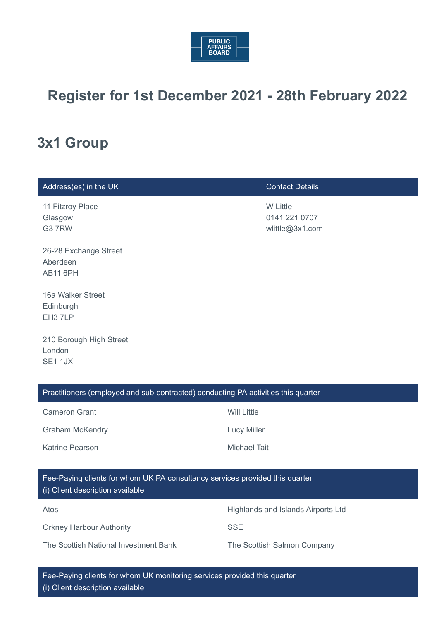

# **Register for 1st December 2021 - 28th February 2022**

# **3x1 Group**

| Address(es) in the UK                                                                                            | <b>Contact Details</b>                              |  |
|------------------------------------------------------------------------------------------------------------------|-----------------------------------------------------|--|
| 11 Fitzroy Place<br>Glasgow<br>G37RW                                                                             | <b>W Little</b><br>0141 221 0707<br>wlittle@3x1.com |  |
| 26-28 Exchange Street<br>Aberdeen<br><b>AB11 6PH</b>                                                             |                                                     |  |
| 16a Walker Street<br>Edinburgh<br>EH <sub>3</sub> 7LP                                                            |                                                     |  |
| 210 Borough High Street<br>London<br>SE1 1JX                                                                     |                                                     |  |
| Practitioners (employed and sub-contracted) conducting PA activities this quarter                                |                                                     |  |
| <b>Cameron Grant</b>                                                                                             | <b>Will Little</b>                                  |  |
| <b>Graham McKendry</b>                                                                                           | <b>Lucy Miller</b>                                  |  |
| Katrine Pearson                                                                                                  | <b>Michael Tait</b>                                 |  |
| Fee-Paying clients for whom UK PA consultancy services provided this quarter<br>(i) Client description available |                                                     |  |
| Atos                                                                                                             | Highlands and Islands Airports Ltd                  |  |
| <b>Orkney Harbour Authority</b>                                                                                  | <b>SSE</b>                                          |  |
| The Scottish National Investment Bank                                                                            | The Scottish Salmon Company                         |  |

Fee-Paying clients for whom UK monitoring services provided this quarter (i) Client description available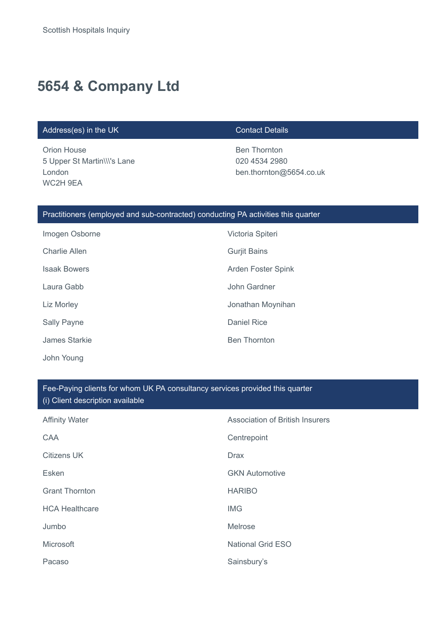# **5654 & Company Ltd**

### Address(es) in the UK Contact Details

Orion House 5 Upper St Martin\\\'s Lane London WC2H 9EA

Ben Thornton 020 4534 2980 ben.thornton@5654.co.uk

## Practitioners (employed and sub-contracted) conducting PA activities this quarter

| Imogen Osborne       | Victoria Spiteri          |
|----------------------|---------------------------|
| <b>Charlie Allen</b> | <b>Gurjit Bains</b>       |
| <b>Isaak Bowers</b>  | <b>Arden Foster Spink</b> |
| Laura Gabb           | John Gardner              |
| Liz Morley           | Jonathan Moynihan         |
| <b>Sally Payne</b>   | Daniel Rice               |
| James Starkie        | <b>Ben Thornton</b>       |
| John Young           |                           |

### Fee-Paying clients for whom UK PA consultancy services provided this quarter (i) Client description available

| <b>Affinity Water</b> | <b>Association of British Insurers</b> |
|-----------------------|----------------------------------------|
| CAA                   | Centrepoint                            |
| <b>Citizens UK</b>    | <b>Drax</b>                            |
| Esken                 | <b>GKN Automotive</b>                  |
| <b>Grant Thornton</b> | <b>HARIBO</b>                          |
| <b>HCA Healthcare</b> | <b>IMG</b>                             |
| Jumbo                 | Melrose                                |
| Microsoft             | <b>National Grid ESO</b>               |
| Pacaso                | Sainsbury's                            |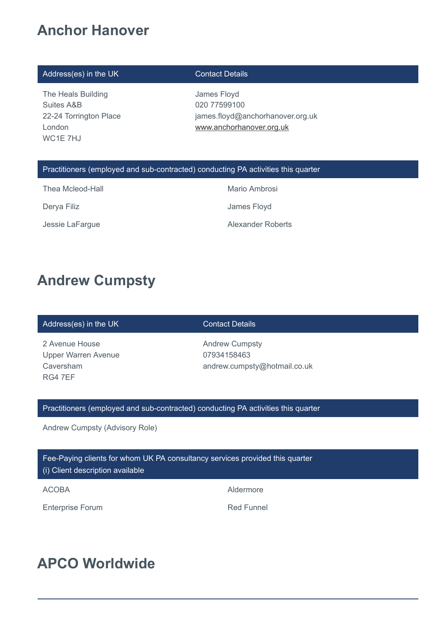# **Anchor Hanover**

### Address(es) in the UK Contact Details

The Heals Building Suites A&B 22-24 Torrington Place London WC1E 7HJ

James Floyd 020 77599100 james.floyd@anchorhanover.org.uk [www.anchorhanover.org.uk](http://www.anchorhanover.org.uk/)

### Practitioners (employed and sub-contracted) conducting PA activities this quarter

Thea Mcleod-Hall **Mario Ambrosi** Mario Ambrosi

Derya Filiz **Derya Filiz James Floyd** 

Jessie LaFargue **Alexander Roberts** 

# **Andrew Cumpsty**

### Address(es) in the UK Contact Details

2 Avenue House Upper Warren Avenue Caversham RG4 7EF

Andrew Cumpsty 07934158463 andrew.cumpsty@hotmail.co.uk

### Practitioners (employed and sub-contracted) conducting PA activities this quarter

Andrew Cumpsty (Advisory Role)

Fee-Paying clients for whom UK PA consultancy services provided this quarter

(i) Client description available

ACOBA Aldermore

Enterprise Forum and The Contract Contract Red Funnel

# **APCO Worldwide**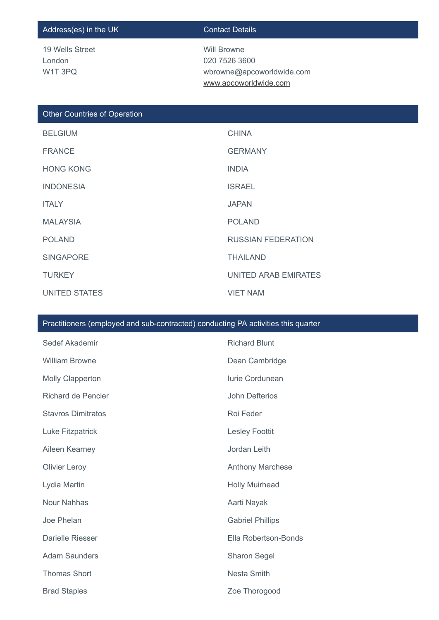### Address(es) in the UK Contact Details

19 Wells Street London W1T 3PQ

Will Browne 020 7526 3600 wbrowne@apcoworldwide.com [www.apcoworldwide.com](http://%20www.apcoworldwide.com/)

### Other Countries of Operation

| <b>BELGIUM</b>   | <b>CHINA</b>              |
|------------------|---------------------------|
| <b>FRANCE</b>    | <b>GERMANY</b>            |
| <b>HONG KONG</b> | <b>INDIA</b>              |
| <b>INDONESIA</b> | <b>ISRAEL</b>             |
| <b>ITALY</b>     | <b>JAPAN</b>              |
| <b>MALAYSIA</b>  | <b>POLAND</b>             |
| <b>POLAND</b>    | <b>RUSSIAN FEDERATION</b> |
| <b>SINGAPORE</b> | <b>THAILAND</b>           |
| <b>TURKEY</b>    | UNITED ARAB EMIRATES      |
| UNITED STATES    | <b>VIET NAM</b>           |

### Practitioners (employed and sub-contracted) conducting PA activities this quarter

| Sedef Akademir            | <b>Richard Blunt</b>    |
|---------------------------|-------------------------|
| <b>William Browne</b>     | Dean Cambridge          |
| <b>Molly Clapperton</b>   | <b>lurie Cordunean</b>  |
| <b>Richard de Pencier</b> | <b>John Defterios</b>   |
| <b>Stavros Dimitratos</b> | Roi Feder               |
| Luke Fitzpatrick          | <b>Lesley Foottit</b>   |
| Aileen Kearney            | Jordan Leith            |
| <b>Olivier Leroy</b>      | <b>Anthony Marchese</b> |
| Lydia Martin              | <b>Holly Muirhead</b>   |
| <b>Nour Nahhas</b>        | Aarti Nayak             |
| Joe Phelan                | <b>Gabriel Phillips</b> |
| Darielle Riesser          | Ella Robertson-Bonds    |
| <b>Adam Saunders</b>      | Sharon Segel            |
| <b>Thomas Short</b>       | <b>Nesta Smith</b>      |
| <b>Brad Staples</b>       | Zoe Thorogood           |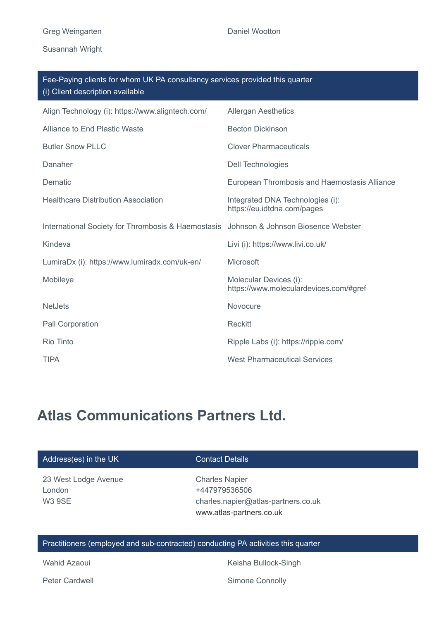Susannah Wright

| Fee-Paying clients for whom UK PA consultancy services provided this quarter<br>(i) Client description available |  |  |
|------------------------------------------------------------------------------------------------------------------|--|--|
| <b>Allergan Aesthetics</b>                                                                                       |  |  |
| <b>Becton Dickinson</b>                                                                                          |  |  |
| <b>Clover Pharmaceuticals</b>                                                                                    |  |  |
| <b>Dell Technologies</b>                                                                                         |  |  |
| European Thrombosis and Haemostasis Alliance                                                                     |  |  |
| Integrated DNA Technologies (i):<br>https://eu.idtdna.com/pages                                                  |  |  |
| Johnson & Johnson Biosence Webster                                                                               |  |  |
| Livi (i): https://www.livi.co.uk/                                                                                |  |  |
| Microsoft                                                                                                        |  |  |
| Molecular Devices (i):<br>https://www.moleculardevices.com/#gref                                                 |  |  |
| Novocure                                                                                                         |  |  |
| <b>Reckitt</b>                                                                                                   |  |  |
| Ripple Labs (i): https://ripple.com/                                                                             |  |  |
| <b>West Pharmaceutical Services</b>                                                                              |  |  |
| International Society for Thrombosis & Haemostasis                                                               |  |  |

# **Atlas Communications Partners Ltd.**

| <b>Contact Details</b>              |
|-------------------------------------|
| <b>Charles Napier</b>               |
| +447979536506                       |
| charles.napier@atlas-partners.co.uk |
| www.atlas-partners.co.uk            |
|                                     |
|                                     |

### Practitioners (employed and sub-contracted) conducting PA activities this quarter

Wahid Azaoui **Keisha Bullock-Singh** 

Peter Cardwell **Simone Connolly**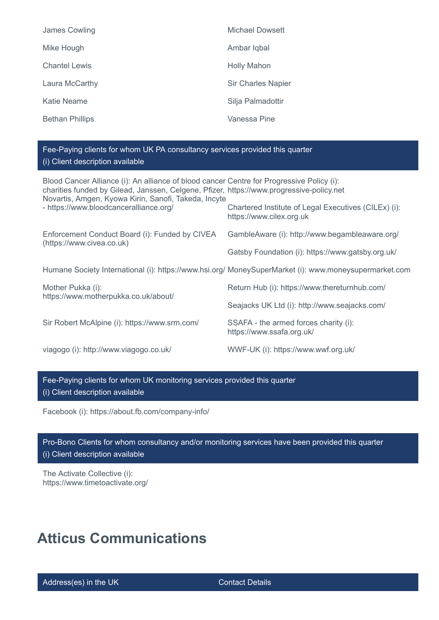| James Cowling          | Michael Dowsett           |
|------------------------|---------------------------|
| Mike Hough             | Ambar Iqbal               |
| <b>Chantel Lewis</b>   | <b>Holly Mahon</b>        |
| Laura McCarthy         | <b>Sir Charles Napier</b> |
| <b>Katie Neame</b>     | Silja Palmadottir         |
| <b>Bethan Phillips</b> | Vanessa Pine              |

### Fee-Paying clients for whom UK PA consultancy services provided this quarter (i) Client description available

| Blood Cancer Alliance (i): An alliance of blood cancer Centre for Progressive Policy (i):<br>charities funded by Gilead, Janssen, Celgene, Pfizer, https://www.progressive-policy.net<br>Novartis, Amgen, Kyowa Kirin, Sanofi, Takeda, Incyte |                                                                                                       |
|-----------------------------------------------------------------------------------------------------------------------------------------------------------------------------------------------------------------------------------------------|-------------------------------------------------------------------------------------------------------|
| - https://www.bloodcanceralliance.org/                                                                                                                                                                                                        | Chartered Institute of Legal Executives (CILEx) (i):<br>https://www.cilex.org.uk                      |
| Enforcement Conduct Board (i): Funded by CIVEA                                                                                                                                                                                                | GambleAware (i): http://www.begambleaware.org/                                                        |
| (https://www.civea.co.uk)                                                                                                                                                                                                                     | Gatsby Foundation (i): https://www.gatsby.org.uk/                                                     |
|                                                                                                                                                                                                                                               | Humane Society International (i): https://www.hsi.org/ MoneySuperMarket (i): www.moneysupermarket.com |
| Mother Pukka (i):<br>https://www.motherpukka.co.uk/about/                                                                                                                                                                                     | Return Hub (i): https://www.thereturnhub.com/                                                         |
|                                                                                                                                                                                                                                               | Seajacks UK Ltd (i): http://www.seajacks.com/                                                         |
| Sir Robert McAlpine (i): https://www.srm.com/                                                                                                                                                                                                 | SSAFA - the armed forces charity (i):<br>https://www.ssafa.org.uk/                                    |
| viagogo (i): http://www.viagogo.co.uk/                                                                                                                                                                                                        | WWF-UK (i): https://www.wwf.org.uk/                                                                   |

Fee-Paying clients for whom UK monitoring services provided this quarter (i) Client description available

Facebook (i): https://about.fb.com/company-info/

Pro-Bono Clients for whom consultancy and/or monitoring services have been provided this quarter (i) Client description available

The Activate Collective (i): https://www.timetoactivate.org/

# **Atticus Communications**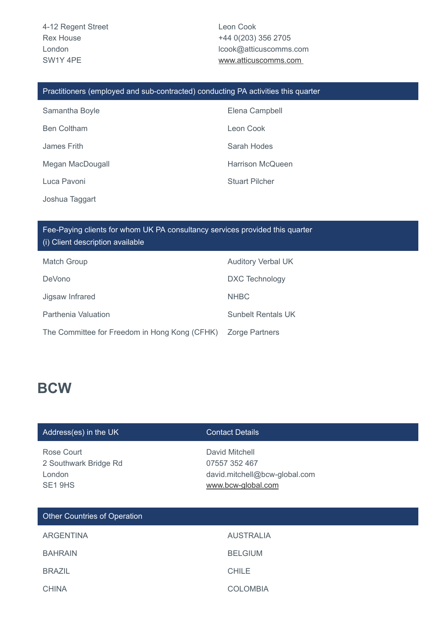Leon Cook +44 0(203) 356 2705 lcook@atticuscomms.com [www.atticuscomms.com](http://www.atticuscomms.com/) 

### Practitioners (employed and sub-contracted) conducting PA activities this quarter

| Samantha Boyle     | Elena Campbell          |
|--------------------|-------------------------|
| <b>Ben Coltham</b> | Leon Cook               |
| James Frith        | Sarah Hodes             |
| Megan MacDougall   | <b>Harrison McQueen</b> |
| Luca Pavoni        | <b>Stuart Pilcher</b>   |
|                    |                         |

Joshua Taggart

Fee-Paying clients for whom UK PA consultancy services provided this quarter (i) Client description available

| <b>Match Group</b>                            | <b>Auditory Verbal UK</b> |
|-----------------------------------------------|---------------------------|
| <b>DeVono</b>                                 | DXC Technology            |
| Jigsaw Infrared                               | <b>NHBC</b>               |
| Parthenia Valuation                           | <b>Sunbelt Rentals UK</b> |
| The Committee for Freedom in Hong Kong (CFHK) | <b>Zorge Partners</b>     |

## **BCW**

### Address(es) in the UK Contact Details

Rose Court 2 Southwark Bridge Rd London SE1 9HS

David Mitchell 07557 352 467 david.mitchell@bcw-global.com [www.bcw-global.com](http://www.bcw-global.com/)

| Other Countries of Operation |                  |  |
|------------------------------|------------------|--|
| <b>ARGENTINA</b>             | <b>AUSTRALIA</b> |  |
| <b>BAHRAIN</b>               | <b>BELGIUM</b>   |  |
| <b>BRAZIL</b>                | <b>CHILE</b>     |  |
| <b>CHINA</b>                 | <b>COLOMBIA</b>  |  |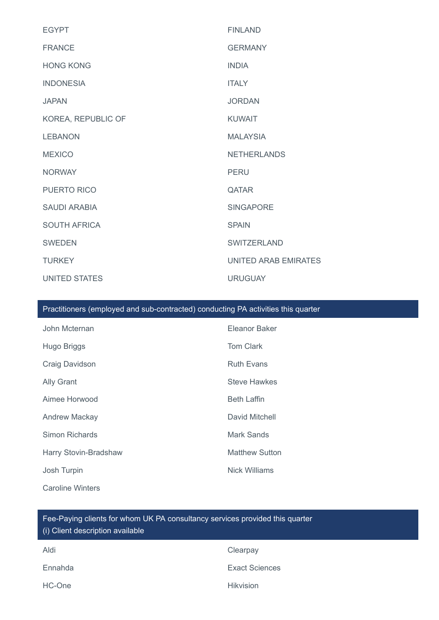| <b>EGYPT</b>         | <b>FINLAND</b>       |
|----------------------|----------------------|
| <b>FRANCE</b>        | <b>GERMANY</b>       |
| <b>HONG KONG</b>     | <b>INDIA</b>         |
| <b>INDONESIA</b>     | <b>ITALY</b>         |
| <b>JAPAN</b>         | <b>JORDAN</b>        |
| KOREA, REPUBLIC OF   | <b>KUWAIT</b>        |
| <b>LEBANON</b>       | <b>MALAYSIA</b>      |
| <b>MEXICO</b>        | <b>NETHERLANDS</b>   |
| <b>NORWAY</b>        | <b>PERU</b>          |
| PUERTO RICO          | <b>QATAR</b>         |
| <b>SAUDI ARABIA</b>  | <b>SINGAPORE</b>     |
| <b>SOUTH AFRICA</b>  | <b>SPAIN</b>         |
| <b>SWEDEN</b>        | <b>SWITZERLAND</b>   |
| <b>TURKEY</b>        | UNITED ARAB EMIRATES |
| <b>UNITED STATES</b> | <b>URUGUAY</b>       |

### Practitioners (employed and sub-contracted) conducting PA activities this quarter

| John Mcternan           | Eleanor Baker         |
|-------------------------|-----------------------|
| Hugo Briggs             | <b>Tom Clark</b>      |
| Craig Davidson          | <b>Ruth Evans</b>     |
| <b>Ally Grant</b>       | <b>Steve Hawkes</b>   |
| Aimee Horwood           | <b>Beth Laffin</b>    |
| <b>Andrew Mackay</b>    | David Mitchell        |
| Simon Richards          | Mark Sands            |
| Harry Stovin-Bradshaw   | <b>Matthew Sutton</b> |
| Josh Turpin             | Nick Williams         |
| <b>Caroline Winters</b> |                       |

## Fee-Paying clients for whom UK PA consultancy services provided this quarter (i) Client description available

| Aldi    | Clearpay              |
|---------|-----------------------|
| Ennahda | <b>Exact Sciences</b> |
| HC-One  | <b>Hikvision</b>      |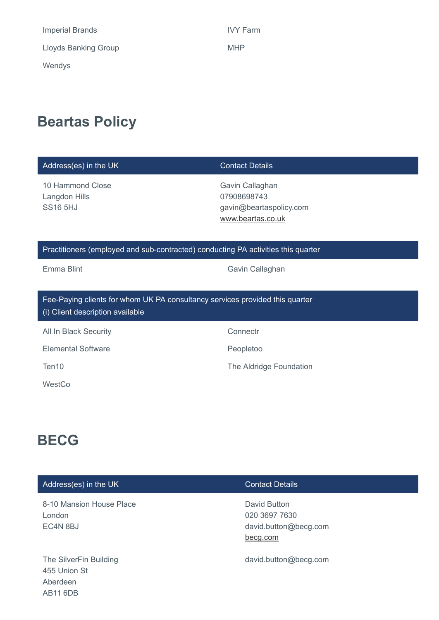| <b>Imperial Brands</b>      | <b>IVY Fa</b> |
|-----------------------------|---------------|
| <b>Lloyds Banking Group</b> | <b>MHP</b>    |
| Wendys                      |               |

IVY Farm

# **Beartas Policy**

| Address(es) in the UK                                                                                            | <b>Contact Details</b>                                                         |
|------------------------------------------------------------------------------------------------------------------|--------------------------------------------------------------------------------|
| 10 Hammond Close<br>Langdon Hills<br><b>SS16 5HJ</b>                                                             | Gavin Callaghan<br>07908698743<br>gavin@beartaspolicy.com<br>www.beartas.co.uk |
| Practitioners (employed and sub-contracted) conducting PA activities this quarter                                |                                                                                |
| Emma Blint                                                                                                       | Gavin Callaghan                                                                |
| Fee-Paying clients for whom UK PA consultancy services provided this quarter<br>(i) Client description available |                                                                                |
| All In Black Security                                                                                            | Connectr                                                                       |
| <b>Elemental Software</b>                                                                                        | Peopletoo                                                                      |
| Ten10                                                                                                            | The Aldridge Foundation                                                        |
| WestCo                                                                                                           |                                                                                |

# **BECG**

| Address(es) in the UK                                                 | <b>Contact Details</b>                                             |
|-----------------------------------------------------------------------|--------------------------------------------------------------------|
| 8-10 Mansion House Place<br>London<br>EC4N 8BJ                        | David Button<br>020 3697 7630<br>david.button@becg.com<br>becg.com |
| The SilverFin Building<br>455 Union St<br>Aberdeen<br><b>AB11 6DB</b> | david.button@becg.com                                              |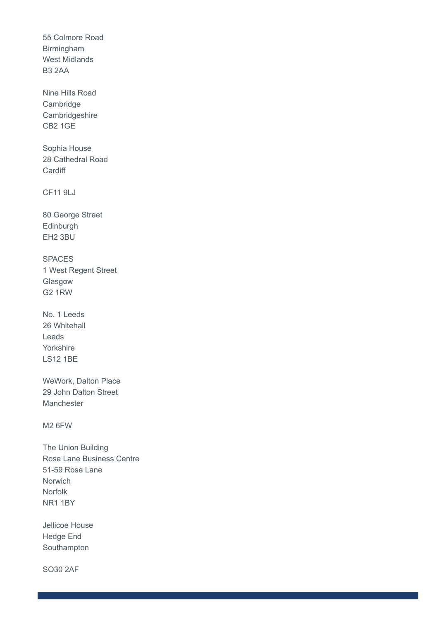55 Colmore Road Birmingham West Midlands B3 2AA

Nine Hills Road Cambridge Cambridgeshire CB2 1GE

Sophia House 28 Cathedral Road **Cardiff** 

CF11 9LJ

80 George Street Edinburgh EH2 3BU

SPACES 1 West Regent Street Glasgow G2 1RW

No. 1 Leeds 26 Whitehall Leeds Yorkshire LS12 1BE

WeWork, Dalton Place 29 John Dalton Street Manchester

M2 6FW

The Union Building Rose Lane Business Centre 51-59 Rose Lane **Norwich** Norfolk NR1 1BY

Jellicoe House Hedge End Southampton

SO30 2AF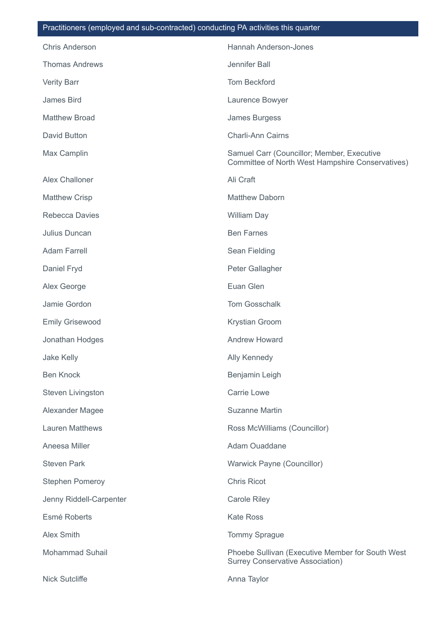### Practitioners (employed and sub-contracted) conducting PA activities this quarter

| <b>Chris Anderson</b>   | Hannah Anderson-Jones                                                                          |
|-------------------------|------------------------------------------------------------------------------------------------|
| <b>Thomas Andrews</b>   | Jennifer Ball                                                                                  |
| <b>Verity Barr</b>      | <b>Tom Beckford</b>                                                                            |
| James Bird              | Laurence Bowyer                                                                                |
| <b>Matthew Broad</b>    | James Burgess                                                                                  |
| <b>David Button</b>     | <b>Charli-Ann Cairns</b>                                                                       |
| Max Camplin             | Samuel Carr (Councillor; Member, Executive<br>Committee of North West Hampshire Conservatives) |
| <b>Alex Challoner</b>   | Ali Craft                                                                                      |
| <b>Matthew Crisp</b>    | <b>Matthew Daborn</b>                                                                          |
| <b>Rebecca Davies</b>   | <b>William Day</b>                                                                             |
| Julius Duncan           | <b>Ben Farnes</b>                                                                              |
| <b>Adam Farrell</b>     | Sean Fielding                                                                                  |
| Daniel Fryd             | Peter Gallagher                                                                                |
| Alex George             | Euan Glen                                                                                      |
| Jamie Gordon            | <b>Tom Gosschalk</b>                                                                           |
| <b>Emily Grisewood</b>  | Krystian Groom                                                                                 |
| Jonathan Hodges         | <b>Andrew Howard</b>                                                                           |
| Jake Kelly              | <b>Ally Kennedy</b>                                                                            |
| <b>Ben Knock</b>        | Benjamin Leigh                                                                                 |
| Steven Livingston       | <b>Carrie Lowe</b>                                                                             |
| Alexander Magee         | <b>Suzanne Martin</b>                                                                          |
| <b>Lauren Matthews</b>  | Ross McWilliams (Councillor)                                                                   |
| Aneesa Miller           | Adam Ouaddane                                                                                  |
| <b>Steven Park</b>      | Warwick Payne (Councillor)                                                                     |
| <b>Stephen Pomeroy</b>  | <b>Chris Ricot</b>                                                                             |
| Jenny Riddell-Carpenter | <b>Carole Riley</b>                                                                            |
| Esmé Roberts            | <b>Kate Ross</b>                                                                               |
| <b>Alex Smith</b>       | <b>Tommy Sprague</b>                                                                           |
| <b>Mohammad Suhail</b>  | Phoebe Sullivan (Executive Member for South West<br><b>Surrey Conservative Association)</b>    |
| <b>Nick Sutcliffe</b>   | Anna Taylor                                                                                    |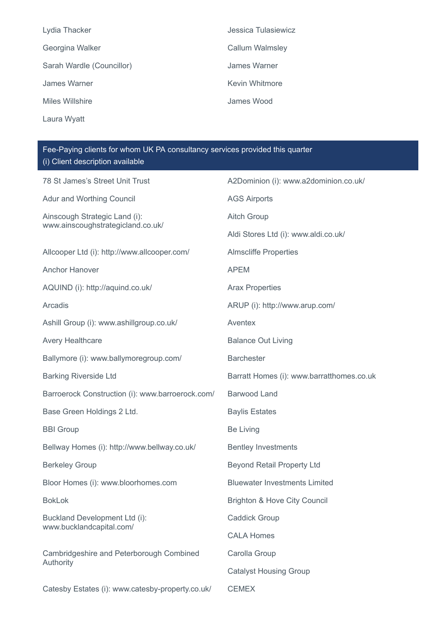| Jessica Tulasiewicz |
|---------------------|
| Callum Walmsley     |
| James Warner        |
| Kevin Whitmore      |
| James Wood          |
|                     |

Laura Wyatt

Fee-Paying clients for whom UK PA consultancy services provided this quarter (i) Client description available

| 78 St James's Street Unit Trust                           | A2Dominion (i): www.a2dominion.co.uk/     |
|-----------------------------------------------------------|-------------------------------------------|
| Adur and Worthing Council                                 | <b>AGS Airports</b>                       |
| Ainscough Strategic Land (i):                             | <b>Aitch Group</b>                        |
| www.ainscoughstrategicland.co.uk/                         | Aldi Stores Ltd (i): www.aldi.co.uk/      |
| Allcooper Ltd (i): http://www.allcooper.com/              | <b>Almscliffe Properties</b>              |
| <b>Anchor Hanover</b>                                     | <b>APEM</b>                               |
| AQUIND (i): http://aquind.co.uk/                          | <b>Arax Properties</b>                    |
| Arcadis                                                   | ARUP (i): http://www.arup.com/            |
| Ashill Group (i): www.ashillgroup.co.uk/                  | Aventex                                   |
| <b>Avery Healthcare</b>                                   | <b>Balance Out Living</b>                 |
| Ballymore (i): www.ballymoregroup.com/                    | <b>Barchester</b>                         |
| <b>Barking Riverside Ltd</b>                              | Barratt Homes (i): www.barratthomes.co.uk |
| Barroerock Construction (i): www.barroerock.com/          | Barwood Land                              |
| Base Green Holdings 2 Ltd.                                | <b>Baylis Estates</b>                     |
| <b>BBI</b> Group                                          | <b>Be Living</b>                          |
| Bellway Homes (i): http://www.bellway.co.uk/              | <b>Bentley Investments</b>                |
| <b>Berkeley Group</b>                                     | <b>Beyond Retail Property Ltd</b>         |
| Bloor Homes (i): www.bloorhomes.com                       | <b>Bluewater Investments Limited</b>      |
| <b>BokLok</b>                                             | <b>Brighton &amp; Hove City Council</b>   |
| Buckland Development Ltd (i):<br>www.bucklandcapital.com/ | <b>Caddick Group</b>                      |
|                                                           | <b>CALA Homes</b>                         |
| Cambridgeshire and Peterborough Combined<br>Authority     | Carolla Group                             |
|                                                           | <b>Catalyst Housing Group</b>             |
| Catesby Estates (i): www.catesby-property.co.uk/          | <b>CEMEX</b>                              |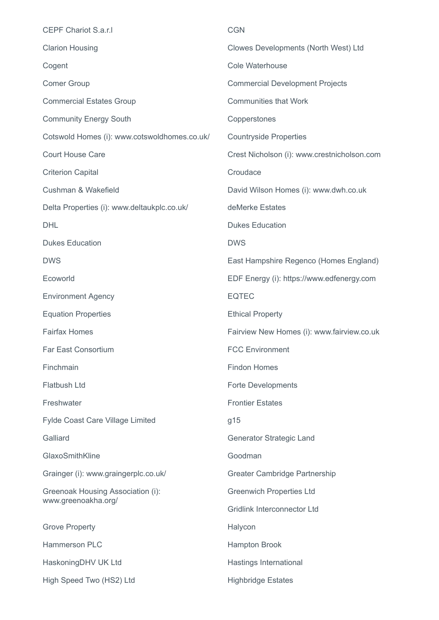| <b>CEPF Chariot S.a.r.I</b>                              | <b>CGN</b>                                  |
|----------------------------------------------------------|---------------------------------------------|
| <b>Clarion Housing</b>                                   | Clowes Developments (North West) Ltd        |
| Cogent                                                   | Cole Waterhouse                             |
| <b>Comer Group</b>                                       | <b>Commercial Development Projects</b>      |
| <b>Commercial Estates Group</b>                          | <b>Communities that Work</b>                |
| <b>Community Energy South</b>                            | Copperstones                                |
| Cotswold Homes (i): www.cotswoldhomes.co.uk/             | <b>Countryside Properties</b>               |
| <b>Court House Care</b>                                  | Crest Nicholson (i): www.crestnicholson.com |
| <b>Criterion Capital</b>                                 | Croudace                                    |
| Cushman & Wakefield                                      | David Wilson Homes (i): www.dwh.co.uk       |
| Delta Properties (i): www.deltaukplc.co.uk/              | deMerke Estates                             |
| <b>DHL</b>                                               | <b>Dukes Education</b>                      |
| <b>Dukes Education</b>                                   | <b>DWS</b>                                  |
| <b>DWS</b>                                               | East Hampshire Regenco (Homes England)      |
| Ecoworld                                                 | EDF Energy (i): https://www.edfenergy.com   |
| <b>Environment Agency</b>                                | <b>EQTEC</b>                                |
| <b>Equation Properties</b>                               | <b>Ethical Property</b>                     |
| <b>Fairfax Homes</b>                                     | Fairview New Homes (i): www.fairview.co.uk  |
| <b>Far East Consortium</b>                               | <b>FCC Environment</b>                      |
| Finchmain                                                | <b>Findon Homes</b>                         |
| <b>Flatbush Ltd</b>                                      | <b>Forte Developments</b>                   |
| Freshwater                                               | <b>Frontier Estates</b>                     |
| <b>Fylde Coast Care Village Limited</b>                  | g15                                         |
| Galliard                                                 | Generator Strategic Land                    |
| GlaxoSmithKline                                          | Goodman                                     |
| Grainger (i): www.graingerplc.co.uk/                     | Greater Cambridge Partnership               |
| Greenoak Housing Association (i):<br>www.greenoakha.org/ | <b>Greenwich Properties Ltd</b>             |
|                                                          | <b>Gridlink Interconnector Ltd</b>          |
| <b>Grove Property</b>                                    | Halycon                                     |
| Hammerson PLC                                            | <b>Hampton Brook</b>                        |
| Haskoning DHV UK Ltd                                     | Hastings International                      |
| High Speed Two (HS2) Ltd                                 | <b>Highbridge Estates</b>                   |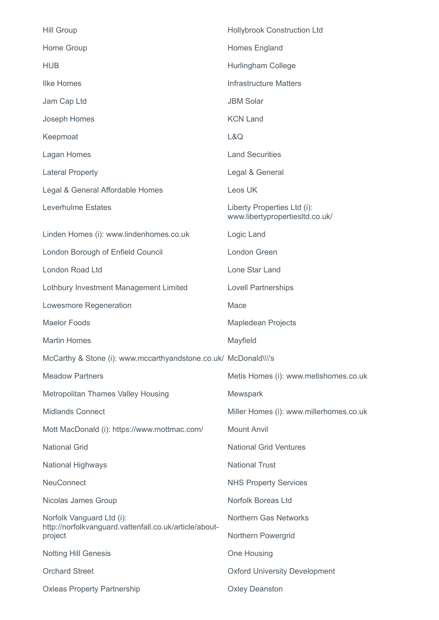| <b>Hill Group</b>                                                                   | <b>Hollybrook Construction Ltd</b>                             |
|-------------------------------------------------------------------------------------|----------------------------------------------------------------|
| Home Group                                                                          | Homes England                                                  |
| <b>HUB</b>                                                                          | Hurlingham College                                             |
| <b>Ilke Homes</b>                                                                   | <b>Infrastructure Matters</b>                                  |
| Jam Cap Ltd                                                                         | <b>JBM Solar</b>                                               |
| Joseph Homes                                                                        | <b>KCN Land</b>                                                |
| Keepmoat                                                                            | L&Q                                                            |
| Lagan Homes                                                                         | <b>Land Securities</b>                                         |
| <b>Lateral Property</b>                                                             | Legal & General                                                |
| Legal & General Affordable Homes                                                    | Leos UK                                                        |
| Leverhulme Estates                                                                  | Liberty Properties Ltd (i):<br>www.libertypropertiesItd.co.uk/ |
| Linden Homes (i): www.lindenhomes.co.uk                                             | Logic Land                                                     |
| London Borough of Enfield Council                                                   | London Green                                                   |
| London Road Ltd                                                                     | Lone Star Land                                                 |
| Lothbury Investment Management Limited                                              | <b>Lovell Partnerships</b>                                     |
| Lowesmore Regeneration                                                              | Mace                                                           |
| <b>Maelor Foods</b>                                                                 | <b>Mapledean Projects</b>                                      |
| <b>Martin Homes</b>                                                                 | Mayfield                                                       |
| McCarthy & Stone (i): www.mccarthyandstone.co.uk/ McDonald\\\'s                     |                                                                |
| <b>Meadow Partners</b>                                                              | Metis Homes (i): www.metishomes.co.uk                          |
| <b>Metropolitan Thames Valley Housing</b>                                           | Mewspark                                                       |
| <b>Midlands Connect</b>                                                             | Miller Homes (i): www.millerhomes.co.uk                        |
| Mott MacDonald (i): https://www.mottmac.com/                                        | <b>Mount Anvil</b>                                             |
| <b>National Grid</b>                                                                | <b>National Grid Ventures</b>                                  |
| <b>National Highways</b>                                                            | <b>National Trust</b>                                          |
| <b>NeuConnect</b>                                                                   | <b>NHS Property Services</b>                                   |
| Nicolas James Group                                                                 | Norfolk Boreas Ltd                                             |
| Norfolk Vanguard Ltd (i):<br>http://norfolkvanguard.vattenfall.co.uk/article/about- | <b>Northern Gas Networks</b>                                   |
| project                                                                             | Northern Powergrid                                             |
| <b>Notting Hill Genesis</b>                                                         | One Housing                                                    |
| <b>Orchard Street</b>                                                               | <b>Oxford University Development</b>                           |
| <b>Oxleas Property Partnership</b>                                                  | <b>Oxley Deanston</b>                                          |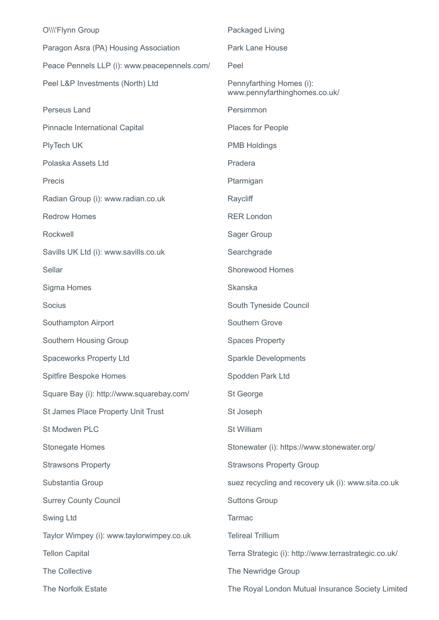| O\\\'Flynn Group                             | Packaged Living                                           |
|----------------------------------------------|-----------------------------------------------------------|
| Paragon Asra (PA) Housing Association        | <b>Park Lane House</b>                                    |
| Peace Pennels LLP (i): www.peacepennels.com/ | Peel                                                      |
| Peel L&P Investments (North) Ltd             | Pennyfarthing Homes (i):<br>www.pennyfarthinghomes.co.uk/ |
| Perseus Land                                 | Persimmon                                                 |
| Pinnacle International Capital               | Places for People                                         |
| PlyTech UK                                   | <b>PMB Holdings</b>                                       |
| Polaska Assets Ltd                           | Pradera                                                   |
| Precis                                       | Ptarmigan                                                 |
| Radian Group (i): www.radian.co.uk           | Raycliff                                                  |
| <b>Redrow Homes</b>                          | <b>RER London</b>                                         |
| Rockwell                                     | Sager Group                                               |
| Savills UK Ltd (i): www.savills.co.uk        | Searchgrade                                               |
| Sellar                                       | <b>Shorewood Homes</b>                                    |
| Sigma Homes                                  | <b>Skanska</b>                                            |
| Socius                                       | South Tyneside Council                                    |
| Southampton Airport                          | Southern Grove                                            |
| Southern Housing Group                       | <b>Spaces Property</b>                                    |
| <b>Spaceworks Property Ltd</b>               | <b>Sparkle Developments</b>                               |
| Spitfire Bespoke Homes                       | Spodden Park Ltd                                          |
| Square Bay (i): http://www.squarebay.com/    | St George                                                 |
| St James Place Property Unit Trust           | St Joseph                                                 |
| St Modwen PLC                                | St William                                                |
| <b>Stonegate Homes</b>                       | Stonewater (i): https://www.stonewater.org/               |
| <b>Strawsons Property</b>                    | <b>Strawsons Property Group</b>                           |
| Substantia Group                             | suez recycling and recovery uk (i): www.sita.co.uk        |
| <b>Surrey County Council</b>                 | <b>Suttons Group</b>                                      |
| Swing Ltd                                    | <b>Tarmac</b>                                             |
| Taylor Wimpey (i): www.taylorwimpey.co.uk    | <b>Telireal Trillium</b>                                  |
| <b>Tellon Capital</b>                        | Terra Strategic (i): http://www.terrastrategic.co.uk/     |
| The Collective                               | The Newridge Group                                        |
| The Norfolk Estate                           | The Royal London Mutual Insurance Society Limited         |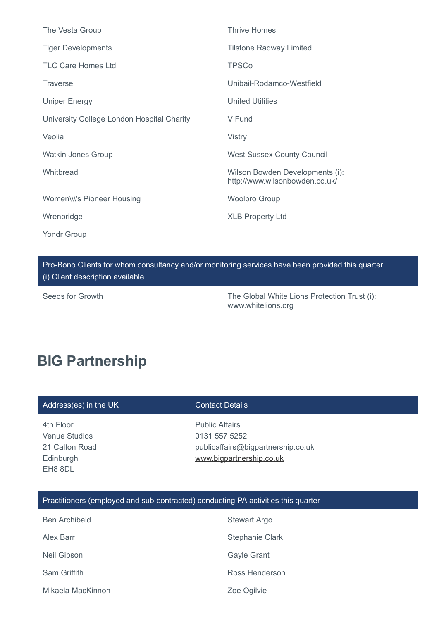| The Vesta Group                            | <b>Thrive Homes</b>                                               |
|--------------------------------------------|-------------------------------------------------------------------|
| <b>Tiger Developments</b>                  | <b>Tilstone Radway Limited</b>                                    |
| <b>TLC Care Homes Ltd</b>                  | <b>TPSCo</b>                                                      |
| <b>Traverse</b>                            | Unibail-Rodamco-Westfield                                         |
| <b>Uniper Energy</b>                       | <b>United Utilities</b>                                           |
| University College London Hospital Charity | V Fund                                                            |
| Veolia                                     | <b>Vistry</b>                                                     |
| <b>Watkin Jones Group</b>                  | <b>West Sussex County Council</b>                                 |
| Whitbread                                  | Wilson Bowden Developments (i):<br>http://www.wilsonbowden.co.uk/ |
| Women\\\'s Pioneer Housing                 | <b>Woolbro Group</b>                                              |
| Wrenbridge                                 | <b>XLB Property Ltd</b>                                           |
| Yondr Group                                |                                                                   |

Pro-Bono Clients for whom consultancy and/or monitoring services have been provided this quarter (i) Client description available

Seeds for Growth The Global White Lions Protection Trust (i): www.whitelions.org

## **BIG Partnership**

| Address(es) in the UK |  |  |
|-----------------------|--|--|
|                       |  |  |

**Contact Details** 

4th Floor Venue Studios 21 Calton Road Edinburgh EH8 8DL

Public Affairs 0131 557 5252 publicaffairs@bigpartnership.co.uk [www.bigpartnership.co.uk](http://www.bigpartnership.co.uk/)

### Practitioners (employed and sub-contracted) conducting PA activities this quarter

| <b>Ben Archibald</b> | <b>Stewart Argo</b>    |
|----------------------|------------------------|
| Alex Barr            | <b>Stephanie Clark</b> |
| Neil Gibson          | <b>Gayle Grant</b>     |
| Sam Griffith         | Ross Henderson         |
| Mikaela MacKinnon    | Zoe Ogilvie            |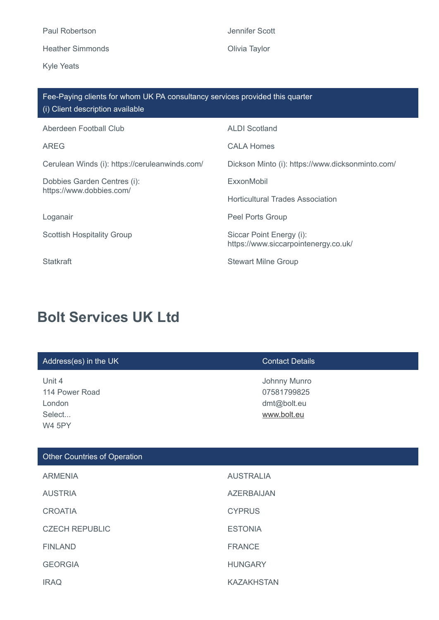Heather Simmonds **Contact Contact Simmonds** Olivia Taylor

Kyle Yeats

Jennifer Scott

| Fee-Paying clients for whom UK PA consultancy services provided this quarter<br>(i) Client description available |                                                                  |  |  |
|------------------------------------------------------------------------------------------------------------------|------------------------------------------------------------------|--|--|
| Aberdeen Football Club                                                                                           | <b>ALDI Scotland</b>                                             |  |  |
| <b>AREG</b>                                                                                                      | <b>CALA Homes</b>                                                |  |  |
| Cerulean Winds (i): https://ceruleanwinds.com/                                                                   | Dickson Minto (i): https://www.dicksonminto.com/                 |  |  |
| Dobbies Garden Centres (i):<br>https://www.dobbies.com/                                                          | ExxonMobil                                                       |  |  |
|                                                                                                                  | <b>Horticultural Trades Association</b>                          |  |  |
| Loganair                                                                                                         | Peel Ports Group                                                 |  |  |
| <b>Scottish Hospitality Group</b>                                                                                | Siccar Point Energy (i):<br>https://www.siccarpointenergy.co.uk/ |  |  |
| <b>Statkraft</b>                                                                                                 | <b>Stewart Milne Group</b>                                       |  |  |

# **Bolt Services UK Ltd**

| Address(es) in the UK                                         | <b>Contact Details</b>                                    |
|---------------------------------------------------------------|-----------------------------------------------------------|
| Unit 4<br>114 Power Road<br>London<br>Select<br><b>W4 5PY</b> | Johnny Munro<br>07581799825<br>dmt@bolt.eu<br>www.bolt.eu |
| <b>Other Countries of Operation</b>                           |                                                           |
| <b>ARMENIA</b>                                                | <b>AUSTRALIA</b>                                          |
| <b>AUSTRIA</b>                                                | <b>AZERBAIJAN</b>                                         |
| <b>CROATIA</b>                                                | <b>CYPRUS</b>                                             |
| <b>CZECH REPUBLIC</b>                                         | <b>ESTONIA</b>                                            |
| <b>FINLAND</b>                                                | <b>FRANCE</b>                                             |
| <b>GEORGIA</b>                                                | <b>HUNGARY</b>                                            |
| <b>IRAQ</b>                                                   | <b>KAZAKHSTAN</b>                                         |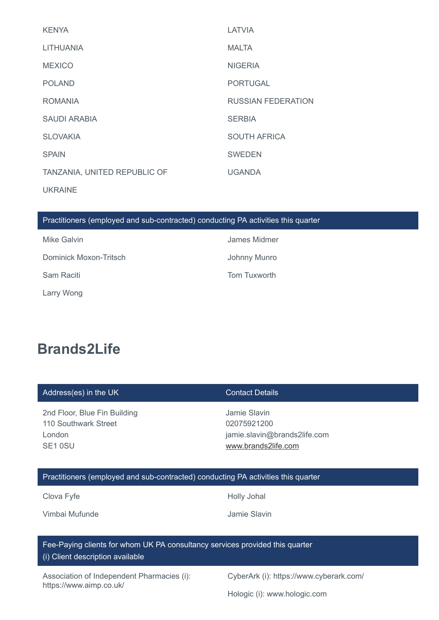| <b>KENYA</b>                 | <b>LATVIA</b>             |
|------------------------------|---------------------------|
| <b>LITHUANIA</b>             | <b>MALTA</b>              |
| <b>MEXICO</b>                | <b>NIGERIA</b>            |
| <b>POLAND</b>                | <b>PORTUGAL</b>           |
| <b>ROMANIA</b>               | <b>RUSSIAN FEDERATION</b> |
| SAUDI ARABIA                 | <b>SERBIA</b>             |
| <b>SLOVAKIA</b>              | <b>SOUTH AFRICA</b>       |
| <b>SPAIN</b>                 | <b>SWEDEN</b>             |
| TANZANIA, UNITED REPUBLIC OF | <b>UGANDA</b>             |
| <b>UKRAINE</b>               |                           |

### Practitioners (employed and sub-contracted) conducting PA activities this quarter

| Mike Galvin            | James Midmer |
|------------------------|--------------|
| Dominick Moxon-Tritsch | Johnny Munro |
| Sam Raciti             | Tom Tuxworth |
| Larry Wong             |              |

# **Brands2Life**

| Address(es) in the UK        | Contact Details              |
|------------------------------|------------------------------|
| 2nd Floor, Blue Fin Building | Jamie Slavin                 |
| 110 Southwark Street         | 02075921200                  |
| London                       | jamie.slavin@brands2life.com |
| SE <sub>1</sub> 0SU          | www.brands2life.com          |

### Practitioners (employed and sub-contracted) conducting PA activities this quarter

Clova Fyfe **Holly Johal** 

Vimbai Mufunde **Jamie Slavin** 

Fee-Paying clients for whom UK PA consultancy services provided this quarter (i) Client description available

Association of Independent Pharmacies (i): https://www.aimp.co.uk/

CyberArk (i): https://www.cyberark.com/

Hologic (i): www.hologic.com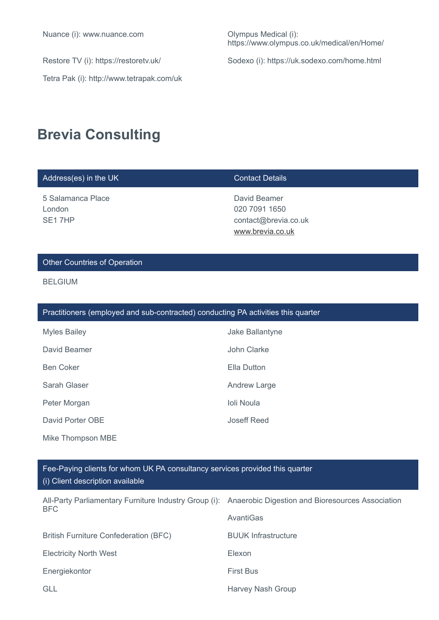Tetra Pak (i): http://www.tetrapak.com/uk

https://www.olympus.co.uk/medical/en/Home/

Restore TV (i): https://restoretv.uk/ Sodexo (i): https://uk.sodexo.com/home.html

# **Brevia Consulting**

| Address(es) in the UK                                                             | <b>Contact Details</b>                                                    |  |  |
|-----------------------------------------------------------------------------------|---------------------------------------------------------------------------|--|--|
| 5 Salamanca Place<br>London<br>SE17HP                                             | David Beamer<br>020 7091 1650<br>contact@brevia.co.uk<br>www.brevia.co.uk |  |  |
| <b>Other Countries of Operation</b>                                               |                                                                           |  |  |
| <b>BELGIUM</b>                                                                    |                                                                           |  |  |
| Practitioners (employed and sub-contracted) conducting PA activities this quarter |                                                                           |  |  |
| <b>Myles Bailey</b>                                                               | Jake Ballantyne                                                           |  |  |

| David Beamer     | John Clarke         |
|------------------|---------------------|
| <b>Ben Coker</b> | Ella Dutton         |
| Sarah Glaser     | <b>Andrew Large</b> |
| Peter Morgan     | Ioli Noula          |
| David Porter OBE | Joseff Reed         |

Mike Thompson MBE

| Fee-Paying clients for whom UK PA consultancy services provided this quarter |  |
|------------------------------------------------------------------------------|--|
| (i) Client description available                                             |  |

| All-Party Parliamentary Furniture Industry Group (i): Anaerobic Digestion and Bioresources Association<br>BFC |                            |
|---------------------------------------------------------------------------------------------------------------|----------------------------|
|                                                                                                               | AvantiGas                  |
| <b>British Furniture Confederation (BFC)</b>                                                                  | <b>BUUK Infrastructure</b> |
| <b>Electricity North West</b>                                                                                 | Elexon                     |
| Energiekontor                                                                                                 | <b>First Bus</b>           |
| <b>GLL</b>                                                                                                    | <b>Harvey Nash Group</b>   |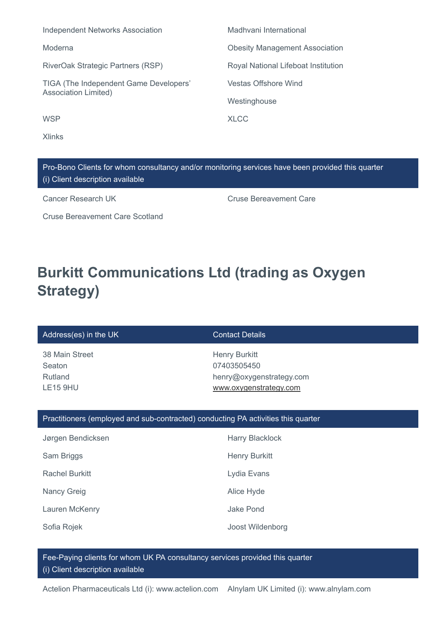| <b>Independent Networks Association</b>                               | Madhvani International                |
|-----------------------------------------------------------------------|---------------------------------------|
| Moderna                                                               | <b>Obesity Management Association</b> |
| RiverOak Strategic Partners (RSP)                                     | Royal National Lifeboat Institution   |
| TIGA (The Independent Game Developers'<br><b>Association Limited)</b> | <b>Vestas Offshore Wind</b>           |
|                                                                       | Westinghouse                          |
| <b>WSP</b>                                                            | XI C.C.                               |
|                                                                       |                                       |

Pro-Bono Clients for whom consultancy and/or monitoring services have been provided this quarter (i) Client description available

Xlinks

Cruse Bereavement Care Scotland

Cancer Research UK Cruse Bereavement Care

# **Burkitt Communications Ltd (trading as Oxygen Strategy)**

### Address(es) in the UK Contact Details

38 Main Street Seaton Rutland LE15 9HU

Henry Burkitt 07403505450 henry@oxygenstrategy.com [www.oxygenstrategy.com](http://www.oxygenstrategy.com/)

### Practitioners (employed and sub-contracted) conducting PA activities this quarter

| Jørgen Bendicksen     | <b>Harry Blacklock</b> |
|-----------------------|------------------------|
| Sam Briggs            | <b>Henry Burkitt</b>   |
| <b>Rachel Burkitt</b> | Lydia Evans            |
| <b>Nancy Greig</b>    | Alice Hyde             |
| Lauren McKenry        | Jake Pond              |
| Sofia Rojek           | Joost Wildenborg       |

Fee-Paying clients for whom UK PA consultancy services provided this quarter (i) Client description available

Actelion Pharmaceuticals Ltd (i): www.actelion.com Alnylam UK Limited (i): www.alnylam.com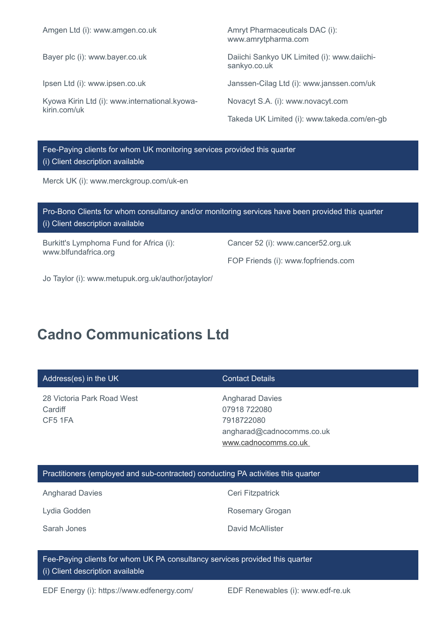Amgen Ltd (i): www.amgen.co.uk Amryt Pharmaceuticals DAC (i):

Kyowa Kirin Ltd (i): www.international.kyowakirin.com/uk

www.amrytpharma.com

Bayer plc (i): www.bayer.co.uk Daiichi Sankyo UK Limited (i): www.daiichisankyo.co.uk

Ipsen Ltd (i): www.ipsen.co.uk Janssen-Cilag Ltd (i): www.janssen.com/uk

Novacyt S.A. (i): www.novacyt.com

Takeda UK Limited (i): www.takeda.com/en-gb

### Fee-Paying clients for whom UK monitoring services provided this quarter (i) Client description available

Merck UK (i): www.merckgroup.com/uk-en

| Pro-Bono Clients for whom consultancy and/or monitoring services have been provided this quarter<br>(i) Client description available |                                     |
|--------------------------------------------------------------------------------------------------------------------------------------|-------------------------------------|
| Burkitt's Lymphoma Fund for Africa (i):<br>www.blfundafrica.org                                                                      | Cancer 52 (i): www.cancer52.org.uk  |
|                                                                                                                                      | FOP Friends (i): www.fopfriends.com |

Jo Taylor (i): www.metupuk.org.uk/author/jotaylor/

# **Cadno Communications Ltd**

| Address(es) in the UK                            | <b>Contact Details</b>                                                                                    |
|--------------------------------------------------|-----------------------------------------------------------------------------------------------------------|
| 28 Victoria Park Road West<br>Cardiff<br>CF5 1FA | <b>Angharad Davies</b><br>07918 722080<br>7918722080<br>angharad@cadnocomms.co.uk<br>www.cadnocomms.co.uk |

#### Practitioners (employed and sub-contracted) conducting PA activities this quarter

Angharad Davies **Ceri Fitzpatrick** 

Lydia Godden **Rosemary Grogan** 

Sarah Jones **David McAllister** 

Fee-Paying clients for whom UK PA consultancy services provided this quarter (i) Client description available

EDF Energy (i): https://www.edfenergy.com/ EDF Renewables (i): www.edf-re.uk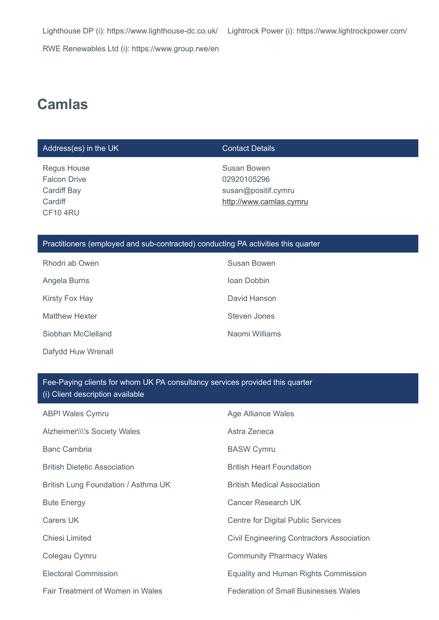RWE Renewables Ltd (i): https://www.group.rwe/en

# **Camlas**

#### Address(es) in the UK Contact Details

Regus House Falcon Drive Cardiff Bay **Cardiff** CF10 4RU

Susan Bowen 02920105296 susan@positif.cymru [http://www.camlas.cymru](http://www.camlas.cymru/)

#### Practitioners (employed and sub-contracted) conducting PA activities this quarter

| Rhodri ab Owen        | Susan Bowen    |
|-----------------------|----------------|
| Angela Burns          | Ioan Dobbin    |
| Kirsty Fox Hay        | David Hanson   |
| <b>Matthew Hexter</b> | Steven Jones   |
| Siobhan McClelland    | Naomi Williams |
| Dafydd Huw Wrenall    |                |

### Fee-Paying clients for whom UK PA consultancy services provided this quarter (i) Client description available

| <b>ABPI Wales Cymru</b>             | Age Alliance Wales                          |
|-------------------------------------|---------------------------------------------|
| Alzheimer\\\'s Society Wales        | Astra Zeneca                                |
| <b>Banc Cambria</b>                 | <b>BASW Cymru</b>                           |
| <b>British Dietetic Association</b> | <b>British Heart Foundation</b>             |
| British Lung Foundation / Asthma UK | <b>British Medical Association</b>          |
| <b>Bute Energy</b>                  | Cancer Research UK                          |
| Carers UK                           | Centre for Digital Public Services          |
| Chiesi Limited                      | Civil Engineering Contractors Association   |
| Colegau Cymru                       | <b>Community Pharmacy Wales</b>             |
| Electoral Commission                | Equality and Human Rights Commission        |
| Fair Treatment of Women in Wales    | <b>Federation of Small Businesses Wales</b> |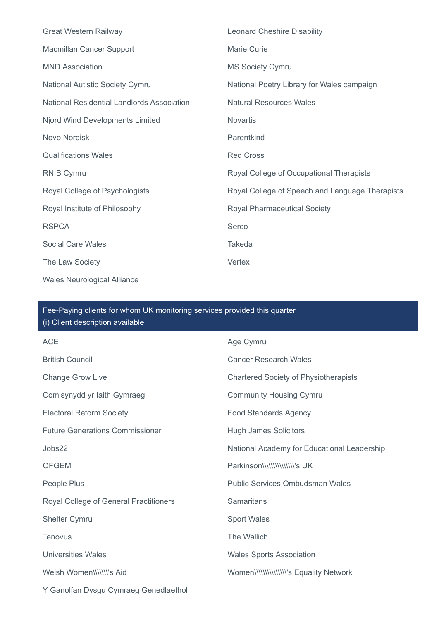| <b>Great Western Railway</b>               | <b>Leonard Cheshire Disability</b>              |
|--------------------------------------------|-------------------------------------------------|
| Macmillan Cancer Support                   | Marie Curie                                     |
| <b>MND Association</b>                     | <b>MS Society Cymru</b>                         |
| National Autistic Society Cymru            | National Poetry Library for Wales campaign      |
| National Residential Landlords Association | <b>Natural Resources Wales</b>                  |
| Njord Wind Developments Limited            | <b>Novartis</b>                                 |
| Novo Nordisk                               | Parentkind                                      |
| <b>Qualifications Wales</b>                | <b>Red Cross</b>                                |
| <b>RNIB Cymru</b>                          | Royal College of Occupational Therapists        |
| Royal College of Psychologists             | Royal College of Speech and Language Therapists |
| Royal Institute of Philosophy              | <b>Royal Pharmaceutical Society</b>             |
| <b>RSPCA</b>                               | Serco                                           |
| <b>Social Care Wales</b>                   | <b>Takeda</b>                                   |
| The Law Society                            | Vertex                                          |
| <b>Wales Neurological Alliance</b>         |                                                 |

## Fee-Paying clients for whom UK monitoring services provided this quarter (i) Client description available

| <b>ACE</b>                             | Age Cymru                                    |
|----------------------------------------|----------------------------------------------|
| <b>British Council</b>                 | <b>Cancer Research Wales</b>                 |
| <b>Change Grow Live</b>                | <b>Chartered Society of Physiotherapists</b> |
| Comisynydd yr Iaith Gymraeg            | <b>Community Housing Cymru</b>               |
| <b>Electoral Reform Society</b>        | <b>Food Standards Agency</b>                 |
| <b>Future Generations Commissioner</b> | <b>Hugh James Solicitors</b>                 |
| Jobs22                                 | National Academy for Educational Leadership  |
| <b>OFGEM</b>                           |                                              |
| People Plus                            | <b>Public Services Ombudsman Wales</b>       |
| Royal College of General Practitioners | <b>Samaritans</b>                            |
| <b>Shelter Cymru</b>                   | <b>Sport Wales</b>                           |
| <b>Tenovus</b>                         | The Wallich                                  |
| <b>Universities Wales</b>              | <b>Wales Sports Association</b>              |
| Welsh Women\\\\\\\'s Aid               |                                              |
| Y Ganolfan Dysgu Cymraeg Genedlaethol  |                                              |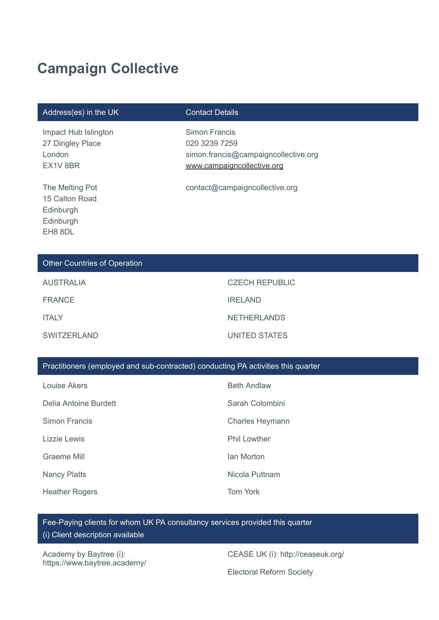# **Campaign Collective**

#### Address(es) in the UK Contact Details

Impact Hub Islington 27 Dingley Place London EX1V 8BR

The Melting Pot 15 Calton Road Edinburgh Edinburgh EH8 8DL

Simon Francis 020 3239 7259 simon.francis@campaigncollective.org [www.campaigncollective.org](http://www.campaigncollective.org/)

contact@campaigncollective.org

#### Other Countries of Operation

| <b>AUSTRALIA</b>   | <b>CZECH REPUBLIC</b> |
|--------------------|-----------------------|
| <b>FRANCE</b>      | <b>IRELAND</b>        |
| <b>ITALY</b>       | <b>NETHERLANDS</b>    |
| <b>SWITZERLAND</b> | UNITED STATES         |

#### Practitioners (employed and sub-contracted) conducting PA activities this quarter

| Louise Akers          | <b>Beth Andlaw</b>     |
|-----------------------|------------------------|
| Delia Antoine Burdett | Sarah Colombini        |
| Simon Francis         | <b>Charles Heymann</b> |
| Lizzie Lewis          | <b>Phil Lowther</b>    |
| Graeme Mill           | lan Morton             |
| <b>Nancy Platts</b>   | Nicola Puttnam         |
| <b>Heather Rogers</b> | <b>Tom York</b>        |

Fee-Paying clients for whom UK PA consultancy services provided this quarter (i) Client description available

Academy by Baytree (i): https://www.baytree.academy/

CEASE UK (i): http://ceaseuk.org/

Electoral Reform Society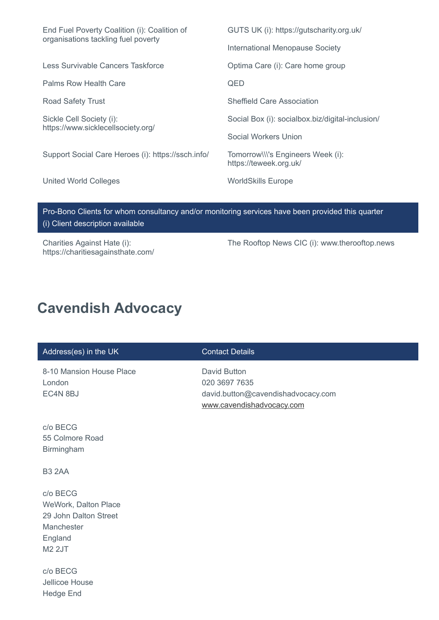| End Fuel Poverty Coalition (i): Coalition of<br>organisations tackling fuel poverty              | GUTS UK (i): https://gutscharity.org.uk/                    |
|--------------------------------------------------------------------------------------------------|-------------------------------------------------------------|
|                                                                                                  | International Menopause Society                             |
| Less Survivable Cancers Taskforce                                                                | Optima Care (i): Care home group                            |
| Palms Row Health Care                                                                            | QED                                                         |
| <b>Road Safety Trust</b>                                                                         | <b>Sheffield Care Association</b>                           |
| Sickle Cell Society (i):<br>https://www.sicklecellsociety.org/                                   | Social Box (i): socialbox.biz/digital-inclusion/            |
|                                                                                                  | Social Workers Union                                        |
| Support Social Care Heroes (i): https://ssch.info/                                               | Tomorrow\\\'s Engineers Week (i):<br>https://teweek.org.uk/ |
| United World Colleges                                                                            | <b>WorldSkills Europe</b>                                   |
|                                                                                                  |                                                             |
| Daa Daga Olisata faa waxaa qagayitagay qoolka maagitadaa qagulaan kaya kaan gaayidad thiq awanta |                                                             |

Bono Clients for whom consultancy and/or monitoring services have been provided this quarter (i) Client description available

Charities Against Hate (i): https://charitiesagainsthate.com/ The Rooftop News CIC (i): www.therooftop.news

# **Cavendish Advocacy**

#### Address(es) in the UK Contact Details

8-10 Mansion House Place London EC4N 8BJ

David Button 020 3697 7635 david.button@cavendishadvocacy.com [www.cavendishadvocacy.com](http://www.cavendishadvocacy.com/)

c/o BECG 55 Colmore Road Birmingham

B3 2AA

c/o BECG WeWork, Dalton Place 29 John Dalton Street Manchester England M2 2JT

c/o BECG Jellicoe House Hedge End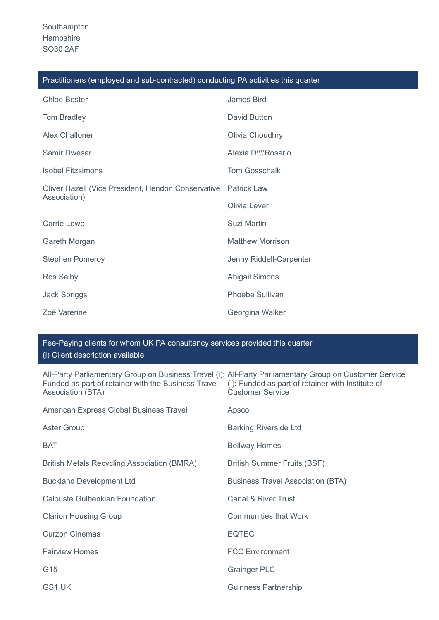| Practitioners (employed and sub-contracted) conducting PA activities this quarter |  |  |  |
|-----------------------------------------------------------------------------------|--|--|--|
|-----------------------------------------------------------------------------------|--|--|--|

| <b>Chloe Bester</b>                                | James Bird              |
|----------------------------------------------------|-------------------------|
| <b>Tom Bradley</b>                                 | David Button            |
| Alex Challoner                                     | Olivia Choudhry         |
| <b>Samir Dwesar</b>                                | Alexia D\\\'Rosario     |
| <b>Isobel Fitzsimons</b>                           | <b>Tom Gosschalk</b>    |
| Oliver Hazell (Vice President, Hendon Conservative | <b>Patrick Law</b>      |
| Association)                                       | Olivia Lever            |
| Carrie Lowe                                        | Suzi Martin             |
| Gareth Morgan                                      | <b>Matthew Morrison</b> |
| <b>Stephen Pomeroy</b>                             | Jenny Riddell-Carpenter |
| Ros Selby                                          | <b>Abigail Simons</b>   |
| <b>Jack Spriggs</b>                                | <b>Phoebe Sullivan</b>  |
| Zoë Varenne                                        | Georgina Walker         |

### Fee-Paying clients for whom UK PA consultancy services provided this quarter

(i) Client description available

All-Party Parliamentary Group on Business Travel (i): All-Party Parliamentary Group on Customer Service Funded as part of retainer with the Business Travel (i): Funded as part of retainer with Institute of Association (BTA) Customer Service

| American Express Global Business Travel     | Apsco                                    |
|---------------------------------------------|------------------------------------------|
| <b>Aster Group</b>                          | <b>Barking Riverside Ltd</b>             |
| <b>BAT</b>                                  | <b>Bellway Homes</b>                     |
| British Metals Recycling Association (BMRA) | <b>British Summer Fruits (BSF)</b>       |
| <b>Buckland Development Ltd</b>             | <b>Business Travel Association (BTA)</b> |
| <b>Calouste Gulbenkian Foundation</b>       | Canal & River Trust                      |
| <b>Clarion Housing Group</b>                | <b>Communities that Work</b>             |
| <b>Curzon Cinemas</b>                       | <b>EQTEC</b>                             |
| <b>Fairview Homes</b>                       | <b>FCC Environment</b>                   |
| G15                                         | <b>Grainger PLC</b>                      |
| GS1 UK                                      | <b>Guinness Partnership</b>              |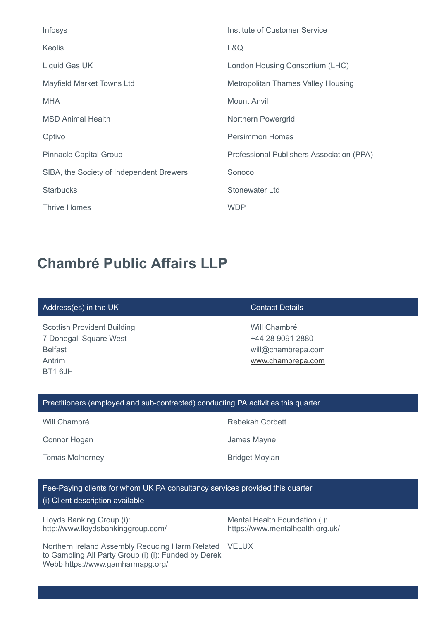| Infosys                                  | Institute of Customer Service             |
|------------------------------------------|-------------------------------------------|
| <b>Keolis</b>                            | L&Q                                       |
| Liquid Gas UK                            | London Housing Consortium (LHC)           |
| <b>Mayfield Market Towns Ltd</b>         | <b>Metropolitan Thames Valley Housing</b> |
| <b>MHA</b>                               | <b>Mount Anvil</b>                        |
| <b>MSD Animal Health</b>                 | Northern Powergrid                        |
| Optivo                                   | <b>Persimmon Homes</b>                    |
| <b>Pinnacle Capital Group</b>            | Professional Publishers Association (PPA) |
| SIBA, the Society of Independent Brewers | Sonoco                                    |
| <b>Starbucks</b>                         | <b>Stonewater Ltd</b>                     |
| <b>Thrive Homes</b>                      | <b>WDP</b>                                |

# **Chambré Public Affairs LLP**

#### Address(es) in the UK Contact Details

Scottish Provident Building 7 Donegall Square West Belfast Antrim BT1 6JH

Will Chambré +44 28 9091 2880 will@chambrepa.com [www.chambrepa.com](http://www.chambrepa.com/)

#### Practitioners (employed and sub-contracted) conducting PA activities this quarter

Connor Hogan **James Mayne** 

Tomás McInerney **Bridget Moylan** 

Will Chambré **Rebekah Corbett** 

Fee-Paying clients for whom UK PA consultancy services provided this quarter (i) Client description available

Lloyds Banking Group (i): http://www.lloydsbankinggroup.com/ Mental Health Foundation (i): https://www.mentalhealth.org.uk/

Northern Ireland Assembly Reducing Harm Related VELUX to Gambling All Party Group (i) (i): Funded by Derek Webb https://www.gamharmapg.org/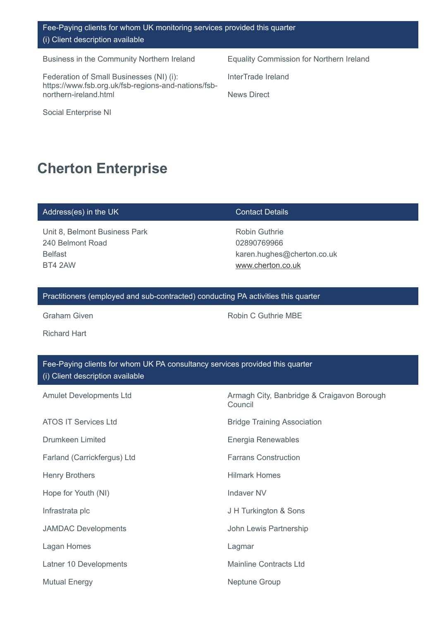### Fee-Paying clients for whom UK monitoring services provided this quarter (i) Client description available

Business in the Community Northern Ireland Equality Commission for Northern Ireland

Federation of Small Businesses (NI) (i): https://www.fsb.org.uk/fsb-regions-and-nations/fsbnorthern-ireland.html

Social Enterprise NI

InterTrade Ireland

News Direct

# **Cherton Enterprise**

#### Address(es) in the UK Contact Details

Unit 8, Belmont Business Park 240 Belmont Road Belfast BT4 2AW

Robin Guthrie 02890769966 karen.hughes@cherton.co.uk [www.cherton.co.uk](http://www.cherton.co.uk/)

### Practitioners (employed and sub-contracted) conducting PA activities this quarter

Richard Hart

Graham Given **Robin C Guthrie MBE** Robin C Guthrie MBE

| Fee-Paying clients for whom UK PA consultancy services provided this quarter<br>(i) Client description available |                                                       |  |
|------------------------------------------------------------------------------------------------------------------|-------------------------------------------------------|--|
| <b>Amulet Developments Ltd</b>                                                                                   | Armagh City, Banbridge & Craigavon Borough<br>Council |  |
| <b>ATOS IT Services Ltd</b>                                                                                      | <b>Bridge Training Association</b>                    |  |
| <b>Drumkeen Limited</b>                                                                                          | Energia Renewables                                    |  |
| Farland (Carrickfergus) Ltd                                                                                      | <b>Farrans Construction</b>                           |  |
| <b>Henry Brothers</b>                                                                                            | <b>Hilmark Homes</b>                                  |  |
| Hope for Youth (NI)                                                                                              | <b>Indaver NV</b>                                     |  |
| Infrastrata plc                                                                                                  | J H Turkington & Sons                                 |  |
| <b>JAMDAC Developments</b>                                                                                       | John Lewis Partnership                                |  |
| Lagan Homes                                                                                                      | Lagmar                                                |  |
| Latner 10 Developments                                                                                           | <b>Mainline Contracts Ltd</b>                         |  |
| <b>Mutual Energy</b>                                                                                             | <b>Neptune Group</b>                                  |  |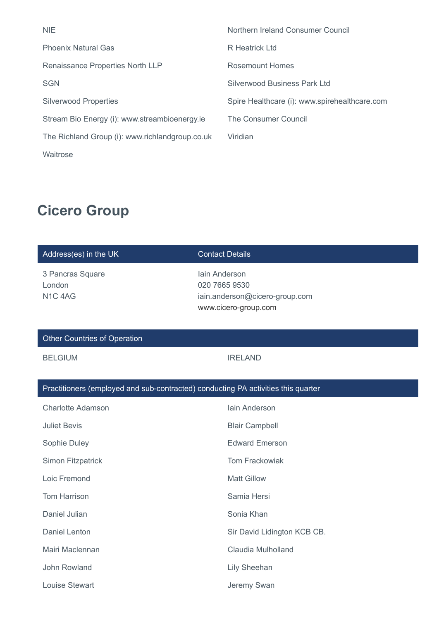| <b>NIE</b>                                      | Northern Ireland Consumer Council             |
|-------------------------------------------------|-----------------------------------------------|
| <b>Phoenix Natural Gas</b>                      | R Heatrick Ltd                                |
| Renaissance Properties North LLP                | <b>Rosemount Homes</b>                        |
| <b>SGN</b>                                      | Silverwood Business Park Ltd                  |
| <b>Silverwood Properties</b>                    | Spire Healthcare (i): www.spirehealthcare.com |
| Stream Bio Energy (i): www.streambioenergy.ie   | The Consumer Council                          |
| The Richland Group (i): www.richlandgroup.co.uk | Viridian                                      |
| Waitrose                                        |                                               |

# **Cicero Group**

| Address(es) in the UK                                                             | <b>Contact Details</b>                                                                   |  |
|-----------------------------------------------------------------------------------|------------------------------------------------------------------------------------------|--|
| 3 Pancras Square<br>London<br>N <sub>1</sub> C <sub>4</sub> A <sub>G</sub>        | Jain Anderson<br>020 7665 9530<br>iain.anderson@cicero-group.com<br>www.cicero-group.com |  |
| <b>Other Countries of Operation</b>                                               |                                                                                          |  |
| <b>BELGIUM</b>                                                                    | <b>IRELAND</b>                                                                           |  |
| Practitioners (employed and sub-contracted) conducting PA activities this quarter |                                                                                          |  |

| <b>Charlotte Adamson</b> | lain Anderson               |
|--------------------------|-----------------------------|
| <b>Juliet Bevis</b>      | <b>Blair Campbell</b>       |
| Sophie Duley             | <b>Edward Emerson</b>       |
| Simon Fitzpatrick        | <b>Tom Frackowiak</b>       |
| Loic Fremond             | <b>Matt Gillow</b>          |
| <b>Tom Harrison</b>      | Samia Hersi                 |
| Daniel Julian            | Sonia Khan                  |
| Daniel Lenton            | Sir David Lidington KCB CB. |
| Mairi Maclennan          | Claudia Mulholland          |
| John Rowland             | <b>Lily Sheehan</b>         |
| Louise Stewart           | Jeremy Swan                 |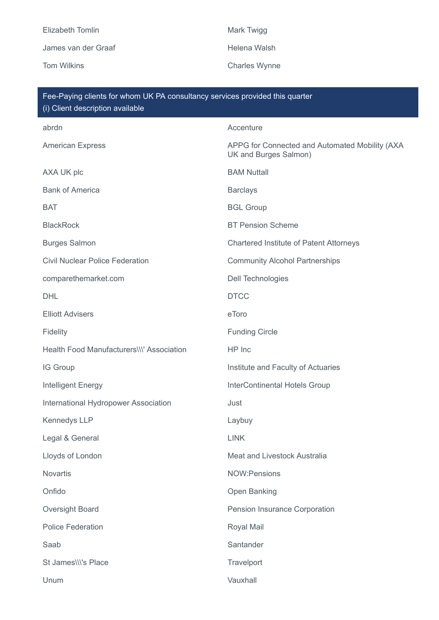Elizabeth Tomlin Mark Twigg James van der Graaf Helena Walsh

Tom Wilkins **Charles Wynne** 

| Fee-Paying clients for whom UK PA consultancy services provided this quarter<br>(i) Client description available |                                                                         |  |
|------------------------------------------------------------------------------------------------------------------|-------------------------------------------------------------------------|--|
| abrdn                                                                                                            | Accenture                                                               |  |
| <b>American Express</b>                                                                                          | APPG for Connected and Automated Mobility (AXA<br>UK and Burges Salmon) |  |
| AXA UK plc                                                                                                       | <b>BAM Nuttall</b>                                                      |  |
| <b>Bank of America</b>                                                                                           | <b>Barclays</b>                                                         |  |
| <b>BAT</b>                                                                                                       | <b>BGL Group</b>                                                        |  |
| <b>BlackRock</b>                                                                                                 | <b>BT Pension Scheme</b>                                                |  |
| <b>Burges Salmon</b>                                                                                             | <b>Chartered Institute of Patent Attorneys</b>                          |  |
| <b>Civil Nuclear Police Federation</b>                                                                           | <b>Community Alcohol Partnerships</b>                                   |  |
| comparethemarket.com                                                                                             | <b>Dell Technologies</b>                                                |  |
| <b>DHL</b>                                                                                                       | <b>DTCC</b>                                                             |  |
| <b>Elliott Advisers</b>                                                                                          | eToro                                                                   |  |
| Fidelity                                                                                                         | <b>Funding Circle</b>                                                   |  |
| Health Food Manufacturers\\\' Association                                                                        | HP Inc                                                                  |  |
| IG Group                                                                                                         | Institute and Faculty of Actuaries                                      |  |
| Intelligent Energy                                                                                               | InterContinental Hotels Group                                           |  |
| International Hydropower Association                                                                             | Just                                                                    |  |
| Kennedys LLP                                                                                                     | Laybuy                                                                  |  |
| Legal & General                                                                                                  | <b>LINK</b>                                                             |  |
| Lloyds of London                                                                                                 | Meat and Livestock Australia                                            |  |
| <b>Novartis</b>                                                                                                  | <b>NOW:Pensions</b>                                                     |  |
| Onfido                                                                                                           | Open Banking                                                            |  |
| Oversight Board                                                                                                  | Pension Insurance Corporation                                           |  |
| <b>Police Federation</b>                                                                                         | Royal Mail                                                              |  |
| Saab                                                                                                             | Santander                                                               |  |
| St James\\\'s Place                                                                                              | Travelport                                                              |  |
| Unum                                                                                                             | Vauxhall                                                                |  |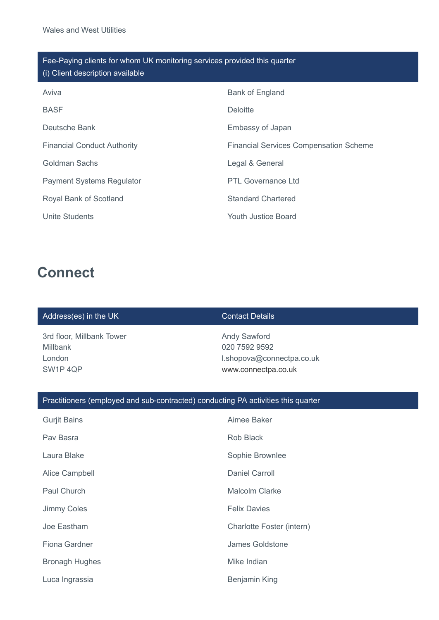| Fee-Paying clients for whom UK monitoring services provided this quarter<br>(i) Client description available |                                               |  |
|--------------------------------------------------------------------------------------------------------------|-----------------------------------------------|--|
| Aviva                                                                                                        | Bank of England                               |  |
| <b>BASF</b>                                                                                                  | <b>Deloitte</b>                               |  |
| Deutsche Bank                                                                                                | Embassy of Japan                              |  |
| <b>Financial Conduct Authority</b>                                                                           | <b>Financial Services Compensation Scheme</b> |  |
| Goldman Sachs                                                                                                | Legal & General                               |  |
| <b>Payment Systems Regulator</b>                                                                             | <b>PTL Governance Ltd</b>                     |  |
| Royal Bank of Scotland                                                                                       | <b>Standard Chartered</b>                     |  |
| Unite Students                                                                                               | Youth Justice Board                           |  |

## **Connect**

### Address(es) in the UK Contact Details

3rd floor, Millbank Tower Millbank London SW1P 4QP

Andy Sawford 020 7592 9592 l.shopova@connectpa.co.uk [www.connectpa.co.uk](http://www.connectpa.co.uk/)

### Practitioners (employed and sub-contracted) conducting PA activities this quarter

| <b>Gurjit Bains</b>   | Aimee Baker               |
|-----------------------|---------------------------|
| Pav Basra             | Rob Black                 |
| Laura Blake           | Sophie Brownlee           |
| Alice Campbell        | Daniel Carroll            |
| Paul Church           | <b>Malcolm Clarke</b>     |
| <b>Jimmy Coles</b>    | <b>Felix Davies</b>       |
| Joe Eastham           | Charlotte Foster (intern) |
| Fiona Gardner         | James Goldstone           |
| <b>Bronagh Hughes</b> | Mike Indian               |
| Luca Ingrassia        | Benjamin King             |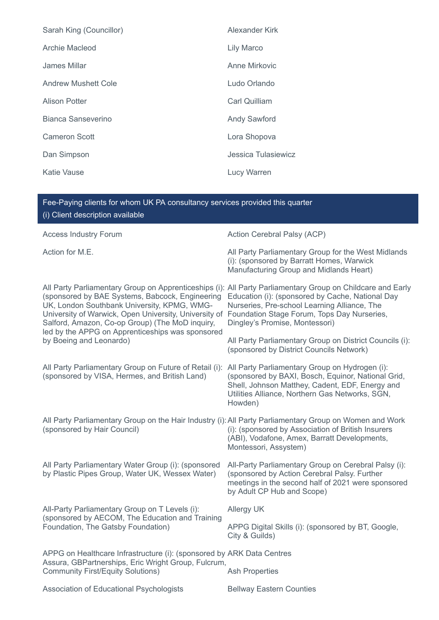| Sarah King (Councillor) | Alexander Kirk       |
|-------------------------|----------------------|
| Archie Macleod          | Lily Marco           |
| James Millar            | Anne Mirkovic        |
| Andrew Mushett Cole     | Ludo Orlando         |
| <b>Alison Potter</b>    | <b>Carl Quilliam</b> |
| Bianca Sanseverino      | <b>Andy Sawford</b>  |
| <b>Cameron Scott</b>    | Lora Shopova         |
| Dan Simpson             | Jessica Tulasiewicz  |
| <b>Katie Vause</b>      | <b>Lucy Warren</b>   |

| Fee-Paying clients for whom UK PA consultancy services provided this quarter<br>(i) Client description available                                                                                                                                                                          |                                                                                                                                                                                                                                                                                                 |  |
|-------------------------------------------------------------------------------------------------------------------------------------------------------------------------------------------------------------------------------------------------------------------------------------------|-------------------------------------------------------------------------------------------------------------------------------------------------------------------------------------------------------------------------------------------------------------------------------------------------|--|
| <b>Access Industry Forum</b>                                                                                                                                                                                                                                                              | Action Cerebral Palsy (ACP)                                                                                                                                                                                                                                                                     |  |
| Action for M.E.                                                                                                                                                                                                                                                                           | All Party Parliamentary Group for the West Midlands<br>(i): (sponsored by Barratt Homes, Warwick<br>Manufacturing Group and Midlands Heart)                                                                                                                                                     |  |
| (sponsored by BAE Systems, Babcock, Engineering<br>UK, London Southbank University, KPMG, WMG-<br>University of Warwick, Open University, University of<br>Salford, Amazon, Co-op Group) (The MoD inquiry,<br>led by the APPG on Apprenticeships was sponsored<br>by Boeing and Leonardo) | All Party Parliamentary Group on Apprenticeships (i): All Party Parliamentary Group on Childcare and Early<br>Education (i): (sponsored by Cache, National Day<br>Nurseries, Pre-school Learning Alliance, The<br>Foundation Stage Forum, Tops Day Nurseries,<br>Dingley's Promise, Montessori) |  |
|                                                                                                                                                                                                                                                                                           | All Party Parliamentary Group on District Councils (i):<br>(sponsored by District Councils Network)                                                                                                                                                                                             |  |
| All Party Parliamentary Group on Future of Retail (i):<br>(sponsored by VISA, Hermes, and British Land)                                                                                                                                                                                   | All Party Parliamentary Group on Hydrogen (i):<br>(sponsored by BAXI, Bosch, Equinor, National Grid,<br>Shell, Johnson Matthey, Cadent, EDF, Energy and<br>Utilities Alliance, Northern Gas Networks, SGN,<br>Howden)                                                                           |  |
| All Party Parliamentary Group on the Hair Industry (i): All Party Parliamentary Group on Women and Work<br>(sponsored by Hair Council)                                                                                                                                                    | (i): (sponsored by Association of British Insurers<br>(ABI), Vodafone, Amex, Barratt Developments,<br>Montessori, Assystem)                                                                                                                                                                     |  |
| All Party Parliamentary Water Group (i): (sponsored<br>by Plastic Pipes Group, Water UK, Wessex Water)                                                                                                                                                                                    | All-Party Parliamentary Group on Cerebral Palsy (i):<br>(sponsored by Action Cerebral Palsy. Further<br>meetings in the second half of 2021 were sponsored<br>by Adult CP Hub and Scope)                                                                                                        |  |
| All-Party Parliamentary Group on T Levels (i):<br>(sponsored by AECOM, The Education and Training<br>Foundation, The Gatsby Foundation)                                                                                                                                                   | <b>Allergy UK</b>                                                                                                                                                                                                                                                                               |  |
|                                                                                                                                                                                                                                                                                           | APPG Digital Skills (i): (sponsored by BT, Google,<br>City & Guilds)                                                                                                                                                                                                                            |  |
| APPG on Healthcare Infrastructure (i): (sponsored by ARK Data Centres<br>Assura, GBPartnerships, Eric Wright Group, Fulcrum,                                                                                                                                                              |                                                                                                                                                                                                                                                                                                 |  |
| <b>Community First/Equity Solutions)</b>                                                                                                                                                                                                                                                  | <b>Ash Properties</b>                                                                                                                                                                                                                                                                           |  |
| Association of Educational Psychologists                                                                                                                                                                                                                                                  | <b>Bellway Eastern Counties</b>                                                                                                                                                                                                                                                                 |  |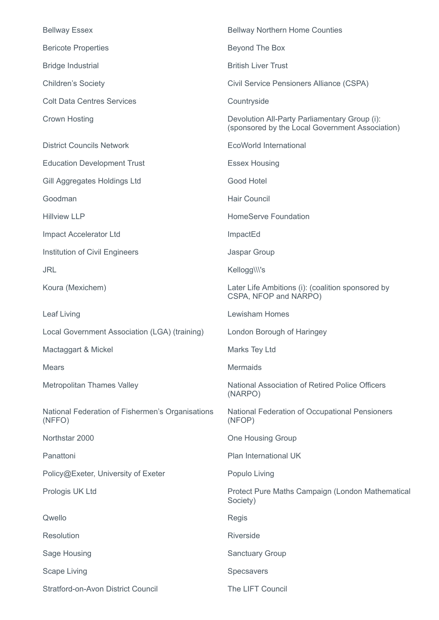| <b>Bellway Essex</b>                                       | <b>Bellway Northern Home Counties</b>                                                            |
|------------------------------------------------------------|--------------------------------------------------------------------------------------------------|
| <b>Bericote Properties</b>                                 | Beyond The Box                                                                                   |
| <b>Bridge Industrial</b>                                   | <b>British Liver Trust</b>                                                                       |
| <b>Children's Society</b>                                  | Civil Service Pensioners Alliance (CSPA)                                                         |
| <b>Colt Data Centres Services</b>                          | Countryside                                                                                      |
| <b>Crown Hosting</b>                                       | Devolution All-Party Parliamentary Group (i):<br>(sponsored by the Local Government Association) |
| <b>District Councils Network</b>                           | <b>EcoWorld International</b>                                                                    |
| <b>Education Development Trust</b>                         | <b>Essex Housing</b>                                                                             |
| Gill Aggregates Holdings Ltd                               | Good Hotel                                                                                       |
| Goodman                                                    | <b>Hair Council</b>                                                                              |
| <b>Hillview LLP</b>                                        | <b>HomeServe Foundation</b>                                                                      |
| Impact Accelerator Ltd                                     | ImpactEd                                                                                         |
| Institution of Civil Engineers                             | Jaspar Group                                                                                     |
| <b>JRL</b>                                                 | Kellogg\\\'s                                                                                     |
| Koura (Mexichem)                                           | Later Life Ambitions (i): (coalition sponsored by<br>CSPA, NFOP and NARPO)                       |
| Leaf Living                                                | <b>Lewisham Homes</b>                                                                            |
| Local Government Association (LGA) (training)              | London Borough of Haringey                                                                       |
| Mactaggart & Mickel                                        | Marks Tey Ltd                                                                                    |
| Mears                                                      | <b>Mermaids</b>                                                                                  |
| <b>Metropolitan Thames Valley</b>                          | National Association of Retired Police Officers<br>(NARPO)                                       |
| National Federation of Fishermen's Organisations<br>(NFFO) | National Federation of Occupational Pensioners<br>(NFOP)                                         |
| Northstar 2000                                             | <b>One Housing Group</b>                                                                         |
| Panattoni                                                  | Plan International UK                                                                            |
| Policy@Exeter, University of Exeter                        | Populo Living                                                                                    |
| Prologis UK Ltd                                            | Protect Pure Maths Campaign (London Mathematical<br>Society)                                     |
| Qwello                                                     | <b>Regis</b>                                                                                     |
| <b>Resolution</b>                                          | <b>Riverside</b>                                                                                 |
| Sage Housing                                               | <b>Sanctuary Group</b>                                                                           |
| <b>Scape Living</b>                                        | Specsavers                                                                                       |
| <b>Stratford-on-Avon District Council</b>                  | The LIFT Council                                                                                 |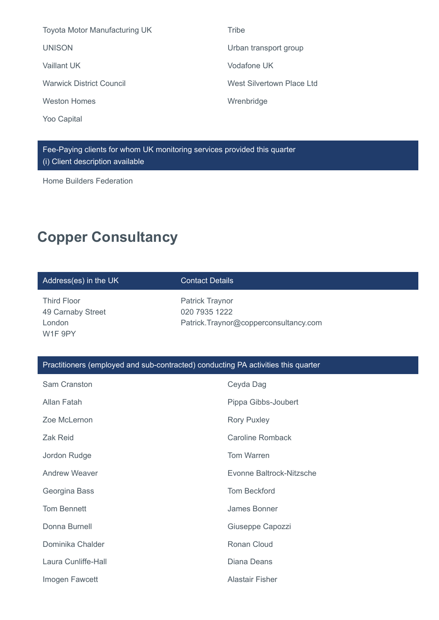| <b>Toyota Motor Manufacturing UK</b> | <b>Tribe</b>              |
|--------------------------------------|---------------------------|
| <b>UNISON</b>                        | Urban transport group     |
| Vaillant UK                          | Vodafone UK               |
| <b>Warwick District Council</b>      | West Silvertown Place Ltd |
| <b>Weston Homes</b>                  | Wrenbridge                |
|                                      |                           |

Fee-Paying clients for whom UK monitoring services provided this quarter (i) Client description available

Home Builders Federation

Yoo Capital

# **Copper Consultancy**

| Address(es) in the UK                                                             | <b>Contact Details</b>                                                           |  |
|-----------------------------------------------------------------------------------|----------------------------------------------------------------------------------|--|
| <b>Third Floor</b><br>49 Carnaby Street<br>London<br>W1F 9PY                      | <b>Patrick Traynor</b><br>020 7935 1222<br>Patrick.Traynor@copperconsultancy.com |  |
| Practitioners (employed and sub-contracted) conducting PA activities this quarter |                                                                                  |  |
| Sam Cranston                                                                      | Ceyda Dag                                                                        |  |
| Allan Fatah                                                                       | Pippa Gibbs-Joubert                                                              |  |
| Zoe McLernon                                                                      | <b>Rory Puxley</b>                                                               |  |
| Zak Reid                                                                          | <b>Caroline Romback</b>                                                          |  |
| Jordon Rudge                                                                      | <b>Tom Warren</b>                                                                |  |
| <b>Andrew Weaver</b>                                                              | Evonne Baltrock-Nitzsche                                                         |  |
| Georgina Bass                                                                     | <b>Tom Beckford</b>                                                              |  |
| <b>Tom Bennett</b>                                                                | James Bonner                                                                     |  |
| Donna Burnell                                                                     | Giuseppe Capozzi                                                                 |  |
| Dominika Chalder                                                                  | Ronan Cloud                                                                      |  |
| Laura Cunliffe-Hall                                                               | <b>Diana Deans</b>                                                               |  |
| Imogen Fawcett                                                                    | <b>Alastair Fisher</b>                                                           |  |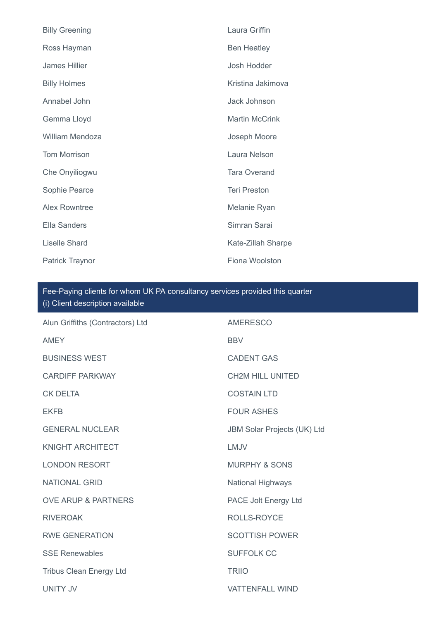| <b>Billy Greening</b>  | Laura Griffin         |
|------------------------|-----------------------|
| Ross Hayman            | <b>Ben Heatley</b>    |
| <b>James Hillier</b>   | Josh Hodder           |
| <b>Billy Holmes</b>    | Kristina Jakimova     |
| Annabel John           | Jack Johnson          |
| Gemma Lloyd            | <b>Martin McCrink</b> |
| William Mendoza        | Joseph Moore          |
| <b>Tom Morrison</b>    | Laura Nelson          |
| Che Onyiliogwu         | <b>Tara Overand</b>   |
| Sophie Pearce          | <b>Teri Preston</b>   |
| <b>Alex Rowntree</b>   | Melanie Ryan          |
| <b>Ella Sanders</b>    | Simran Sarai          |
| <b>Liselle Shard</b>   | Kate-Zillah Sharpe    |
| <b>Patrick Traynor</b> | Fiona Woolston        |

## Fee-Paying clients for whom UK PA consultancy services provided this quarter (i) Client description available

| Alun Griffiths (Contractors) Ltd | <b>AMERESCO</b>             |
|----------------------------------|-----------------------------|
| <b>AMEY</b>                      | <b>BBV</b>                  |
| <b>BUSINESS WEST</b>             | <b>CADENT GAS</b>           |
| <b>CARDIFF PARKWAY</b>           | <b>CH2M HILL UNITED</b>     |
| <b>CK DELTA</b>                  | <b>COSTAIN LTD</b>          |
| <b>EKFB</b>                      | <b>FOUR ASHES</b>           |
| <b>GENERAL NUCLEAR</b>           | JBM Solar Projects (UK) Ltd |
| <b>KNIGHT ARCHITECT</b>          | LMJV                        |
| <b>LONDON RESORT</b>             | <b>MURPHY &amp; SONS</b>    |
| <b>NATIONAL GRID</b>             | <b>National Highways</b>    |
| <b>OVE ARUP &amp; PARTNERS</b>   | PACE Jolt Energy Ltd        |
| <b>RIVEROAK</b>                  | <b>ROLLS-ROYCE</b>          |
| <b>RWE GENERATION</b>            | <b>SCOTTISH POWER</b>       |
| <b>SSE Renewables</b>            | <b>SUFFOLK CC</b>           |
| <b>Tribus Clean Energy Ltd</b>   | <b>TRIIO</b>                |
| <b>UNITY JV</b>                  | <b>VATTENFALL WIND</b>      |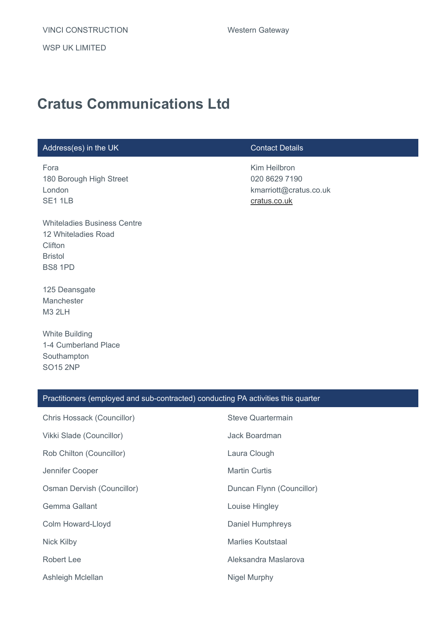WSP UK LIMITED

# **Cratus Communications Ltd**

### Address(es) in the UK Contact Details

Fora 180 Borough High Street London SE1 1LB

Whiteladies Business Centre 12 Whiteladies Road **Clifton** Bristol BS8 1PD

125 Deansgate Manchester M3 2LH

White Building 1-4 Cumberland Place Southampton SO15 2NP

Kim Heilbron 020 8629 7190 kmarriott@cratus.co.uk [cratus.co.uk](http://cratus.co.uk/)

| Practitioners (employed and sub-contracted) conducting PA activities this quarter |                           |  |
|-----------------------------------------------------------------------------------|---------------------------|--|
| Chris Hossack (Councillor)                                                        | <b>Steve Quartermain</b>  |  |
| Vikki Slade (Councillor)                                                          | Jack Boardman             |  |
| Rob Chilton (Councillor)                                                          | Laura Clough              |  |
| Jennifer Cooper                                                                   | <b>Martin Curtis</b>      |  |
| Osman Dervish (Councillor)                                                        | Duncan Flynn (Councillor) |  |
| Gemma Gallant                                                                     | Louise Hingley            |  |
| Colm Howard-Lloyd                                                                 | <b>Daniel Humphreys</b>   |  |
| Nick Kilby                                                                        | <b>Marlies Koutstaal</b>  |  |
| Robert Lee                                                                        | Aleksandra Maslarova      |  |
| Ashleigh Mclellan                                                                 | Nigel Murphy              |  |
|                                                                                   |                           |  |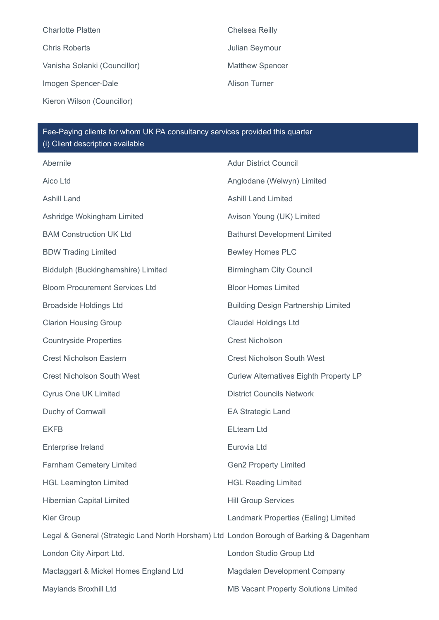Charlotte Platten Chelsea Reilly Chris Roberts **Chris Roberts Julian Seymour** Vanisha Solanki (Councillor) Matthew Spencer Imogen Spencer-Dale **Alison Turner** Kieron Wilson (Councillor)

Fee-Paying clients for whom UK PA consultancy services provided this quarter (i) Client description available

| Abernile                                                                                | <b>Adur District Council</b>                  |
|-----------------------------------------------------------------------------------------|-----------------------------------------------|
| Aico Ltd                                                                                | Anglodane (Welwyn) Limited                    |
| <b>Ashill Land</b>                                                                      | <b>Ashill Land Limited</b>                    |
| Ashridge Wokingham Limited                                                              | Avison Young (UK) Limited                     |
| <b>BAM Construction UK Ltd</b>                                                          | <b>Bathurst Development Limited</b>           |
| <b>BDW Trading Limited</b>                                                              | <b>Bewley Homes PLC</b>                       |
| Biddulph (Buckinghamshire) Limited                                                      | <b>Birmingham City Council</b>                |
| <b>Bloom Procurement Services Ltd</b>                                                   | <b>Bloor Homes Limited</b>                    |
| <b>Broadside Holdings Ltd</b>                                                           | <b>Building Design Partnership Limited</b>    |
| <b>Clarion Housing Group</b>                                                            | <b>Claudel Holdings Ltd</b>                   |
| <b>Countryside Properties</b>                                                           | <b>Crest Nicholson</b>                        |
| <b>Crest Nicholson Eastern</b>                                                          | <b>Crest Nicholson South West</b>             |
| <b>Crest Nicholson South West</b>                                                       | <b>Curlew Alternatives Eighth Property LP</b> |
| <b>Cyrus One UK Limited</b>                                                             | <b>District Councils Network</b>              |
| Duchy of Cornwall                                                                       | <b>EA Strategic Land</b>                      |
| <b>EKFB</b>                                                                             | <b>ELteam Ltd</b>                             |
| Enterprise Ireland                                                                      | Eurovia Ltd                                   |
| Farnham Cemetery Limited                                                                | <b>Gen2 Property Limited</b>                  |
| <b>HGL Leamington Limited</b>                                                           | <b>HGL Reading Limited</b>                    |
| <b>Hibernian Capital Limited</b>                                                        | <b>Hill Group Services</b>                    |
| Kier Group                                                                              | Landmark Properties (Ealing) Limited          |
| Legal & General (Strategic Land North Horsham) Ltd London Borough of Barking & Dagenham |                                               |
| London City Airport Ltd.                                                                | London Studio Group Ltd                       |
| Mactaggart & Mickel Homes England Ltd                                                   | Magdalen Development Company                  |
| Maylands Broxhill Ltd                                                                   | MB Vacant Property Solutions Limited          |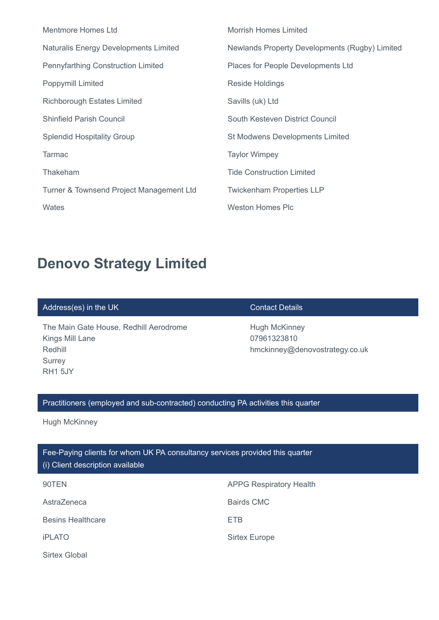| Mentmore Homes Ltd                           | <b>Morrish Homes Limited</b>                   |
|----------------------------------------------|------------------------------------------------|
| <b>Naturalis Energy Developments Limited</b> | Newlands Property Developments (Rugby) Limited |
| <b>Pennyfarthing Construction Limited</b>    | Places for People Developments Ltd             |
| Poppymill Limited                            | <b>Reside Holdings</b>                         |
| <b>Richborough Estates Limited</b>           | Savills (uk) Ltd                               |
| <b>Shinfield Parish Council</b>              | South Kesteven District Council                |
| <b>Splendid Hospitality Group</b>            | <b>St Modwens Developments Limited</b>         |
| <b>Tarmac</b>                                | <b>Taylor Wimpey</b>                           |
| Thakeham                                     | <b>Tide Construction Limited</b>               |
| Turner & Townsend Project Management Ltd     | <b>Twickenham Properties LLP</b>               |
| Wates                                        | Weston Homes Plc                               |

# **Denovo Strategy Limited**

### Address(es) in the UK Contact Details

The Main Gate House, Redhill Aerodrome Kings Mill Lane Redhill **Surrey** RH1 5JY

Hugh McKinney 07961323810 hmckinney@denovostrategy.co.uk

### Practitioners (employed and sub-contracted) conducting PA activities this quarter

Hugh McKinney

### Fee-Paying clients for whom UK PA consultancy services provided this quarter (i) Client description available

| 90TEN                    | <b>APPG Respiratory Health</b> |
|--------------------------|--------------------------------|
| AstraZeneca              | Bairds CMC                     |
| <b>Besins Healthcare</b> | <b>ETB</b>                     |
| <b>iPLATO</b>            | <b>Sirtex Europe</b>           |
| <b>Sirtex Global</b>     |                                |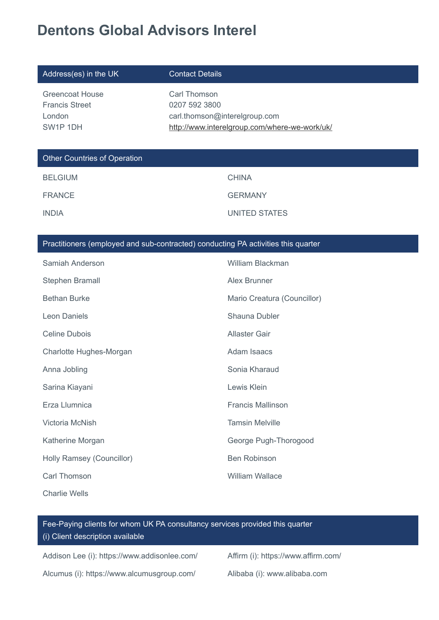# **Dentons Global Advisors Interel**

| Address(es) in the UK                                                 | <b>Contact Details</b>                                                                                          |
|-----------------------------------------------------------------------|-----------------------------------------------------------------------------------------------------------------|
| <b>Greencoat House</b><br><b>Francis Street</b><br>London<br>SW1P 1DH | Carl Thomson<br>0207 592 3800<br>carl.thomson@interelgroup.com<br>http://www.interelgroup.com/where-we-work/uk/ |
| <b>Other Countries of Operation</b>                                   |                                                                                                                 |
| <b>BELGIUM</b>                                                        | <b>CHINA</b>                                                                                                    |
| <b>FRANCE</b>                                                         | <b>GERMANY</b>                                                                                                  |
| <b>INDIA</b>                                                          | <b>UNITED STATES</b>                                                                                            |
|                                                                       |                                                                                                                 |
|                                                                       | Practitioners (employed and sub-contracted) conducting PA activities this quarter                               |
| Samiah Anderson                                                       | <b>William Blackman</b>                                                                                         |
| Stephen Bramall                                                       | Alex Brunner                                                                                                    |
| <b>Bethan Burke</b>                                                   | Mario Creatura (Councillor)                                                                                     |
| <b>Leon Daniels</b>                                                   | Shauna Dubler                                                                                                   |
| <b>Celine Dubois</b>                                                  | <b>Allaster Gair</b>                                                                                            |

| <b>CETTLE DUDOIS</b>      | Alidalti Udli            |
|---------------------------|--------------------------|
| Charlotte Hughes-Morgan   | Adam Isaacs              |
| Anna Jobling              | Sonia Kharaud            |
| Sarina Kiayani            | Lewis Klein              |
| Erza Llumnica             | <b>Francis Mallinson</b> |
| Victoria McNish           | <b>Tamsin Melville</b>   |
| Katherine Morgan          | George Pugh-Thorogood    |
| Holly Ramsey (Councillor) | <b>Ben Robinson</b>      |
| Carl Thomson              | <b>William Wallace</b>   |

Charlie Wells

Fee-Paying clients for whom UK PA consultancy services provided this quarter (i) Client description available

Addison Lee (i): https://www.addisonlee.com/ Affirm (i): https://www.affirm.com/

Alcumus (i): https://www.alcumusgroup.com/ Alibaba (i): www.alibaba.com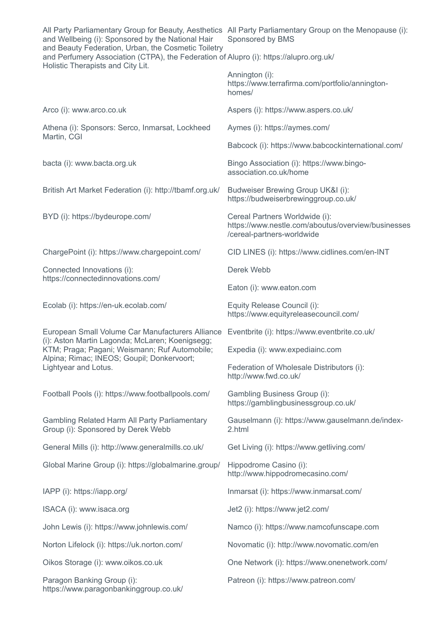| and Wellbeing (i): Sponsored by the National Hair<br>and Beauty Federation, Urban, the Cosmetic Toiletry                                                                                                                   | All Party Parliamentary Group for Beauty, Aesthetics All Party Parliamentary Group on the Menopause (i):<br>Sponsored by BMS |
|----------------------------------------------------------------------------------------------------------------------------------------------------------------------------------------------------------------------------|------------------------------------------------------------------------------------------------------------------------------|
| and Perfumery Association (CTPA), the Federation of Alupro (i): https://alupro.org.uk/<br>Holistic Therapists and City Lit.                                                                                                |                                                                                                                              |
|                                                                                                                                                                                                                            | Annington (i):<br>https://www.terrafirma.com/portfolio/annington-<br>homes/                                                  |
| Arco (i): www.arco.co.uk                                                                                                                                                                                                   | Aspers (i): https://www.aspers.co.uk/                                                                                        |
| Athena (i): Sponsors: Serco, Inmarsat, Lockheed<br>Martin, CGI                                                                                                                                                             | Aymes (i): https://aymes.com/                                                                                                |
|                                                                                                                                                                                                                            | Babcock (i): https://www.babcockinternational.com/                                                                           |
| bacta (i): www.bacta.org.uk                                                                                                                                                                                                | Bingo Association (i): https://www.bingo-<br>association.co.uk/home                                                          |
| British Art Market Federation (i): http://tbamf.org.uk/                                                                                                                                                                    | Budweiser Brewing Group UK&I (i):<br>https://budweiserbrewinggroup.co.uk/                                                    |
| BYD (i): https://bydeurope.com/                                                                                                                                                                                            | Cereal Partners Worldwide (i):<br>https://www.nestle.com/aboutus/overview/businesses<br>/cereal-partners-worldwide           |
| ChargePoint (i): https://www.chargepoint.com/                                                                                                                                                                              | CID LINES (i): https://www.cidlines.com/en-INT                                                                               |
| Connected Innovations (i):<br>https://connectedinnovations.com/                                                                                                                                                            | Derek Webb                                                                                                                   |
|                                                                                                                                                                                                                            | Eaton (i): www.eaton.com                                                                                                     |
| Ecolab (i): https://en-uk.ecolab.com/                                                                                                                                                                                      | Equity Release Council (i):<br>https://www.equityreleasecouncil.com/                                                         |
| European Small Volume Car Manufacturers Alliance<br>(i): Aston Martin Lagonda; McLaren; Koenigsegg;<br>KTM; Praga; Pagani; Weismann; Ruf Automobile;<br>Alpina; Rimac; INEOS; Goupil; Donkervoort;<br>Lightyear and Lotus. | Eventbrite (i): https://www.eventbrite.co.uk/                                                                                |
|                                                                                                                                                                                                                            | Expedia (i): www.expediainc.com                                                                                              |
|                                                                                                                                                                                                                            | Federation of Wholesale Distributors (i):<br>http://www.fwd.co.uk/                                                           |
| Football Pools (i): https://www.footballpools.com/                                                                                                                                                                         | <b>Gambling Business Group (i):</b><br>https://gamblingbusinessgroup.co.uk/                                                  |
| <b>Gambling Related Harm All Party Parliamentary</b><br>Group (i): Sponsored by Derek Webb                                                                                                                                 | Gauselmann (i): https://www.gauselmann.de/index-<br>2.html                                                                   |
| General Mills (i): http://www.generalmills.co.uk/                                                                                                                                                                          | Get Living (i): https://www.getliving.com/                                                                                   |
| Global Marine Group (i): https://globalmarine.group/                                                                                                                                                                       | Hippodrome Casino (i):<br>http://www.hippodromecasino.com/                                                                   |
| IAPP (i): https://iapp.org/                                                                                                                                                                                                | Inmarsat (i): https://www.inmarsat.com/                                                                                      |
| ISACA (i): www.isaca.org                                                                                                                                                                                                   | Jet2 (i): https://www.jet2.com/                                                                                              |
| John Lewis (i): https://www.johnlewis.com/                                                                                                                                                                                 | Namco (i): https://www.namcofunscape.com                                                                                     |
| Norton Lifelock (i): https://uk.norton.com/                                                                                                                                                                                | Novomatic (i): http://www.novomatic.com/en                                                                                   |
| Oikos Storage (i): www.oikos.co.uk                                                                                                                                                                                         | One Network (i): https://www.onenetwork.com/                                                                                 |
| Paragon Banking Group (i):<br>https://www.paragonbankinggroup.co.uk/                                                                                                                                                       | Patreon (i): https://www.patreon.com/                                                                                        |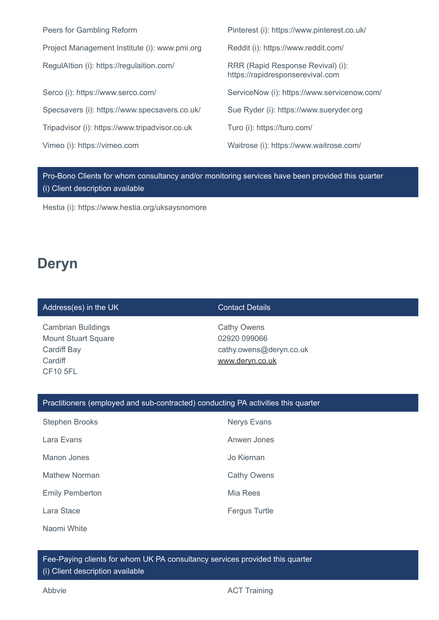| Peers for Gambling Reform                      | Pinterest (i): https://www.pinterest.co.uk/                           |
|------------------------------------------------|-----------------------------------------------------------------------|
| Project Management Institute (i): www.pmi.org  | Reddit (i): https://www.reddit.com/                                   |
| RegulAltion (i): https://regulaition.com/      | RRR (Rapid Response Revival) (i):<br>https://rapidresponserevival.com |
| Serco (i): https://www.serco.com/              | ServiceNow (i): https://www.servicenow.com/                           |
| Specsavers (i): https://www.specsavers.co.uk/  | Sue Ryder (i): https://www.sueryder.org                               |
| Tripadvisor (i): https://www.tripadvisor.co.uk | Turo (i): https://turo.com/                                           |
| Vimeo (i): https://vimeo.com                   | Waitrose (i): https://www.waitrose.com/                               |
|                                                |                                                                       |

Pro-Bono Clients for whom consultancy and/or monitoring services have been provided this quarter (i) Client description available

Hestia (i): https://www.hestia.org/uksaysnomore

## **Deryn**

### Address(es) in the UK Contact Details

Cambrian Buildings Mount Stuart Square Cardiff Bay **Cardiff** CF10 5FL

Cathy Owens 02920 099066 cathy.owens@deryn.co.uk [www.deryn.co.uk](http://www.deryn.co.uk/)

### Practitioners (employed and sub-contracted) conducting PA activities this quarter

| <b>Stephen Brooks</b>  | <b>Nerys Evans</b>   |
|------------------------|----------------------|
| Lara Evans             | Anwen Jones          |
| Manon Jones            | Jo Kiernan           |
| <b>Mathew Norman</b>   | <b>Cathy Owens</b>   |
| <b>Emily Pemberton</b> | Mia Rees             |
| Lara Stace             | <b>Fergus Turtle</b> |
| Naomi White            |                      |

Fee-Paying clients for whom UK PA consultancy services provided this quarter (i) Client description available

Abbvie **Abbvie ACT** Training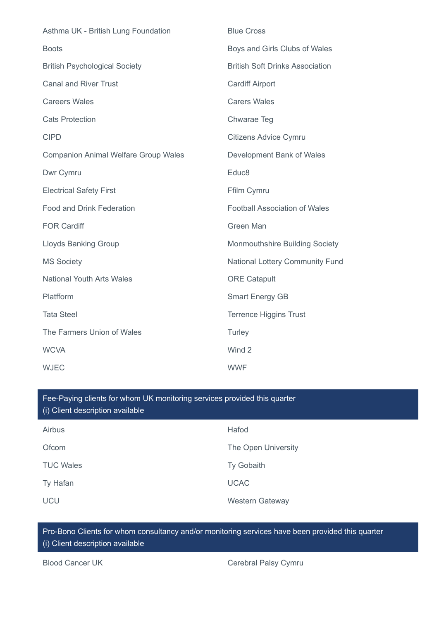| Asthma UK - British Lung Foundation         | <b>Blue Cross</b>                      |
|---------------------------------------------|----------------------------------------|
| <b>Boots</b>                                | Boys and Girls Clubs of Wales          |
| <b>British Psychological Society</b>        | <b>British Soft Drinks Association</b> |
| <b>Canal and River Trust</b>                | <b>Cardiff Airport</b>                 |
| <b>Careers Wales</b>                        | <b>Carers Wales</b>                    |
| <b>Cats Protection</b>                      | Chwarae Teg                            |
| <b>CIPD</b>                                 | <b>Citizens Advice Cymru</b>           |
| <b>Companion Animal Welfare Group Wales</b> | Development Bank of Wales              |
| Dwr Cymru                                   | Educ8                                  |
| <b>Electrical Safety First</b>              | Ffilm Cymru                            |
| Food and Drink Federation                   | <b>Football Association of Wales</b>   |
| <b>FOR Cardiff</b>                          | Green Man                              |
| <b>Lloyds Banking Group</b>                 | <b>Monmouthshire Building Society</b>  |
| <b>MS Society</b>                           | <b>National Lottery Community Fund</b> |
| <b>National Youth Arts Wales</b>            | <b>ORE Catapult</b>                    |
| Platfform                                   | <b>Smart Energy GB</b>                 |
| <b>Tata Steel</b>                           | <b>Terrence Higgins Trust</b>          |
| The Farmers Union of Wales                  | Turley                                 |
| <b>WCVA</b>                                 | Wind 2                                 |
| <b>WJEC</b>                                 | <b>WWF</b>                             |

Airbus **Hafod** Ofcom The Open University TUC Wales **TUC Wales** Ty Gobaith Ty Hafan UCAC Fee-Paying clients for whom UK monitoring services provided this quarter (i) Client description available

Pro-Bono Clients for whom consultancy and/or monitoring services have been provided this quarter (i) Client description available

UCU Western Gateway

Blood Cancer UK Cerebral Palsy Cymru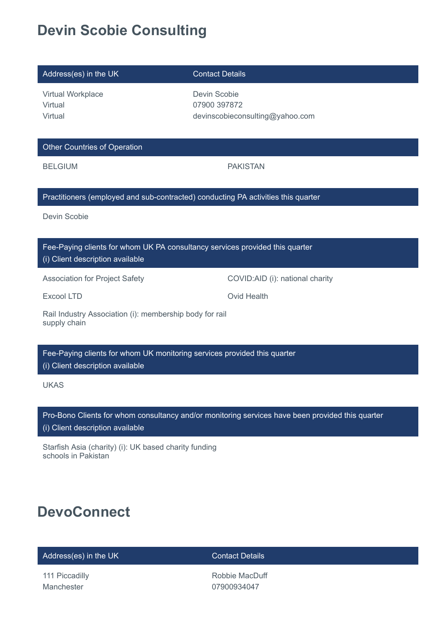# **Devin Scobie Consulting**

| Address(es) in the UK                                                                                            | <b>Contact Details</b>                                          |  |
|------------------------------------------------------------------------------------------------------------------|-----------------------------------------------------------------|--|
| Virtual Workplace<br>Virtual<br>Virtual                                                                          | Devin Scobie<br>07900 397872<br>devinscobieconsulting@yahoo.com |  |
| <b>Other Countries of Operation</b>                                                                              |                                                                 |  |
| <b>BELGIUM</b>                                                                                                   | <b>PAKISTAN</b>                                                 |  |
| Practitioners (employed and sub-contracted) conducting PA activities this quarter                                |                                                                 |  |
| Devin Scobie                                                                                                     |                                                                 |  |
| Fee-Paying clients for whom UK PA consultancy services provided this quarter<br>(i) Client description available |                                                                 |  |
| <b>Association for Project Safety</b>                                                                            | COVID:AID (i): national charity                                 |  |
| <b>Excool LTD</b>                                                                                                | <b>Ovid Health</b>                                              |  |
| Rail Industry Association (i): membership body for rail<br>supply chain                                          |                                                                 |  |
| Fee-Paying clients for whom UK monitoring services provided this quarter<br>(i) Client description available     |                                                                 |  |

UKAS

Pro-Bono Clients for whom consultancy and/or monitoring services have been provided this quarter (i) Client description available

Starfish Asia (charity) (i): UK based charity funding schools in Pakistan

# **DevoConnect**

Address(es) in the UK Contact Details

111 Piccadilly Manchester

Robbie MacDuff 07900934047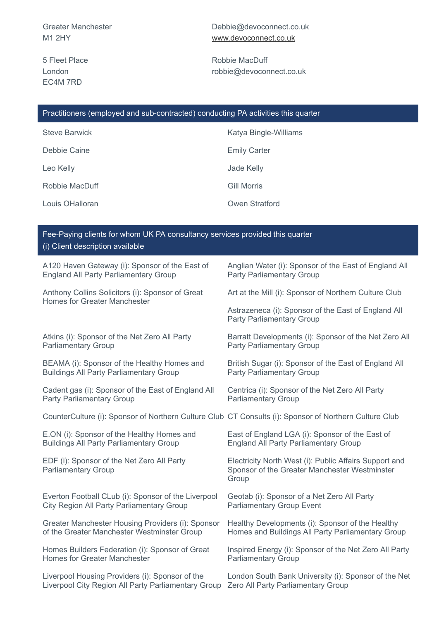Greater Manchester M1 2HY

5 Fleet Place London EC4M 7RD

Debbie@devoconnect.co.uk [www.devoconnect.co.uk](http://www.devoconnect.co.uk/)

Robbie MacDuff robbie@devoconnect.co.uk

### Practitioners (employed and sub-contracted) conducting PA activities this quarter

| <b>Steve Barwick</b> | Katya Bingle-Williams |
|----------------------|-----------------------|
| Debbie Caine         | <b>Emily Carter</b>   |
| Leo Kelly            | Jade Kelly            |
| Robbie MacDuff       | <b>Gill Morris</b>    |
| Louis OHalloran      | Owen Stratford        |

| Fee-Paying clients for whom UK PA consultancy services provided this quarter<br>(i) Client description available |                                                                                                                  |  |
|------------------------------------------------------------------------------------------------------------------|------------------------------------------------------------------------------------------------------------------|--|
| A120 Haven Gateway (i): Sponsor of the East of                                                                   | Anglian Water (i): Sponsor of the East of England All                                                            |  |
| <b>England All Party Parliamentary Group</b>                                                                     | <b>Party Parliamentary Group</b>                                                                                 |  |
| Anthony Collins Solicitors (i): Sponsor of Great<br><b>Homes for Greater Manchester</b>                          | Art at the Mill (i): Sponsor of Northern Culture Club                                                            |  |
|                                                                                                                  | Astrazeneca (i): Sponsor of the East of England All<br><b>Party Parliamentary Group</b>                          |  |
| Atkins (i): Sponsor of the Net Zero All Party                                                                    | Barratt Developments (i): Sponsor of the Net Zero All                                                            |  |
| <b>Parliamentary Group</b>                                                                                       | <b>Party Parliamentary Group</b>                                                                                 |  |
| BEAMA (i): Sponsor of the Healthy Homes and                                                                      | British Sugar (i): Sponsor of the East of England All                                                            |  |
| <b>Buildings All Party Parliamentary Group</b>                                                                   | <b>Party Parliamentary Group</b>                                                                                 |  |
| Cadent gas (i): Sponsor of the East of England All                                                               | Centrica (i): Sponsor of the Net Zero All Party                                                                  |  |
| <b>Party Parliamentary Group</b>                                                                                 | <b>Parliamentary Group</b>                                                                                       |  |
| CounterCulture (i): Sponsor of Northern Culture Club CT Consults (i): Sponsor of Northern Culture Club           |                                                                                                                  |  |
| E.ON (i): Sponsor of the Healthy Homes and                                                                       | East of England LGA (i): Sponsor of the East of                                                                  |  |
| <b>Buildings All Party Parliamentary Group</b>                                                                   | <b>England All Party Parliamentary Group</b>                                                                     |  |
| EDF (i): Sponsor of the Net Zero All Party<br><b>Parliamentary Group</b>                                         | Electricity North West (i): Public Affairs Support and<br>Sponsor of the Greater Manchester Westminster<br>Group |  |
| Everton Football CLub (i): Sponsor of the Liverpool                                                              | Geotab (i): Sponsor of a Net Zero All Party                                                                      |  |
| City Region All Party Parliamentary Group                                                                        | <b>Parliamentary Group Event</b>                                                                                 |  |
| Greater Manchester Housing Providers (i): Sponsor                                                                | Healthy Developments (i): Sponsor of the Healthy                                                                 |  |
| of the Greater Manchester Westminster Group                                                                      | Homes and Buildings All Party Parliamentary Group                                                                |  |
| Homes Builders Federation (i): Sponsor of Great                                                                  | Inspired Energy (i): Sponsor of the Net Zero All Party                                                           |  |
| <b>Homes for Greater Manchester</b>                                                                              | <b>Parliamentary Group</b>                                                                                       |  |
| Liverpool Housing Providers (i): Sponsor of the                                                                  | London South Bank University (i): Sponsor of the Net                                                             |  |
| Liverpool City Region All Party Parliamentary Group                                                              | Zero All Party Parliamentary Group                                                                               |  |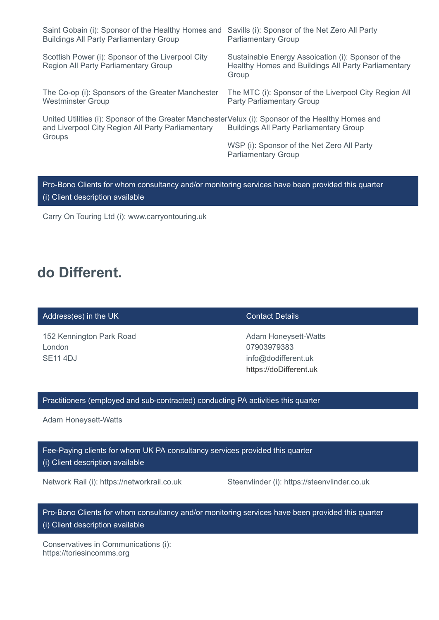| Saint Gobain (i): Sponsor of the Healthy Homes and<br><b>Buildings All Party Parliamentary Group</b>                                                              | Savills (i): Sponsor of the Net Zero All Party<br><b>Parliamentary Group</b>                                       |
|-------------------------------------------------------------------------------------------------------------------------------------------------------------------|--------------------------------------------------------------------------------------------------------------------|
| Scottish Power (i): Sponsor of the Liverpool City<br><b>Region All Party Parliamentary Group</b>                                                                  | Sustainable Energy Assoication (i): Sponsor of the<br>Healthy Homes and Buildings All Party Parliamentary<br>Group |
| The Co-op (i): Sponsors of the Greater Manchester<br><b>Westminster Group</b>                                                                                     | The MTC (i): Sponsor of the Liverpool City Region All<br><b>Party Parliamentary Group</b>                          |
| United Utilities (i): Sponsor of the Greater ManchesterVelux (i): Sponsor of the Healthy Homes and<br>and Liverpool City Region All Party Parliamentary<br>Groups | <b>Buildings All Party Parliamentary Group</b>                                                                     |
|                                                                                                                                                                   | WSP (i): Sponsor of the Net Zero All Party<br><b>Parliamentary Group</b>                                           |
|                                                                                                                                                                   |                                                                                                                    |

Pro-Bono Clients for whom consultancy and/or monitoring services have been provided this quarter (i) Client description available

Carry On Touring Ltd (i): www.carryontouring.uk

## **do Different.**

### Address(es) in the UK Contact Details

152 Kennington Park Road London SE11 4DJ

Adam Honeysett-Watts 07903979383 info@dodifferent.uk [https://doDifferent.uk](https://dodifferent.uk/)

### Practitioners (employed and sub-contracted) conducting PA activities this quarter

Adam Honeysett-Watts

Fee-Paying clients for whom UK PA consultancy services provided this quarter (i) Client description available

Network Rail (i): https://networkrail.co.uk Steenvlinder (i): https://steenvlinder.co.uk

Pro-Bono Clients for whom consultancy and/or monitoring services have been provided this quarter (i) Client description available

Conservatives in Communications (i): https://toriesincomms.org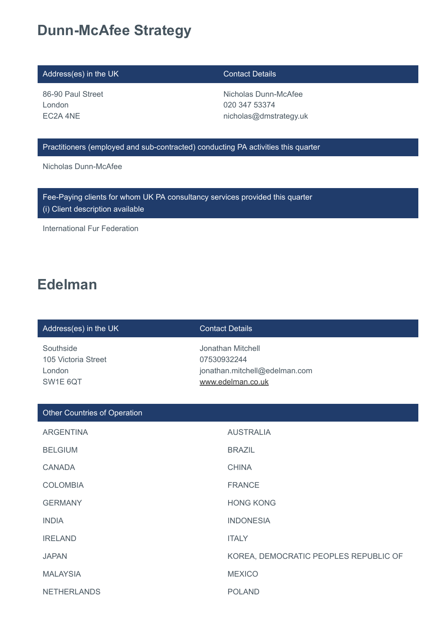## **Dunn-McAfee Strategy**

### Address(es) in the UK Contact Details

86-90 Paul Street London EC2A 4NE

Nicholas Dunn-McAfee 020 347 53374 nicholas@dmstrategy.uk

### Practitioners (employed and sub-contracted) conducting PA activities this quarter

Nicholas Dunn-McAfee

Fee-Paying clients for whom UK PA consultancy services provided this quarter

(i) Client description available

International Fur Federation

## **Edelman**

### Address(es) in the UK Contact Details

Southside 105 Victoria Street London SW1E 6QT

Jonathan Mitchell 07530932244 jonathan.mitchell@edelman.com [www.edelman.co.uk](http://www.edelman.co.uk/)

| <b>Other Countries of Operation</b> |                                       |
|-------------------------------------|---------------------------------------|
| <b>ARGENTINA</b>                    | <b>AUSTRALIA</b>                      |
| <b>BELGIUM</b>                      | <b>BRAZIL</b>                         |
| <b>CANADA</b>                       | <b>CHINA</b>                          |
| <b>COLOMBIA</b>                     | <b>FRANCE</b>                         |
| <b>GERMANY</b>                      | <b>HONG KONG</b>                      |
| <b>INDIA</b>                        | <b>INDONESIA</b>                      |
| <b>IRELAND</b>                      | <b>ITALY</b>                          |
| <b>JAPAN</b>                        | KOREA, DEMOCRATIC PEOPLES REPUBLIC OF |
| <b>MALAYSIA</b>                     | <b>MEXICO</b>                         |
| <b>NETHERLANDS</b>                  | <b>POLAND</b>                         |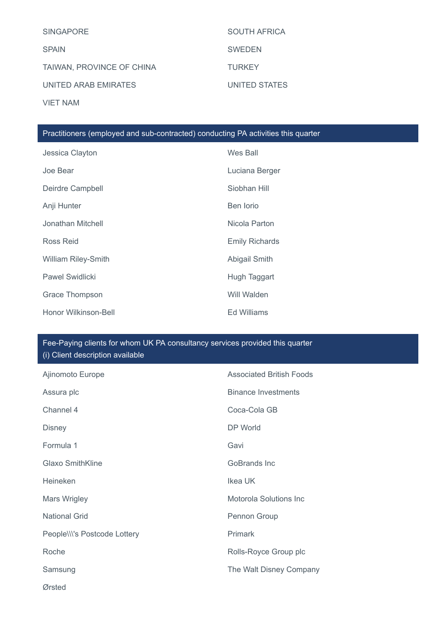| <b>SINGAPORE</b>          | <b>SOUTH AFRICA</b> |
|---------------------------|---------------------|
| <b>SPAIN</b>              | <b>SWEDEN</b>       |
| TAIWAN, PROVINCE OF CHINA | <b>TURKEY</b>       |
| UNITED ARAB EMIRATES      | UNITED STATES       |
| <b>VIET NAM</b>           |                     |

### Practitioners (employed and sub-contracted) conducting PA activities this quarter

| Jessica Clayton            | Wes Ball              |
|----------------------------|-----------------------|
| Joe Bear                   | Luciana Berger        |
| Deirdre Campbell           | Siobhan Hill          |
| Anji Hunter                | Ben lorio             |
| Jonathan Mitchell          | Nicola Parton         |
| Ross Reid                  | <b>Emily Richards</b> |
| <b>William Riley-Smith</b> | <b>Abigail Smith</b>  |
| <b>Pawel Swidlicki</b>     | Hugh Taggart          |
| <b>Grace Thompson</b>      | Will Walden           |
| Honor Wilkinson-Bell       | Ed Williams           |

## Fee-Paying clients for whom UK PA consultancy services provided this quarter

| Ajinomoto Europe             | <b>Associated British Foods</b> |
|------------------------------|---------------------------------|
| Assura plc                   | <b>Binance Investments</b>      |
| Channel 4                    | Coca-Cola GB                    |
| <b>Disney</b>                | DP World                        |
| Formula 1                    | Gavi                            |
| <b>Glaxo SmithKline</b>      | GoBrands Inc                    |
| Heineken                     | Ikea UK                         |
| Mars Wrigley                 | <b>Motorola Solutions Inc.</b>  |
| <b>National Grid</b>         | Pennon Group                    |
| People\\\'s Postcode Lottery | Primark                         |
| Roche                        | Rolls-Royce Group plc           |
| Samsung                      | The Walt Disney Company         |
| Ørsted                       |                                 |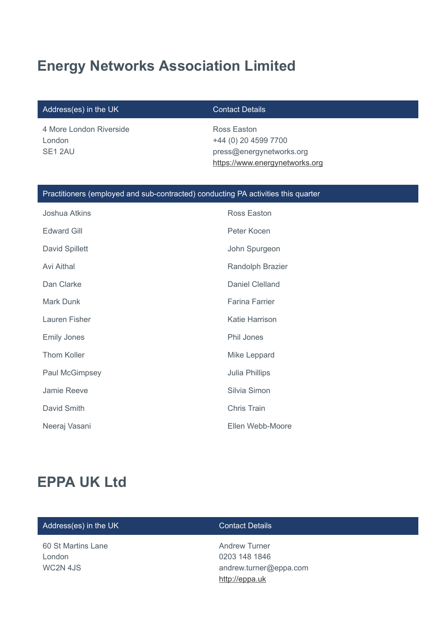# **Energy Networks Association Limited**

### Address(es) in the UK Contact Details

4 More London Riverside London SE1 2AU

Ross Easton +44 (0) 20 4599 7700 press@energynetworks.org [https://www.energynetworks.org](https://www.energynetworks.org/)

### Practitioners (employed and sub-contracted) conducting PA activities this quarter

| Joshua Atkins      | Ross Easton             |
|--------------------|-------------------------|
| <b>Edward Gill</b> | Peter Kocen             |
| David Spillett     | John Spurgeon           |
| <b>Avi Aithal</b>  | <b>Randolph Brazier</b> |
| Dan Clarke         | <b>Daniel Clelland</b>  |
| <b>Mark Dunk</b>   | <b>Farina Farrier</b>   |
| Lauren Fisher      | Katie Harrison          |
| <b>Emily Jones</b> | Phil Jones              |
| <b>Thom Koller</b> | Mike Leppard            |
| Paul McGimpsey     | Julia Phillips          |
| Jamie Reeve        | Silvia Simon            |
| David Smith        | <b>Chris Train</b>      |
| Neeraj Vasani      | Ellen Webb-Moore        |

## **EPPA UK Ltd**

### Address(es) in the UK Contact Details

60 St Martins Lane London WC2N 4JS

Andrew Turner 0203 148 1846 andrew.turner@eppa.com [http://eppa.uk](http://eppa.uk/)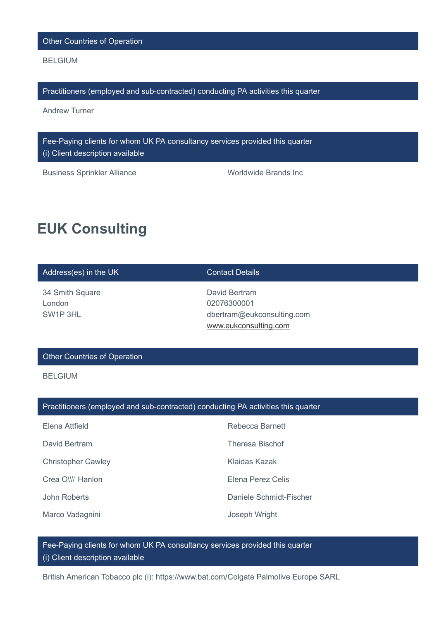Other Countries of Operation

BELGIUM

Practitioners (employed and sub-contracted) conducting PA activities this quarter

Andrew Turner

Fee-Paying clients for whom UK PA consultancy services provided this quarter (i) Client description available

Business Sprinkler Alliance Worldwide Brands Inc

## **EUK Consulting**

| Address(es) in the UK | <b>Contact Details</b> |
|-----------------------|------------------------|
| 31 Smith Square       | David Rartram          |

34 Smith Square London SW1P 3HL

David Bertram 02076300001 dbertram@eukconsulting.com [www.eukconsulting.com](http://www.eukconsulting.com/)

### Other Countries of Operation

BELGIUM

### Practitioners (employed and sub-contracted) conducting PA activities this quarter

| Elena Attfield            | Rebecca Barnett         |
|---------------------------|-------------------------|
| David Bertram             | <b>Theresa Bischof</b>  |
| <b>Christopher Cawley</b> | Klaidas Kazak           |
| Crea O\\\' Hanlon         | Elena Perez Celis       |
| John Roberts              | Daniele Schmidt-Fischer |
| Marco Vadagnini           | Joseph Wright           |

Fee-Paying clients for whom UK PA consultancy services provided this quarter (i) Client description available

British American Tobacco plc (i): https://www.bat.com/Colgate Palmolive Europe SARL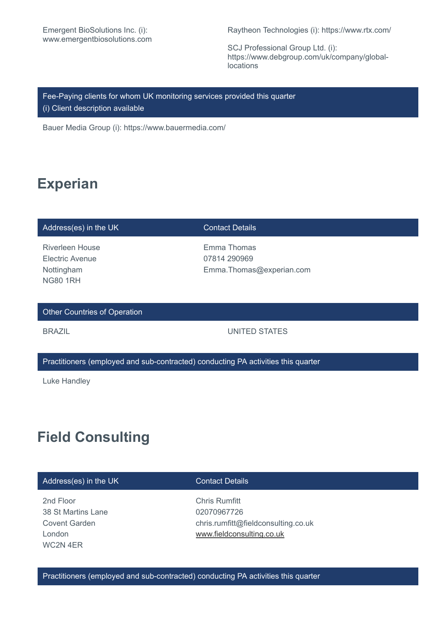Raytheon Technologies (i): https://www.rtx.com/

SCJ Professional Group Ltd. (i): https://www.debgroup.com/uk/company/globallocations

Fee-Paying clients for whom UK monitoring services provided this quarter (i) Client description available

Bauer Media Group (i): https://www.bauermedia.com/

## **Experian**

### Address(es) in the UK Contact Details

Riverleen House Electric Avenue Nottingham NG80 1RH

Emma Thomas 07814 290969 Emma.Thomas@experian.com

### Other Countries of Operation

### BRAZIL **EXECUTE: IN THE UNITED STATES**

### Practitioners (employed and sub-contracted) conducting PA activities this quarter

Luke Handley

## **Field Consulting**

### Address(es) in the UK Contact Details

2nd Floor 38 St Martins Lane Covent Garden London WC2N 4ER

Chris Rumfitt 02070967726 chris.rumfitt@fieldconsulting.co.uk [www.fieldconsulting.co.uk](http://www.fieldconsulting.co.uk/)

Practitioners (employed and sub-contracted) conducting PA activities this quarter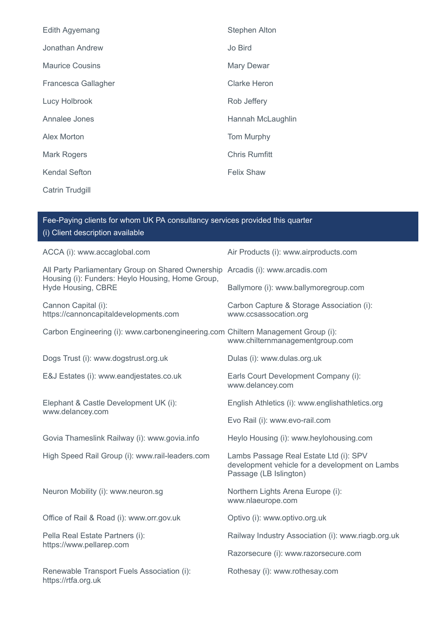| Edith Agyemang         | <b>Stephen Alton</b> |
|------------------------|----------------------|
| Jonathan Andrew        | Jo Bird              |
| <b>Maurice Cousins</b> | Mary Dewar           |
| Francesca Gallagher    | <b>Clarke Heron</b>  |
| Lucy Holbrook          | Rob Jeffery          |
| Annalee Jones          | Hannah McLaughlin    |
| <b>Alex Morton</b>     | Tom Murphy           |
| <b>Mark Rogers</b>     | <b>Chris Rumfitt</b> |
| <b>Kendal Sefton</b>   | <b>Felix Shaw</b>    |
| <b>Catrin Trudgill</b> |                      |

| Fee-Paying clients for whom UK PA consultancy services provided this quarter<br>(i) Client description available                                         |                                                                                                                    |  |
|----------------------------------------------------------------------------------------------------------------------------------------------------------|--------------------------------------------------------------------------------------------------------------------|--|
| ACCA (i): www.accaglobal.com                                                                                                                             | Air Products (i): www.airproducts.com                                                                              |  |
| All Party Parliamentary Group on Shared Ownership Arcadis (i): www.arcadis.com<br>Housing (i): Funders: Heylo Housing, Home Group,<br>Hyde Housing, CBRE |                                                                                                                    |  |
|                                                                                                                                                          | Ballymore (i): www.ballymoregroup.com                                                                              |  |
| Cannon Capital (i):<br>https://cannoncapitaldevelopments.com                                                                                             | Carbon Capture & Storage Association (i):<br>www.ccsassocation.org                                                 |  |
| Carbon Engineering (i): www.carbonengineering.com Chiltern Management Group (i):                                                                         | www.chilternmanagementgroup.com                                                                                    |  |
| Dogs Trust (i): www.dogstrust.org.uk                                                                                                                     | Dulas (i): www.dulas.org.uk                                                                                        |  |
| E&J Estates (i): www.eandjestates.co.uk                                                                                                                  | Earls Court Development Company (i):<br>www.delancey.com                                                           |  |
| Elephant & Castle Development UK (i):<br>www.delancey.com                                                                                                | English Athletics (i): www.englishathletics.org                                                                    |  |
|                                                                                                                                                          | Evo Rail (i): www.evo-rail.com                                                                                     |  |
| Govia Thameslink Railway (i): www.govia.info                                                                                                             | Heylo Housing (i): www.heylohousing.com                                                                            |  |
| High Speed Rail Group (i): www.rail-leaders.com                                                                                                          | Lambs Passage Real Estate Ltd (i): SPV<br>development vehicle for a development on Lambs<br>Passage (LB Islington) |  |
| Neuron Mobility (i): www.neuron.sg                                                                                                                       | Northern Lights Arena Europe (i):<br>www.nlaeurope.com                                                             |  |
| Office of Rail & Road (i): www.orr.gov.uk                                                                                                                | Optivo (i): www.optivo.org.uk                                                                                      |  |
| Pella Real Estate Partners (i):<br>https://www.pellarep.com                                                                                              | Railway Industry Association (i): www.riagb.org.uk                                                                 |  |
|                                                                                                                                                          | Razorsecure (i): www.razorsecure.com                                                                               |  |
| Renewable Transport Fuels Association (i):<br>https://rtfa.org.uk                                                                                        | Rothesay (i): www.rothesay.com                                                                                     |  |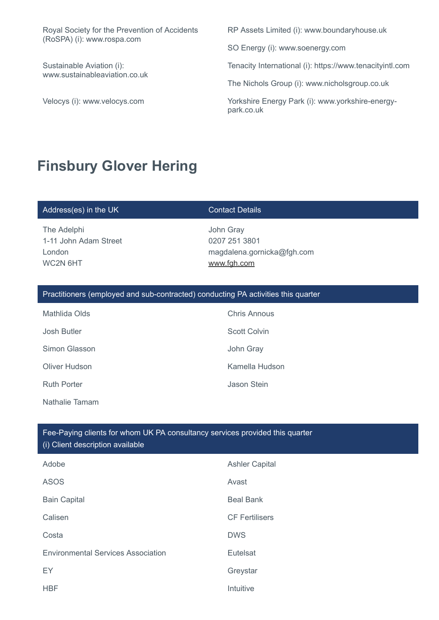Royal Society for the Prevention of Accidents (RoSPA) (i): www.rospa.com

Sustainable Aviation (i): www.sustainableaviation.co.uk

RP Assets Limited (i): www.boundaryhouse.uk

SO Energy (i): www.soenergy.com

Tenacity International (i): https://www.tenacityintl.com

The Nichols Group (i): www.nicholsgroup.co.uk

Velocys (i): www.velocys.com Yorkshire Energy Park (i): www.yorkshire-energypark.co.uk

## **Finsbury Glover Hering**

### Address(es) in the UK Contact Details

The Adelphi 1-11 John Adam Street London WC2N 6HT

John Gray 0207 251 3801 magdalena.gornicka@fgh.com [www.fgh.com](http://www.fgh.com/)

### Practitioners (employed and sub-contracted) conducting PA activities this quarter

Mathlida Olds **Chris Annous** Josh Butler **Scott Colvin** Scott Colvin Simon Glasson **John Gray** Oliver Hudson **Kamella Hudson** Kamella Hudson Ruth Porter **Access 1986** The United Steam Assembly a United Stein Nathalie Tamam

## Fee-Paying clients for whom UK PA consultancy services provided this quarter

(i) Client description available

| Adobe                                     | <b>Ashler Capital</b> |
|-------------------------------------------|-----------------------|
| <b>ASOS</b>                               | Avast                 |
| <b>Bain Capital</b>                       | <b>Beal Bank</b>      |
| Calisen                                   | <b>CF Fertilisers</b> |
| Costa                                     | <b>DWS</b>            |
| <b>Environmental Services Association</b> | Eutelsat              |
| EY                                        | Greystar              |
| <b>HBF</b>                                | Intuitive             |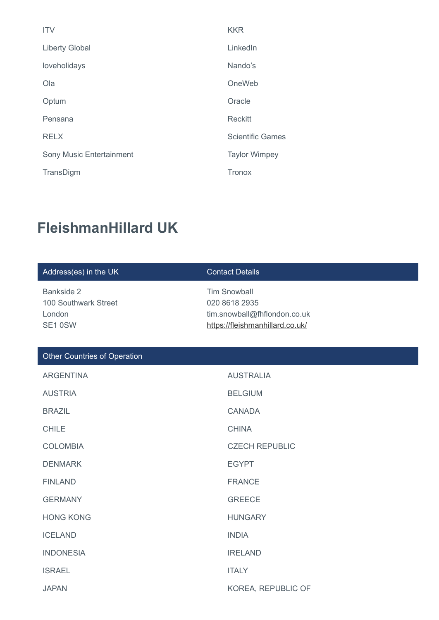| <b>ITV</b>               | <b>KKR</b>              |
|--------------------------|-------------------------|
| <b>Liberty Global</b>    | LinkedIn                |
| loveholidays             | Nando's                 |
| Ola                      | OneWeb                  |
| Optum                    | Oracle                  |
| Pensana                  | <b>Reckitt</b>          |
| <b>RELX</b>              | <b>Scientific Games</b> |
| Sony Music Entertainment | <b>Taylor Wimpey</b>    |
| TransDigm                | <b>Tronox</b>           |

# **FleishmanHillard UK**

| Address(es) in the UK                                   | <b>Contact Details</b>                                                                                  |
|---------------------------------------------------------|---------------------------------------------------------------------------------------------------------|
| Bankside 2<br>100 Southwark Street<br>London<br>SE1 0SW | <b>Tim Snowball</b><br>020 8618 2935<br>tim.snowball@fhflondon.co.uk<br>https://fleishmanhillard.co.uk/ |
| <b>Other Countries of Operation</b>                     |                                                                                                         |
| <b>ARGENTINA</b>                                        | <b>AUSTRALIA</b>                                                                                        |
| <b>AUSTRIA</b>                                          | <b>BELGIUM</b>                                                                                          |
| <b>BRAZIL</b>                                           | <b>CANADA</b>                                                                                           |
| <b>CHILE</b>                                            | <b>CHINA</b>                                                                                            |
| <b>COLOMBIA</b>                                         | <b>CZECH REPUBLIC</b>                                                                                   |
| <b>DENMARK</b>                                          | <b>EGYPT</b>                                                                                            |
| <b>FINLAND</b>                                          | <b>FRANCE</b>                                                                                           |
| <b>GERMANY</b>                                          | <b>GREECE</b>                                                                                           |
| <b>HONG KONG</b>                                        | <b>HUNGARY</b>                                                                                          |
| <b>ICELAND</b>                                          | <b>INDIA</b>                                                                                            |
| <b>INDONESIA</b>                                        | <b>IRELAND</b>                                                                                          |
| <b>ISRAEL</b>                                           | <b>ITALY</b>                                                                                            |
| <b>JAPAN</b>                                            | KOREA, REPUBLIC OF                                                                                      |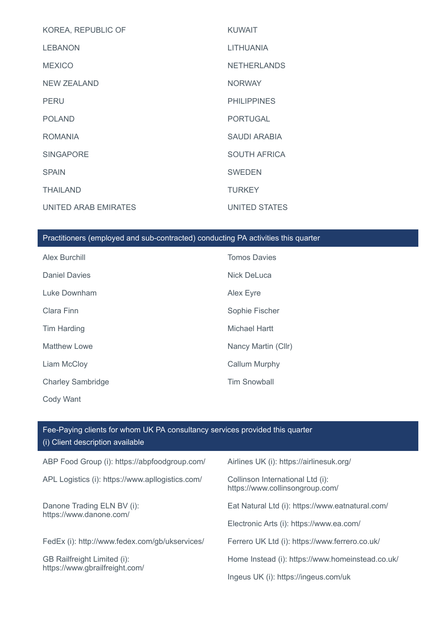| KOREA, REPUBLIC OF   | <b>KUWAIT</b>       |
|----------------------|---------------------|
| <b>LEBANON</b>       | <b>LITHUANIA</b>    |
| <b>MEXICO</b>        | <b>NETHERLANDS</b>  |
| NEW ZEALAND          | <b>NORWAY</b>       |
| <b>PERU</b>          | <b>PHILIPPINES</b>  |
| <b>POLAND</b>        | <b>PORTUGAL</b>     |
| <b>ROMANIA</b>       | <b>SAUDI ARABIA</b> |
| <b>SINGAPORE</b>     | <b>SOUTH AFRICA</b> |
| <b>SPAIN</b>         | <b>SWEDEN</b>       |
| <b>THAILAND</b>      | <b>TURKEY</b>       |
| UNITED ARAB EMIRATES | UNITED STATES       |

### Practitioners (employed and sub-contracted) conducting PA activities this quarter

| Alex Burchill            | <b>Tomos Davies</b>  |
|--------------------------|----------------------|
| <b>Daniel Davies</b>     | <b>Nick DeLuca</b>   |
| Luke Downham             | Alex Eyre            |
| Clara Finn               | Sophie Fischer       |
| Tim Harding              | Michael Hartt        |
| <b>Matthew Lowe</b>      | Nancy Martin (Cllr)  |
| Liam McCloy              | <b>Callum Murphy</b> |
| <b>Charley Sambridge</b> | <b>Tim Snowball</b>  |
| Cody Want                |                      |

### ABP Food Group (i): https://abpfoodgroup.com/ Airlines UK (i): https://airlinesuk.org/ APL Logistics (i): https://www.apllogistics.com/ Collinson International Ltd (i): https://www.collinsongroup.com/ Danone Trading ELN BV (i): https://www.danone.com/ Eat Natural Ltd (i): https://www.eatnatural.com/ Electronic Arts (i): https://www.ea.com/ FedEx (i): http://www.fedex.com/gb/ukservices/ Ferrero UK Ltd (i): https://www.ferrero.co.uk/ GB Railfreight Limited (i): https://www.gbrailfreight.com/ Home Instead (i): https://www.homeinstead.co.uk/ Ingeus UK (i): https://ingeus.com/uk Fee-Paying clients for whom UK PA consultancy services provided this quarter (i) Client description available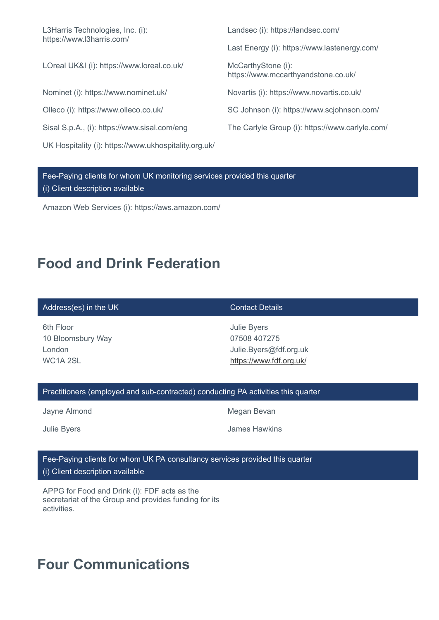L3Harris Technologies, Inc. (i): https://www.l3harris.com/

LOreal UK&I (i): https://www.loreal.co.uk/ McCarthyStone (i):

UK Hospitality (i): https://www.ukhospitality.org.uk/

Landsec (i): https://landsec.com/

Last Energy (i): https://www.lastenergy.com/

https://www.mccarthyandstone.co.uk/

Nominet (i): https://www.nominet.uk/ Novartis (i): https://www.novartis.co.uk/

Olleco (i): https://www.olleco.co.uk/ SC Johnson (i): https://www.scjohnson.com/

Sisal S.p.A., (i): https://www.sisal.com/eng The Carlyle Group (i): https://www.carlyle.com/

Fee-Paying clients for whom UK monitoring services provided this quarter (i) Client description available

Amazon Web Services (i): https://aws.amazon.com/

## **Food and Drink Federation**

### Address(es) in the UK Contact Details

6th Floor 10 Bloomsbury Way London WC<sub>1</sub>A<sub>2SL</sub>

Julie Byers 07508 407275 Julie.Byers@fdf.org.uk <https://www.fdf.org.uk/>

### Practitioners (employed and sub-contracted) conducting PA activities this quarter

Jayne Almond **Megan Bevan** 

Julie Byers James Hawkins

### Fee-Paying clients for whom UK PA consultancy services provided this quarter (i) Client description available

APPG for Food and Drink (i): FDF acts as the secretariat of the Group and provides funding for its activities.

# **Four Communications**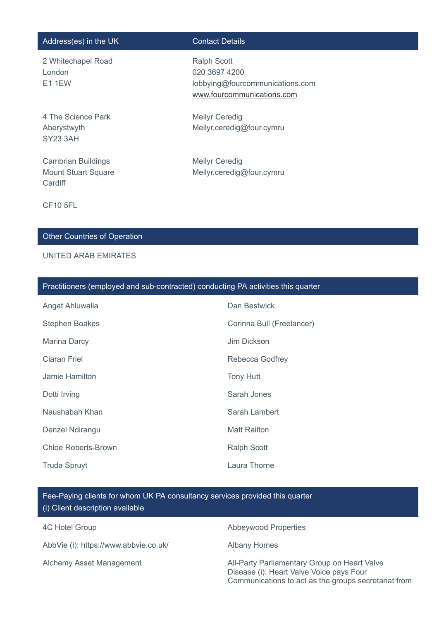### Address(es) in the UK Contact Details

2 Whitechapel Road London E1 1EW

4 The Science Park Aberystwyth SY23 3AH

Cambrian Buildings Mount Stuart Square **Cardiff** 

Ralph Scott 020 3697 4200 lobbying@fourcommunications.com [www.fourcommunications.com](http://www.fourcommunications.com/)

Meilyr Ceredig Meilyr.ceredig@four.cymru

Meilyr Ceredig Meilyr.ceredig@four.cymru

CF10 5FL

### Other Countries of Operation

### UNITED ARAB EMIRATES

|  |  | Practitioners (employed and sub-contracted) conducting PA activities this quarter |  |
|--|--|-----------------------------------------------------------------------------------|--|
|  |  |                                                                                   |  |

| Angat Ahluwalia            | Dan Bestwick              |
|----------------------------|---------------------------|
| <b>Stephen Boakes</b>      | Corinna Bull (Freelancer) |
| Marina Darcy               | Jim Dickson               |
| <b>Ciaran Friel</b>        | Rebecca Godfrey           |
| Jamie Hamilton             | <b>Tony Hutt</b>          |
| Dotti Irving               | Sarah Jones               |
| Naushabah Khan             | Sarah Lambert             |
| Denzel Ndirangu            | <b>Matt Railton</b>       |
| <b>Chloe Roberts-Brown</b> | <b>Ralph Scott</b>        |
| <b>Truda Spruyt</b>        | Laura Thorne              |

Fee-Paying clients for whom UK PA consultancy services provided this quarter (i) Client description available

AbbVie (i): https://www.abbvie.co.uk/ Albany Homes

4C Hotel Group **Abbeywood Properties** 

Alchemy Asset Management **All-Party Parliamentary Group on Heart Valve** Disease (i): Heart Valve Voice pays Four Communications to act as the groups secretariat from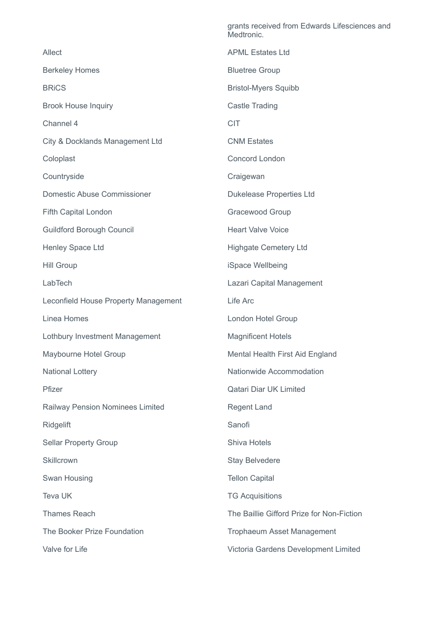|                                      | Medtronic.                                |
|--------------------------------------|-------------------------------------------|
| Allect                               | <b>APML Estates Ltd</b>                   |
| <b>Berkeley Homes</b>                | <b>Bluetree Group</b>                     |
| <b>BRICS</b>                         | <b>Bristol-Myers Squibb</b>               |
| <b>Brook House Inquiry</b>           | <b>Castle Trading</b>                     |
| Channel 4                            | <b>CIT</b>                                |
| City & Docklands Management Ltd      | <b>CNM Estates</b>                        |
| Coloplast                            | <b>Concord London</b>                     |
| Countryside                          | Craigewan                                 |
| <b>Domestic Abuse Commissioner</b>   | <b>Dukelease Properties Ltd</b>           |
| Fifth Capital London                 | Gracewood Group                           |
| <b>Guildford Borough Council</b>     | <b>Heart Valve Voice</b>                  |
| Henley Space Ltd                     | <b>Highgate Cemetery Ltd</b>              |
| <b>Hill Group</b>                    | iSpace Wellbeing                          |
| LabTech                              | Lazari Capital Management                 |
|                                      |                                           |
| Leconfield House Property Management | Life Arc                                  |
| Linea Homes                          | London Hotel Group                        |
| Lothbury Investment Management       | <b>Magnificent Hotels</b>                 |
| Maybourne Hotel Group                | Mental Health First Aid England           |
| <b>National Lottery</b>              | Nationwide Accommodation                  |
| Pfizer                               | <b>Qatari Diar UK Limited</b>             |
| Railway Pension Nominees Limited     | <b>Regent Land</b>                        |
| <b>Ridgelift</b>                     | Sanofi                                    |
| <b>Sellar Property Group</b>         | Shiva Hotels                              |
| Skillcrown                           | <b>Stay Belvedere</b>                     |
| Swan Housing                         | <b>Tellon Capital</b>                     |
| Teva UK                              | <b>TG Acquisitions</b>                    |
| <b>Thames Reach</b>                  | The Baillie Gifford Prize for Non-Fiction |
| The Booker Prize Foundation          | Trophaeum Asset Management                |

grants received from Edwards Lifesciences and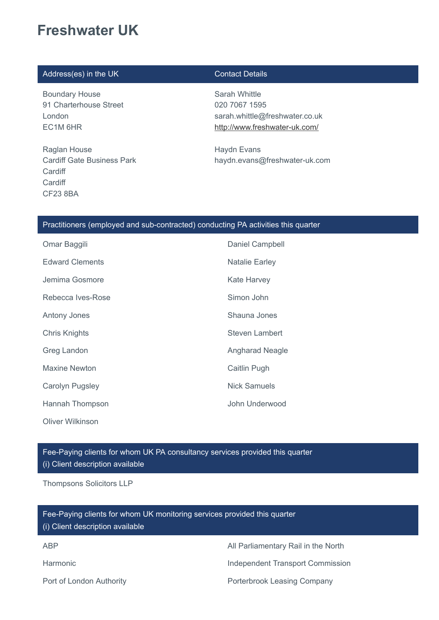# **Freshwater UK**

### Address(es) in the UK Contact Details

Boundary House 91 Charterhouse Street London EC1M 6HR

Raglan House Cardiff Gate Business Park **Cardiff Cardiff** CF23 8BA

Sarah Whittle 020 7067 1595 sarah.whittle@freshwater.co.uk <http://www.freshwater-uk.com/>

Haydn Evans haydn.evans@freshwater-uk.com

### Practitioners (employed and sub-contracted) conducting PA activities this quarter

| Omar Baggili           | Daniel Campbell        |
|------------------------|------------------------|
| <b>Edward Clements</b> | <b>Natalie Earley</b>  |
| Jemima Gosmore         | <b>Kate Harvey</b>     |
| Rebecca Ives-Rose      | Simon John             |
| <b>Antony Jones</b>    | Shauna Jones           |
| <b>Chris Knights</b>   | <b>Steven Lambert</b>  |
| Greg Landon            | <b>Angharad Neagle</b> |
| Maxine Newton          | Caitlin Pugh           |
| Carolyn Pugsley        | <b>Nick Samuels</b>    |
| Hannah Thompson        | John Underwood         |
| Oliver Wilkinson       |                        |

Fee-Paying clients for whom UK PA consultancy services provided this quarter (i) Client description available

Thompsons Solicitors LLP

ABP All Parliamentary Rail in the North Harmonic **Independent Transport Commission** Port of London Authority **Porterbrook Leasing Company** Fee-Paying clients for whom UK monitoring services provided this quarter (i) Client description available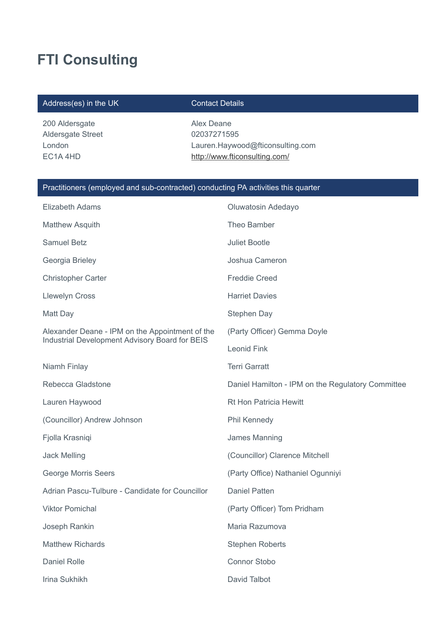# **FTI Consulting**

### Address(es) in the UK Contact Details

200 Aldersgate Aldersgate Street London EC1A 4HD

Alex Deane 02037271595 Lauren.Haywood@fticonsulting.com <http://www.fticonsulting.com/>

### Practitioners (employed and sub-contracted) conducting PA activities this quarter

| Elizabeth Adams                                 | Oluwatosin Adedayo                                |
|-------------------------------------------------|---------------------------------------------------|
| <b>Matthew Asquith</b>                          | Theo Bamber                                       |
| <b>Samuel Betz</b>                              | <b>Juliet Bootle</b>                              |
| Georgia Brieley                                 | Joshua Cameron                                    |
| <b>Christopher Carter</b>                       | <b>Freddie Creed</b>                              |
| <b>Llewelyn Cross</b>                           | <b>Harriet Davies</b>                             |
| Matt Day                                        | Stephen Day                                       |
| Alexander Deane - IPM on the Appointment of the | (Party Officer) Gemma Doyle                       |
| Industrial Development Advisory Board for BEIS  | <b>Leonid Fink</b>                                |
| Niamh Finlay                                    | <b>Terri Garratt</b>                              |
| Rebecca Gladstone                               | Daniel Hamilton - IPM on the Regulatory Committee |
| Lauren Haywood                                  | <b>Rt Hon Patricia Hewitt</b>                     |
| (Councillor) Andrew Johnson                     | Phil Kennedy                                      |
| Fjolla Krasniqi                                 | James Manning                                     |
| <b>Jack Melling</b>                             | (Councillor) Clarence Mitchell                    |
| <b>George Morris Seers</b>                      | (Party Office) Nathaniel Ogunniyi                 |
| Adrian Pascu-Tulbure - Candidate for Councillor | <b>Daniel Patten</b>                              |
| <b>Viktor Pomichal</b>                          | (Party Officer) Tom Pridham                       |
| Joseph Rankin                                   | Maria Razumova                                    |
| <b>Matthew Richards</b>                         | <b>Stephen Roberts</b>                            |
| <b>Daniel Rolle</b>                             | <b>Connor Stobo</b>                               |
| Irina Sukhikh                                   | David Talbot                                      |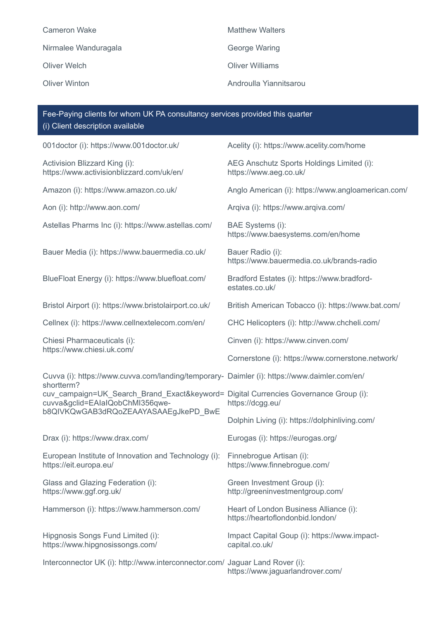Cameron Wake **Matthew Walters** Matthew Walters Nirmalee Wanduragala **George Waring** Oliver Welch Oliver Williams Oliver Winton Androulla Yiannitsarou

001doctor (i): https://www.001doctor.uk/ Acelity (i): https://www.acelity.com/home Activision Blizzard King (i): https://www.activisionblizzard.com/uk/en/ AEG Anschutz Sports Holdings Limited (i): https://www.aeg.co.uk/ Amazon (i): https://www.amazon.co.uk/ Anglo American (i): https://www.angloamerican.com/ Aon (i): http://www.aon.com/ Arqiva (i): https://www.arqiva.com/ Astellas Pharms Inc (i): https://www.astellas.com/ BAE Systems (i): https://www.baesystems.com/en/home Bauer Media (i): https://www.bauermedia.co.uk/ Bauer Radio (i): https://www.bauermedia.co.uk/brands-radio BlueFloat Energy (i): https://www.bluefloat.com/ Bradford Estates (i): https://www.bradfordestates.co.uk/ Bristol Airport (i): https://www.bristolairport.co.uk/ British American Tobacco (i): https://www.bat.com/ Cellnex (i): https://www.cellnextelecom.com/en/ CHC Helicopters (i): http://www.chcheli.com/ Chiesi Pharmaceuticals (i): https://www.chiesi.uk.com/ Cinven (i): https://www.cinven.com/ Cornerstone (i): https://www.cornerstone.network/ Cuvva (i): https://www.cuvva.com/landing/temporary-Daimler (i): https://www.daimler.com/en/ shortterm? cuv\_campaign=UK\_Search\_Brand\_Exact&keyword= Digital Currencies Governance Group (i): cuvva&gclid=EAIaIQobChMI356qweb8QIVKQwGAB3dRQoZEAAYASAAEgJkePD\_BwE https://dcgg.eu/ Dolphin Living (i): https://dolphinliving.com/ Drax (i): https://www.drax.com/ Eurogas (i): https://eurogas.org/ European Institute of Innovation and Technology (i): https://eit.europa.eu/ Finnebrogue Artisan (i): https://www.finnebrogue.com/ Glass and Glazing Federation (i): https://www.ggf.org.uk/ Green Investment Group (i): http://greeninvestmentgroup.com/ Hammerson (i): https://www.hammerson.com/ Heart of London Business Alliance (i): https://heartoflondonbid.london/ Hipgnosis Songs Fund Limited (i): https://www.hipgnosissongs.com/ Impact Capital Goup (i): https://www.impactcapital.co.uk/ Interconnector UK (i): http://www.interconnector.com/ Jaguar Land Rover (i): Fee-Paying clients for whom UK PA consultancy services provided this quarter (i) Client description available

https://www.jaguarlandrover.com/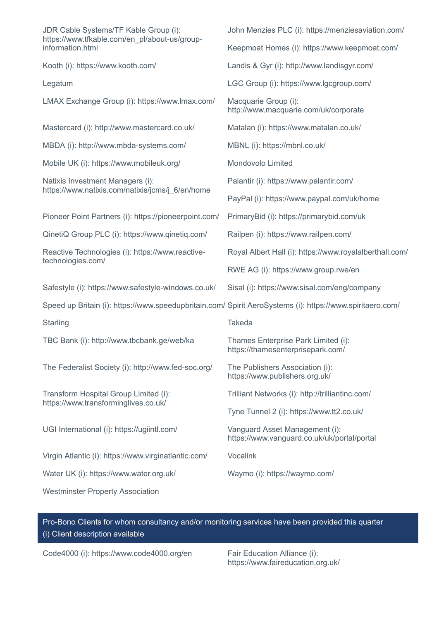| JDR Cable Systems/TF Kable Group (i):<br>https://www.tfkable.com/en pl/about-us/group-                    | John Menzies PLC (i): https://menziesaviation.com/                            |
|-----------------------------------------------------------------------------------------------------------|-------------------------------------------------------------------------------|
| information.html                                                                                          | Keepmoat Homes (i): https://www.keepmoat.com/                                 |
| Kooth (i): https://www.kooth.com/                                                                         | Landis & Gyr (i): http://www.landisgyr.com/                                   |
| Legatum                                                                                                   | LGC Group (i): https://www.lgcgroup.com/                                      |
| LMAX Exchange Group (i): https://www.lmax.com/                                                            | Macquarie Group (i):<br>http://www.macquarie.com/uk/corporate                 |
| Mastercard (i): http://www.mastercard.co.uk/                                                              | Matalan (i): https://www.matalan.co.uk/                                       |
| MBDA (i): http://www.mbda-systems.com/                                                                    | MBNL (i): https://mbnl.co.uk/                                                 |
| Mobile UK (i): https://www.mobileuk.org/                                                                  | Mondovolo Limited                                                             |
| Natixis Investment Managers (i):                                                                          | Palantir (i): https://www.palantir.com/                                       |
| https://www.natixis.com/natixis/jcms/j_6/en/home                                                          | PayPal (i): https://www.paypal.com/uk/home                                    |
| Pioneer Point Partners (i): https://pioneerpoint.com/                                                     | PrimaryBid (i): https://primarybid.com/uk                                     |
| QinetiQ Group PLC (i): https://www.qinetiq.com/                                                           | Railpen (i): https://www.railpen.com/                                         |
| Reactive Technologies (i): https://www.reactive-                                                          | Royal Albert Hall (i): https://www.royalalberthall.com/                       |
| technologies.com/                                                                                         | RWE AG (i): https://www.group.rwe/en                                          |
| Safestyle (i): https://www.safestyle-windows.co.uk/                                                       | Sisal (i): https://www.sisal.com/eng/company                                  |
| Speed up Britain (i): https://www.speedupbritain.com/ Spirit AeroSystems (i): https://www.spiritaero.com/ |                                                                               |
| Starling                                                                                                  | Takeda                                                                        |
| TBC Bank (i): http://www.tbcbank.ge/web/ka                                                                | Thames Enterprise Park Limited (i):<br>https://thamesenterprisepark.com/      |
| The Federalist Society (i): http://www.fed-soc.org/                                                       | The Publishers Association (i):<br>https://www.publishers.org.uk/             |
| Transform Hospital Group Limited (i):                                                                     | Trilliant Networks (i): http://trilliantinc.com/                              |
| https://www.transforminglives.co.uk/                                                                      | Tyne Tunnel 2 (i): https://www.tt2.co.uk/                                     |
| UGI International (i): https://ugiintl.com/                                                               | Vanguard Asset Management (i):<br>https://www.vanguard.co.uk/uk/portal/portal |
| Virgin Atlantic (i): https://www.virginatlantic.com/                                                      | Vocalink                                                                      |
| Water UK (i): https://www.water.org.uk/                                                                   | Waymo (i): https://waymo.com/                                                 |
| <b>Westminster Property Association</b>                                                                   |                                                                               |

Pro-Bono Clients for whom consultancy and/or monitoring services have been provided this quarter (i) Client description available

Code4000 (i): https://www.code4000.org/en

Fair Education Alliance (i):<br>https://www.faireducation.org.uk/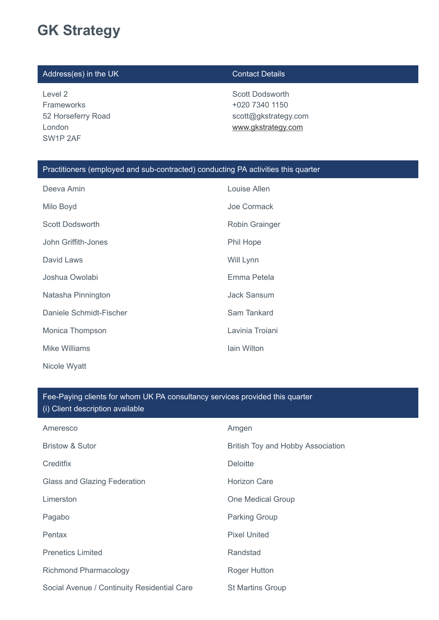# **GK Strategy**

### Address(es) in the UK Contact Details

Level 2 Frameworks 52 Horseferry Road London SW1P 2AF

Scott Dodsworth +020 7340 1150 scott@gkstrategy.com [www.gkstrategy.com](http://www.gkstrategy.com/)

### Practitioners (employed and sub-contracted) conducting PA activities this quarter

| Deeva Amin              | Louise Allen       |
|-------------------------|--------------------|
| Milo Boyd               | Joe Cormack        |
| <b>Scott Dodsworth</b>  | Robin Grainger     |
| John Griffith-Jones     | Phil Hope          |
| David Laws              | Will Lynn          |
| Joshua Owolabi          | Emma Petela        |
| Natasha Pinnington      | <b>Jack Sansum</b> |
| Daniele Schmidt-Fischer | Sam Tankard        |
| Monica Thompson         | Lavinia Troiani    |
| Mike Williams           | lain Wilton        |
| Nicole Wyatt            |                    |

### Fee-Paying clients for whom UK PA consultancy services provided this quarter (i) Client description available

| Ameresco                                    | Amgen                             |
|---------------------------------------------|-----------------------------------|
| <b>Bristow &amp; Sutor</b>                  | British Toy and Hobby Association |
| Creditfix                                   | <b>Deloitte</b>                   |
| <b>Glass and Glazing Federation</b>         | <b>Horizon Care</b>               |
| Limerston                                   | One Medical Group                 |
| Pagabo                                      | <b>Parking Group</b>              |
| Pentax                                      | <b>Pixel United</b>               |
| <b>Prenetics Limited</b>                    | Randstad                          |
| <b>Richmond Pharmacology</b>                | <b>Roger Hutton</b>               |
| Social Avenue / Continuity Residential Care | <b>St Martins Group</b>           |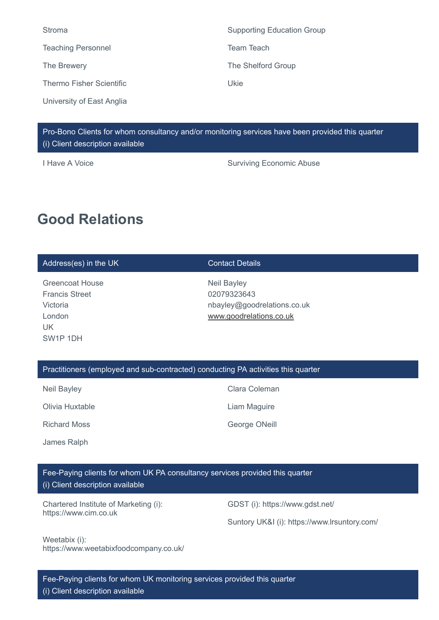| Stroma                          | <b>Supporting Education Group</b> |
|---------------------------------|-----------------------------------|
| <b>Teaching Personnel</b>       | Team Teach                        |
| The Brewery                     | The Shelford Group                |
| <b>Thermo Fisher Scientific</b> | Ukie                              |
| University of East Anglia       |                                   |

Pro-Bono Clients for whom consultancy and/or monitoring services have been provided this quarter (i) Client description available

I Have A Voice **Surviving Economic Abuse** 

## **Good Relations**

### Address(es) in the UK Contact Details

Greencoat House Francis Street Victoria London UK SW1P 1DH

Neil Bayley 02079323643 nbayley@goodrelations.co.uk [www.goodrelations.co.uk](http://www.goodrelations.co.uk/)

### Practitioners (employed and sub-contracted) conducting PA activities this quarter

Neil Bayley **Clara Coleman** 

Olivia Huxtable Liam Maguire

Richard Moss **George ONeill** 

James Ralph

Fee-Paying clients for whom UK PA consultancy services provided this quarter

(i) Client description available

Chartered Institute of Marketing (i): https://www.cim.co.uk

GDST (i): https://www.gdst.net/

Suntory UK&I (i): https://www.lrsuntory.com/

Weetabix (i): https://www.weetabixfoodcompany.co.uk/

Fee-Paying clients for whom UK monitoring services provided this quarter (i) Client description available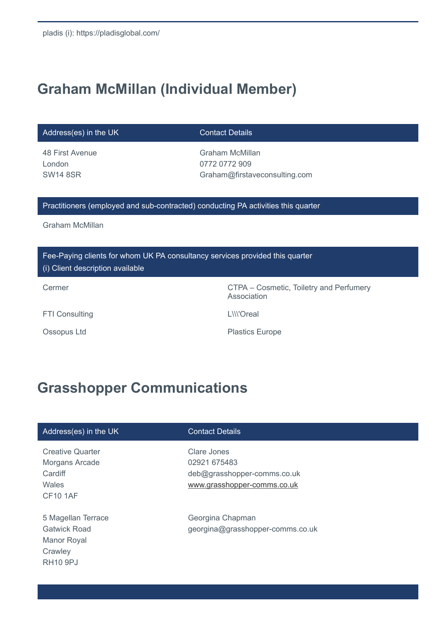# **Graham McMillan (Individual Member)**

Address(es) in the UK Contact Details

48 First Avenue London SW14 8SR

Graham McMillan 0772 0772 909 Graham@firstaveconsulting.com

### Practitioners (employed and sub-contracted) conducting PA activities this quarter

Graham McMillan

Fee-Paying clients for whom UK PA consultancy services provided this quarter (i) Client description available

Cermer Cermer Cosmetic, Toiletry and Perfumery Association

FTI Consulting LAND LAND EXAMPLE LAND CONSULTING THE LAND CONSUMING A LAND CONSUMING A LAND CONSUMING A LAND CONSUMING A LAND CONSUMING A LAND CONSUMING A LAND CONSUMING A LAND CONSUMING A LAND CONSUMING A LAND CONSUMING A

Ossopus Ltd **Plastics Europe** 

# **Grasshopper Communications**

### Address(es) in the UK Contact Details

Creative Quarter Morgans Arcade **Cardiff Wales** CF10 1AF

5 Magellan Terrace Gatwick Road Manor Royal **Crawley** RH10 9PJ

Clare Jones 02921 675483 deb@grasshopper-comms.co.uk [www.grasshopper-comms.co.uk](http://www.grasshopper-comms.co.uk/)

Georgina Chapman georgina@grasshopper-comms.co.uk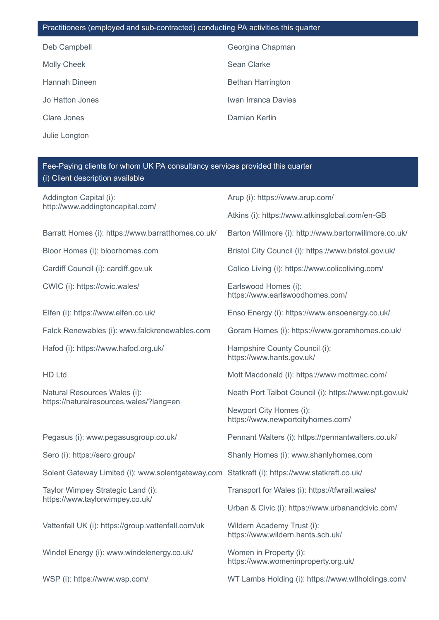| Practitioners (employed and sub-contracted) conducting PA activities this quarter |                          |
|-----------------------------------------------------------------------------------|--------------------------|
| Deb Campbell                                                                      | Georgina Chapman         |
| <b>Molly Cheek</b>                                                                | Sean Clarke              |
| Hannah Dineen                                                                     | <b>Bethan Harrington</b> |
| Jo Hatton Jones                                                                   | Iwan Irranca Davies      |
| Clare Jones                                                                       | Damian Kerlin            |
| Julie Longton                                                                     |                          |

## Fee-Paying clients for whom UK PA consultancy services provided this quarter (i) Client description available

| Addington Capital (i):<br>http://www.addingtoncapital.com/                                    | Arup (i): https://www.arup.com/                                 |  |
|-----------------------------------------------------------------------------------------------|-----------------------------------------------------------------|--|
|                                                                                               | Atkins (i): https://www.atkinsglobal.com/en-GB                  |  |
| Barratt Homes (i): https://www.barratthomes.co.uk/                                            | Barton Willmore (i): http://www.bartonwillmore.co.uk/           |  |
| Bloor Homes (i): bloorhomes.com                                                               | Bristol City Council (i): https://www.bristol.gov.uk/           |  |
| Cardiff Council (i): cardiff.gov.uk                                                           | Colico Living (i): https://www.colicoliving.com/                |  |
| CWIC (i): https://cwic.wales/                                                                 | Earlswood Homes (i):<br>https://www.earlswoodhomes.com/         |  |
| Elfen (i): https://www.elfen.co.uk/                                                           | Enso Energy (i): https://www.ensoenergy.co.uk/                  |  |
| Falck Renewables (i): www.falckrenewables.com                                                 | Goram Homes (i): https://www.goramhomes.co.uk/                  |  |
| Hafod (i): https://www.hafod.org.uk/                                                          | Hampshire County Council (i):<br>https://www.hants.gov.uk/      |  |
| <b>HD Ltd</b>                                                                                 | Mott Macdonald (i): https://www.mottmac.com/                    |  |
| Natural Resources Wales (i):                                                                  | Neath Port Talbot Council (i): https://www.npt.gov.uk/          |  |
| https://naturalresources.wales/?lang=en                                                       | Newport City Homes (i):<br>https://www.newportcityhomes.com/    |  |
| Pegasus (i): www.pegasusgroup.co.uk/                                                          | Pennant Walters (i): https://pennantwalters.co.uk/              |  |
| Sero (i): https://sero.group/                                                                 | Shanly Homes (i): www.shanlyhomes.com                           |  |
| Solent Gateway Limited (i): www.solentgateway.com Statkraft (i): https://www.statkraft.co.uk/ |                                                                 |  |
| Taylor Wimpey Strategic Land (i):                                                             | Transport for Wales (i): https://tfwrail.wales/                 |  |
| https://www.taylorwimpey.co.uk/                                                               | Urban & Civic (i): https://www.urbanandcivic.com/               |  |
| Vattenfall UK (i): https://group.vattenfall.com/uk                                            | Wildern Academy Trust (i):<br>https://www.wildern.hants.sch.uk/ |  |
| Windel Energy (i): www.windelenergy.co.uk/                                                    | Women in Property (i):<br>https://www.womeninproperty.org.uk/   |  |
| WSP (i): https://www.wsp.com/                                                                 | WT Lambs Holding (i): https://www.wtlholdings.com/              |  |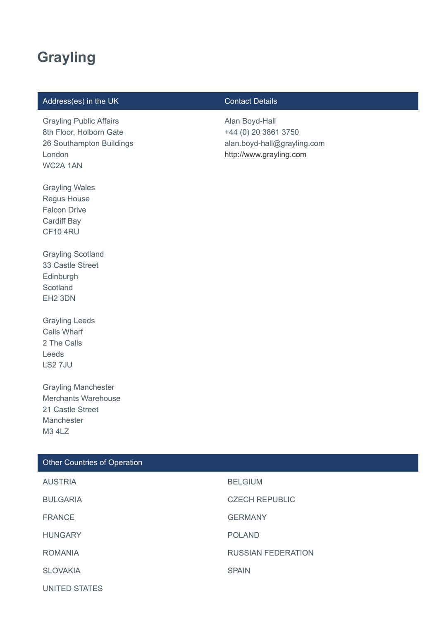## **Grayling**

### Address(es) in the UK Contact Details

Grayling Public Affairs 8th Floor, Holborn Gate 26 Southampton Buildings London WC2A 1AN

Alan Boyd-Hall +44 (0) 20 3861 3750 alan.boyd-hall@grayling.com [http://www.grayling.com](http://www.grayling.com/)

Regus House Falcon Drive Cardiff Bay CF10 4RU

Grayling Wales

Grayling Scotland 33 Castle Street Edinburgh **Scotland** EH2 3DN

Grayling Leeds Calls Wharf 2 The Calls Leeds LS2 7JU

Grayling Manchester Merchants Warehouse 21 Castle Street Manchester M3 4LZ

| Other Countries of Operation |                           |
|------------------------------|---------------------------|
| <b>AUSTRIA</b>               | <b>BELGIUM</b>            |
| <b>BULGARIA</b>              | <b>CZECH REPUBLIC</b>     |
| <b>FRANCE</b>                | <b>GERMANY</b>            |
| <b>HUNGARY</b>               | <b>POLAND</b>             |
| <b>ROMANIA</b>               | <b>RUSSIAN FEDERATION</b> |
| <b>SLOVAKIA</b>              | <b>SPAIN</b>              |
| <b>UNITED STATES</b>         |                           |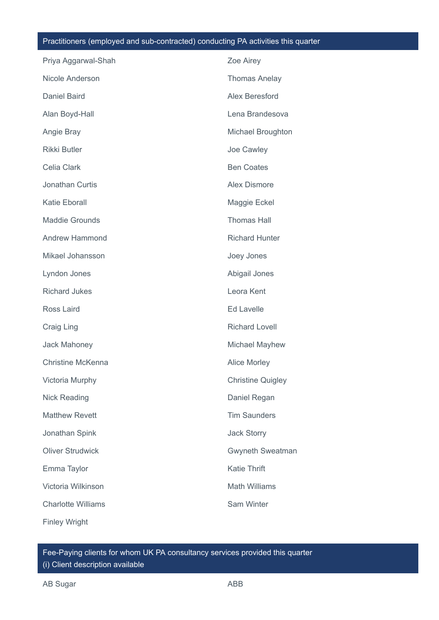### Practitioners (employed and sub-contracted) conducting PA activities this quarter

| Priya Aggarwal-Shah       | Zoe Airey                |
|---------------------------|--------------------------|
| Nicole Anderson           | <b>Thomas Anelay</b>     |
| <b>Daniel Baird</b>       | Alex Beresford           |
| Alan Boyd-Hall            | Lena Brandesova          |
| Angie Bray                | Michael Broughton        |
| <b>Rikki Butler</b>       | Joe Cawley               |
| Celia Clark               | <b>Ben Coates</b>        |
| Jonathan Curtis           | <b>Alex Dismore</b>      |
| <b>Katie Eborall</b>      | Maggie Eckel             |
| <b>Maddie Grounds</b>     | <b>Thomas Hall</b>       |
| <b>Andrew Hammond</b>     | <b>Richard Hunter</b>    |
| Mikael Johansson          | Joey Jones               |
| Lyndon Jones              | Abigail Jones            |
| <b>Richard Jukes</b>      | Leora Kent               |
| Ross Laird                | <b>Ed Lavelle</b>        |
| Craig Ling                | <b>Richard Lovell</b>    |
| <b>Jack Mahoney</b>       | Michael Mayhew           |
| <b>Christine McKenna</b>  | <b>Alice Morley</b>      |
| Victoria Murphy           | <b>Christine Quigley</b> |
| <b>Nick Reading</b>       | Daniel Regan             |
| <b>Matthew Revett</b>     | <b>Tim Saunders</b>      |
| Jonathan Spink            | <b>Jack Storry</b>       |
| <b>Oliver Strudwick</b>   | Gwyneth Sweatman         |
| Emma Taylor               | <b>Katie Thrift</b>      |
| Victoria Wilkinson        | <b>Math Williams</b>     |
| <b>Charlotte Williams</b> | Sam Winter               |
| <b>Finley Wright</b>      |                          |

Fee-Paying clients for whom UK PA consultancy services provided this quarter (i) Client description available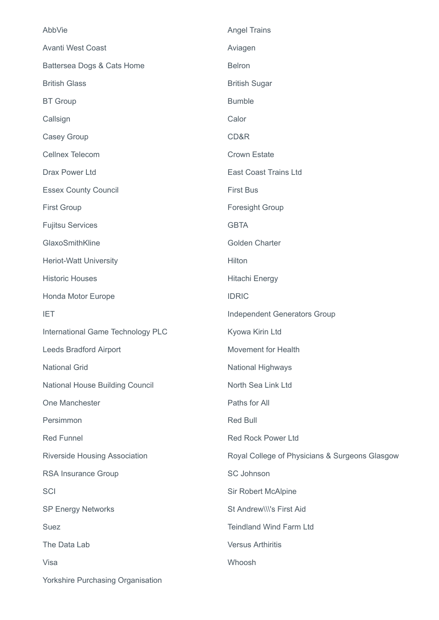| AbbVie                                 | <b>Angel Trains</b>                            |
|----------------------------------------|------------------------------------------------|
| <b>Avanti West Coast</b>               | Aviagen                                        |
| Battersea Dogs & Cats Home             | <b>Belron</b>                                  |
| <b>British Glass</b>                   | <b>British Sugar</b>                           |
| <b>BT</b> Group                        | <b>Bumble</b>                                  |
| Callsign                               | Calor                                          |
| Casey Group                            | CD&R                                           |
| <b>Cellnex Telecom</b>                 | <b>Crown Estate</b>                            |
| <b>Drax Power Ltd</b>                  | East Coast Trains Ltd                          |
| <b>Essex County Council</b>            | <b>First Bus</b>                               |
| <b>First Group</b>                     | <b>Foresight Group</b>                         |
| <b>Fujitsu Services</b>                | <b>GBTA</b>                                    |
| GlaxoSmithKline                        | <b>Golden Charter</b>                          |
| <b>Heriot-Watt University</b>          | Hilton                                         |
| <b>Historic Houses</b>                 | <b>Hitachi Energy</b>                          |
| Honda Motor Europe                     | <b>IDRIC</b>                                   |
| <b>IET</b>                             | <b>Independent Generators Group</b>            |
| International Game Technology PLC      | Kyowa Kirin Ltd                                |
| Leeds Bradford Airport                 | <b>Movement for Health</b>                     |
| <b>National Grid</b>                   | <b>National Highways</b>                       |
| <b>National House Building Council</b> | North Sea Link Ltd                             |
| One Manchester                         | Paths for All                                  |
| Persimmon                              | <b>Red Bull</b>                                |
| <b>Red Funnel</b>                      | <b>Red Rock Power Ltd</b>                      |
| <b>Riverside Housing Association</b>   | Royal College of Physicians & Surgeons Glasgow |
|                                        |                                                |
| RSA Insurance Group                    | <b>SC Johnson</b>                              |
| SCI                                    | <b>Sir Robert McAlpine</b>                     |
| <b>SP Energy Networks</b>              | St Andrew\\\'s First Aid                       |
| <b>Suez</b>                            | <b>Teindland Wind Farm Ltd</b>                 |
| The Data Lab                           | <b>Versus Arthiritis</b>                       |
| Visa                                   | Whoosh                                         |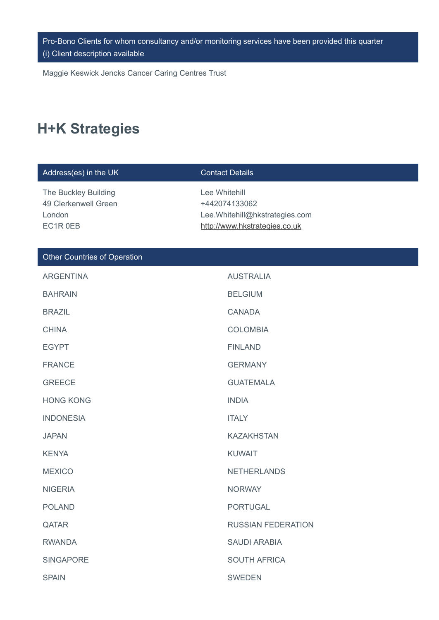Pro-Bono Clients for whom consultancy and/or monitoring services have been provided this quarter (i) Client description available

Maggie Keswick Jencks Cancer Caring Centres Trust

# **H+K Strategies**

| Address(es) in the UK                                              | <b>Contact Details</b>                                                                            |
|--------------------------------------------------------------------|---------------------------------------------------------------------------------------------------|
| The Buckley Building<br>49 Clerkenwell Green<br>London<br>EC1R 0EB | Lee Whitehill<br>+442074133062<br>Lee.Whitehill@hkstrategies.com<br>http://www.hkstrategies.co.uk |
| Other Countries of Operation                                       |                                                                                                   |
| <b>ARGENTINA</b>                                                   | <b>AUSTRALIA</b>                                                                                  |
| <b>BAHRAIN</b>                                                     | <b>BELGIUM</b>                                                                                    |
| <b>BRAZIL</b>                                                      | <b>CANADA</b>                                                                                     |
| <b>CHINA</b>                                                       | <b>COLOMBIA</b>                                                                                   |
| <b>EGYPT</b>                                                       | <b>FINLAND</b>                                                                                    |
| <b>FRANCE</b>                                                      | <b>GERMANY</b>                                                                                    |
| <b>GREECE</b>                                                      | <b>GUATEMALA</b>                                                                                  |
| <b>HONG KONG</b>                                                   | <b>INDIA</b>                                                                                      |
| <b>INDONESIA</b>                                                   | <b>ITALY</b>                                                                                      |
| <b>JAPAN</b>                                                       | <b>KAZAKHSTAN</b>                                                                                 |
| <b>KENYA</b>                                                       | <b>KUWAIT</b>                                                                                     |
| <b>MEXICO</b>                                                      | <b>NETHERLANDS</b>                                                                                |
| <b>NIGERIA</b>                                                     | <b>NORWAY</b>                                                                                     |
| <b>POLAND</b>                                                      | <b>PORTUGAL</b>                                                                                   |
| QATAR                                                              | <b>RUSSIAN FEDERATION</b>                                                                         |
| <b>RWANDA</b>                                                      | <b>SAUDI ARABIA</b>                                                                               |
| <b>SINGAPORE</b>                                                   | <b>SOUTH AFRICA</b>                                                                               |
| <b>SPAIN</b>                                                       | <b>SWEDEN</b>                                                                                     |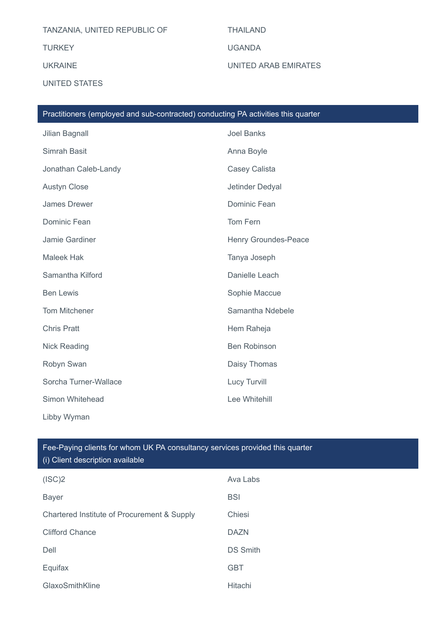## TANZANIA, UNITED REPUBLIC OF THAILAND

UNITED STATES

TURKEY UGANDA

UKRAINE UNITED ARAB EMIRATES

| Practitioners (employed and sub-contracted) conducting PA activities this quarter |                      |  |
|-----------------------------------------------------------------------------------|----------------------|--|
| Jilian Bagnall                                                                    | <b>Joel Banks</b>    |  |
| Simrah Basit                                                                      | Anna Boyle           |  |
| Jonathan Caleb-Landy                                                              | Casey Calista        |  |
| <b>Austyn Close</b>                                                               | Jetinder Dedyal      |  |
| <b>James Drewer</b>                                                               | Dominic Fean         |  |
| Dominic Fean                                                                      | Tom Fern             |  |
| Jamie Gardiner                                                                    | Henry Groundes-Peace |  |
| <b>Maleek Hak</b>                                                                 | Tanya Joseph         |  |
| Samantha Kilford                                                                  | Danielle Leach       |  |
| <b>Ben Lewis</b>                                                                  | Sophie Maccue        |  |
| Tom Mitchener                                                                     | Samantha Ndebele     |  |
| <b>Chris Pratt</b>                                                                | Hem Raheja           |  |
| <b>Nick Reading</b>                                                               | <b>Ben Robinson</b>  |  |
| Robyn Swan                                                                        | Daisy Thomas         |  |
| Sorcha Turner-Wallace                                                             | Lucy Turvill         |  |
| Simon Whitehead                                                                   | Lee Whitehill        |  |
| Libby Wyman                                                                       |                      |  |

| Fee-Paying clients for whom UK PA consultancy services provided this quarter<br>(i) Client description available |                 |  |
|------------------------------------------------------------------------------------------------------------------|-----------------|--|
| (ISC)2                                                                                                           | Ava Labs        |  |
| <b>Bayer</b>                                                                                                     | <b>BSI</b>      |  |
| Chartered Institute of Procurement & Supply                                                                      | Chiesi          |  |
| <b>Clifford Chance</b>                                                                                           | <b>DAZN</b>     |  |
| Dell                                                                                                             | <b>DS Smith</b> |  |
| Equifax                                                                                                          | <b>GBT</b>      |  |

GlaxoSmithKline Hitachi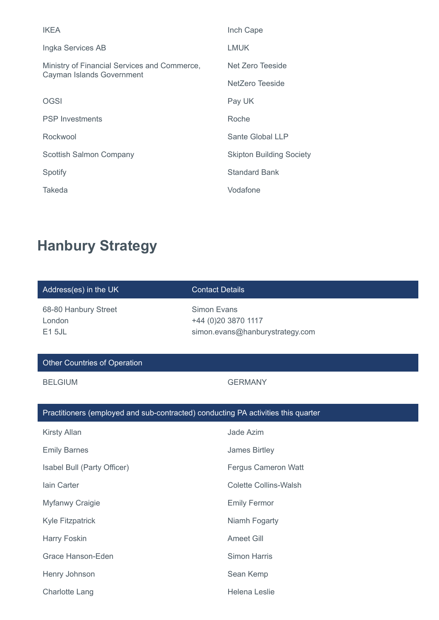| <b>IKEA</b>                                                               | Inch Cape                       |
|---------------------------------------------------------------------------|---------------------------------|
| Ingka Services AB                                                         | <b>LMUK</b>                     |
| Ministry of Financial Services and Commerce,<br>Cayman Islands Government | Net Zero Teeside                |
|                                                                           | NetZero Teeside                 |
| <b>OGSI</b>                                                               | Pay UK                          |
| <b>PSP</b> Investments                                                    | Roche                           |
| Rockwool                                                                  | Sante Global LLP                |
| Scottish Salmon Company                                                   | <b>Skipton Building Society</b> |
| Spotify                                                                   | <b>Standard Bank</b>            |
| Takeda                                                                    | Vodafone                        |

# **Hanbury Strategy**

| Address(es) in the UK                                                             | <b>Contact Details</b>                                                |  |
|-----------------------------------------------------------------------------------|-----------------------------------------------------------------------|--|
| 68-80 Hanbury Street<br>London<br><b>E15JL</b>                                    | Simon Evans<br>+44 (0)20 3870 1117<br>simon.evans@hanburystrategy.com |  |
| <b>Other Countries of Operation</b>                                               |                                                                       |  |
| <b>BELGIUM</b>                                                                    | <b>GERMANY</b>                                                        |  |
|                                                                                   |                                                                       |  |
| Practitioners (employed and sub-contracted) conducting PA activities this quarter |                                                                       |  |
| <b>Kirsty Allan</b>                                                               | Jade Azim                                                             |  |
| <b>Emily Barnes</b>                                                               | James Birtley                                                         |  |
| Isabel Bull (Party Officer)                                                       | <b>Fergus Cameron Watt</b>                                            |  |
| lain Carter                                                                       | <b>Colette Collins-Walsh</b>                                          |  |
| Myfanwy Craigie                                                                   | <b>Emily Fermor</b>                                                   |  |
| Kyle Fitzpatrick                                                                  | Niamh Fogarty                                                         |  |
| Harry Foskin                                                                      | <b>Ameet Gill</b>                                                     |  |
| <b>Grace Hanson-Eden</b>                                                          | <b>Simon Harris</b>                                                   |  |
| Henry Johnson                                                                     | Sean Kemp                                                             |  |
| <b>Charlotte Lang</b>                                                             | <b>Helena Leslie</b>                                                  |  |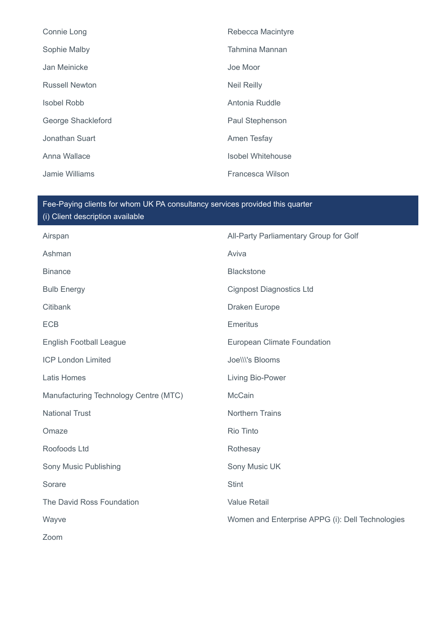| Connie Long           | Rebecca Macintyre        |
|-----------------------|--------------------------|
| Sophie Malby          | Tahmina Mannan           |
| Jan Meinicke          | Joe Moor                 |
| <b>Russell Newton</b> | <b>Neil Reilly</b>       |
| <b>Isobel Robb</b>    | Antonia Ruddle           |
| George Shackleford    | Paul Stephenson          |
| Jonathan Suart        | Amen Tesfay              |
| Anna Wallace          | <b>Isobel Whitehouse</b> |
| Jamie Williams        | Francesca Wilson         |

## Fee-Paying clients for whom UK PA consultancy services provided this quarter (i) Client description available

| Airspan                               | All-Party Parliamentary Group for Golf           |
|---------------------------------------|--------------------------------------------------|
| Ashman                                | Aviva                                            |
| <b>Binance</b>                        | <b>Blackstone</b>                                |
| <b>Bulb Energy</b>                    | <b>Cignpost Diagnostics Ltd</b>                  |
| Citibank                              | Draken Europe                                    |
| <b>ECB</b>                            | <b>Emeritus</b>                                  |
| <b>English Football League</b>        | <b>European Climate Foundation</b>               |
| <b>ICP London Limited</b>             | Joelll's Blooms                                  |
| <b>Latis Homes</b>                    | Living Bio-Power                                 |
| Manufacturing Technology Centre (MTC) | <b>McCain</b>                                    |
| <b>National Trust</b>                 | <b>Northern Trains</b>                           |
| Omaze                                 | Rio Tinto                                        |
| Roofoods Ltd                          | Rothesay                                         |
| Sony Music Publishing                 | Sony Music UK                                    |
| Sorare                                | <b>Stint</b>                                     |
| The David Ross Foundation             | <b>Value Retail</b>                              |
| Wayve                                 | Women and Enterprise APPG (i): Dell Technologies |
| Zoom                                  |                                                  |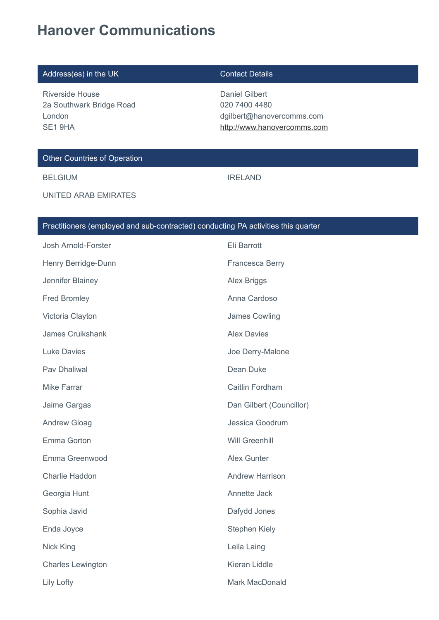# **Hanover Communications**

| Address(es) in the UK                                                        | <b>Contact Details</b>                                                                      |
|------------------------------------------------------------------------------|---------------------------------------------------------------------------------------------|
| Riverside House<br>2a Southwark Bridge Road<br>London<br>SE <sub>1</sub> 9HA | Daniel Gilbert<br>020 7400 4480<br>dgilbert@hanovercomms.com<br>http://www.hanovercomms.com |
| <b>Other Countries of Operation</b>                                          |                                                                                             |
|                                                                              |                                                                                             |

UNITED ARAB EMIRATES

# Practitioners (employed and sub-contracted) conducting PA activities this quarter

BELGIUM **IRELAND** 

| Josh Arnold-Forster      | Eli Barrott              |
|--------------------------|--------------------------|
| Henry Berridge-Dunn      | Francesca Berry          |
| Jennifer Blainey         | <b>Alex Briggs</b>       |
| <b>Fred Bromley</b>      | Anna Cardoso             |
| Victoria Clayton         | James Cowling            |
| James Cruikshank         | <b>Alex Davies</b>       |
| <b>Luke Davies</b>       | Joe Derry-Malone         |
| Pav Dhaliwal             | Dean Duke                |
| <b>Mike Farrar</b>       | Caitlin Fordham          |
| Jaime Gargas             | Dan Gilbert (Councillor) |
| <b>Andrew Gloag</b>      | Jessica Goodrum          |
| Emma Gorton              | <b>Will Greenhill</b>    |
| Emma Greenwood           | <b>Alex Gunter</b>       |
| Charlie Haddon           | <b>Andrew Harrison</b>   |
| Georgia Hunt             | Annette Jack             |
| Sophia Javid             | Dafydd Jones             |
| Enda Joyce               | <b>Stephen Kiely</b>     |
| <b>Nick King</b>         | Leila Laing              |
| <b>Charles Lewington</b> | Kieran Liddle            |
| Lily Lofty               | Mark MacDonald           |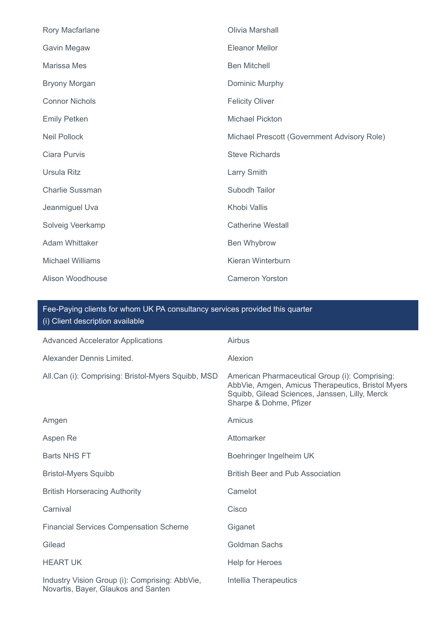| Rory Macfarlane         | Olivia Marshall                             |
|-------------------------|---------------------------------------------|
| Gavin Megaw             | <b>Eleanor Mellor</b>                       |
| Marissa Mes             | <b>Ben Mitchell</b>                         |
| <b>Bryony Morgan</b>    | Dominic Murphy                              |
| <b>Connor Nichols</b>   | <b>Felicity Oliver</b>                      |
| <b>Emily Petken</b>     | <b>Michael Pickton</b>                      |
| <b>Neil Pollock</b>     | Michael Prescott (Government Advisory Role) |
| Ciara Purvis            | <b>Steve Richards</b>                       |
| <b>Ursula Ritz</b>      | Larry Smith                                 |
| <b>Charlie Sussman</b>  | Subodh Tailor                               |
| Jeanmiguel Uva          | Khobi Vallis                                |
| Solveig Veerkamp        | <b>Catherine Westall</b>                    |
| Adam Whittaker          | Ben Whybrow                                 |
| <b>Michael Williams</b> | Kieran Winterburn                           |
| Alison Woodhouse        | <b>Cameron Yorston</b>                      |

| <b>Advanced Accelerator Applications</b>                                              | Airbus                                                                                                                                                                          |
|---------------------------------------------------------------------------------------|---------------------------------------------------------------------------------------------------------------------------------------------------------------------------------|
| Alexander Dennis Limited.                                                             | Alexion                                                                                                                                                                         |
| All.Can (i): Comprising: Bristol-Myers Squibb, MSD                                    | American Pharmaceutical Group (i): Comprising:<br>AbbVie, Amgen, Amicus Therapeutics, Bristol Myers<br>Squibb, Gilead Sciences, Janssen, Lilly, Merck<br>Sharpe & Dohme, Pfizer |
| Amgen                                                                                 | Amicus                                                                                                                                                                          |
| Aspen Re                                                                              | Attomarker                                                                                                                                                                      |
| <b>Barts NHS FT</b>                                                                   | Boehringer Ingelheim UK                                                                                                                                                         |
| <b>Bristol-Myers Squibb</b>                                                           | <b>British Beer and Pub Association</b>                                                                                                                                         |
| <b>British Horseracing Authority</b>                                                  | Camelot                                                                                                                                                                         |
| Carnival                                                                              | Cisco                                                                                                                                                                           |
| <b>Financial Services Compensation Scheme</b>                                         | Giganet                                                                                                                                                                         |
| Gilead                                                                                | <b>Goldman Sachs</b>                                                                                                                                                            |
| <b>HEART UK</b>                                                                       | Help for Heroes                                                                                                                                                                 |
| Industry Vision Group (i): Comprising: AbbVie,<br>Novartis, Bayer, Glaukos and Santen | Intellia Therapeutics                                                                                                                                                           |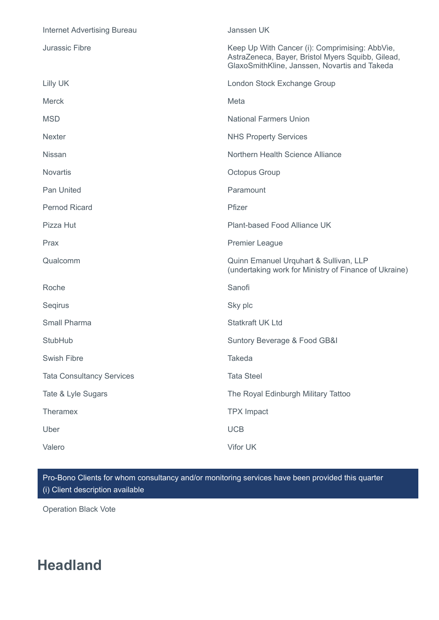| <b>Internet Advertising Bureau</b> | Janssen UK                                                                                                                                           |
|------------------------------------|------------------------------------------------------------------------------------------------------------------------------------------------------|
| Jurassic Fibre                     | Keep Up With Cancer (i): Comprimising: AbbVie,<br>AstraZeneca, Bayer, Bristol Myers Squibb, Gilead,<br>GlaxoSmithKline, Janssen, Novartis and Takeda |
| Lilly UK                           | London Stock Exchange Group                                                                                                                          |
| <b>Merck</b>                       | Meta                                                                                                                                                 |
| <b>MSD</b>                         | <b>National Farmers Union</b>                                                                                                                        |
| <b>Nexter</b>                      | <b>NHS Property Services</b>                                                                                                                         |
| <b>Nissan</b>                      | Northern Health Science Alliance                                                                                                                     |
| <b>Novartis</b>                    | Octopus Group                                                                                                                                        |
| Pan United                         | Paramount                                                                                                                                            |
| <b>Pernod Ricard</b>               | Pfizer                                                                                                                                               |
| Pizza Hut                          | Plant-based Food Alliance UK                                                                                                                         |
| Prax                               | <b>Premier League</b>                                                                                                                                |
| Qualcomm                           | Quinn Emanuel Urquhart & Sullivan, LLP<br>(undertaking work for Ministry of Finance of Ukraine)                                                      |
| Roche                              | Sanofi                                                                                                                                               |
| Segirus                            | Sky plc                                                                                                                                              |
| <b>Small Pharma</b>                | Statkraft UK Ltd                                                                                                                                     |
| StubHub                            | Suntory Beverage & Food GB&I                                                                                                                         |
| Swish Fibre                        | Takeda                                                                                                                                               |
| <b>Tata Consultancy Services</b>   | <b>Tata Steel</b>                                                                                                                                    |
| Tate & Lyle Sugars                 | The Royal Edinburgh Military Tattoo                                                                                                                  |
| Theramex                           | <b>TPX Impact</b>                                                                                                                                    |
| Uber                               | <b>UCB</b>                                                                                                                                           |
| Valero                             | Vifor UK                                                                                                                                             |

Pro-Bono Clients for whom consultancy and/or monitoring services have been provided this quarter (i) Client description available

Operation Black Vote

# **Headland**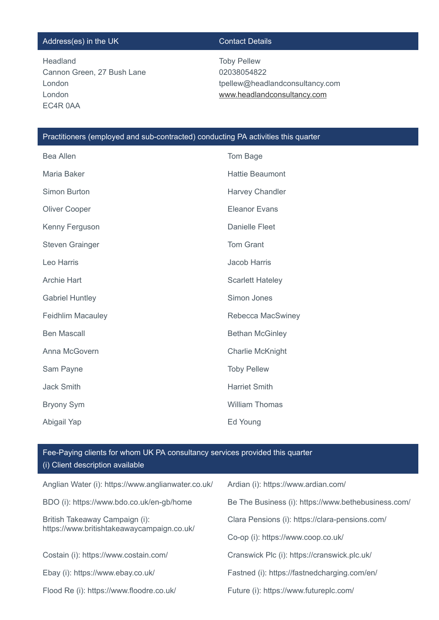## Address(es) in the UK Contact Details

Headland Cannon Green, 27 Bush Lane London London EC4R 0AA

Toby Pellew 02038054822 tpellew@headlandconsultancy.com [www.headlandconsultancy.com](http://www.headlandconsultancy.com/)

## Practitioners (employed and sub-contracted) conducting PA activities this quarter

| <b>Bea Allen</b>         | Tom Bage                |
|--------------------------|-------------------------|
| Maria Baker              | <b>Hattie Beaumont</b>  |
| Simon Burton             | Harvey Chandler         |
| Oliver Cooper            | <b>Eleanor Evans</b>    |
| Kenny Ferguson           | <b>Danielle Fleet</b>   |
| <b>Steven Grainger</b>   | <b>Tom Grant</b>        |
| Leo Harris               | <b>Jacob Harris</b>     |
| <b>Archie Hart</b>       | <b>Scarlett Hateley</b> |
| <b>Gabriel Huntley</b>   | Simon Jones             |
| <b>Feidhlim Macauley</b> | Rebecca MacSwiney       |
| <b>Ben Mascall</b>       | <b>Bethan McGinley</b>  |
| Anna McGovern            | <b>Charlie McKnight</b> |
| Sam Payne                | <b>Toby Pellew</b>      |
| <b>Jack Smith</b>        | <b>Harriet Smith</b>    |
| <b>Bryony Sym</b>        | <b>William Thomas</b>   |
| Abigail Yap              | Ed Young                |

| Anglian Water (i): https://www.anglianwater.co.uk/                           | Ardian (i): https://www.ardian.com/                 |
|------------------------------------------------------------------------------|-----------------------------------------------------|
| BDO (i): https://www.bdo.co.uk/en-gb/home                                    | Be The Business (i): https://www.bethebusiness.com/ |
| British Takeaway Campaign (i):<br>https://www.britishtakeawaycampaign.co.uk/ | Clara Pensions (i): https://clara-pensions.com/     |
|                                                                              | Co-op (i): https://www.coop.co.uk/                  |
| Costain (i): https://www.costain.com/                                        | Cranswick Plc (i): https://cranswick.plc.uk/        |
| Ebay (i): https://www.ebay.co.uk/                                            | Fastned (i): https://fastnedcharging.com/en/        |
| Flood Re (i): https://www.floodre.co.uk/                                     | Future (i): https://www.futureplc.com/              |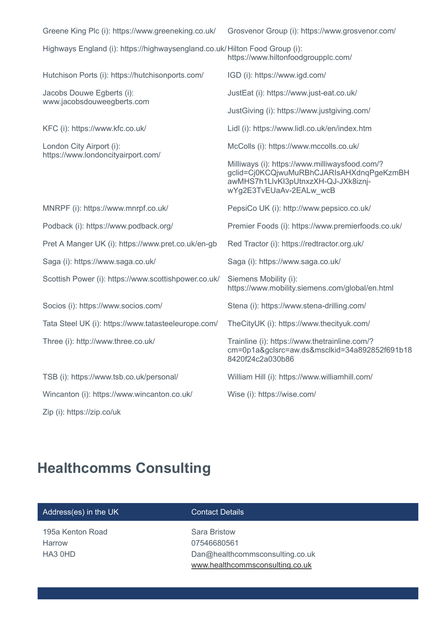| Greene King Plc (i): https://www.greeneking.co.uk/                          | Grosvenor Group (i): https://www.grosvenor.com/                                                                                                              |
|-----------------------------------------------------------------------------|--------------------------------------------------------------------------------------------------------------------------------------------------------------|
| Highways England (i): https://highwaysengland.co.uk/ Hilton Food Group (i): | https://www.hiltonfoodgroupplc.com/                                                                                                                          |
| Hutchison Ports (i): https://hutchisonports.com/                            | IGD (i): https://www.igd.com/                                                                                                                                |
| Jacobs Douwe Egberts (i):<br>www.jacobsdouweegberts.com                     | JustEat (i): https://www.just-eat.co.uk/                                                                                                                     |
|                                                                             | JustGiving (i): https://www.justgiving.com/                                                                                                                  |
| KFC (i): https://www.kfc.co.uk/                                             | Lidl (i): https://www.lidl.co.uk/en/index.htm                                                                                                                |
| London City Airport (i):<br>https://www.londoncityairport.com/              | McColls (i): https://www.mccolls.co.uk/                                                                                                                      |
|                                                                             | Milliways (i): https://www.milliwaysfood.com/?<br>gclid=Cj0KCQjwuMuRBhCJARIsAHXdnqPgeKzmBH<br>awMHS7h1LlvKl3pUtnxzXH-QJ-JXk8iznj-<br>wYg2E3TvEUaAv-2EALw wcB |
| MNRPF (i): https://www.mnrpf.co.uk/                                         | PepsiCo UK (i): http://www.pepsico.co.uk/                                                                                                                    |
| Podback (i): https://www.podback.org/                                       | Premier Foods (i): https://www.premierfoods.co.uk/                                                                                                           |
| Pret A Manger UK (i): https://www.pret.co.uk/en-gb                          | Red Tractor (i): https://redtractor.org.uk/                                                                                                                  |
| Saga (i): https://www.saga.co.uk/                                           | Saga (i): https://www.saga.co.uk/                                                                                                                            |
| Scottish Power (i): https://www.scottishpower.co.uk/                        | Siemens Mobility (i):<br>https://www.mobility.siemens.com/global/en.html                                                                                     |
| Socios (i): https://www.socios.com/                                         | Stena (i): https://www.stena-drilling.com/                                                                                                                   |
| Tata Steel UK (i): https://www.tatasteeleurope.com/                         | TheCityUK (i): https://www.thecityuk.com/                                                                                                                    |
| Three (i): http://www.three.co.uk/                                          | Trainline (i): https://www.thetrainline.com/?<br>cm=0p1a&gclsrc=aw.ds&msclkid=34a892852f691b18<br>8420f24c2a030b86                                           |
| TSB (i): https://www.tsb.co.uk/personal/                                    | William Hill (i): https://www.williamhill.com/                                                                                                               |
| Wincanton (i): https://www.wincanton.co.uk/                                 | Wise (i): https://wise.com/                                                                                                                                  |
| Zip (i): https://zip.co/uk                                                  |                                                                                                                                                              |

# **Healthcomms Consulting**

195a Kenton Road Harrow HA3 0HD

# **Contact Details**

Sara Bristow 07546680561 Dan@healthcommsconsulting.co.uk [www.healthcommsconsulting.co.uk](http://www.healthcommsconsulting.co.uk/)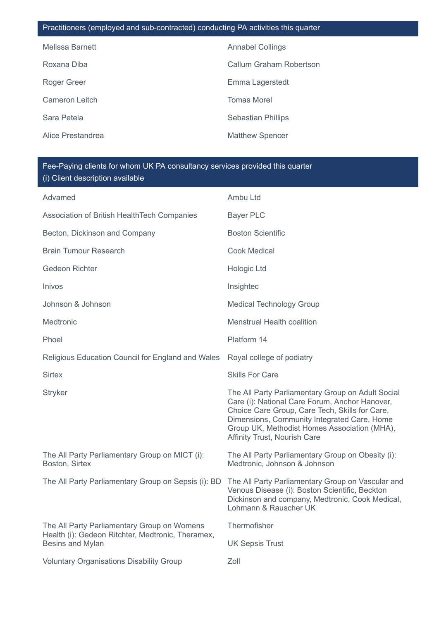## Practitioners (employed and sub-contracted) conducting PA activities this quarter

| Melissa Barnett   | <b>Annabel Collings</b>   |
|-------------------|---------------------------|
| Roxana Diba       | Callum Graham Robertson   |
| Roger Greer       | Emma Lagerstedt           |
| Cameron Leitch    | <b>Tomas Morel</b>        |
| Sara Petela       | <b>Sebastian Phillips</b> |
| Alice Prestandrea | <b>Matthew Spencer</b>    |

| Advamed                                                                                                              | Ambu Ltd                                                                                                                                                                                                                                                                             |
|----------------------------------------------------------------------------------------------------------------------|--------------------------------------------------------------------------------------------------------------------------------------------------------------------------------------------------------------------------------------------------------------------------------------|
| Association of British HealthTech Companies                                                                          | <b>Bayer PLC</b>                                                                                                                                                                                                                                                                     |
| Becton, Dickinson and Company                                                                                        | <b>Boston Scientific</b>                                                                                                                                                                                                                                                             |
| <b>Brain Tumour Research</b>                                                                                         | <b>Cook Medical</b>                                                                                                                                                                                                                                                                  |
| <b>Gedeon Richter</b>                                                                                                | Hologic Ltd                                                                                                                                                                                                                                                                          |
| Inivos                                                                                                               | Insightec                                                                                                                                                                                                                                                                            |
| Johnson & Johnson                                                                                                    | <b>Medical Technology Group</b>                                                                                                                                                                                                                                                      |
| Medtronic                                                                                                            | <b>Menstrual Health coalition</b>                                                                                                                                                                                                                                                    |
| Phoel                                                                                                                | Platform 14                                                                                                                                                                                                                                                                          |
| Religious Education Council for England and Wales                                                                    | Royal college of podiatry                                                                                                                                                                                                                                                            |
| <b>Sirtex</b>                                                                                                        | <b>Skills For Care</b>                                                                                                                                                                                                                                                               |
| <b>Stryker</b>                                                                                                       | The All Party Parliamentary Group on Adult Social<br>Care (i): National Care Forum, Anchor Hanover,<br>Choice Care Group, Care Tech, Skills for Care,<br>Dimensions, Community Integrated Care, Home<br>Group UK, Methodist Homes Association (MHA),<br>Affinity Trust, Nourish Care |
| The All Party Parliamentary Group on MICT (i):<br>Boston, Sirtex                                                     | The All Party Parliamentary Group on Obesity (i):<br>Medtronic, Johnson & Johnson                                                                                                                                                                                                    |
| The All Party Parliamentary Group on Sepsis (i): BD                                                                  | The All Party Parliamentary Group on Vascular and<br>Venous Disease (i): Boston Scientific, Beckton<br>Dickinson and company, Medtronic, Cook Medical,<br>Lohmann & Rauscher UK                                                                                                      |
| The All Party Parliamentary Group on Womens<br>Health (i): Gedeon Ritchter, Medtronic, Theramex,<br>Besins and Mylan | Thermofisher                                                                                                                                                                                                                                                                         |
|                                                                                                                      | <b>UK Sepsis Trust</b>                                                                                                                                                                                                                                                               |
| <b>Voluntary Organisations Disability Group</b>                                                                      | Zoll                                                                                                                                                                                                                                                                                 |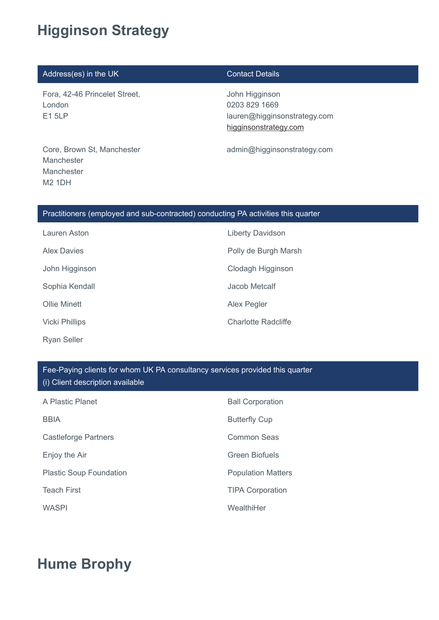# **Higginson Strategy**

## Address(es) in the UK Contact Details

Fora, 42-46 Princelet Street, London E1 5LP

John Higginson 0203 829 1669 lauren@higginsonstrategy.com [higginsonstrategy.com](http://higginsonstrategy.com/)

admin@higginsonstrategy.com

Core, Brown St, Manchester Manchester Manchester M2 1DH

## Practitioners (employed and sub-contracted) conducting PA activities this quarter

| Lauren Aston          | <b>Liberty Davidson</b>    |
|-----------------------|----------------------------|
| <b>Alex Davies</b>    | Polly de Burgh Marsh       |
| John Higginson        | Clodagh Higginson          |
| Sophia Kendall        | Jacob Metcalf              |
| <b>Ollie Minett</b>   | Alex Pegler                |
| <b>Vicki Phillips</b> | <b>Charlotte Radcliffe</b> |
|                       |                            |

Ryan Seller

## Fee-Paying clients for whom UK PA consultancy services provided this quarter (i) Client description available

| A Plastic Planet               | <b>Ball Corporation</b>   |
|--------------------------------|---------------------------|
| <b>BBIA</b>                    | <b>Butterfly Cup</b>      |
| <b>Castleforge Partners</b>    | Common Seas               |
| Enjoy the Air                  | <b>Green Biofuels</b>     |
| <b>Plastic Soup Foundation</b> | <b>Population Matters</b> |
| <b>Teach First</b>             | <b>TIPA Corporation</b>   |
| <b>WASPI</b>                   | WealthiHer                |

# **Hume Brophy**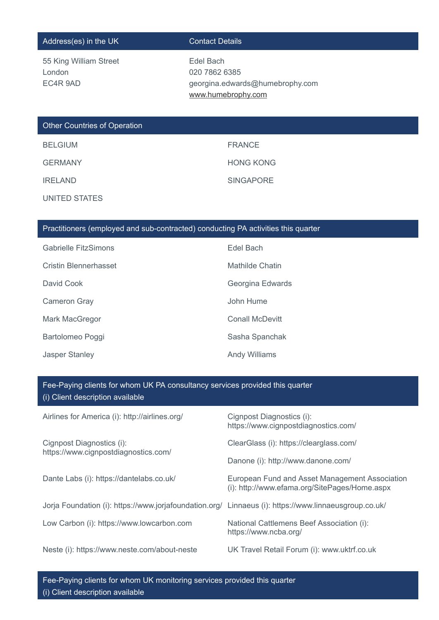## Address(es) in the UK Contact Details

| 55 King William Street |  |
|------------------------|--|
| London                 |  |
| EC4R 9AD               |  |

Edel Bach 020 7862 6385 georgina.edwards@humebrophy.com [www.humebrophy.com](http://www.humebrophy.com/)

# Other Countries of Operation

| <b>BELGIUM</b> | <b>FRANCE</b>    |
|----------------|------------------|
| <b>GERMANY</b> | <b>HONG KONG</b> |
| <b>IRELAND</b> | <b>SINGAPORE</b> |

UNITED STATES

# Practitioners (employed and sub-contracted) conducting PA activities this quarter

| <b>Gabrielle FitzSimons</b> | Edel Bach            |
|-----------------------------|----------------------|
| Cristin Blennerhasset       | Mathilde Chatin      |
| David Cook                  | Georgina Edwards     |
| Cameron Gray                | John Hume            |
| Mark MacGregor              | Conall McDevitt      |
| Bartolomeo Poggi            | Sasha Spanchak       |
| <b>Jasper Stanley</b>       | <b>Andy Williams</b> |

## Fee-Paying clients for whom UK PA consultancy services provided this quarter (i) Client description available

| Airlines for America (i): http://airlines.org/                                                        | Cignpost Diagnostics (i):<br>https://www.cignpostdiagnostics.com/                               |
|-------------------------------------------------------------------------------------------------------|-------------------------------------------------------------------------------------------------|
| Cignpost Diagnostics (i):<br>https://www.cignpostdiagnostics.com/                                     | ClearGlass (i): https://clearglass.com/                                                         |
|                                                                                                       | Danone (i): http://www.danone.com/                                                              |
| Dante Labs (i): https://dantelabs.co.uk/                                                              | European Fund and Asset Management Association<br>(i): http://www.efama.org/SitePages/Home.aspx |
| Jorja Foundation (i): https://www.jorjafoundation.org/ Linnaeus (i): https://www.linnaeusgroup.co.uk/ |                                                                                                 |
| Low Carbon (i): https://www.lowcarbon.com                                                             | National Cattlemens Beef Association (i):<br>https://www.ncba.org/                              |
| Neste (i): https://www.neste.com/about-neste                                                          | UK Travel Retail Forum (i): www.uktrf.co.uk                                                     |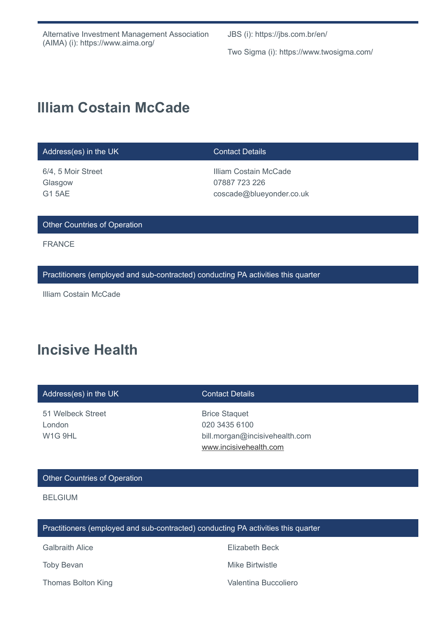JBS (i): https://jbs.com.br/en/

Two Sigma (i): https://www.twosigma.com/

# **Illiam Costain McCade**

## Address(es) in the UK Contact Details

6/4, 5 Moir Street Glasgow G1 5AE

Illiam Costain McCade 07887 723 226 coscade@blueyonder.co.uk

### Other Countries of Operation

FRANCE

Practitioners (employed and sub-contracted) conducting PA activities this quarter

Illiam Costain McCade

# **Incisive Health**

| Address(es) in the UK | <b>Contact Details</b>         |
|-----------------------|--------------------------------|
| 51 Welbeck Street     | <b>Brice Staguet</b>           |
| London                | 020 3435 6100                  |
| W <sub>1G</sub> 9HL   | bill.morgan@incisivehealth.com |

### Other Countries of Operation

BELGIUM

Practitioners (employed and sub-contracted) conducting PA activities this quarter

Galbraith Alice **Elizabeth Beck** 

[www.incisivehealth.com](http://www.incisivehealth.com/)

Toby Bevan **Mike Birtwistle** 

Thomas Bolton King **Valentina Buccoliero** Valentina Buccoliero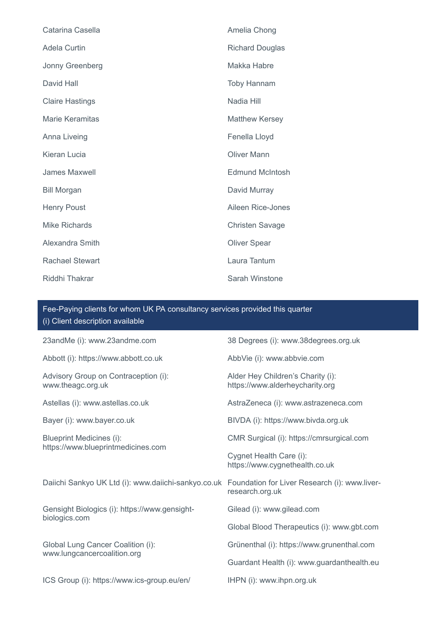| Catarina Casella       | Amelia Chong           |
|------------------------|------------------------|
| Adela Curtin           | <b>Richard Douglas</b> |
| Jonny Greenberg        | Makka Habre            |
| David Hall             | <b>Toby Hannam</b>     |
| <b>Claire Hastings</b> | Nadia Hill             |
| <b>Marie Keramitas</b> | <b>Matthew Kersey</b>  |
| Anna Liveing           | Fenella Lloyd          |
| Kieran Lucia           | <b>Oliver Mann</b>     |
| <b>James Maxwell</b>   | <b>Edmund McIntosh</b> |
| <b>Bill Morgan</b>     | David Murray           |
| <b>Henry Poust</b>     | Aileen Rice-Jones      |
| <b>Mike Richards</b>   | <b>Christen Savage</b> |
| Alexandra Smith        | <b>Oliver Spear</b>    |
| <b>Rachael Stewart</b> | Laura Tantum           |
| Riddhi Thakrar         | Sarah Winstone         |

| 23andMe (i): www.23andme.com                                                                      | 38 Degrees (i): www.38degrees.org.uk                                 |
|---------------------------------------------------------------------------------------------------|----------------------------------------------------------------------|
| Abbott (i): https://www.abbott.co.uk                                                              | AbbVie (i): www.abbvie.com                                           |
| Advisory Group on Contraception (i):<br>www.theagc.org.uk                                         | Alder Hey Children's Charity (i):<br>https://www.alderheycharity.org |
| Astellas (i): www.astellas.co.uk                                                                  | AstraZeneca (i): www.astrazeneca.com                                 |
| Bayer (i): www.bayer.co.uk                                                                        | BIVDA (i): https://www.bivda.org.uk                                  |
| <b>Blueprint Medicines (i):</b><br>https://www.blueprintmedicines.com                             | CMR Surgical (i): https://cmrsurgical.com                            |
|                                                                                                   | Cygnet Health Care (i):<br>https://www.cygnethealth.co.uk            |
| Daiichi Sankyo UK Ltd (i): www.daiichi-sankyo.co.uk Foundation for Liver Research (i): www.liver- | research.org.uk                                                      |
| Gensight Biologics (i): https://www.gensight-                                                     | Gilead (i): www.gilead.com                                           |
| biologics.com                                                                                     | Global Blood Therapeutics (i): www.gbt.com                           |
| Global Lung Cancer Coalition (i):<br>www.lungcancercoalition.org                                  | Grünenthal (i): https://www.grunenthal.com                           |
|                                                                                                   | Guardant Health (i): www.guardanthealth.eu                           |
| ICS Group (i): https://www.ics-group.eu/en/                                                       | IHPN (i): www.ihpn.org.uk                                            |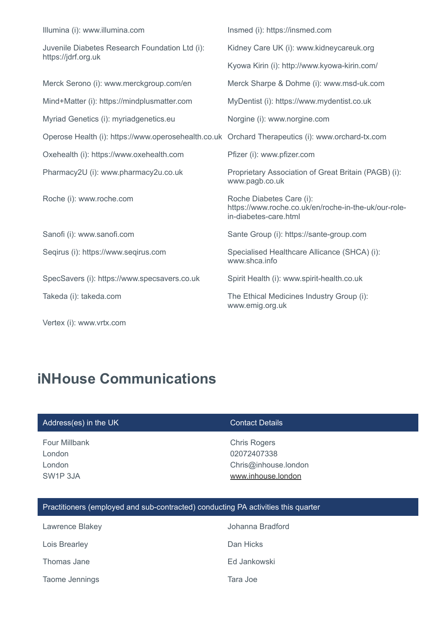| Illumina (i): www.illumina.com                                                                   | Insmed (i): https://insmed.com                                                                            |
|--------------------------------------------------------------------------------------------------|-----------------------------------------------------------------------------------------------------------|
| Juvenile Diabetes Research Foundation Ltd (i):<br>https://jdrf.org.uk                            | Kidney Care UK (i): www.kidneycareuk.org                                                                  |
|                                                                                                  | Kyowa Kirin (i): http://www.kyowa-kirin.com/                                                              |
| Merck Serono (i): www.merckgroup.com/en                                                          | Merck Sharpe & Dohme (i): www.msd-uk.com                                                                  |
| Mind+Matter (i): https://mindplusmatter.com                                                      | MyDentist (i): https://www.mydentist.co.uk                                                                |
| Myriad Genetics (i): myriadgenetics.eu                                                           | Norgine (i): www.norgine.com                                                                              |
| Operose Health (i): https://www.operosehealth.co.uk Orchard Therapeutics (i): www.orchard-tx.com |                                                                                                           |
| Oxehealth (i): https://www.oxehealth.com                                                         | Pfizer (i): www.pfizer.com                                                                                |
| Pharmacy2U (i): www.pharmacy2u.co.uk                                                             | Proprietary Association of Great Britain (PAGB) (i):<br>www.pagb.co.uk                                    |
| Roche (i): www.roche.com                                                                         | Roche Diabetes Care (i):<br>https://www.roche.co.uk/en/roche-in-the-uk/our-role-<br>in-diabetes-care.html |
| Sanofi (i): www.sanofi.com                                                                       | Sante Group (i): https://sante-group.com                                                                  |
| Segirus (i): https://www.segirus.com                                                             | Specialised Healthcare Allicance (SHCA) (i):<br>www.shca.info                                             |
| SpecSavers (i): https://www.specsavers.co.uk                                                     | Spirit Health (i): www.spirit-health.co.uk                                                                |
| Takeda (i): takeda.com                                                                           | The Ethical Medicines Industry Group (i):<br>www.emig.org.uk                                              |
| Vertex (i): www.vrtx.com                                                                         |                                                                                                           |

# **iNHouse Communications**

| Address(es) in the UK                                                             | <b>Contact Details</b>                                                           |
|-----------------------------------------------------------------------------------|----------------------------------------------------------------------------------|
| Four Millbank<br>London<br>London<br>SW <sub>1</sub> P 3JA                        | <b>Chris Rogers</b><br>02072407338<br>Chris@inhouse.london<br>www.inhouse.london |
| Practitioners (employed and sub-contracted) conducting PA activities this quarter |                                                                                  |
|                                                                                   |                                                                                  |

Lawrence Blakey **Vancouver Communist Communist Communist Communist Communist Communist Communist Communist Communist Communist Communist Communist Communist Communist Communist Communist Communist Communist Communist Commu** Lois Brearley **Dan Hicks** Thomas Jane **Ed Jankowski** Taome Jennings Tara Joe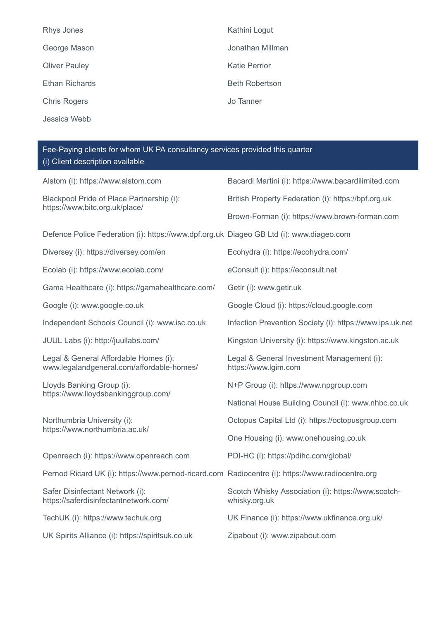| Rhys Jones            | Kathini Logut         |
|-----------------------|-----------------------|
| George Mason          | Jonathan Millman      |
| <b>Oliver Pauley</b>  | <b>Katie Perrior</b>  |
| <b>Ethan Richards</b> | <b>Beth Robertson</b> |
| <b>Chris Rogers</b>   | Jo Tanner             |
| Jessica Webb          |                       |

| Alstom (i): https://www.alstom.com                                                               | Bacardi Martini (i): https://www.bacardilimited.com                 |
|--------------------------------------------------------------------------------------------------|---------------------------------------------------------------------|
| Blackpool Pride of Place Partnership (i):<br>https://www.bitc.org.uk/place/                      | British Property Federation (i): https://bpf.org.uk                 |
|                                                                                                  | Brown-Forman (i): https://www.brown-forman.com                      |
| Defence Police Federation (i): https://www.dpf.org.uk Diageo GB Ltd (i): www.diageo.com          |                                                                     |
| Diversey (i): https://diversey.com/en                                                            | Ecohydra (i): https://ecohydra.com/                                 |
| Ecolab (i): https://www.ecolab.com/                                                              | eConsult (i): https://econsult.net                                  |
| Gama Healthcare (i): https://gamahealthcare.com/                                                 | Getir (i): www.getir.uk                                             |
| Google (i): www.google.co.uk                                                                     | Google Cloud (i): https://cloud.google.com                          |
| Independent Schools Council (i): www.isc.co.uk                                                   | Infection Prevention Society (i): https://www.ips.uk.net            |
| JUUL Labs (i): http://juullabs.com/                                                              | Kingston University (i): https://www.kingston.ac.uk                 |
| Legal & General Affordable Homes (i):<br>www.legalandgeneral.com/affordable-homes/               | Legal & General Investment Management (i):<br>https://www.lgim.com  |
| Lloyds Banking Group (i):<br>https://www.lloydsbankinggroup.com/                                 | N+P Group (i): https://www.npgroup.com                              |
|                                                                                                  | National House Building Council (i): www.nhbc.co.uk                 |
| Northumbria University (i):<br>https://www.northumbria.ac.uk/                                    | Octopus Capital Ltd (i): https://octopusgroup.com                   |
|                                                                                                  | One Housing (i): www.onehousing.co.uk                               |
| Openreach (i): https://www.openreach.com                                                         | PDI-HC (i): https://pdihc.com/global/                               |
| Pernod Ricard UK (i): https://www.pernod-ricard.com Radiocentre (i): https://www.radiocentre.org |                                                                     |
| Safer Disinfectant Network (i):<br>https://saferdisinfectantnetwork.com/                         | Scotch Whisky Association (i): https://www.scotch-<br>whisky.org.uk |
| TechUK (i): https://www.techuk.org                                                               | UK Finance (i): https://www.ukfinance.org.uk/                       |
| UK Spirits Alliance (i): https://spiritsuk.co.uk                                                 | Zipabout (i): www.zipabout.com                                      |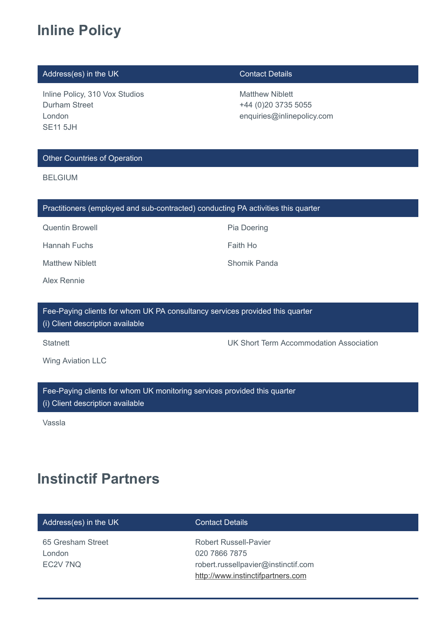# **Inline Policy**

# Address(es) in the UK Contact Details

Inline Policy, 310 Vox Studios Durham Street London SE11 5JH

Matthew Niblett +44 (0)20 3735 5055 enquiries@inlinepolicy.com

## Other Countries of Operation

BELGIUM

|  |  |  |  | Practitioners (employed and sub-contracted) conducting PA activities this quarter |
|--|--|--|--|-----------------------------------------------------------------------------------|
|--|--|--|--|-----------------------------------------------------------------------------------|

Quentin Browell **Pia Doering** Pia Doering

Hannah Fuchs **Faith Hollands** Faith Hollands Faith Hollands

Matthew Niblett **Shomik Panda** 

Alex Rennie

Fee-Paying clients for whom UK PA consultancy services provided this quarter (i) Client description available

Statnett Statnett Statnett UK Short Term Accommodation Association

Wing Aviation LLC

Fee-Paying clients for whom UK monitoring services provided this quarter (i) Client description available

Vassla

# **Instinctif Partners**

| Address(es) in the UK |  |
|-----------------------|--|
|-----------------------|--|

65 Gresham Street London EC2V 7NQ

## **Contact Details**

Robert Russell-Pavier 020 7866 7875 robert.russellpavier@instinctif.com [http://www.instinctifpartners.com](http://www.instinctifpartners.com/)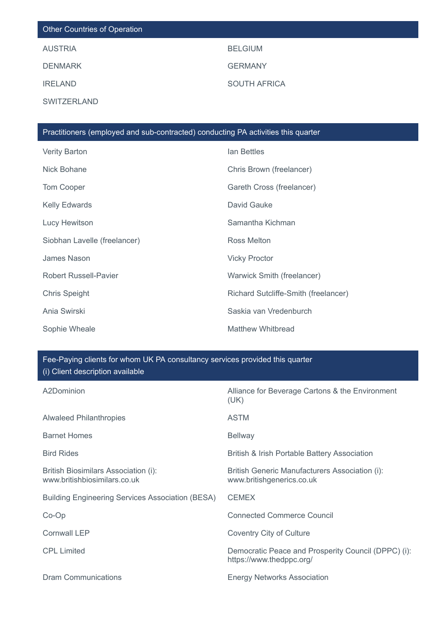# Other Countries of Operation

**SWITZERLAND** 

AUSTRIA BELGIUM DENMARK GERMANY IRELAND SOUTH AFRICA

| Practitioners (employed and sub-contracted) conducting PA activities this quarter |                                      |  |
|-----------------------------------------------------------------------------------|--------------------------------------|--|
| <b>Verity Barton</b>                                                              | lan Bettles                          |  |
| Nick Bohane                                                                       | Chris Brown (freelancer)             |  |
| Tom Cooper                                                                        | Gareth Cross (freelancer)            |  |
| <b>Kelly Edwards</b>                                                              | David Gauke                          |  |
| Lucy Hewitson                                                                     | Samantha Kichman                     |  |
| Siobhan Lavelle (freelancer)                                                      | Ross Melton                          |  |
| James Nason                                                                       | <b>Vicky Proctor</b>                 |  |
| <b>Robert Russell-Pavier</b>                                                      | Warwick Smith (freelancer)           |  |
| <b>Chris Speight</b>                                                              | Richard Sutcliffe-Smith (freelancer) |  |
| Ania Swirski                                                                      | Saskia van Vredenburch               |  |
| Sophie Wheale                                                                     | Matthew Whitbread                    |  |

| A2Dominion                                                                  | Alliance for Beverage Cartons & the Environment<br>(UK)                         |
|-----------------------------------------------------------------------------|---------------------------------------------------------------------------------|
| <b>Alwaleed Philanthropies</b>                                              | <b>ASTM</b>                                                                     |
| <b>Barnet Homes</b>                                                         | <b>Bellway</b>                                                                  |
| <b>Bird Rides</b>                                                           | British & Irish Portable Battery Association                                    |
| <b>British Biosimilars Association (i):</b><br>www.britishbiosimilars.co.uk | British Generic Manufacturers Association (i):<br>www.britishgenerics.co.uk     |
| <b>Building Engineering Services Association (BESA)</b>                     | <b>CEMEX</b>                                                                    |
| $Co$ - $Op$                                                                 | <b>Connected Commerce Council</b>                                               |
| <b>Cornwall LEP</b>                                                         | <b>Coventry City of Culture</b>                                                 |
| <b>CPL Limited</b>                                                          | Democratic Peace and Prosperity Council (DPPC) (i):<br>https://www.thedppc.org/ |
| Dram Communications                                                         | <b>Energy Networks Association</b>                                              |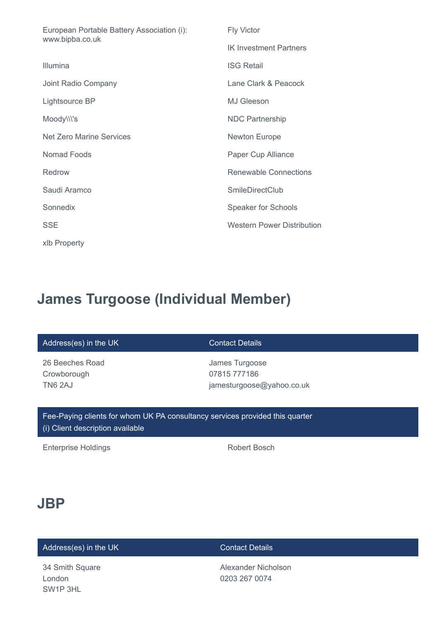| European Portable Battery Association (i):<br>www.bipba.co.uk | <b>Fly Victor</b>                 |
|---------------------------------------------------------------|-----------------------------------|
|                                                               | <b>IK Investment Partners</b>     |
| Illumina                                                      | <b>ISG Retail</b>                 |
| Joint Radio Company                                           | Lane Clark & Peacock              |
| Lightsource BP                                                | <b>MJ Gleeson</b>                 |
| Moody\\\'s                                                    | <b>NDC Partnership</b>            |
| <b>Net Zero Marine Services</b>                               | <b>Newton Europe</b>              |
| Nomad Foods                                                   | Paper Cup Alliance                |
| Redrow                                                        | <b>Renewable Connections</b>      |
| Saudi Aramco                                                  | <b>SmileDirectClub</b>            |
| Sonnedix                                                      | <b>Speaker for Schools</b>        |
| <b>SSE</b>                                                    | <b>Western Power Distribution</b> |
| xlb Property                                                  |                                   |

# **James Turgoose (Individual Member)**

### Address(es) in the UK Contact Details

26 Beeches Road **Crowborough** TN6 2AJ

James Turgoose 07815 777186 jamesturgoose@yahoo.co.uk

Fee-Paying clients for whom UK PA consultancy services provided this quarter (i) Client description available

Enterprise Holdings **Robert Bosch** Robert Bosch

# **JBP**

# Address(es) in the UK Contact Details

34 Smith Square London SW1P 3HL

Alexander Nicholson 0203 267 0074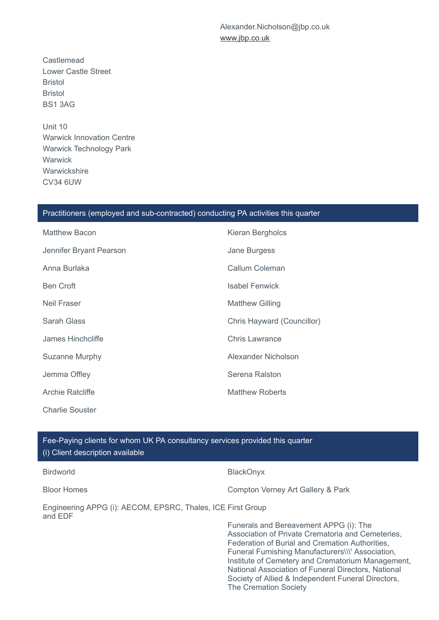Alexander.Nicholson@jbp.co.uk [www.jbp.co.uk](http://www.jbp.co.uk/)

**Castlemead** Lower Castle Street Bristol Bristol BS1 3AG

Unit 10 Warwick Innovation Centre Warwick Technology Park **Warwick Warwickshire** CV34 6UW

### Practitioners (employed and sub-contracted) conducting PA activities this quarter

| <b>Matthew Bacon</b>    | Kieran Bergholcs           |
|-------------------------|----------------------------|
| Jennifer Bryant Pearson | Jane Burgess               |
| Anna Burlaka            | Callum Coleman             |
| <b>Ben Croft</b>        | <b>Isabel Fenwick</b>      |
| Neil Fraser             | <b>Matthew Gilling</b>     |
| Sarah Glass             | Chris Hayward (Councillor) |
| James Hinchcliffe       | <b>Chris Lawrance</b>      |
| Suzanne Murphy          | Alexander Nicholson        |
| Jemma Offley            | Serena Ralston             |
| <b>Archie Ratcliffe</b> | <b>Matthew Roberts</b>     |
| <b>Charlie Souster</b>  |                            |

Fee-Paying clients for whom UK PA consultancy services provided this quarter (i) Client description available

| <b>Birdworld</b>                                                       | <b>BlackOnyx</b>                                                                                                                                                                                                                                                                                                |
|------------------------------------------------------------------------|-----------------------------------------------------------------------------------------------------------------------------------------------------------------------------------------------------------------------------------------------------------------------------------------------------------------|
| <b>Bloor Homes</b>                                                     | Compton Verney Art Gallery & Park                                                                                                                                                                                                                                                                               |
| Engineering APPG (i): AECOM, EPSRC, Thales, ICE First Group<br>and EDF |                                                                                                                                                                                                                                                                                                                 |
|                                                                        | Funerals and Bereavement APPG (i): The<br>Association of Private Crematoria and Cemeteries,<br>Federation of Burial and Cremation Authorities,<br>Funeral Furnishing Manufacturers\\\' Association,<br>Institute of Cemetery and Crematorium Management,<br>National Association of Funeral Directors, National |

Society of Allied & Independent Funeral Directors,

The Cremation Society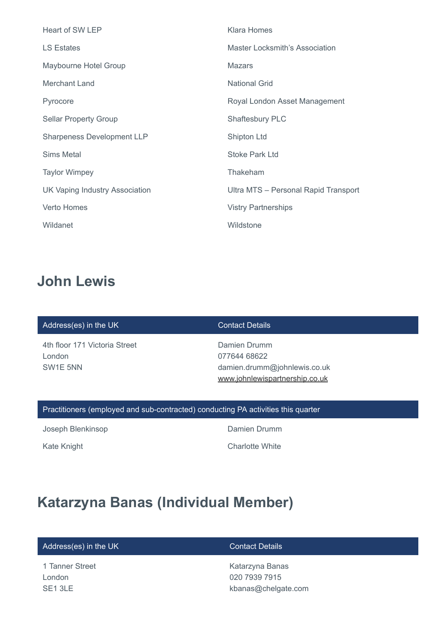| Heart of SW LEP                   | <b>Klara Homes</b>                    |
|-----------------------------------|---------------------------------------|
| <b>LS Estates</b>                 | <b>Master Locksmith's Association</b> |
| Maybourne Hotel Group             | <b>Mazars</b>                         |
| Merchant Land                     | <b>National Grid</b>                  |
| Pyrocore                          | Royal London Asset Management         |
| <b>Sellar Property Group</b>      | <b>Shaftesbury PLC</b>                |
| <b>Sharpeness Development LLP</b> | Shipton Ltd                           |
| <b>Sims Metal</b>                 | <b>Stoke Park Ltd</b>                 |
| <b>Taylor Wimpey</b>              | Thakeham                              |
| UK Vaping Industry Association    | Ultra MTS - Personal Rapid Transport  |
| <b>Verto Homes</b>                | <b>Vistry Partnerships</b>            |
| Wildanet                          | Wildstone                             |

# **John Lewis**

### Address(es) in the UK Contact Details

4th floor 171 Victoria Street London SW1E 5NN

Damien Drumm 077644 68622 damien.drumm@johnlewis.co.uk [www.johnlewispartnership.co.uk](http://www.johnlewispartnership.co.uk/)

## Practitioners (employed and sub-contracted) conducting PA activities this quarter

Joseph Blenkinsop **Damien Drumm** 

Kate Knight **Charlotte White** 

# **Katarzyna Banas (Individual Member)**

## Address(es) in the UK Contact Details

1 Tanner Street London SE1 3LE

Katarzyna Banas 020 7939 7915 kbanas@chelgate.com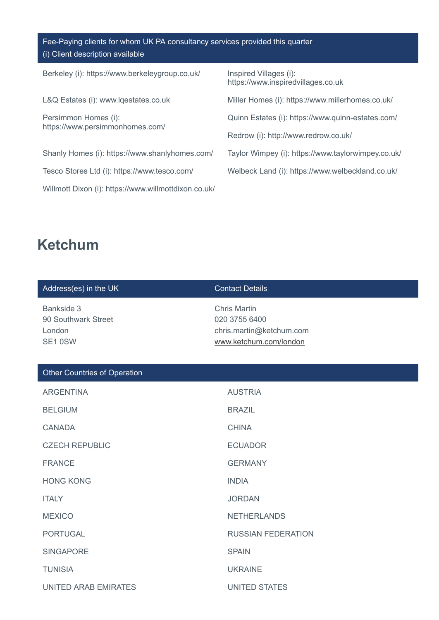Fee-Paying clients for whom UK PA consultancy services provided this quarter (i) Client description available

Berkeley (i): https://www.berkeleygroup.co.uk/ Inspired Villages (i):

Persimmon Homes (i): https://www.persimmonhomes.com/

Shanly Homes (i): https://www.shanlyhomes.com/ Taylor Wimpey (i): https://www.taylorwimpey.co.uk/

Willmott Dixon (i): https://www.willmottdixon.co.uk/

https://www.inspiredvillages.co.uk

L&Q Estates (i): www.lqestates.co.uk Miller Homes (i): https://www.millerhomes.co.uk/

Quinn Estates (i): https://www.quinn-estates.com/

Redrow (i): http://www.redrow.co.uk/

Tesco Stores Ltd (i): https://www.tesco.com/ Welbeck Land (i): https://www.welbeckland.co.uk/

# **Ketchum**

| Address(es) in the UK                                  | <b>Contact Details</b>                                                                     |
|--------------------------------------------------------|--------------------------------------------------------------------------------------------|
| Bankside 3<br>90 Southwark Street<br>London<br>SE1 0SW | <b>Chris Martin</b><br>020 3755 6400<br>chris.martin@ketchum.com<br>www.ketchum.com/london |
| <b>Other Countries of Operation</b>                    |                                                                                            |
| <b>ARGENTINA</b>                                       | <b>AUSTRIA</b>                                                                             |
| <b>BELGIUM</b>                                         | <b>BRAZIL</b>                                                                              |
| <b>CANADA</b>                                          | <b>CHINA</b>                                                                               |
| <b>CZECH REPUBLIC</b>                                  | <b>ECUADOR</b>                                                                             |
| <b>FRANCE</b>                                          | <b>GERMANY</b>                                                                             |
| <b>HONG KONG</b>                                       | <b>INDIA</b>                                                                               |
| <b>ITALY</b>                                           | <b>JORDAN</b>                                                                              |
| <b>MEXICO</b>                                          | <b>NETHERLANDS</b>                                                                         |
| <b>PORTUGAL</b>                                        | <b>RUSSIAN FEDERATION</b>                                                                  |
| <b>SINGAPORE</b>                                       | <b>SPAIN</b>                                                                               |
| <b>TUNISIA</b>                                         | <b>UKRAINE</b>                                                                             |
| <b>UNITED ARAB EMIRATES</b>                            | <b>UNITED STATES</b>                                                                       |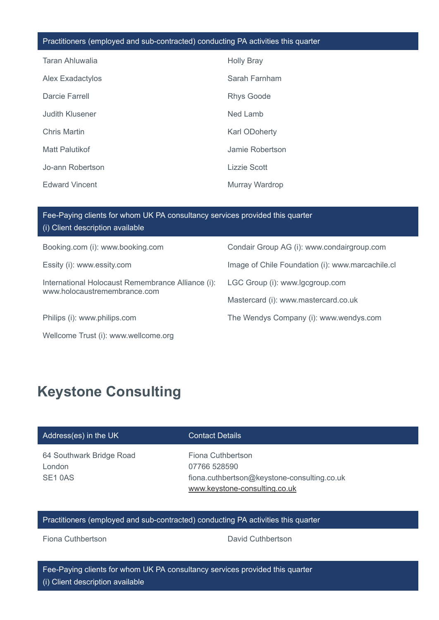### Practitioners (employed and sub-contracted) conducting PA activities this quarter

| Taran Ahluwalia       | <b>Holly Bray</b>    |
|-----------------------|----------------------|
| Alex Exadactylos      | Sarah Farnham        |
| Darcie Farrell        | <b>Rhys Goode</b>    |
| Judith Klusener       | Ned Lamb             |
| Chris Martin          | <b>Karl ODoherty</b> |
| Matt Palutikof        | Jamie Robertson      |
| Jo-ann Robertson      | Lizzie Scott         |
| <b>Edward Vincent</b> | Murray Wardrop       |

| Fee-Paying clients for whom UK PA consultancy services provided this quarter<br>(i) Client description available                                                                                                                                                                              |                                                  |
|-----------------------------------------------------------------------------------------------------------------------------------------------------------------------------------------------------------------------------------------------------------------------------------------------|--------------------------------------------------|
| Booking.com (i): www.booking.com                                                                                                                                                                                                                                                              | Condair Group AG (i): www.condairgroup.com       |
| Essity (i): www.essity.com                                                                                                                                                                                                                                                                    | Image of Chile Foundation (i): www.marcachile.cl |
| International Holocaust Remembrance Alliance (i):<br>www.holocaustremembrance.com                                                                                                                                                                                                             | LGC Group (i): www.lgcgroup.com                  |
|                                                                                                                                                                                                                                                                                               | Mastercard (i): www.mastercard.co.uk             |
| Philips (i): www.philips.com                                                                                                                                                                                                                                                                  | The Wendys Company (i): www.wendys.com           |
| $\frac{1}{2}$ and $\frac{1}{2}$ and $\frac{1}{2}$ and $\frac{1}{2}$ and $\frac{1}{2}$ and $\frac{1}{2}$ and $\frac{1}{2}$ and $\frac{1}{2}$ and $\frac{1}{2}$ and $\frac{1}{2}$ and $\frac{1}{2}$ and $\frac{1}{2}$ and $\frac{1}{2}$ and $\frac{1}{2}$ and $\frac{1}{2}$ and $\frac{1}{2}$ a |                                                  |

## Wellcome Trust (i): www.wellcome.org

# **Keystone Consulting**

### Address(es) in the UK Contact Details

64 Southwark Bridge Road London SE1 0AS

Fiona Cuthbertson 07766 528590 fiona.cuthbertson@keystone-consulting.co.uk [www.keystone-consulting.co.uk](http://www.keystone-consulting.co.uk/)

## Practitioners (employed and sub-contracted) conducting PA activities this quarter

Fiona Cuthbertson **David Cuthbertson**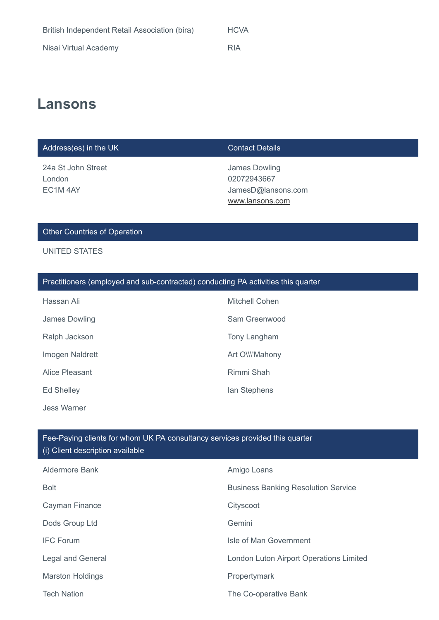| British Independent Retail Association (bira) | <b>HCVA</b> |
|-----------------------------------------------|-------------|
| Nisai Virtual Academy                         | <b>RIA</b>  |

# **Lansons**

## Address(es) in the UK Contact Details

24a St John Street London EC1M 4AY

James Dowling 02072943667 JamesD@lansons.com [www.lansons.com](http://www.lansons.com/)

## Other Countries of Operation

### UNITED STATES

### Practitioners (employed and sub-contracted) conducting PA activities this quarter

| Hassan Ali        | Mitchell Cohen |
|-------------------|----------------|
| James Dowling     | Sam Greenwood  |
| Ralph Jackson     | Tony Langham   |
| Imogen Naldrett   | Art OWN'Mahony |
| Alice Pleasant    | Rimmi Shah     |
| <b>Ed Shelley</b> | lan Stephens   |
| Jess Warner       |                |

| <b>Aldermore Bank</b>    | Amigo Loans                                |
|--------------------------|--------------------------------------------|
| <b>Bolt</b>              | <b>Business Banking Resolution Service</b> |
| Cayman Finance           | Cityscoot                                  |
| Dods Group Ltd           | Gemini                                     |
| <b>IFC Forum</b>         | Isle of Man Government                     |
| <b>Legal and General</b> | London Luton Airport Operations Limited    |
| <b>Marston Holdings</b>  | Propertymark                               |
| <b>Tech Nation</b>       | The Co-operative Bank                      |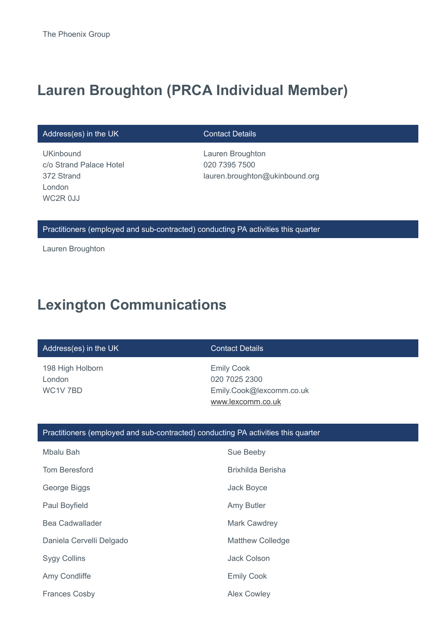# **Lauren Broughton (PRCA Individual Member)**

Address(es) in the UK Contact Details

**UKinbound** c/o Strand Palace Hotel 372 Strand London WC2R 0JJ

Lauren Broughton 020 7395 7500 lauren.broughton@ukinbound.org

Practitioners (employed and sub-contracted) conducting PA activities this quarter

Lauren Broughton

# **Lexington Communications**

| Address(es) in the UK                  | <b>Contact Details</b>                                                              |
|----------------------------------------|-------------------------------------------------------------------------------------|
| 198 High Holborn<br>London<br>WC1V 7BD | <b>Emily Cook</b><br>020 7025 2300<br>Emily.Cook@lexcomm.co.uk<br>www.lexcomm.co.uk |

### Practitioners (employed and sub-contracted) conducting PA activities this quarter

| Mbalu Bah                | Sue Beeby               |
|--------------------------|-------------------------|
| <b>Tom Beresford</b>     | Brixhilda Berisha       |
| George Biggs             | Jack Boyce              |
| Paul Boyfield            | Amy Butler              |
| Bea Cadwallader          | <b>Mark Cawdrey</b>     |
| Daniela Cervelli Delgado | <b>Matthew Colledge</b> |
| <b>Sygy Collins</b>      | <b>Jack Colson</b>      |
| Amy Condliffe            | <b>Emily Cook</b>       |
| <b>Frances Cosby</b>     | <b>Alex Cowley</b>      |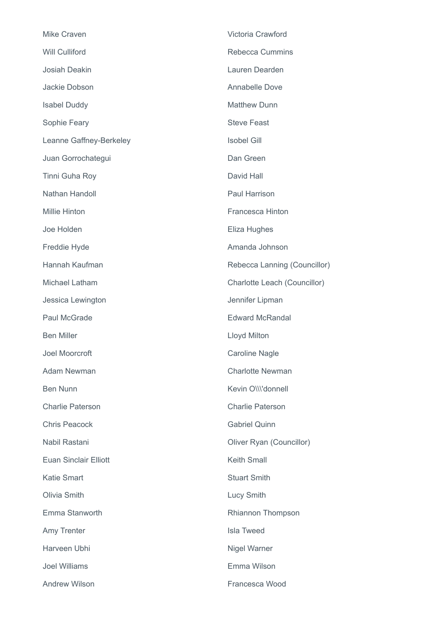| <b>Mike Craven</b>           | Victoria Crawford            |
|------------------------------|------------------------------|
| <b>Will Culliford</b>        | <b>Rebecca Cummins</b>       |
| Josiah Deakin                | Lauren Dearden               |
| Jackie Dobson                | Annabelle Dove               |
| <b>Isabel Duddy</b>          | <b>Matthew Dunn</b>          |
| Sophie Feary                 | <b>Steve Feast</b>           |
| Leanne Gaffney-Berkeley      | <b>Isobel Gill</b>           |
| Juan Gorrochategui           | Dan Green                    |
| Tinni Guha Roy               | David Hall                   |
| Nathan Handoll               | Paul Harrison                |
| <b>Millie Hinton</b>         | <b>Francesca Hinton</b>      |
| Joe Holden                   | Eliza Hughes                 |
| Freddie Hyde                 | Amanda Johnson               |
| Hannah Kaufman               | Rebecca Lanning (Councillor) |
| Michael Latham               | Charlotte Leach (Councillor) |
| Jessica Lewington            | Jennifer Lipman              |
| Paul McGrade                 | <b>Edward McRandal</b>       |
| <b>Ben Miller</b>            | Lloyd Milton                 |
| <b>Joel Moorcroft</b>        | <b>Caroline Nagle</b>        |
| <b>Adam Newman</b>           | <b>Charlotte Newman</b>      |
| <b>Ben Nunn</b>              | Kevin O\\\'donnell           |
| <b>Charlie Paterson</b>      | <b>Charlie Paterson</b>      |
| <b>Chris Peacock</b>         | <b>Gabriel Quinn</b>         |
| Nabil Rastani                | Oliver Ryan (Councillor)     |
| <b>Euan Sinclair Elliott</b> | <b>Keith Small</b>           |
| <b>Katie Smart</b>           | <b>Stuart Smith</b>          |
| Olivia Smith                 | <b>Lucy Smith</b>            |
| Emma Stanworth               | Rhiannon Thompson            |
| Amy Trenter                  | <b>Isla Tweed</b>            |
| Harveen Ubhi                 | Nigel Warner                 |
| <b>Joel Williams</b>         | Emma Wilson                  |
| Andrew Wilson                | Francesca Wood               |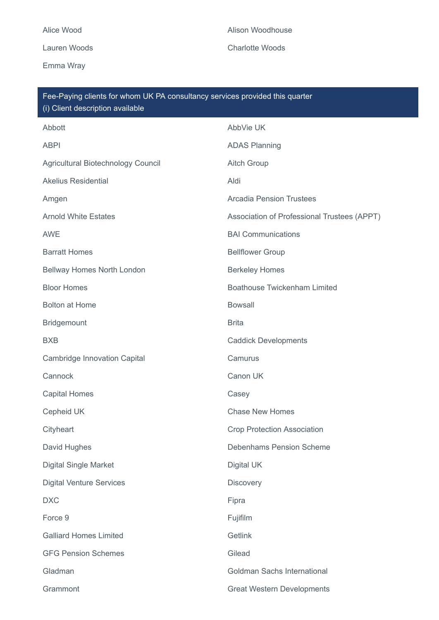Emma Wray

Lauren Woods **Charlotte Woods** 

| Fee-Paying clients for whom UK PA consultancy services provided this quarter<br>(i) Client description available |                                             |  |
|------------------------------------------------------------------------------------------------------------------|---------------------------------------------|--|
| Abbott                                                                                                           | AbbVie UK                                   |  |
| <b>ABPI</b>                                                                                                      | <b>ADAS Planning</b>                        |  |
| Agricultural Biotechnology Council                                                                               | <b>Aitch Group</b>                          |  |
| <b>Akelius Residential</b>                                                                                       | Aldi                                        |  |
| Amgen                                                                                                            | <b>Arcadia Pension Trustees</b>             |  |
| <b>Arnold White Estates</b>                                                                                      | Association of Professional Trustees (APPT) |  |
| <b>AWE</b>                                                                                                       | <b>BAI Communications</b>                   |  |
| <b>Barratt Homes</b>                                                                                             | <b>Bellflower Group</b>                     |  |
| Bellway Homes North London                                                                                       | <b>Berkeley Homes</b>                       |  |
| <b>Bloor Homes</b>                                                                                               | <b>Boathouse Twickenham Limited</b>         |  |
| <b>Bolton at Home</b>                                                                                            | <b>Bowsall</b>                              |  |
| Bridgemount                                                                                                      | <b>Brita</b>                                |  |
| <b>BXB</b>                                                                                                       | <b>Caddick Developments</b>                 |  |
| <b>Cambridge Innovation Capital</b>                                                                              | Camurus                                     |  |
| Cannock                                                                                                          | Canon UK                                    |  |
| <b>Capital Homes</b>                                                                                             | Casey                                       |  |
| Cepheid UK                                                                                                       | <b>Chase New Homes</b>                      |  |
| Cityheart                                                                                                        | <b>Crop Protection Association</b>          |  |
| David Hughes                                                                                                     | <b>Debenhams Pension Scheme</b>             |  |
| <b>Digital Single Market</b>                                                                                     | Digital UK                                  |  |
| <b>Digital Venture Services</b>                                                                                  | <b>Discovery</b>                            |  |
| <b>DXC</b>                                                                                                       | Fipra                                       |  |
| Force 9                                                                                                          | Fujifilm                                    |  |
| <b>Galliard Homes Limited</b>                                                                                    | Getlink                                     |  |
| <b>GFG Pension Schemes</b>                                                                                       | Gilead                                      |  |
| Gladman                                                                                                          | Goldman Sachs International                 |  |
| Grammont                                                                                                         | <b>Great Western Developments</b>           |  |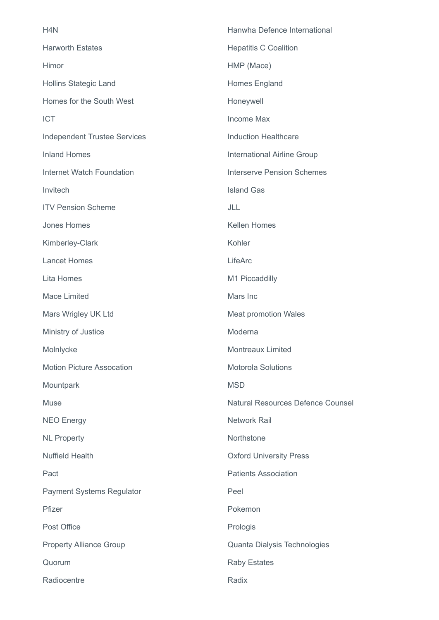| H <sub>4</sub> N                    | Hanwha Defence International             |
|-------------------------------------|------------------------------------------|
| <b>Harworth Estates</b>             | <b>Hepatitis C Coalition</b>             |
| Himor                               | HMP (Mace)                               |
| <b>Hollins Stategic Land</b>        | Homes England                            |
| Homes for the South West            | Honeywell                                |
| <b>ICT</b>                          | <b>Income Max</b>                        |
| <b>Independent Trustee Services</b> | <b>Induction Healthcare</b>              |
| <b>Inland Homes</b>                 | International Airline Group              |
| <b>Internet Watch Foundation</b>    | <b>Interserve Pension Schemes</b>        |
| Invitech                            | <b>Island Gas</b>                        |
| <b>ITV Pension Scheme</b>           | JLL                                      |
| Jones Homes                         | <b>Kellen Homes</b>                      |
| Kimberley-Clark                     | Kohler                                   |
| <b>Lancet Homes</b>                 | LifeArc                                  |
| Lita Homes                          | M1 Piccaddilly                           |
| <b>Mace Limited</b>                 | Mars Inc                                 |
| Mars Wrigley UK Ltd                 | <b>Meat promotion Wales</b>              |
| Ministry of Justice                 | Moderna                                  |
| Molnlycke                           | <b>Montreaux Limited</b>                 |
| <b>Motion Picture Assocation</b>    | <b>Motorola Solutions</b>                |
| Mountpark                           | <b>MSD</b>                               |
| <b>Muse</b>                         | <b>Natural Resources Defence Counsel</b> |
| <b>NEO Energy</b>                   | <b>Network Rail</b>                      |
| <b>NL Property</b>                  | Northstone                               |
| <b>Nuffield Health</b>              | <b>Oxford University Press</b>           |
| Pact                                | <b>Patients Association</b>              |
| <b>Payment Systems Regulator</b>    | Peel                                     |
| Pfizer                              | Pokemon                                  |
| Post Office                         | Prologis                                 |
| <b>Property Alliance Group</b>      | Quanta Dialysis Technologies             |
| Quorum                              | <b>Raby Estates</b>                      |
| Radiocentre                         | Radix                                    |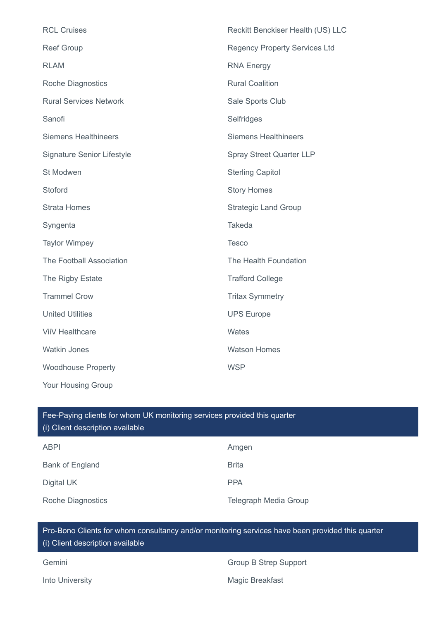| <b>RCL Cruises</b>                | Reckitt Benckiser Health (US) LLC    |
|-----------------------------------|--------------------------------------|
| <b>Reef Group</b>                 | <b>Regency Property Services Ltd</b> |
| <b>RLAM</b>                       | <b>RNA Energy</b>                    |
| <b>Roche Diagnostics</b>          | <b>Rural Coalition</b>               |
| <b>Rural Services Network</b>     | Sale Sports Club                     |
| Sanofi                            | Selfridges                           |
| <b>Siemens Healthineers</b>       | <b>Siemens Healthineers</b>          |
| <b>Signature Senior Lifestyle</b> | <b>Spray Street Quarter LLP</b>      |
| St Modwen                         | <b>Sterling Capitol</b>              |
| Stoford                           | <b>Story Homes</b>                   |
| <b>Strata Homes</b>               | <b>Strategic Land Group</b>          |
| Syngenta                          | Takeda                               |
| <b>Taylor Wimpey</b>              | <b>Tesco</b>                         |
| The Football Association          | The Health Foundation                |
| The Rigby Estate                  | <b>Trafford College</b>              |
| <b>Trammel Crow</b>               | <b>Tritax Symmetry</b>               |
| <b>United Utilities</b>           | <b>UPS Europe</b>                    |
| <b>ViiV Healthcare</b>            | Wates                                |
| <b>Watkin Jones</b>               | <b>Watson Homes</b>                  |
| <b>Woodhouse Property</b>         | <b>WSP</b>                           |
| Your Housing Group                |                                      |

# ABPI Amgen Bank of England Brita Digital UK PPA Roche Diagnostics **Telegraph Media Group** Fee-Paying clients for whom UK monitoring services provided this quarter (i) Client description available

# Pro-Bono Clients for whom consultancy and/or monitoring services have been provided this quarter (i) Client description available

| Gemini          | Group B Strep Support |
|-----------------|-----------------------|
| Into University | Magic Breakfast       |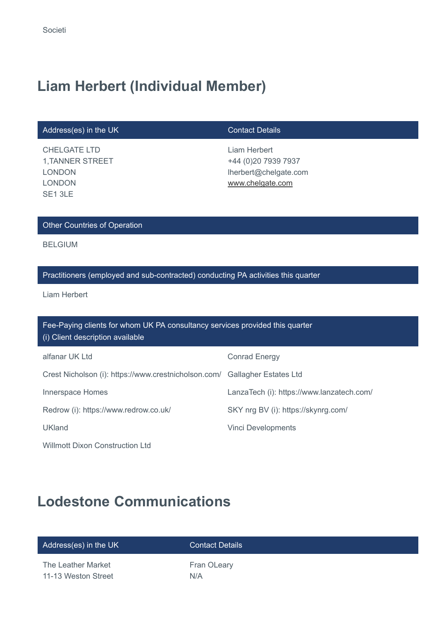# **Liam Herbert (Individual Member)**

## Address(es) in the UK Contact Details

CHELGATE LTD 1,TANNER STREET LONDON LONDON SE1 3LE

Liam Herbert +44 (0)20 7939 7937 lherbert@chelgate.com [www.chelgate.com](http://www.chelgate.com/)

## Other Countries of Operation

BELGIUM

## Practitioners (employed and sub-contracted) conducting PA activities this quarter

Liam Herbert

| Fee-Paying clients for whom UK PA consultancy services provided this quarter<br>(i) Client description available |                                           |  |
|------------------------------------------------------------------------------------------------------------------|-------------------------------------------|--|
| alfanar UK Ltd                                                                                                   | <b>Conrad Energy</b>                      |  |
| Crest Nicholson (i): https://www.crestnicholson.com/ Gallagher Estates Ltd                                       |                                           |  |
| Innerspace Homes                                                                                                 | LanzaTech (i): https://www.lanzatech.com/ |  |
| Redrow (i): https://www.redrow.co.uk/                                                                            | SKY nrg BV (i): https://skynrg.com/       |  |
| <b>UKland</b>                                                                                                    | <b>Vinci Developments</b>                 |  |
| <b>Willmott Dixon Construction Ltd</b>                                                                           |                                           |  |

# **Lodestone Communications**

| Address(es) in the UK | <b>Contact Details</b> |
|-----------------------|------------------------|
| The Leather Market    | Fran OLeary            |
| 11-13 Weston Street   | N/A                    |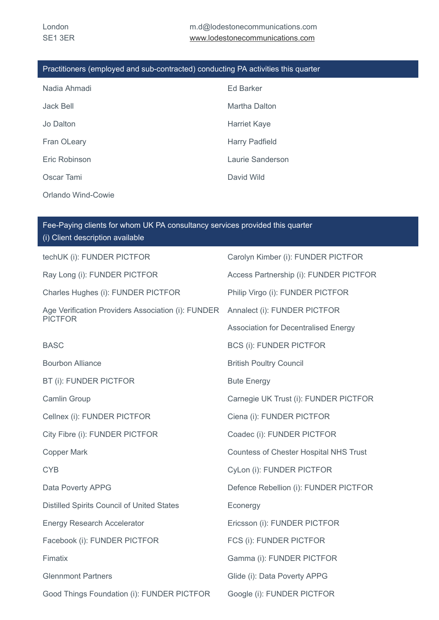## Practitioners (employed and sub-contracted) conducting PA activities this quarter

| Nadia Ahmadi       | <b>Ed Barker</b>      |
|--------------------|-----------------------|
| Jack Bell          | Martha Dalton         |
| Jo Dalton          | <b>Harriet Kaye</b>   |
| Fran OLeary        | <b>Harry Padfield</b> |
| Eric Robinson      | Laurie Sanderson      |
| Oscar Tami         | David Wild            |
| Orlando Wind-Cowie |                       |

| Fee-Paying clients for whom UK PA consultancy services provided this quarter<br>(i) Client description available |                                               |  |
|------------------------------------------------------------------------------------------------------------------|-----------------------------------------------|--|
| techUK (i): FUNDER PICTFOR                                                                                       | Carolyn Kimber (i): FUNDER PICTFOR            |  |
| Ray Long (i): FUNDER PICTFOR                                                                                     | Access Partnership (i): FUNDER PICTFOR        |  |
| Charles Hughes (i): FUNDER PICTFOR                                                                               | Philip Virgo (i): FUNDER PICTFOR              |  |
| Age Verification Providers Association (i): FUNDER<br><b>PICTFOR</b>                                             | Annalect (i): FUNDER PICTFOR                  |  |
|                                                                                                                  | <b>Association for Decentralised Energy</b>   |  |
| <b>BASC</b>                                                                                                      | <b>BCS (i): FUNDER PICTFOR</b>                |  |
| <b>Bourbon Alliance</b>                                                                                          | <b>British Poultry Council</b>                |  |
| <b>BT (i): FUNDER PICTFOR</b>                                                                                    | <b>Bute Energy</b>                            |  |
| Camlin Group                                                                                                     | Carnegie UK Trust (i): FUNDER PICTFOR         |  |
| Cellnex (i): FUNDER PICTFOR                                                                                      | Ciena (i): FUNDER PICTFOR                     |  |
| City Fibre (i): FUNDER PICTFOR                                                                                   | Coadec (i): FUNDER PICTFOR                    |  |
| <b>Copper Mark</b>                                                                                               | <b>Countess of Chester Hospital NHS Trust</b> |  |
| <b>CYB</b>                                                                                                       | CyLon (i): FUNDER PICTFOR                     |  |
| Data Poverty APPG                                                                                                | Defence Rebellion (i): FUNDER PICTFOR         |  |
| Distilled Spirits Council of United States                                                                       | Econergy                                      |  |
| <b>Energy Research Accelerator</b>                                                                               | Ericsson (i): FUNDER PICTFOR                  |  |
| Facebook (i): FUNDER PICTFOR                                                                                     | FCS (i): FUNDER PICTFOR                       |  |
| Fimatix                                                                                                          | Gamma (i): FUNDER PICTFOR                     |  |
| <b>Glennmont Partners</b>                                                                                        | Glide (i): Data Poverty APPG                  |  |
| Good Things Foundation (i): FUNDER PICTFOR                                                                       | Google (i): FUNDER PICTFOR                    |  |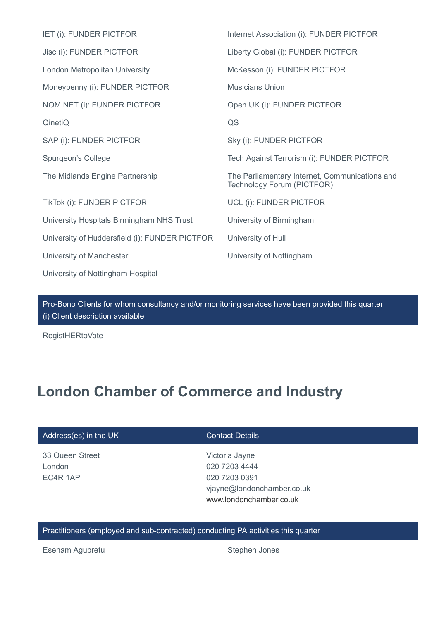| IET (i): FUNDER PICTFOR                        | Internet Association (i): FUNDER PICTFOR                                     |
|------------------------------------------------|------------------------------------------------------------------------------|
| Jisc (i): FUNDER PICTFOR                       | Liberty Global (i): FUNDER PICTFOR                                           |
| London Metropolitan University                 | McKesson (i): FUNDER PICTFOR                                                 |
| Moneypenny (i): FUNDER PICTFOR                 | <b>Musicians Union</b>                                                       |
| NOMINET (i): FUNDER PICTFOR                    | Open UK (i): FUNDER PICTFOR                                                  |
| QinetiQ                                        | QS                                                                           |
| SAP (i): FUNDER PICTFOR                        | Sky (i): FUNDER PICTFOR                                                      |
| Spurgeon's College                             | Tech Against Terrorism (i): FUNDER PICTFOR                                   |
| The Midlands Engine Partnership                | The Parliamentary Internet, Communications and<br>Technology Forum (PICTFOR) |
| TikTok (i): FUNDER PICTFOR                     | UCL (i): FUNDER PICTFOR                                                      |
| University Hospitals Birmingham NHS Trust      | University of Birmingham                                                     |
| University of Huddersfield (i): FUNDER PICTFOR | University of Hull                                                           |
| University of Manchester                       | University of Nottingham                                                     |
| University of Nottingham Hospital              |                                                                              |

Pro-Bono Clients for whom consultancy and/or monitoring services have been provided this quarter (i) Client description available

RegistHERtoVote

# **London Chamber of Commerce and Industry**

## Address(es) in the UK Contact Details

33 Queen Street London EC4R 1AP

Victoria Jayne 020 7203 4444 020 7203 0391 vjayne@londonchamber.co.uk [www.londonchamber.co.uk](http://www.londonchamber.co.uk/)

## Practitioners (employed and sub-contracted) conducting PA activities this quarter

Esenam Agubretu **Stephen Jones** Stephen Jones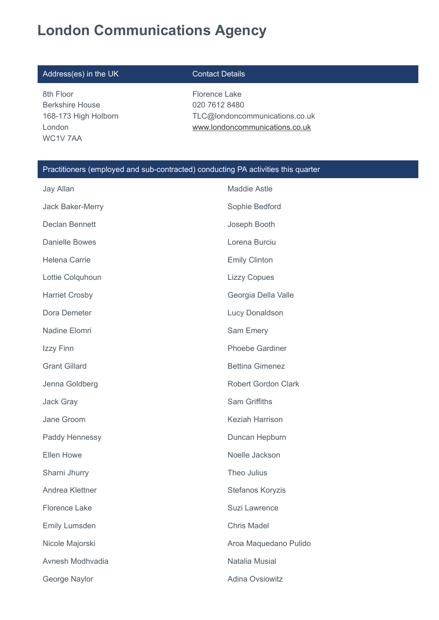# **London Communications Agency**

## Address(es) in the UK Contact Details

8th Floor Berkshire House 168-173 High Holborn London WC1V 7AA

Florence Lake 020 7612 8480 TLC@londoncommunications.co.uk [www.londoncommunications.co.uk](http://www.londoncommunications.co.uk/)

## Practitioners (employed and sub-contracted) conducting PA activities this quarter

| Jay Allan             | <b>Maddie Astle</b>        |
|-----------------------|----------------------------|
| Jack Baker-Merry      | Sophie Bedford             |
| Declan Bennett        | Joseph Booth               |
| <b>Danielle Bowes</b> | Lorena Burciu              |
| Helena Carrie         | <b>Emily Clinton</b>       |
| Lottie Colquhoun      | <b>Lizzy Copues</b>        |
| <b>Harriet Crosby</b> | Georgia Della Valle        |
| Dora Demeter          | Lucy Donaldson             |
| Nadine Elomri         | Sam Emery                  |
| Izzy Finn             | <b>Phoebe Gardiner</b>     |
| <b>Grant Gillard</b>  | <b>Bettina Gimenez</b>     |
| Jenna Goldberg        | <b>Robert Gordon Clark</b> |
| <b>Jack Gray</b>      | <b>Sam Griffiths</b>       |
| Jane Groom            | <b>Keziah Harrison</b>     |
| Paddy Hennessy        | Duncan Hepburn             |
| <b>Ellen Howe</b>     | Noelle Jackson             |
| Sharni Jhurry         | Theo Julius                |
| Andrea Klettner       | Stefanos Koryzis           |
| <b>Florence Lake</b>  | Suzi Lawrence              |
| <b>Emily Lumsden</b>  | <b>Chris Madel</b>         |
| Nicole Majorski       | Aroa Maquedano Pulido      |
| Avnesh Modhvadia      | Natalia Musial             |
| George Naylor         | <b>Adina Ovsiowitz</b>     |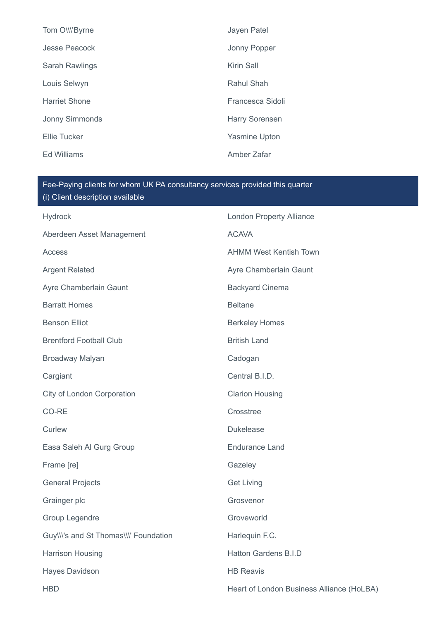| Tom O\\\'Byrne        | Jayen Patel           |
|-----------------------|-----------------------|
| Jesse Peacock         | Jonny Popper          |
| Sarah Rawlings        | Kirin Sall            |
| Louis Selwyn          | Rahul Shah            |
| <b>Harriet Shone</b>  | Francesca Sidoli      |
| <b>Jonny Simmonds</b> | <b>Harry Sorensen</b> |
| <b>Ellie Tucker</b>   | <b>Yasmine Upton</b>  |
| Ed Williams           | Amber Zafar           |

| <b>Hydrock</b>                        | <b>London Property Alliance</b>           |
|---------------------------------------|-------------------------------------------|
| Aberdeen Asset Management             | <b>ACAVA</b>                              |
| <b>Access</b>                         | <b>AHMM West Kentish Town</b>             |
| <b>Argent Related</b>                 | Ayre Chamberlain Gaunt                    |
| Ayre Chamberlain Gaunt                | <b>Backyard Cinema</b>                    |
| <b>Barratt Homes</b>                  | <b>Beltane</b>                            |
| <b>Benson Elliot</b>                  | <b>Berkeley Homes</b>                     |
| <b>Brentford Football Club</b>        | <b>British Land</b>                       |
| Broadway Malyan                       | Cadogan                                   |
| Cargiant                              | Central B.I.D.                            |
| City of London Corporation            | <b>Clarion Housing</b>                    |
| CO-RE                                 | Crosstree                                 |
| Curlew                                | <b>Dukelease</b>                          |
| Easa Saleh Al Gurg Group              | <b>Endurance Land</b>                     |
| Frame [re]                            | Gazeley                                   |
| <b>General Projects</b>               | <b>Get Living</b>                         |
| Grainger plc                          | Grosvenor                                 |
| Group Legendre                        | Groveworld                                |
| Guy\\\'s and St Thomas\\\' Foundation | Harlequin F.C.                            |
| Harrison Housing                      | Hatton Gardens B.I.D                      |
| <b>Hayes Davidson</b>                 | <b>HB Reavis</b>                          |
| <b>HBD</b>                            | Heart of London Business Alliance (HoLBA) |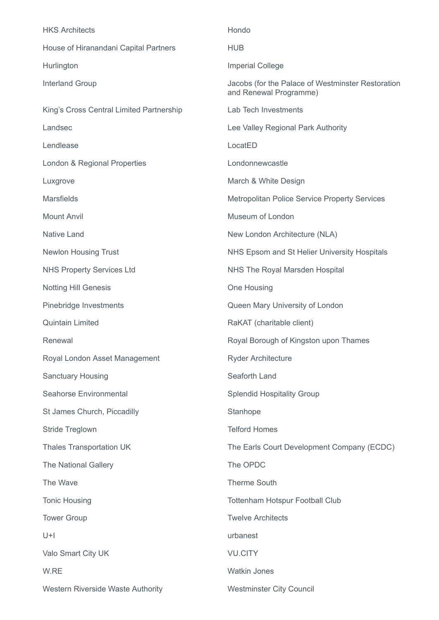| <b>HKS Architects</b>                    | Hondo                                                                       |
|------------------------------------------|-----------------------------------------------------------------------------|
| House of Hiranandani Capital Partners    | <b>HUB</b>                                                                  |
| Hurlington                               | <b>Imperial College</b>                                                     |
| <b>Interland Group</b>                   | Jacobs (for the Palace of Westminster Restoration<br>and Renewal Programme) |
| King's Cross Central Limited Partnership | Lab Tech Investments                                                        |
| Landsec                                  | Lee Valley Regional Park Authority                                          |
| Lendlease                                | LocatED                                                                     |
| London & Regional Properties             | Londonnewcastle                                                             |
| Luxgrove                                 | March & White Design                                                        |
| <b>Marsfields</b>                        | <b>Metropolitan Police Service Property Services</b>                        |
| <b>Mount Anvil</b>                       | Museum of London                                                            |
| <b>Native Land</b>                       | New London Architecture (NLA)                                               |
| <b>Newlon Housing Trust</b>              | NHS Epsom and St Helier University Hospitals                                |
| <b>NHS Property Services Ltd</b>         | NHS The Royal Marsden Hospital                                              |
| <b>Notting Hill Genesis</b>              | One Housing                                                                 |
| Pinebridge Investments                   | Queen Mary University of London                                             |
| <b>Quintain Limited</b>                  | RaKAT (charitable client)                                                   |
| Renewal                                  | Royal Borough of Kingston upon Thames                                       |
| Royal London Asset Management            | <b>Ryder Architecture</b>                                                   |
| <b>Sanctuary Housing</b>                 | Seaforth Land                                                               |
| <b>Seahorse Environmental</b>            | <b>Splendid Hospitality Group</b>                                           |
| St James Church, Piccadilly              | Stanhope                                                                    |
| <b>Stride Treglown</b>                   | <b>Telford Homes</b>                                                        |
| Thales Transportation UK                 | The Earls Court Development Company (ECDC)                                  |
| <b>The National Gallery</b>              | The OPDC                                                                    |
| The Wave                                 | <b>Therme South</b>                                                         |
| <b>Tonic Housing</b>                     | <b>Tottenham Hotspur Football Club</b>                                      |
| <b>Tower Group</b>                       | <b>Twelve Architects</b>                                                    |
| $U+I$                                    | urbanest                                                                    |
| Valo Smart City UK                       | <b>VU.CITY</b>                                                              |
| W.RE                                     | <b>Watkin Jones</b>                                                         |
| Western Riverside Waste Authority        | <b>Westminster City Council</b>                                             |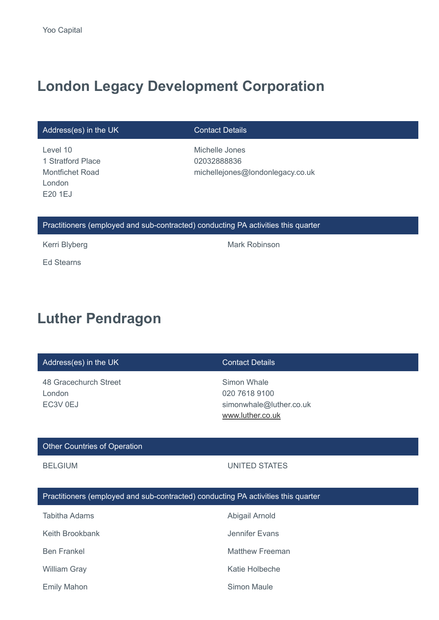# **London Legacy Development Corporation**

## Address(es) in the UK Contact Details

## Level 10 1 Stratford Place Montfichet Road London E20 1EJ

Michelle Jones 02032888836 michellejones@londonlegacy.co.uk

## Practitioners (employed and sub-contracted) conducting PA activities this quarter

Ed Stearns

Kerri Blyberg **Mark Robinson** Mark Robinson

# **Luther Pendragon**

## Address(es) in the UK Contact Details

48 Gracechurch Street London EC3V 0EJ

Simon Whale 020 7618 9100 simonwhale@luther.co.uk [www.luther.co.uk](http://www.luther.co.uk/)

## Other Countries of Operation

## BELGIUM UNITED STATES

### Practitioners (employed and sub-contracted) conducting PA activities this quarter

| Tabitha Adams       | Abigail Arnold  |
|---------------------|-----------------|
| Keith Brookbank     | Jennifer Evans  |
| <b>Ben Frankel</b>  | Matthew Freeman |
| <b>William Gray</b> | Katie Holbeche  |
| <b>Emily Mahon</b>  | Simon Maule     |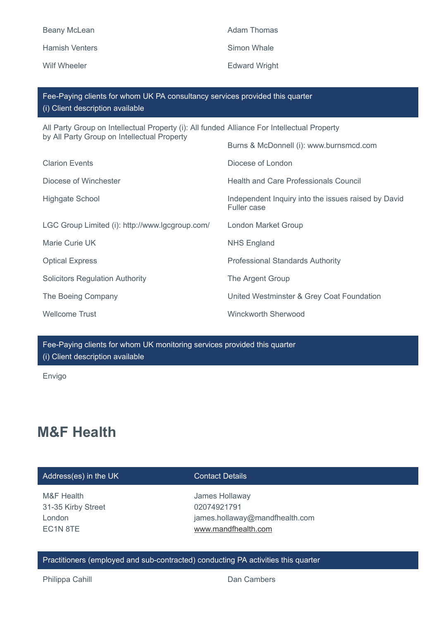| <b>Beany McLean</b>   |
|-----------------------|
| <b>Hamish Venters</b> |

Adam Thomas Simon Whale Wilf Wheeler **Edward Wright** 

| Fee-Paying clients for whom UK PA consultancy services provided this quarter<br>(i) Client description available |                                                                           |
|------------------------------------------------------------------------------------------------------------------|---------------------------------------------------------------------------|
| All Party Group on Intellectual Property (i): All funded Alliance For Intellectual Property                      |                                                                           |
| by All Party Group on Intellectual Property                                                                      | Burns & McDonnell (i): www.burnsmcd.com                                   |
| <b>Clarion Events</b>                                                                                            | Diocese of London                                                         |
| Diocese of Winchester                                                                                            | <b>Health and Care Professionals Council</b>                              |
| Highgate School                                                                                                  | Independent Inquiry into the issues raised by David<br><b>Fuller case</b> |
| LGC Group Limited (i): http://www.lgcgroup.com/                                                                  | London Market Group                                                       |
| Marie Curie UK                                                                                                   | <b>NHS England</b>                                                        |
| <b>Optical Express</b>                                                                                           | <b>Professional Standards Authority</b>                                   |
| <b>Solicitors Regulation Authority</b>                                                                           | The Argent Group                                                          |
| The Boeing Company                                                                                               | United Westminster & Grey Coat Foundation                                 |
| <b>Wellcome Trust</b>                                                                                            | <b>Winckworth Sherwood</b>                                                |

Fee-Paying clients for whom UK monitoring services provided this quarter (i) Client description available

Envigo

# **M&F Health**

## Address(es) in the UK Contact Details

M&F Health 31-35 Kirby Street London EC1N 8TE

James Hollaway 02074921791 james.hollaway@mandfhealth.com [www.mandfhealth.com](http://www.mandfhealth.com/)

Practitioners (employed and sub-contracted) conducting PA activities this quarter

Philippa Cahill **Dan Cambers**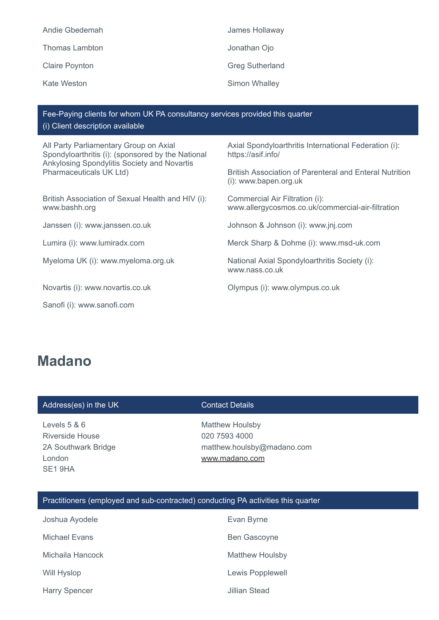| Andie Gbedemah        | James Hollaway         |
|-----------------------|------------------------|
| <b>Thomas Lambton</b> | Jonathan Ojo           |
| <b>Claire Poynton</b> | <b>Greg Sutherland</b> |
| Kate Weston           | Simon Whalley          |

Fee-Paying clients for whom UK PA consultancy services provided this quarter (i) Client description available

All Party Parliamentary Group on Axial Spondyloarthritis (i): (sponsored by the National Ankylosing Spondylitis Society and Novartis Pharmaceuticals UK Ltd)

British Association of Sexual Health and HIV (i): www.bashh.org

Sanofi (i): www.sanofi.com

Axial Spondyloarthritis International Federation (i): https://asif.info/

British Association of Parenteral and Enteral Nutrition (i): www.bapen.org.uk

Commercial Air Filtration (i): www.allergycosmos.co.uk/commercial-air-filtration

Janssen (i): www.janssen.co.uk Johnson & Johnson (i): www.jnj.com

Lumira (i): www.lumiradx.com **Merck Sharp & Dohme (i): www.msd-uk.com** 

Myeloma UK (i): www.myeloma.org.uk National Axial Spondyloarthritis Society (i): www.nass.co.uk

Novartis (i): www.novartis.co.uk Olympus (i): www.olympus.co.uk

# **Madano**

### Address(es) in the UK Contact Details

Levels 5 & 6 Riverside House 2A Southwark Bridge London SE1 9HA

Matthew Houlsby 020 7593 4000 matthew.houlsby@madano.com [www.madano.com](http://www.madano.com/)

## Practitioners (employed and sub-contracted) conducting PA activities this quarter

| Joshua Ayodele       | Evan Byrne             |
|----------------------|------------------------|
| Michael Evans        | <b>Ben Gascoyne</b>    |
| Michaila Hancock     | <b>Matthew Houlsby</b> |
| Will Hyslop          | Lewis Popplewell       |
| <b>Harry Spencer</b> | <b>Jillian Stead</b>   |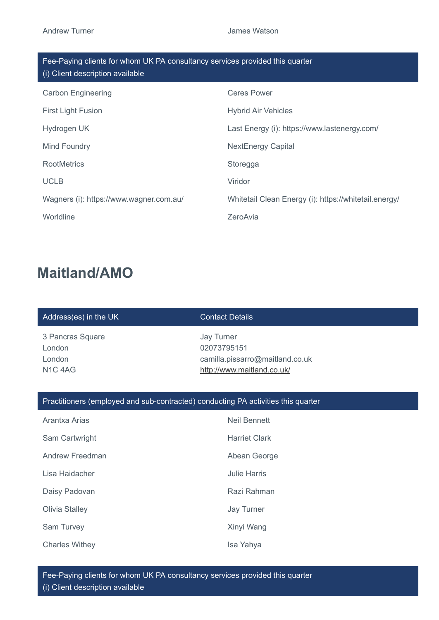| Fee-Paying clients for whom UK PA consultancy services provided this quarter<br>(i) Client description available |                                                       |  |
|------------------------------------------------------------------------------------------------------------------|-------------------------------------------------------|--|
| <b>Carbon Engineering</b>                                                                                        | <b>Ceres Power</b>                                    |  |
| <b>First Light Fusion</b>                                                                                        | <b>Hybrid Air Vehicles</b>                            |  |
| Hydrogen UK                                                                                                      | Last Energy (i): https://www.lastenergy.com/          |  |
| Mind Foundry                                                                                                     | <b>NextEnergy Capital</b>                             |  |
| <b>RootMetrics</b>                                                                                               | Storegga                                              |  |
| <b>UCLB</b>                                                                                                      | Viridor                                               |  |
| Wagners (i): https://www.wagner.com.au/                                                                          | Whitetail Clean Energy (i): https://whitetail.energy/ |  |
| Worldline                                                                                                        | ZeroAvia                                              |  |

# **Maitland/AMO**

## Address(es) in the UK Contact Details

3 Pancras Square London London N1C 4AG

Jay Turner 02073795151 camilla.pissarro@maitland.co.uk <http://www.maitland.co.uk/>

## Practitioners (employed and sub-contracted) conducting PA activities this quarter

| Arantxa Arias         | Neil Bennett         |
|-----------------------|----------------------|
| Sam Cartwright        | <b>Harriet Clark</b> |
| Andrew Freedman       | Abean George         |
| Lisa Haidacher        | <b>Julie Harris</b>  |
| Daisy Padovan         | Razi Rahman          |
| Olivia Stalley        | Jay Turner           |
| Sam Turvey            | Xinyi Wang           |
| <b>Charles Withey</b> | Isa Yahya            |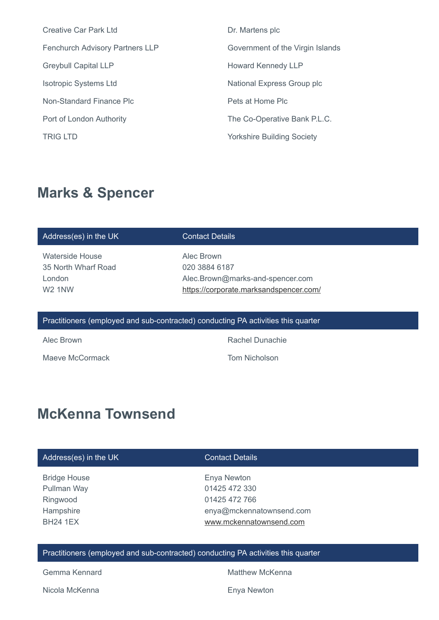| <b>Creative Car Park Ltd</b>           | Dr. Martens plc                   |
|----------------------------------------|-----------------------------------|
| <b>Fenchurch Advisory Partners LLP</b> | Government of the Virgin Islands  |
| <b>Greybull Capital LLP</b>            | <b>Howard Kennedy LLP</b>         |
| <b>Isotropic Systems Ltd</b>           | National Express Group plc        |
| Non-Standard Finance Plc               | Pets at Home Plc                  |
| Port of London Authority               | The Co-Operative Bank P.L.C.      |
| <b>TRIG LTD</b>                        | <b>Yorkshire Building Society</b> |
|                                        |                                   |

# **Marks & Spencer**

### Address(es) in the UK Contact Details

Waterside House 35 North Wharf Road London W2 1NW

Alec Brown 020 3884 6187 Alec.Brown@marks-and-spencer.com <https://corporate.marksandspencer.com/>

### Practitioners (employed and sub-contracted) conducting PA activities this quarter

Maeve McCormack **Tom Nicholson** 

Alec Brown Rachel Dunachie

# **McKenna Townsend**

# Address(es) in the UK Contact Details

Bridge House Pullman Way Ringwood **Hampshire** BH24 1EX

Enya Newton 01425 472 330 01425 472 766 enya@mckennatownsend.com [www.mckennatownsend.com](http://www.mckennatownsend.com/)

## Practitioners (employed and sub-contracted) conducting PA activities this quarter

Nicola McKenna **Enya Newton** 

Gemma Kennard **Matthew McKenna**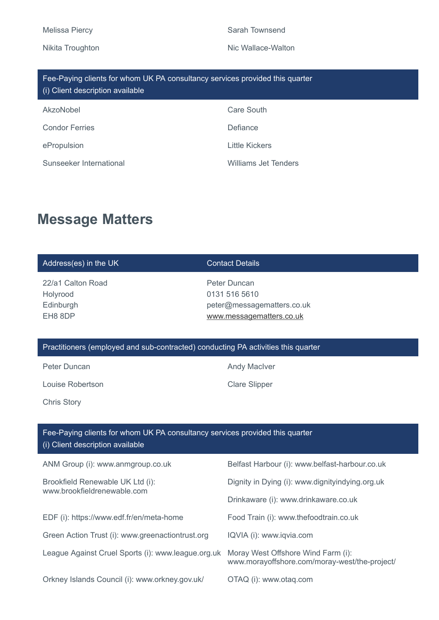# Melissa Piercy **Sarah Townsend** Sarah Townsend

## Nikita Troughton Nic Wallace-Walton

| Fee-Paying clients for whom UK PA consultancy services provided this quarter<br>(i) Client description available |                      |
|------------------------------------------------------------------------------------------------------------------|----------------------|
| AkzoNobel                                                                                                        | Care South           |
| <b>Condor Ferries</b>                                                                                            | Defiance             |
| ePropulsion                                                                                                      | Little Kickers       |
| Sunseeker International                                                                                          | Williams Jet Tenders |

# **Message Matters**

| Address(es) in the UK                                                                                            | <b>Contact Details</b>                                                                  |
|------------------------------------------------------------------------------------------------------------------|-----------------------------------------------------------------------------------------|
| 22/a1 Calton Road<br>Holyrood<br>Edinburgh<br>EH8 8DP                                                            | Peter Duncan<br>0131 516 5610<br>peter@messagematters.co.uk<br>www.messagematters.co.uk |
| Practitioners (employed and sub-contracted) conducting PA activities this quarter                                |                                                                                         |
| Peter Duncan                                                                                                     | <b>Andy MacIver</b>                                                                     |
| Louise Robertson                                                                                                 | <b>Clare Slipper</b>                                                                    |
| <b>Chris Story</b>                                                                                               |                                                                                         |
|                                                                                                                  |                                                                                         |
|                                                                                                                  |                                                                                         |
| Fee-Paying clients for whom UK PA consultancy services provided this quarter<br>(i) Client description available |                                                                                         |
| ANM Group (i): www.anmgroup.co.uk                                                                                | Belfast Harbour (i): www.belfast-harbour.co.uk                                          |
| Brookfield Renewable UK Ltd (i):                                                                                 | Dignity in Dying (i): www.dignityindying.org.uk                                         |
| www.brookfieldrenewable.com                                                                                      | Drinkaware (i): www.drinkaware.co.uk                                                    |
| EDF (i): https://www.edf.fr/en/meta-home                                                                         | Food Train (i): www.thefoodtrain.co.uk                                                  |
| Green Action Trust (i): www.greenactiontrust.org                                                                 | IQVIA (i): www.iqvia.com                                                                |
| League Against Cruel Sports (i): www.league.org.uk                                                               | Moray West Offshore Wind Farm (i):<br>www.morayoffshore.com/moray-west/the-project/     |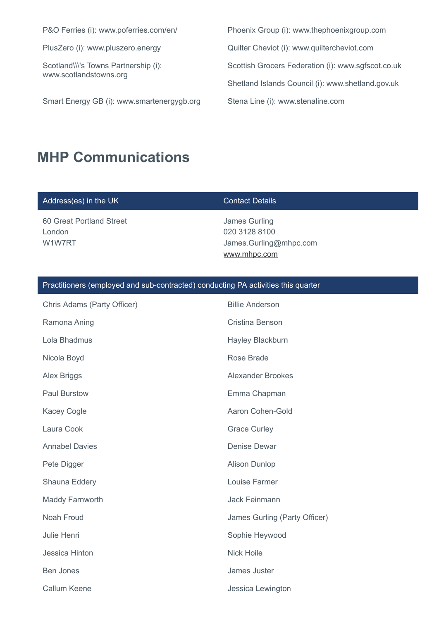Scotland\\\'s Towns Partnership (i): www.scotlandstowns.org

Smart Energy GB (i): www.smartenergygb.org Stena Line (i): www.stenaline.com

P&O Ferries (i): www.poferries.com/en/ Phoenix Group (i): www.thephoenixgroup.com PlusZero (i): www.pluszero.energy  $Qu$  Quilter Cheviot (i): www.quiltercheviot.com Scottish Grocers Federation (i): www.sgfscot.co.uk Shetland Islands Council (i): www.shetland.gov.uk

# **MHP Communications**

## Address(es) in the UK Contact Details

60 Great Portland Street London W1W7RT

James Gurling 020 3128 8100 James.Gurling@mhpc.com [www.mhpc.com](http://www.mhpc.com/)

| Chris Adams (Party Officer) | <b>Billie Anderson</b>        |
|-----------------------------|-------------------------------|
| Ramona Aning                | Cristina Benson               |
| Lola Bhadmus                | Hayley Blackburn              |
| Nicola Boyd                 | Rose Brade                    |
| Alex Briggs                 | <b>Alexander Brookes</b>      |
| <b>Paul Burstow</b>         | Emma Chapman                  |
| <b>Kacey Cogle</b>          | Aaron Cohen-Gold              |
| Laura Cook                  | <b>Grace Curley</b>           |
| <b>Annabel Davies</b>       | <b>Denise Dewar</b>           |
| Pete Digger                 | <b>Alison Dunlop</b>          |
| Shauna Eddery               | Louise Farmer                 |
| Maddy Farnworth             | Jack Feinmann                 |
| Noah Froud                  | James Gurling (Party Officer) |
| Julie Henri                 | Sophie Heywood                |
| Jessica Hinton              | <b>Nick Hoile</b>             |
| <b>Ben Jones</b>            | James Juster                  |
| <b>Callum Keene</b>         | Jessica Lewington             |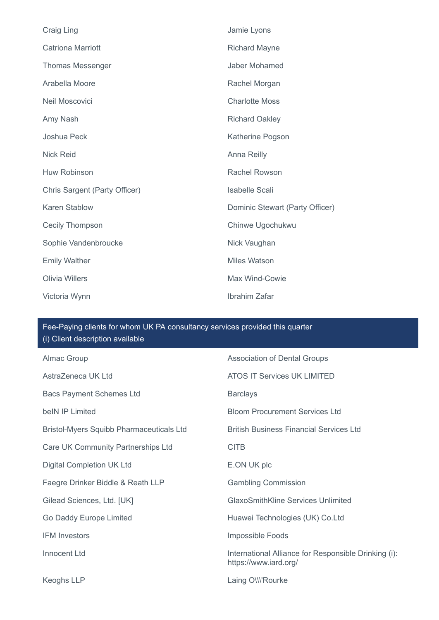| Craig Ling                    | Jamie Lyons                     |
|-------------------------------|---------------------------------|
| <b>Catriona Marriott</b>      | <b>Richard Mayne</b>            |
| <b>Thomas Messenger</b>       | Jaber Mohamed                   |
| Arabella Moore                | Rachel Morgan                   |
| Neil Moscovici                | <b>Charlotte Moss</b>           |
| Amy Nash                      | <b>Richard Oakley</b>           |
| Joshua Peck                   | Katherine Pogson                |
| <b>Nick Reid</b>              | Anna Reilly                     |
| <b>Huw Robinson</b>           | <b>Rachel Rowson</b>            |
| Chris Sargent (Party Officer) | <b>Isabelle Scali</b>           |
| <b>Karen Stablow</b>          | Dominic Stewart (Party Officer) |
| <b>Cecily Thompson</b>        | Chinwe Ugochukwu                |
| Sophie Vandenbroucke          | Nick Vaughan                    |
| <b>Emily Walther</b>          | <b>Miles Watson</b>             |
| <b>Olivia Willers</b>         | Max Wind-Cowie                  |
| Victoria Wynn                 | Ibrahim Zafar                   |

| Almac Group                                     | <b>Association of Dental Groups</b>                                           |
|-------------------------------------------------|-------------------------------------------------------------------------------|
| AstraZeneca UK Ltd                              | <b>ATOS IT Services UK LIMITED</b>                                            |
| <b>Bacs Payment Schemes Ltd</b>                 | <b>Barclays</b>                                                               |
| beIN IP Limited                                 | <b>Bloom Procurement Services Ltd</b>                                         |
| <b>Bristol-Myers Squibb Pharmaceuticals Ltd</b> | <b>British Business Financial Services Ltd</b>                                |
| Care UK Community Partnerships Ltd              | <b>CITB</b>                                                                   |
| <b>Digital Completion UK Ltd</b>                | E.ON UK plc                                                                   |
| Faegre Drinker Biddle & Reath LLP               | <b>Gambling Commission</b>                                                    |
| Gilead Sciences, Ltd. [UK]                      | <b>GlaxoSmithKline Services Unlimited</b>                                     |
| Go Daddy Europe Limited                         | Huawei Technologies (UK) Co.Ltd                                               |
| <b>IFM Investors</b>                            | Impossible Foods                                                              |
| Innocent Ltd                                    | International Alliance for Responsible Drinking (i):<br>https://www.iard.org/ |
| <b>Keoghs LLP</b>                               | Laing OW'Rourke                                                               |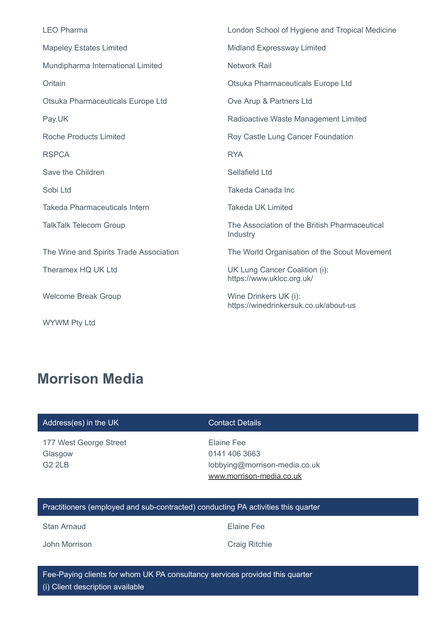| <b>LEO Pharma</b>                      | London School of Hygiene and Tropical Medicine                 |
|----------------------------------------|----------------------------------------------------------------|
| <b>Mapeley Estates Limited</b>         | Midland Expressway Limited                                     |
| Mundipharma International Limited      | <b>Network Rail</b>                                            |
| Oritain                                | Otsuka Pharmaceuticals Europe Ltd                              |
| Otsuka Pharmaceuticals Europe Ltd      | Ove Arup & Partners Ltd                                        |
| Pay.UK                                 | Radioactive Waste Management Limited                           |
| <b>Roche Products Limited</b>          | Roy Castle Lung Cancer Foundation                              |
| <b>RSPCA</b>                           | <b>RYA</b>                                                     |
| Save the Children                      | Sellafield Ltd                                                 |
| Sobi Ltd                               | Takeda Canada Inc                                              |
| <b>Takeda Pharmaceuticals Intern</b>   | <b>Takeda UK Limited</b>                                       |
| <b>TalkTalk Telecom Group</b>          | The Association of the British Pharmaceutical<br>Industry      |
| The Wine and Spirits Trade Association | The World Organisation of the Scout Movement                   |
| Theramex HQ UK Ltd                     | UK Lung Cancer Coalition (i):<br>https://www.uklcc.org.uk/     |
| <b>Welcome Break Group</b>             | Wine Drinkers UK (i):<br>https://winedrinkersuk.co.uk/about-us |
| <b>WYWM Pty Ltd</b>                    |                                                                |

# **Morrison Media**

## Address(es) in the UK Contact Details

177 West George Street Glasgow G2 2LB

Elaine Fee 0141 406 3663 lobbying@morrison-media.co.uk [www.morrison-media.co.uk](http://www.morrison-media.co.uk/)

## Practitioners (employed and sub-contracted) conducting PA activities this quarter

Stan Arnaud **Elaine Fee** 

John Morrison Craig Ritchie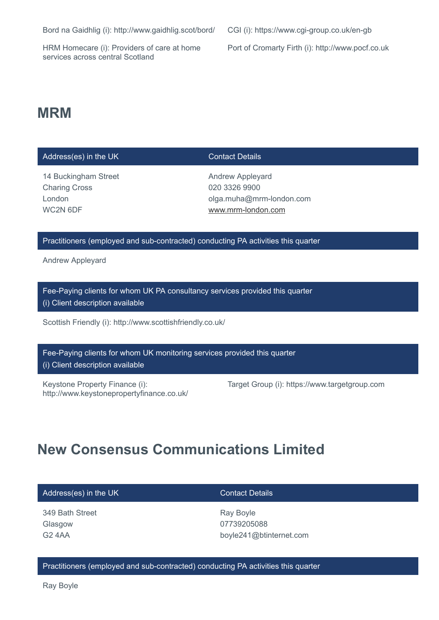Bord na Gaidhlig (i): http://www.gaidhlig.scot/bord/ CGI (i): https://www.cgi-group.co.uk/en-gb

HRM Homecare (i): Providers of care at home services across central Scotland

Port of Cromarty Firth (i): http://www.pocf.co.uk

# **MRM**

### Address(es) in the UK Contact Details

14 Buckingham Street Charing Cross London WC2N 6DF

Andrew Appleyard 020 3326 9900 olga.muha@mrm-london.com [www.mrm-london.com](http://www.mrm-london.com/)

## Practitioners (employed and sub-contracted) conducting PA activities this quarter

Andrew Appleyard

Fee-Paying clients for whom UK PA consultancy services provided this quarter (i) Client description available

Scottish Friendly (i): http://www.scottishfriendly.co.uk/

Fee-Paying clients for whom UK monitoring services provided this quarter (i) Client description available

Keystone Property Finance (i): http://www.keystonepropertyfinance.co.uk/ Target Group (i): https://www.targetgroup.com

# **New Consensus Communications Limited**

| Address(es) in the UK | <b>Contact Details</b>  |
|-----------------------|-------------------------|
| 349 Bath Street       | Ray Boyle               |
| Glasgow               | 07739205088             |
| G2 4AA                | boyle241@btinternet.com |

### Practitioners (employed and sub-contracted) conducting PA activities this quarter

Ray Boyle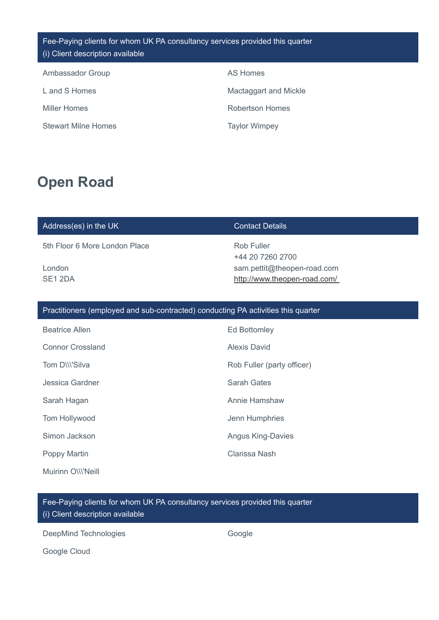| Fee-Paying clients for whom UK PA consultancy services provided this quarter |  |
|------------------------------------------------------------------------------|--|
| (i) Client description available                                             |  |

| Ambassador Group           | AS Homes              |
|----------------------------|-----------------------|
| L and S Homes              | Mactaggart and Mickle |
| <b>Miller Homes</b>        | Robertson Homes       |
| <b>Stewart Milne Homes</b> | <b>Taylor Wimpey</b>  |

# **Open Road**

## Address(es) in the UK Contact Details

5th Floor 6 More London Place

London SE1 2DA

Rob Fuller +44 20 7260 2700 sam.pettit@theopen-road.com <http://www.theopen-road.com/>

## Practitioners (employed and sub-contracted) conducting PA activities this quarter

| <b>Beatrice Allen</b>   | Ed Bottomley               |
|-------------------------|----------------------------|
| <b>Connor Crossland</b> | Alexis David               |
| Tom D\\\'Silva          | Rob Fuller (party officer) |
| Jessica Gardner         | Sarah Gates                |
| Sarah Hagan             | Annie Hamshaw              |
| Tom Hollywood           | Jenn Humphries             |
| Simon Jackson           | <b>Angus King-Davies</b>   |
| Poppy Martin            | Clarissa Nash              |
| Muirinn O\\\'Neill      |                            |

Fee-Paying clients for whom UK PA consultancy services provided this quarter (i) Client description available

DeepMind Technologies Google

Google Cloud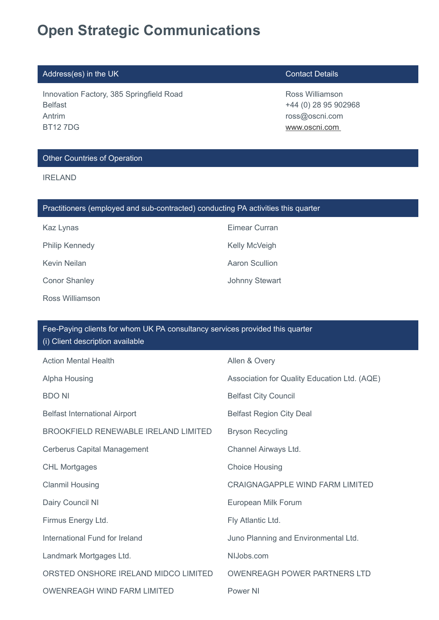# **Open Strategic Communications**

# Address(es) in the UK Contact Details

Innovation Factory, 385 Springfield Road Belfast Antrim BT12 7DG

Ross Williamson +44 (0) 28 95 902968 ross@oscni.com [www.oscni.com](http://www.oscni.com/) 

## Other Countries of Operation

IRELAND

| Practitioners (employed and sub-contracted) conducting PA activities this quarter |                       |
|-----------------------------------------------------------------------------------|-----------------------|
| Kaz Lynas                                                                         | Eimear Curran         |
| <b>Philip Kennedy</b>                                                             | Kelly McVeigh         |
| Kevin Neilan                                                                      | Aaron Scullion        |
| <b>Conor Shanley</b>                                                              | <b>Johnny Stewart</b> |
| Ross Williamson                                                                   |                       |

| Fee-Paying clients for whom UK PA consultancy services provided this quarter<br>(i) Client description available |                                              |  |
|------------------------------------------------------------------------------------------------------------------|----------------------------------------------|--|
| <b>Action Mental Health</b>                                                                                      | Allen & Overy                                |  |
| Alpha Housing                                                                                                    | Association for Quality Education Ltd. (AQE) |  |
| <b>BDO NI</b>                                                                                                    | <b>Belfast City Council</b>                  |  |
| <b>Belfast International Airport</b>                                                                             | <b>Belfast Region City Deal</b>              |  |
| <b>BROOKFIELD RENEWABLE IRELAND LIMITED</b>                                                                      | <b>Bryson Recycling</b>                      |  |
| <b>Cerberus Capital Management</b>                                                                               | Channel Airways Ltd.                         |  |
| <b>CHL Mortgages</b>                                                                                             | <b>Choice Housing</b>                        |  |
| <b>Clanmil Housing</b>                                                                                           | <b>CRAIGNAGAPPLE WIND FARM LIMITED</b>       |  |
| Dairy Council NI                                                                                                 | European Milk Forum                          |  |
| Firmus Energy Ltd.                                                                                               | Fly Atlantic Ltd.                            |  |
| International Fund for Ireland                                                                                   | Juno Planning and Environmental Ltd.         |  |
| Landmark Mortgages Ltd.                                                                                          | NIJobs.com                                   |  |
| ORSTED ONSHORE IRELAND MIDCO LIMITED                                                                             | <b>OWENREAGH POWER PARTNERS LTD</b>          |  |
| <b>OWENREAGH WIND FARM LIMITED</b>                                                                               | Power NI                                     |  |
|                                                                                                                  |                                              |  |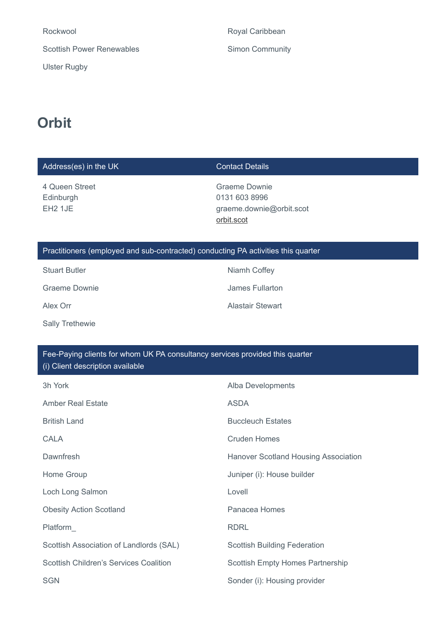Rockwool **Rockwool** Royal Caribbean Scottish Power Renewables Simon Community

Ulster Rugby

# **Orbit**

| Address(es) in the UK                                                                                            | <b>Contact Details</b>                                                          |  |
|------------------------------------------------------------------------------------------------------------------|---------------------------------------------------------------------------------|--|
| 4 Queen Street<br>Edinburgh<br>EH <sub>2</sub> 1JE                                                               | <b>Graeme Downie</b><br>0131 603 8996<br>graeme.downie@orbit.scot<br>orbit.scot |  |
| Practitioners (employed and sub-contracted) conducting PA activities this quarter                                |                                                                                 |  |
| <b>Stuart Butler</b>                                                                                             | Niamh Coffey                                                                    |  |
| <b>Graeme Downie</b>                                                                                             | <b>James Fullarton</b>                                                          |  |
| Alex Orr                                                                                                         | <b>Alastair Stewart</b>                                                         |  |
| <b>Sally Trethewie</b>                                                                                           |                                                                                 |  |
|                                                                                                                  |                                                                                 |  |
| Fee-Paying clients for whom UK PA consultancy services provided this quarter<br>(i) Client description available |                                                                                 |  |
| 3h York                                                                                                          | Alba Developments                                                               |  |
| <b>Amber Real Estate</b>                                                                                         | <b>ASDA</b>                                                                     |  |
| <b>British Land</b>                                                                                              | <b>Buccleuch Estates</b>                                                        |  |

CALA CALA Cruden Homes

Dawnfresh **Exercise 2018** Hanover Scotland Housing Association

Home Group **Home Group Juniper (i): House builder** 

Loch Long Salmon Lovell Lovell

Obesity Action Scotland **Panacea Homes** 

Platform **RDRL** 

Scottish Association of Landlords (SAL) Scottish Building Federation

Scottish Children's Services Coalition Scottish Empty Homes Partnership

## SGN SGN SON SONDER SALL SALL SONDER (i): Housing provider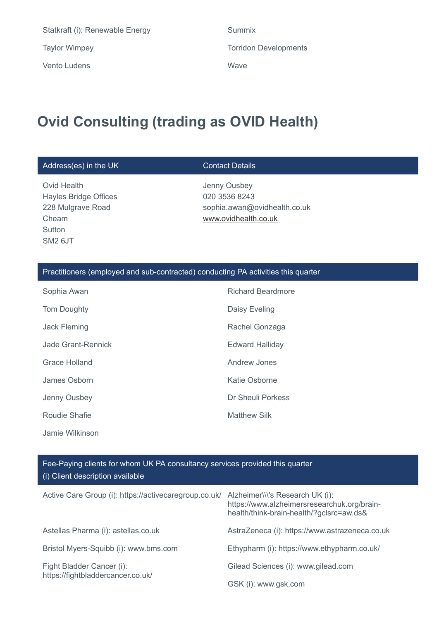Statkraft (i): Renewable Energy Summix Taylor Wimpey Torridon Developments Vento Ludens Wave

# **Ovid Consulting (trading as OVID Health)**

## Address(es) in the UK Contact Details

Ovid Health Hayles Bridge Offices 228 Mulgrave Road Cheam **Sutton** SM2 6JT

Jenny Ousbey 020 3536 8243 sophia.awan@ovidhealth.co.uk [www.ovidhealth.co.uk](http://www.ovidhealth.co.uk/)

## Practitioners (employed and sub-contracted) conducting PA activities this quarter

| Sophia Awan         | <b>Richard Beardmore</b> |
|---------------------|--------------------------|
| <b>Tom Doughty</b>  | Daisy Eveling            |
| <b>Jack Fleming</b> | Rachel Gonzaga           |
| Jade Grant-Rennick  | <b>Edward Halliday</b>   |
| Grace Holland       | <b>Andrew Jones</b>      |
| James Osborn        | <b>Katie Osborne</b>     |
| Jenny Ousbey        | Dr Sheuli Porkess        |
| Roudie Shafie       | <b>Matthew Silk</b>      |
| Jamie Wilkinson     |                          |

| Active Care Group (i): https://activecaregroup.co.uk/          | Alzheimer\\\'s Research UK (i):<br>https://www.alzheimersresearchuk.org/brain-<br>health/think-brain-health/?gclsrc=aw.ds& |
|----------------------------------------------------------------|----------------------------------------------------------------------------------------------------------------------------|
| Astellas Pharma (i): astellas.co.uk                            | AstraZeneca (i): https://www.astrazeneca.co.uk                                                                             |
| Bristol Myers-Squibb (i): www.bms.com                          | Ethypharm (i): https://www.ethypharm.co.uk/                                                                                |
| Fight Bladder Cancer (i):<br>https://fightbladdercancer.co.uk/ | Gilead Sciences (i): www.gilead.com                                                                                        |
|                                                                | GSK (i): www.gsk.com                                                                                                       |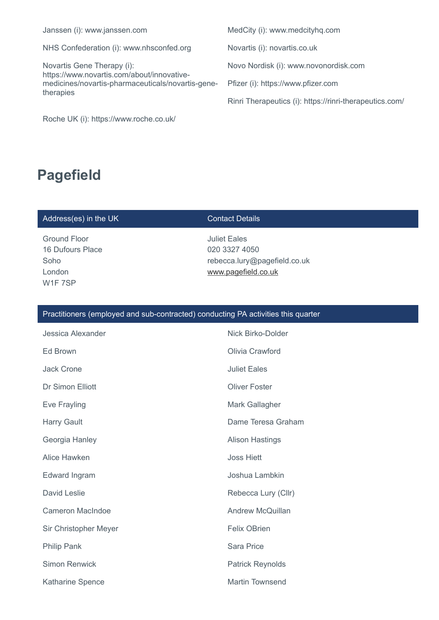NHS Confederation (i): www.nhsconfed.org Novartis (i): novartis.co.uk

Novartis Gene Therapy (i): https://www.novartis.com/about/innovativemedicines/novartis-pharmaceuticals/novartis-genetherapies

Roche UK (i): https://www.roche.co.uk/

Janssen (i): www.janssen.com MedCity (i): www.medcityhq.com

Novo Nordisk (i): www.novonordisk.com

Pfizer (i): https://www.pfizer.com

Rinri Therapeutics (i): https://rinri-therapeutics.com/

# **Pagefield**

## Address(es) in the UK Contact Details

Ground Floor 16 Dufours Place Soho London W1F 7SP

Juliet Eales 020 3327 4050 rebecca.lury@pagefield.co.uk [www.pagefield.co.uk](http://www.pagefield.co.uk/)

| Jessica Alexander       | Nick Birko-Dolder       |
|-------------------------|-------------------------|
| Ed Brown                | Olivia Crawford         |
| <b>Jack Crone</b>       | <b>Juliet Eales</b>     |
| <b>Dr Simon Elliott</b> | Oliver Foster           |
| Eve Frayling            | Mark Gallagher          |
| <b>Harry Gault</b>      | Dame Teresa Graham      |
| Georgia Hanley          | <b>Alison Hastings</b>  |
| Alice Hawken            | <b>Joss Hiett</b>       |
| Edward Ingram           | Joshua Lambkin          |
| David Leslie            | Rebecca Lury (Cllr)     |
| <b>Cameron MacIndoe</b> | <b>Andrew McQuillan</b> |
| Sir Christopher Meyer   | <b>Felix OBrien</b>     |
| <b>Philip Pank</b>      | <b>Sara Price</b>       |
| <b>Simon Renwick</b>    | <b>Patrick Reynolds</b> |
| <b>Katharine Spence</b> | <b>Martin Townsend</b>  |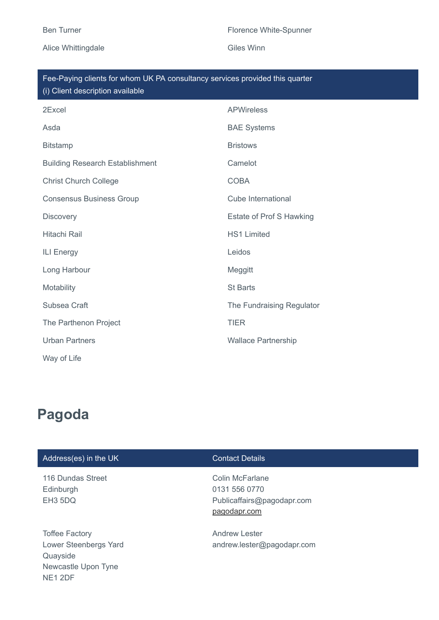## Alice Whittingdale **Giles Winn**

## Ben Turner Florence White-Spunner

| Fee-Paying clients for whom UK PA consultancy services provided this quarter $^{\prime}$ |
|------------------------------------------------------------------------------------------|
| (i) Client description available                                                         |

| 2Excel                                 | <b>APWireless</b>          |
|----------------------------------------|----------------------------|
| Asda                                   | <b>BAE Systems</b>         |
| <b>Bitstamp</b>                        | <b>Bristows</b>            |
| <b>Building Research Establishment</b> | Camelot                    |
| <b>Christ Church College</b>           | <b>COBA</b>                |
| <b>Consensus Business Group</b>        | Cube International         |
| <b>Discovery</b>                       | Estate of Prof S Hawking   |
| <b>Hitachi Rail</b>                    | <b>HS1 Limited</b>         |
| <b>ILI Energy</b>                      | Leidos                     |
| Long Harbour                           | Meggitt                    |
| Motability                             | <b>St Barts</b>            |
| Subsea Craft                           | The Fundraising Regulator  |
| The Parthenon Project                  | <b>TIER</b>                |
| <b>Urban Partners</b>                  | <b>Wallace Partnership</b> |
| Way of Life                            |                            |

# **Pagoda**

# Address(es) in the UK Contact Details

116 Dundas Street Edinburgh EH3 5DQ

Toffee Factory Lower Steenbergs Yard Quayside Newcastle Upon Tyne NE1 2DF

Colin McFarlane 0131 556 0770 Publicaffairs@pagodapr.com [pagodapr.com](http://pagodapr.com/)

Andrew Lester andrew.lester@pagodapr.com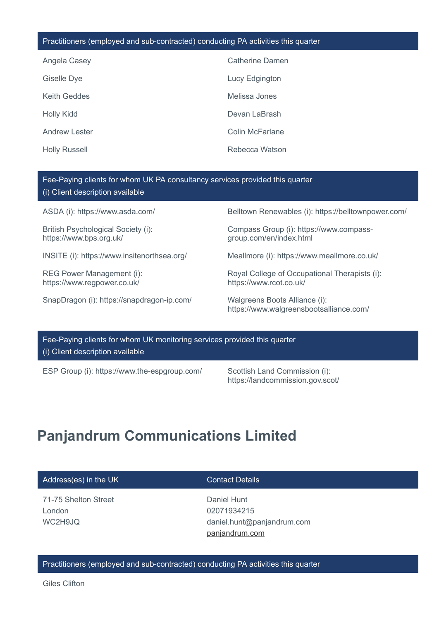### Practitioners (employed and sub-contracted) conducting PA activities this quarter

| Angela Casey         | Catherine Damen        |
|----------------------|------------------------|
| Giselle Dye          | Lucy Edgington         |
| Keith Geddes         | Melissa Jones          |
| <b>Holly Kidd</b>    | Devan LaBrash          |
| <b>Andrew Lester</b> | <b>Colin McFarlane</b> |
| <b>Holly Russell</b> | Rebecca Watson         |

## Fee-Paying clients for whom UK PA consultancy services provided this quarter (i) Client description available

British Psychological Society (i): https://www.bps.org.uk/

REG Power Management (i): https://www.regpower.co.uk/

SnapDragon (i): https://snapdragon-ip.com/ Walgreens Boots Alliance (i):

ASDA (i): https://www.asda.com/ Belltown Renewables (i): https://belltownpower.com/

Compass Group (i): https://www.compassgroup.com/en/index.html

INSITE (i): https://www.insitenorthsea.org/ Meallmore (i): https://www.meallmore.co.uk/

Royal College of Occupational Therapists (i): https://www.rcot.co.uk/

https://www.walgreensbootsalliance.com/

Fee-Paying clients for whom UK monitoring services provided this quarter (i) Client description available

ESP Group (i): https://www.the-espgroup.com/ Scottish Land Commission (i):

https://landcommission.gov.scot/

# **Panjandrum Communications Limited**

### Address(es) in the UK Contact Details

71-75 Shelton Street London WC2H9JQ

Daniel Hunt 02071934215 daniel.hunt@panjandrum.com [panjandrum.com](http://panjandrum.com/)

### Practitioners (employed and sub-contracted) conducting PA activities this quarter

Giles Clifton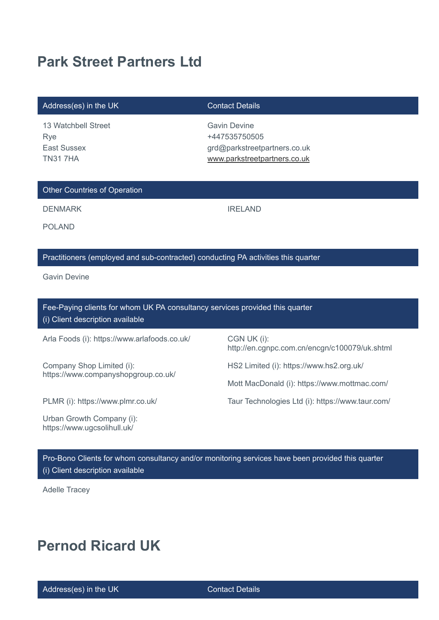# **Park Street Partners Ltd**

### Address(es) in the UK Contact Details

13 Watchbell Street Rye East Sussex TN31 7HA

Gavin Devine +447535750505 grd@parkstreetpartners.co.uk [www.parkstreetpartners.co.uk](http://www.parkstreetpartners.co.uk/)

## Other Countries of Operation

DENMARK IRELAND

POLAND

# Practitioners (employed and sub-contracted) conducting PA activities this quarter

Gavin Devine

Fee-Paying clients for whom UK PA consultancy services provided this quarter (i) Client description available

Arla Foods (i): https://www.arlafoods.co.uk/ CGN UK (i):

Company Shop Limited (i): https://www.companyshopgroup.co.uk/

Urban Growth Company (i): https://www.ugcsolihull.uk/

http://en.cgnpc.com.cn/encgn/c100079/uk.shtml

HS2 Limited (i): https://www.hs2.org.uk/

Mott MacDonald (i): https://www.mottmac.com/

PLMR (i): https://www.plmr.co.uk/ Taur Technologies Ltd (i): https://www.taur.com/

Pro-Bono Clients for whom consultancy and/or monitoring services have been provided this quarter (i) Client description available

Adelle Tracey

# **Pernod Ricard UK**

Address(es) in the UK Contact Details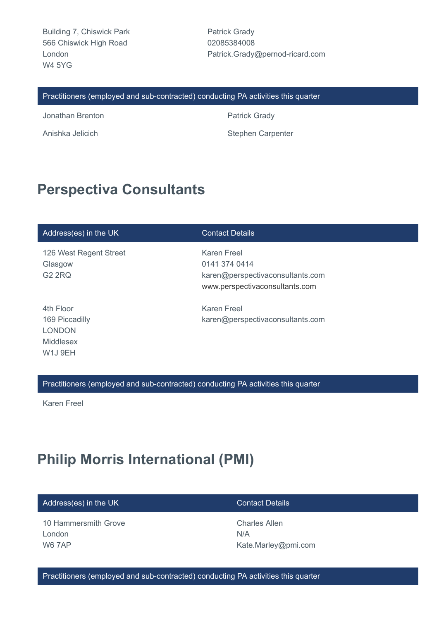Building 7, Chiswick Park 566 Chiswick High Road London W4 5YG

Patrick Grady 02085384008 Patrick.Grady@pernod-ricard.com

### Practitioners (employed and sub-contracted) conducting PA activities this quarter

Jonathan Brenton **Patrick Grady** 

Anishka Jelicich **Stephen Carpenter** Stephen Carpenter

# **Perspectiva Consultants**

| Address(es) in the UK                                                                        | <b>Contact Details</b>                                                                             |
|----------------------------------------------------------------------------------------------|----------------------------------------------------------------------------------------------------|
| 126 West Regent Street<br>Glasgow<br><b>G2 2RQ</b>                                           | Karen Freel<br>0141 374 0414<br>karen@perspectivaconsultants.com<br>www.perspectivaconsultants.com |
| 4th Floor<br>169 Piccadilly<br><b>LONDON</b><br>Middlesex<br>W <sub>1</sub> J <sub>9EH</sub> | <b>Karen Freel</b><br>karen@perspectivaconsultants.com                                             |

Practitioners (employed and sub-contracted) conducting PA activities this quarter

Karen Freel

# **Philip Morris International (PMI)**

| Address(es) in the UK | <b>Contact Details</b> |
|-----------------------|------------------------|
| 10 Hammersmith Grove  | <b>Charles Allen</b>   |
| London                | N/A                    |
| <b>W6 7AP</b>         | Kate.Marley@pmi.com    |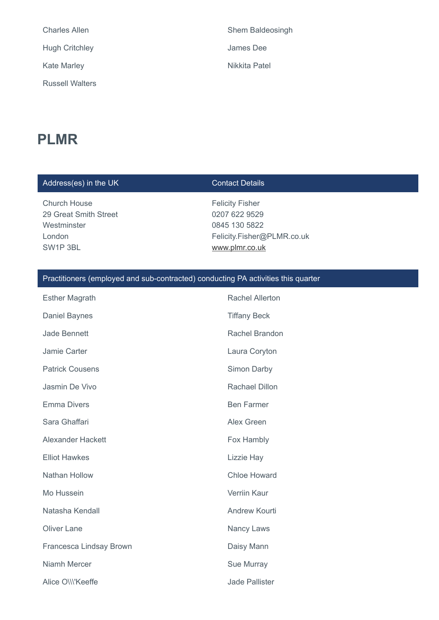| <b>Charles Allen</b>   |
|------------------------|
| <b>Hugh Critchley</b>  |
| <b>Kate Marley</b>     |
| <b>Russell Walters</b> |

# **PLMR**

# Address(es) in the UK Contact Details

Church House 29 Great Smith Street **Westminster** London SW1P 3BL

Felicity Fisher 0207 622 9529 0845 130 5822 Felicity.Fisher@PLMR.co.uk [www.plmr.co.uk](http://www.plmr.co.uk/)

Shem Baldeosingh

James Dee

**Nikkita Patel** 

| <b>Esther Magrath</b>    | <b>Rachel Allerton</b> |
|--------------------------|------------------------|
| <b>Daniel Baynes</b>     | <b>Tiffany Beck</b>    |
| <b>Jade Bennett</b>      | Rachel Brandon         |
| Jamie Carter             | Laura Coryton          |
| <b>Patrick Cousens</b>   | Simon Darby            |
| Jasmin De Vivo           | Rachael Dillon         |
| <b>Emma Divers</b>       | <b>Ben Farmer</b>      |
| Sara Ghaffari            | Alex Green             |
| <b>Alexander Hackett</b> | Fox Hambly             |
| <b>Elliot Hawkes</b>     | Lizzie Hay             |
| Nathan Hollow            | <b>Chloe Howard</b>    |
| Mo Hussein               | Verriin Kaur           |
| Natasha Kendall          | <b>Andrew Kourti</b>   |
| <b>Oliver Lane</b>       | Nancy Laws             |
| Francesca Lindsay Brown  | Daisy Mann             |
| Niamh Mercer             | Sue Murray             |
| Alice O\\\'Keeffe        | Jade Pallister         |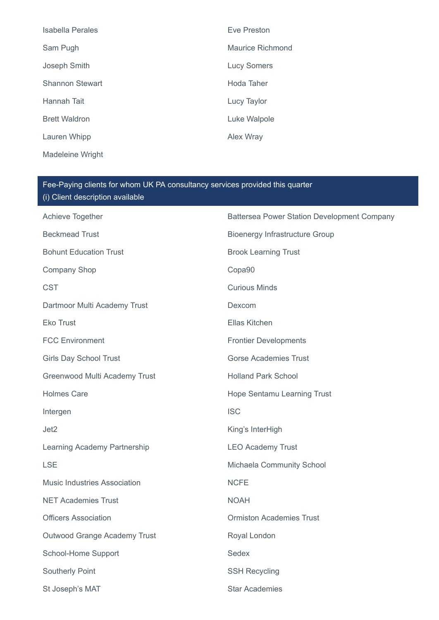| Isabella Perales        | Eve Preston        |
|-------------------------|--------------------|
| Sam Pugh                | Maurice Richmond   |
| Joseph Smith            | <b>Lucy Somers</b> |
| <b>Shannon Stewart</b>  | Hoda Taher         |
| Hannah Tait             | Lucy Taylor        |
| <b>Brett Waldron</b>    | Luke Walpole       |
| Lauren Whipp            | <b>Alex Wray</b>   |
| <b>Madeleine Wright</b> |                    |

| Fee-Paying clients for whom UK PA consultancy services provided this quarter<br>(i) Client description available |                                             |  |
|------------------------------------------------------------------------------------------------------------------|---------------------------------------------|--|
| Achieve Together                                                                                                 | Battersea Power Station Development Company |  |
| <b>Beckmead Trust</b>                                                                                            | <b>Bioenergy Infrastructure Group</b>       |  |
| <b>Bohunt Education Trust</b>                                                                                    | <b>Brook Learning Trust</b>                 |  |
| <b>Company Shop</b>                                                                                              | Copa90                                      |  |
| <b>CST</b>                                                                                                       | <b>Curious Minds</b>                        |  |
| Dartmoor Multi Academy Trust                                                                                     | Dexcom                                      |  |
| <b>Eko Trust</b>                                                                                                 | Ellas Kitchen                               |  |
| <b>FCC Environment</b>                                                                                           | <b>Frontier Developments</b>                |  |
| <b>Girls Day School Trust</b>                                                                                    | <b>Gorse Academies Trust</b>                |  |
| Greenwood Multi Academy Trust                                                                                    | <b>Holland Park School</b>                  |  |
| <b>Holmes Care</b>                                                                                               | Hope Sentamu Learning Trust                 |  |
| Intergen                                                                                                         | <b>ISC</b>                                  |  |
| Jet <sub>2</sub>                                                                                                 | King's InterHigh                            |  |
| Learning Academy Partnership                                                                                     | <b>LEO Academy Trust</b>                    |  |
| <b>LSE</b>                                                                                                       | Michaela Community School                   |  |
| <b>Music Industries Association</b>                                                                              | <b>NCFE</b>                                 |  |
| <b>NET Academies Trust</b>                                                                                       | <b>NOAH</b>                                 |  |
| <b>Officers Association</b>                                                                                      | <b>Ormiston Academies Trust</b>             |  |
| Outwood Grange Academy Trust                                                                                     | Royal London                                |  |
| School-Home Support                                                                                              | Sedex                                       |  |
| <b>Southerly Point</b>                                                                                           | <b>SSH Recycling</b>                        |  |
| St Joseph's MAT                                                                                                  | <b>Star Academies</b>                       |  |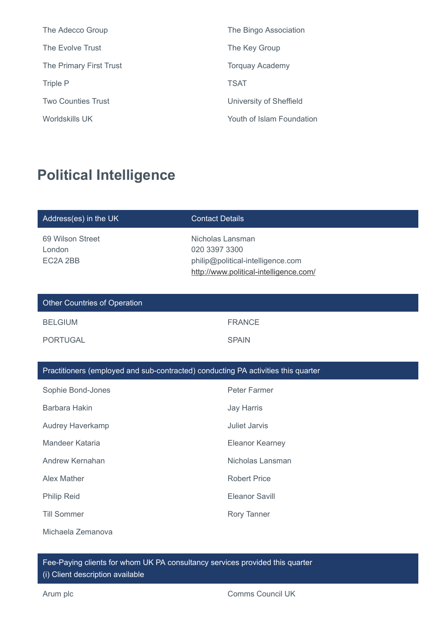| The Adecco Group          | The Bingo Association     |
|---------------------------|---------------------------|
| The Evolve Trust          | The Key Group             |
| The Primary First Trust   | <b>Torquay Academy</b>    |
| Triple P                  | <b>TSAT</b>               |
| <b>Two Counties Trust</b> | University of Sheffield   |
| Worldskills UK            | Youth of Islam Foundation |

# **Political Intelligence**

| Address(es) in the UK                                                             | <b>Contact Details</b>                                                                                           |  |
|-----------------------------------------------------------------------------------|------------------------------------------------------------------------------------------------------------------|--|
| 69 Wilson Street<br>London<br>EC2A 2BB                                            | Nicholas Lansman<br>020 3397 3300<br>philip@political-intelligence.com<br>http://www.political-intelligence.com/ |  |
| <b>Other Countries of Operation</b>                                               |                                                                                                                  |  |
| <b>BELGIUM</b>                                                                    | <b>FRANCE</b>                                                                                                    |  |
| <b>PORTUGAL</b>                                                                   | <b>SPAIN</b>                                                                                                     |  |
|                                                                                   |                                                                                                                  |  |
| Practitioners (employed and sub-contracted) conducting PA activities this quarter |                                                                                                                  |  |
| Sophie Bond-Jones                                                                 | Peter Farmer                                                                                                     |  |
| Barbara Hakin                                                                     | <b>Jay Harris</b>                                                                                                |  |
| <b>Audrey Haverkamp</b>                                                           | <b>Juliet Jarvis</b>                                                                                             |  |
| Mandeer Kataria                                                                   | <b>Eleanor Kearney</b>                                                                                           |  |
| Andrew Kernahan                                                                   | Nicholas Lansman                                                                                                 |  |
| <b>Alex Mather</b>                                                                | <b>Robert Price</b>                                                                                              |  |

Philip Reid **Eleanor Savill** 

Till Sommer Norwegian and Rory Tanner

Michaela Zemanova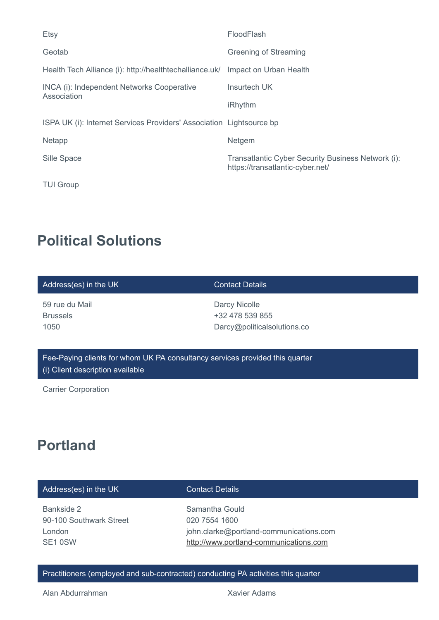| Etsy                                                                 | FloodFlash                                                                             |
|----------------------------------------------------------------------|----------------------------------------------------------------------------------------|
| Geotab                                                               | Greening of Streaming                                                                  |
| Health Tech Alliance (i): http://healthtechalliance.uk/              | Impact on Urban Health                                                                 |
| INCA (i): Independent Networks Cooperative<br>Association            | Insurtech UK                                                                           |
|                                                                      | <b>iRhythm</b>                                                                         |
| ISPA UK (i): Internet Services Providers' Association Lightsource bp |                                                                                        |
| Netapp                                                               | Netgem                                                                                 |
| Sille Space                                                          | Transatlantic Cyber Security Business Network (i):<br>https://transatlantic-cyber.net/ |
| <b>TUI Group</b>                                                     |                                                                                        |

# **Political Solutions**

| Address(es) in the UK                                                        | <b>Contact Details</b>                                          |  |
|------------------------------------------------------------------------------|-----------------------------------------------------------------|--|
| 59 rue du Mail<br><b>Brussels</b><br>1050                                    | Darcy Nicolle<br>+32 478 539 855<br>Darcy@politicalsolutions.co |  |
| Fee-Paying clients for whom UK PA consultancy services provided this quarter |                                                                 |  |

Carrier Corporation

(i) Client description available

# **Portland**

# Address(es) in the UK Contact Details

Bankside 2 90-100 Southwark Street London SE1 0SW

Samantha Gould 020 7554 1600 john.clarke@portland-communications.com [http://www.portland-communications.com](http://www.portland-communications.com/)

Practitioners (employed and sub-contracted) conducting PA activities this quarter

Alan Abdurrahman Xavier Adams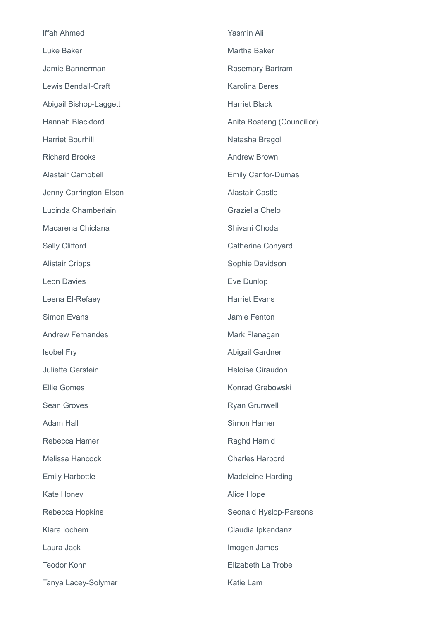| <b>Iffah Ahmed</b>         | Yasmin Ali                 |
|----------------------------|----------------------------|
| Luke Baker                 | Martha Baker               |
| Jamie Bannerman            | <b>Rosemary Bartram</b>    |
| <b>Lewis Bendall-Craft</b> | <b>Karolina Beres</b>      |
| Abigail Bishop-Laggett     | <b>Harriet Black</b>       |
| Hannah Blackford           | Anita Boateng (Councillor) |
| <b>Harriet Bourhill</b>    | Natasha Bragoli            |
| <b>Richard Brooks</b>      | <b>Andrew Brown</b>        |
| Alastair Campbell          | <b>Emily Canfor-Dumas</b>  |
| Jenny Carrington-Elson     | <b>Alastair Castle</b>     |
| Lucinda Chamberlain        | Graziella Chelo            |
| Macarena Chiclana          | Shivani Choda              |
| Sally Clifford             | Catherine Conyard          |
| <b>Alistair Cripps</b>     | Sophie Davidson            |
| <b>Leon Davies</b>         | Eve Dunlop                 |
| Leena El-Refaey            | <b>Harriet Evans</b>       |
| <b>Simon Evans</b>         | Jamie Fenton               |
| <b>Andrew Fernandes</b>    | Mark Flanagan              |
| <b>Isobel Fry</b>          | Abigail Gardner            |
| <b>Juliette Gerstein</b>   | <b>Heloise Giraudon</b>    |
| <b>Ellie Gomes</b>         | Konrad Grabowski           |
| <b>Sean Groves</b>         | <b>Ryan Grunwell</b>       |
| <b>Adam Hall</b>           | <b>Simon Hamer</b>         |
| Rebecca Hamer              | Raghd Hamid                |
| <b>Melissa Hancock</b>     | <b>Charles Harbord</b>     |
| <b>Emily Harbottle</b>     | <b>Madeleine Harding</b>   |
| Kate Honey                 | Alice Hope                 |
| Rebecca Hopkins            | Seonaid Hyslop-Parsons     |
| Klara lochem               | Claudia Ipkendanz          |
| Laura Jack                 | Imogen James               |
| <b>Teodor Kohn</b>         | Elizabeth La Trobe         |
| Tanya Lacey-Solymar        | Katie Lam                  |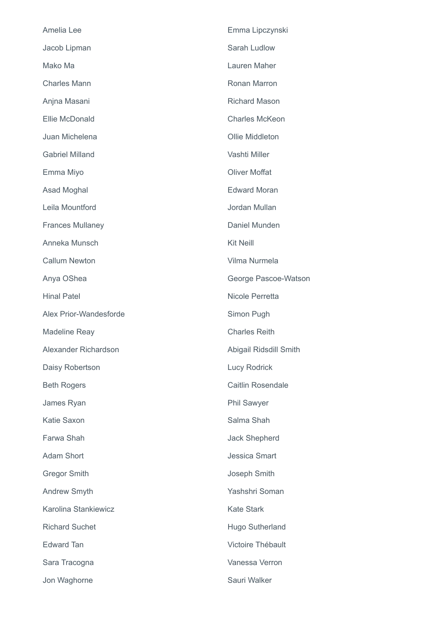| Amelia Lee              | Emma Lipczynski          |
|-------------------------|--------------------------|
| Jacob Lipman            | Sarah Ludlow             |
| Mako Ma                 | Lauren Maher             |
| <b>Charles Mann</b>     | Ronan Marron             |
| Anjna Masani            | <b>Richard Mason</b>     |
| Ellie McDonald          | <b>Charles McKeon</b>    |
| Juan Michelena          | Ollie Middleton          |
| <b>Gabriel Milland</b>  | Vashti Miller            |
| Emma Miyo               | <b>Oliver Moffat</b>     |
| Asad Moghal             | <b>Edward Moran</b>      |
| Leila Mountford         | Jordan Mullan            |
| <b>Frances Mullaney</b> | Daniel Munden            |
| Anneka Munsch           | <b>Kit Neill</b>         |
| <b>Callum Newton</b>    | Vilma Nurmela            |
| Anya OShea              | George Pascoe-Watson     |
| <b>Hinal Patel</b>      | Nicole Perretta          |
| Alex Prior-Wandesforde  | Simon Pugh               |
| <b>Madeline Reay</b>    | <b>Charles Reith</b>     |
| Alexander Richardson    | Abigail Ridsdill Smith   |
| Daisy Robertson         | <b>Lucy Rodrick</b>      |
| <b>Beth Rogers</b>      | <b>Caitlin Rosendale</b> |
| James Ryan              | <b>Phil Sawyer</b>       |
| <b>Katie Saxon</b>      | Salma Shah               |
| Farwa Shah              | <b>Jack Shepherd</b>     |
| <b>Adam Short</b>       | <b>Jessica Smart</b>     |
| <b>Gregor Smith</b>     | Joseph Smith             |
| <b>Andrew Smyth</b>     | Yashshri Soman           |
| Karolina Stankiewicz    | <b>Kate Stark</b>        |
| <b>Richard Suchet</b>   | Hugo Sutherland          |
| <b>Edward Tan</b>       | Victoire Thébault        |
| Sara Tracogna           | Vanessa Verron           |
| Jon Waghorne            | Sauri Walker             |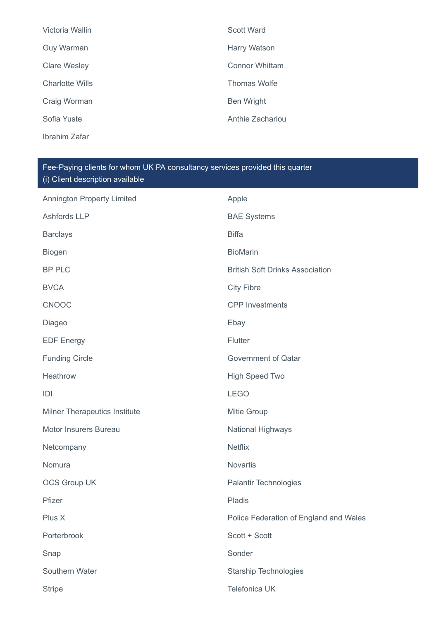| Victoria Wallin        | Scott Ward            |
|------------------------|-----------------------|
| Guy Warman             | Harry Watson          |
| <b>Clare Wesley</b>    | <b>Connor Whittam</b> |
| <b>Charlotte Wills</b> | Thomas Wolfe          |
| Craig Worman           | <b>Ben Wright</b>     |
| Sofia Yuste            | Anthie Zachariou      |
| Ibrahim Zafar          |                       |

| <b>Annington Property Limited</b>    | Apple                                  |
|--------------------------------------|----------------------------------------|
| <b>Ashfords LLP</b>                  | <b>BAE Systems</b>                     |
| <b>Barclays</b>                      | <b>Biffa</b>                           |
| <b>Biogen</b>                        | <b>BioMarin</b>                        |
| <b>BP PLC</b>                        | <b>British Soft Drinks Association</b> |
| <b>BVCA</b>                          | <b>City Fibre</b>                      |
| <b>CNOOC</b>                         | <b>CPP</b> Investments                 |
| Diageo                               | Ebay                                   |
| <b>EDF Energy</b>                    | Flutter                                |
| <b>Funding Circle</b>                | <b>Government of Qatar</b>             |
| Heathrow                             | <b>High Speed Two</b>                  |
| D                                    | <b>LEGO</b>                            |
| <b>Milner Therapeutics Institute</b> | Mitie Group                            |
| Motor Insurers Bureau                | National Highways                      |
| Netcompany                           | <b>Netflix</b>                         |
| Nomura                               | Novartis                               |
| <b>OCS Group UK</b>                  | <b>Palantir Technologies</b>           |
| Pfizer                               | Pladis                                 |
| Plus X                               | Police Federation of England and Wales |
| Porterbrook                          | Scott + Scott                          |
| Snap                                 | Sonder                                 |
| Southern Water                       | <b>Starship Technologies</b>           |
| <b>Stripe</b>                        | Telefonica UK                          |
|                                      |                                        |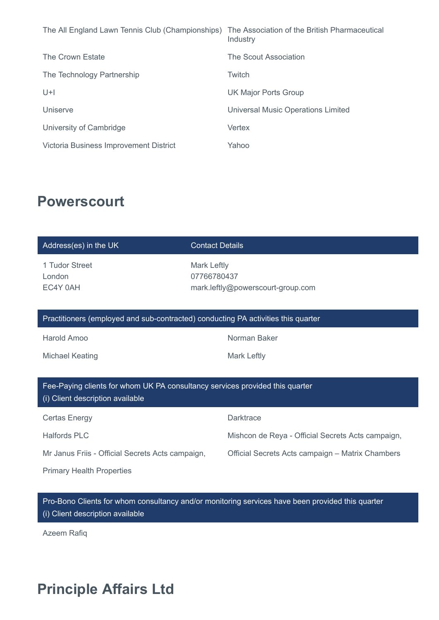| The All England Lawn Tennis Club (Championships) | The Association of the British Pharmaceutical<br>Industry |
|--------------------------------------------------|-----------------------------------------------------------|
| The Crown Estate                                 | The Scout Association                                     |
| The Technology Partnership                       | Twitch                                                    |
| $U+I$                                            | <b>UK Major Ports Group</b>                               |
| Uniserve                                         | <b>Universal Music Operations Limited</b>                 |
| University of Cambridge                          | Vertex                                                    |
| Victoria Business Improvement District           | Yahoo                                                     |

# **Powerscourt**

| Address(es) in the UK                                                                                            | <b>Contact Details</b>                                          |
|------------------------------------------------------------------------------------------------------------------|-----------------------------------------------------------------|
| 1 Tudor Street<br>London<br>EC4Y 0AH                                                                             | Mark Leftly<br>07766780437<br>mark.leftly@powerscourt-group.com |
| Practitioners (employed and sub-contracted) conducting PA activities this quarter                                |                                                                 |
| Harold Amoo                                                                                                      | Norman Baker                                                    |
| <b>Michael Keating</b>                                                                                           | Mark Leftly                                                     |
|                                                                                                                  |                                                                 |
| Fee-Paying clients for whom UK PA consultancy services provided this quarter<br>(i) Client description available |                                                                 |
| <b>Certas Energy</b>                                                                                             | <b>Darktrace</b>                                                |
| <b>Halfords PLC</b>                                                                                              | Mishcon de Reya - Official Secrets Acts campaign,               |
| Mr Janus Friis - Official Secrets Acts campaign,                                                                 | Official Secrets Acts campaign - Matrix Chambers                |
| <b>Primary Health Properties</b>                                                                                 |                                                                 |

Pro-Bono Clients for whom consultancy and/or monitoring services have been provided this quarter (i) Client description available

Azeem Rafiq

# **Principle Affairs Ltd**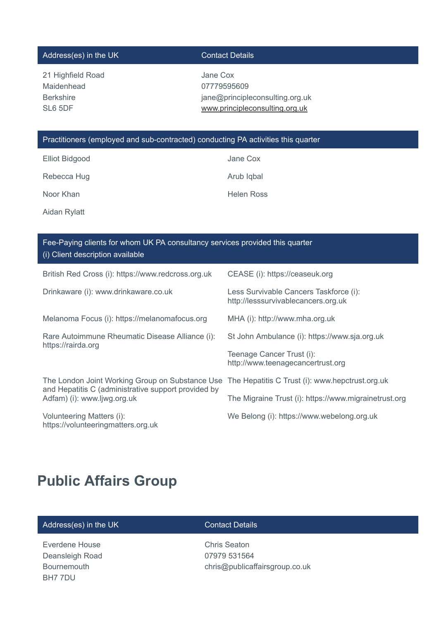## Address(es) in the UK Contact Details

21 Highfield Road Maidenhead Berkshire SL6 5DF

Jane Cox 07779595609 jane@principleconsulting.org.uk [www.principleconsulting.org.uk](http://www.principleconsulting.org.uk/)

## Practitioners (employed and sub-contracted) conducting PA activities this quarter

Rebecca Hug **Arub Iqbal** Arub Iqbal

Noor Khan **Helen Ross** 

Aidan Rylatt

Elliot Bidgood Jane Cox

| Fee-Paying clients for whom UK PA consultancy services provided this quarter<br>(i) Client description available                      |                                                                               |  |
|---------------------------------------------------------------------------------------------------------------------------------------|-------------------------------------------------------------------------------|--|
| British Red Cross (i): https://www.redcross.org.uk                                                                                    | CEASE (i): https://ceaseuk.org                                                |  |
| Drinkaware (i): www.drinkaware.co.uk                                                                                                  | Less Survivable Cancers Taskforce (i):<br>http://lesssurvivablecancers.org.uk |  |
| Melanoma Focus (i): https://melanomafocus.org                                                                                         | MHA (i): http://www.mha.org.uk                                                |  |
| Rare Autoimmune Rheumatic Disease Alliance (i):<br>https://rairda.org                                                                 | St John Ambulance (i): https://www.sja.org.uk                                 |  |
|                                                                                                                                       | Teenage Cancer Trust (i):<br>http://www.teenagecancertrust.org                |  |
| The London Joint Working Group on Substance Use<br>and Hepatitis C (administrative support provided by<br>Adfam) (i): www.ljwg.org.uk | The Hepatitis C Trust (i): www.hepctrust.org.uk                               |  |
|                                                                                                                                       | The Migraine Trust (i): https://www.migrainetrust.org                         |  |
| Volunteering Matters (i):<br>https://volunteeringmatters.org.uk                                                                       | We Belong (i): https://www.webelong.org.uk                                    |  |

# **Public Affairs Group**

## Address(es) in the UK Contact Details

Everdene House Deansleigh Road Bournemouth BH7 7DU

Chris Seaton 07979 531564 chris@publicaffairsgroup.co.uk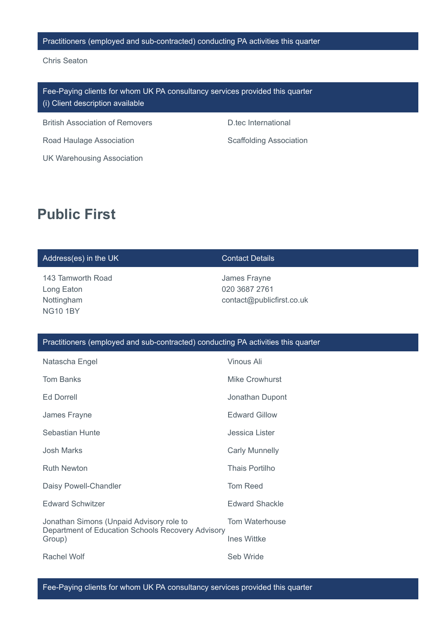### Practitioners (employed and sub-contracted) conducting PA activities this quarter

Chris Seaton

Fee-Paying clients for whom UK PA consultancy services provided this quarter (i) Client description available

British Association of Removers **D.tec International** 

Road Haulage Association **Scaffolding Association** Scaffolding Association

UK Warehousing Association

# **Public First**

## Address(es) in the UK Contact Details

143 Tamworth Road Long Eaton Nottingham NG10 1BY

James Frayne 020 3687 2761 contact@publicfirst.co.uk

## Practitioners (employed and sub-contracted) conducting PA activities this quarter

| Natascha Engel                                              | Vinous Ali            |
|-------------------------------------------------------------|-----------------------|
| <b>Tom Banks</b>                                            | Mike Crowhurst        |
| <b>Ed Dorrell</b>                                           | Jonathan Dupont       |
| James Frayne                                                | <b>Edward Gillow</b>  |
| Sebastian Hunte                                             | Jessica Lister        |
| Josh Marks                                                  | <b>Carly Munnelly</b> |
| <b>Ruth Newton</b>                                          | <b>Thais Portilho</b> |
| Daisy Powell-Chandler                                       | <b>Tom Reed</b>       |
| <b>Edward Schwitzer</b>                                     | <b>Edward Shackle</b> |
| Jonathan Simons (Unpaid Advisory role to                    | Tom Waterhouse        |
| Department of Education Schools Recovery Advisory<br>Group) | <b>Ines Wittke</b>    |
| Rachel Wolf                                                 | Seb Wride             |

Fee-Paying clients for whom UK PA consultancy services provided this quarter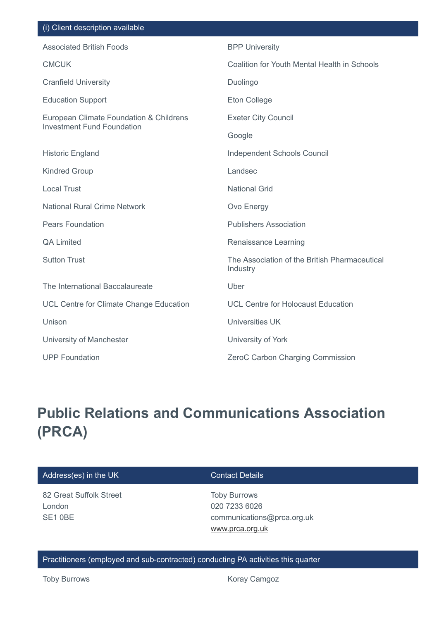| (i) Olici il ucsuliptiuli avaliable                                          |                                                           |
|------------------------------------------------------------------------------|-----------------------------------------------------------|
| <b>Associated British Foods</b>                                              | <b>BPP University</b>                                     |
| <b>CMCUK</b>                                                                 | Coalition for Youth Mental Health in Schools              |
| <b>Cranfield University</b>                                                  | Duolingo                                                  |
| <b>Education Support</b>                                                     | <b>Eton College</b>                                       |
| European Climate Foundation & Childrens<br><b>Investment Fund Foundation</b> | <b>Exeter City Council</b>                                |
|                                                                              | Google                                                    |
| <b>Historic England</b>                                                      | Independent Schools Council                               |
| <b>Kindred Group</b>                                                         | Landsec                                                   |
| <b>Local Trust</b>                                                           | <b>National Grid</b>                                      |
| <b>National Rural Crime Network</b>                                          | Ovo Energy                                                |
| <b>Pears Foundation</b>                                                      | <b>Publishers Association</b>                             |
| <b>QA Limited</b>                                                            | Renaissance Learning                                      |
| <b>Sutton Trust</b>                                                          | The Association of the British Pharmaceutical<br>Industry |
| The International Baccalaureate                                              | Uber                                                      |
| UCL Centre for Climate Change Education                                      | <b>UCL Centre for Holocaust Education</b>                 |
| Unison                                                                       | <b>Universities UK</b>                                    |
| University of Manchester                                                     | University of York                                        |
| <b>UPP Foundation</b>                                                        | ZeroC Carbon Charging Commission                          |

# **Public Relations and Communications Association (PRCA)**

| Address(es) in the UK | <b>Contact Details</b> |
|-----------------------|------------------------|

82 Great Suffolk Street London SE1 0BE

Client description available

Toby Burrows 020 7233 6026 communications@prca.org.uk [www.prca.org.uk](http://www.prca.org.uk/)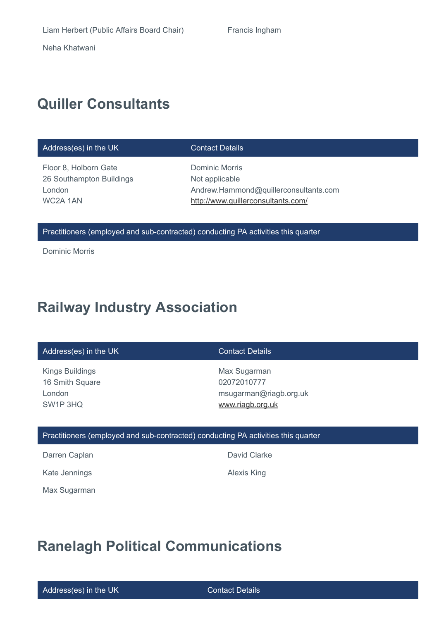Neha Khatwani

# **Quiller Consultants**

### Address(es) in the UK Contact Details

Floor 8, Holborn Gate 26 Southampton Buildings London WC2A 1AN

Dominic Morris Not applicable Andrew.Hammond@quillerconsultants.com <http://www.quillerconsultants.com/>

### Practitioners (employed and sub-contracted) conducting PA activities this quarter

Dominic Morris

# **Railway Industry Association**

### Address(es) in the UK Contact Details

Kings Buildings 16 Smith Square London SW1P 3HQ

Max Sugarman 02072010777 msugarman@riagb.org.uk [www.riagb.org.uk](http://www.riagb.org.uk/)

### Practitioners (employed and sub-contracted) conducting PA activities this quarter

Darren Caplan **David Clarke** 

Kate Jennings **Alexis King** 

Max Sugarman

**Ranelagh Political Communications**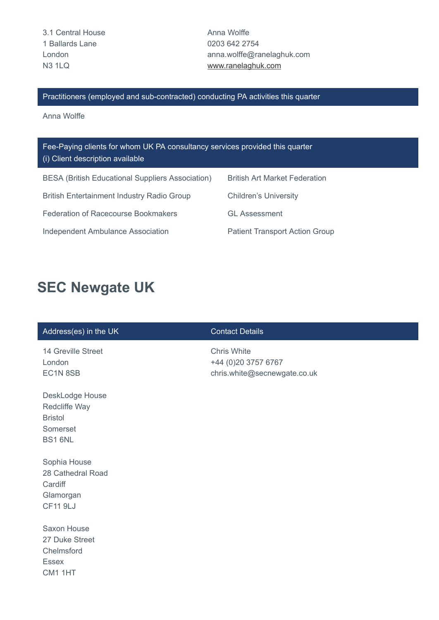3.1 Central House 1 Ballards Lane London N3 1LQ

Anna Wolffe 0203 642 2754 anna.wolffe@ranelaghuk.com [www.ranelaghuk.com](http://www.ranelaghuk.com/)

Practitioners (employed and sub-contracted) conducting PA activities this quarter

Anna Wolffe

| Fee-Paying clients for whom UK PA consultancy services provided this quarter<br>(i) Client description available |                                       |  |
|------------------------------------------------------------------------------------------------------------------|---------------------------------------|--|
| <b>BESA (British Educational Suppliers Association)</b>                                                          | <b>British Art Market Federation</b>  |  |
| <b>British Entertainment Industry Radio Group</b>                                                                | <b>Children's University</b>          |  |
| Federation of Racecourse Bookmakers                                                                              | <b>GL Assessment</b>                  |  |
| Independent Ambulance Association                                                                                | <b>Patient Transport Action Group</b> |  |

# **SEC Newgate UK**

## Address(es) in the UK Contact Details

- 14 Greville Street London EC1N 8SB
- DeskLodge House Redcliffe Way Bristol Somerset BS1 6NL

Sophia House 28 Cathedral Road **Cardiff** Glamorgan CF11 9LJ

Saxon House 27 Duke Street Chelmsford Essex CM1 1HT

Chris White +44 (0)20 3757 6767 chris.white@secnewgate.co.uk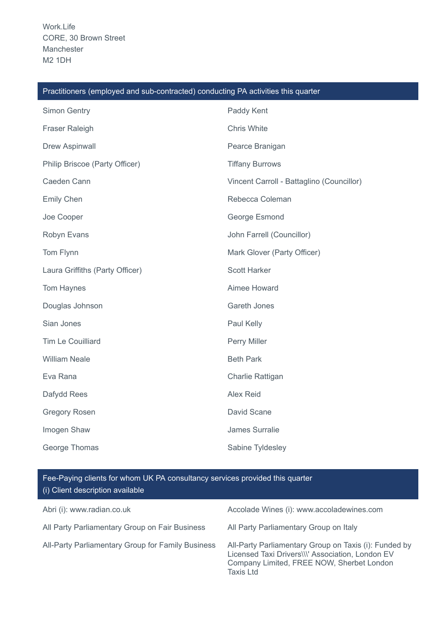| Practitioners (employed and sub-contracted) conducting PA activities this quarter |                                           |  |
|-----------------------------------------------------------------------------------|-------------------------------------------|--|
| Simon Gentry                                                                      | Paddy Kent                                |  |
| Fraser Raleigh                                                                    | Chris White                               |  |
| Drew Aspinwall                                                                    | Pearce Branigan                           |  |
| Philip Briscoe (Party Officer)                                                    | <b>Tiffany Burrows</b>                    |  |
| Caeden Cann                                                                       | Vincent Carroll - Battaglino (Councillor) |  |
| <b>Emily Chen</b>                                                                 | Rebecca Coleman                           |  |
| Joe Cooper                                                                        | George Esmond                             |  |
| Robyn Evans                                                                       | John Farrell (Councillor)                 |  |
| Tom Flynn                                                                         | Mark Glover (Party Officer)               |  |
| Laura Griffiths (Party Officer)                                                   | <b>Scott Harker</b>                       |  |
| Tom Haynes                                                                        | Aimee Howard                              |  |
| Douglas Johnson                                                                   | <b>Gareth Jones</b>                       |  |
| Sian Jones                                                                        | Paul Kelly                                |  |
| Tim Le Couilliard                                                                 | Perry Miller                              |  |
| <b>William Neale</b>                                                              | <b>Beth Park</b>                          |  |
| Eva Rana                                                                          | Charlie Rattigan                          |  |
| Dafydd Rees                                                                       | Alex Reid                                 |  |
| <b>Gregory Rosen</b>                                                              | David Scane                               |  |
| Imogen Shaw                                                                       | James Surralie                            |  |
| George Thomas                                                                     | Sabine Tyldesley                          |  |

### Practitioners (employed and sub-contracted) conducting PA activities this quarter

| Abri (i): www.radian.co.uk                        | Accolade Wines (i): www.accoladewines.com                                                                                                                           |
|---------------------------------------------------|---------------------------------------------------------------------------------------------------------------------------------------------------------------------|
| All Party Parliamentary Group on Fair Business    | All Party Parliamentary Group on Italy                                                                                                                              |
| All-Party Parliamentary Group for Family Business | All-Party Parliamentary Group on Taxis (i): Funded by<br>Licensed Taxi Drivers\\\' Association, London EV<br>Company Limited, FREE NOW, Sherbet London<br>Taxis Ltd |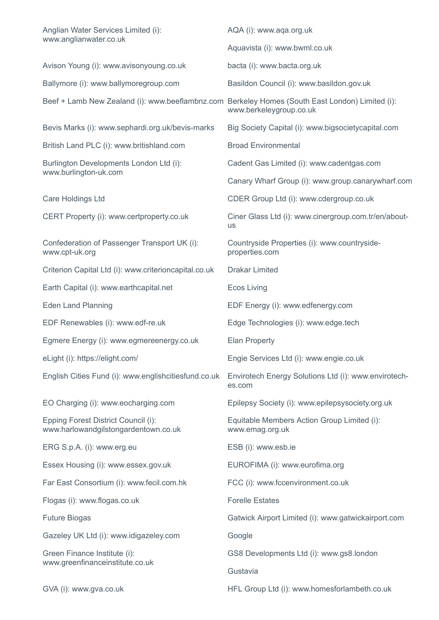| Anglian Water Services Limited (i):<br>www.anglianwater.co.uk                                   | AQA (i): www.aqa.org.uk                                           |  |
|-------------------------------------------------------------------------------------------------|-------------------------------------------------------------------|--|
|                                                                                                 | Aquavista (i): www.bwml.co.uk                                     |  |
| Avison Young (i): www.avisonyoung.co.uk                                                         | bacta (i): www.bacta.org.uk                                       |  |
| Ballymore (i): www.ballymoregroup.com                                                           | Basildon Council (i): www.basildon.gov.uk                         |  |
| Beef + Lamb New Zealand (i): www.beeflambnz.com Berkeley Homes (South East London) Limited (i): | www.berkeleygroup.co.uk                                           |  |
| Bevis Marks (i): www.sephardi.org.uk/bevis-marks                                                | Big Society Capital (i): www.bigsocietycapital.com                |  |
| British Land PLC (i): www.britishland.com                                                       | <b>Broad Environmental</b>                                        |  |
| Burlington Developments London Ltd (i):                                                         | Cadent Gas Limited (i): www.cadentgas.com                         |  |
| www.burlington-uk.com                                                                           | Canary Wharf Group (i): www.group.canarywharf.com                 |  |
| Care Holdings Ltd                                                                               | CDER Group Ltd (i): www.cdergroup.co.uk                           |  |
| CERT Property (i): www.certproperty.co.uk                                                       | Ciner Glass Ltd (i): www.cinergroup.com.tr/en/about-<br><b>us</b> |  |
| Confederation of Passenger Transport UK (i):<br>www.cpt-uk.org                                  | Countryside Properties (i): www.countryside-<br>properties.com    |  |
| Criterion Capital Ltd (i): www.criterioncapital.co.uk                                           | <b>Drakar Limited</b>                                             |  |
| Earth Capital (i): www.earthcapital.net                                                         | <b>Ecos Living</b>                                                |  |
| <b>Eden Land Planning</b>                                                                       | EDF Energy (i): www.edfenergy.com                                 |  |
| EDF Renewables (i): www.edf-re.uk                                                               | Edge Technologies (i): www.edge.tech                              |  |
| Egmere Energy (i): www.egmereenergy.co.uk                                                       | <b>Elan Property</b>                                              |  |
| eLight (i): https://elight.com/                                                                 | Engie Services Ltd (i): www.engie.co.uk                           |  |
| English Cities Fund (i): www.englishcitiesfund.co.uk                                            | Envirotech Energy Solutions Ltd (i): www.envirotech-<br>es.com    |  |
| EO Charging (i): www.eocharging.com                                                             | Epilepsy Society (i): www.epilepsysociety.org.uk                  |  |
| Epping Forest District Council (i):<br>www.harlowandgilstongardentown.co.uk                     | Equitable Members Action Group Limited (i):<br>www.emag.org.uk    |  |
| ERG S.p.A. (i): www.erg.eu                                                                      | ESB (i): www.esb.ie                                               |  |
| Essex Housing (i): www.essex.gov.uk                                                             | EUROFIMA (i): www.eurofima.org                                    |  |
| Far East Consortium (i): www.fecil.com.hk                                                       | FCC (i): www.fccenvironment.co.uk                                 |  |
| Flogas (i): www.flogas.co.uk                                                                    | <b>Forelle Estates</b>                                            |  |
| <b>Future Biogas</b>                                                                            | Gatwick Airport Limited (i): www.gatwickairport.com               |  |
| Gazeley UK Ltd (i): www.idigazeley.com                                                          | Google                                                            |  |
| Green Finance Institute (i):<br>www.greenfinanceinstitute.co.uk                                 | GS8 Developments Ltd (i): www.gs8.london                          |  |
|                                                                                                 | Gustavia                                                          |  |
| GVA (i): www.gva.co.uk                                                                          | HFL Group Ltd (i): www.homesforlambeth.co.uk                      |  |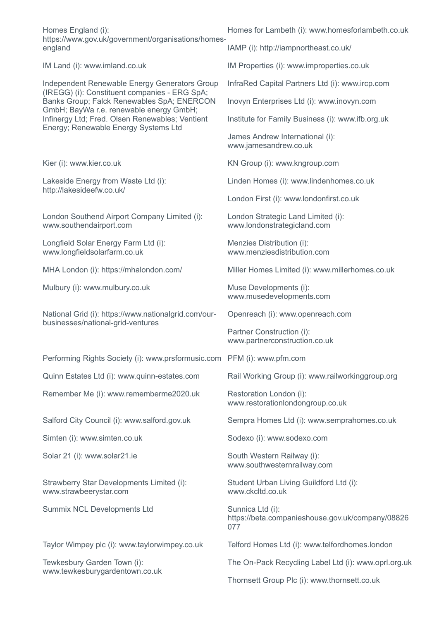Homes England (i): https://www.gov.uk/government/organisations/homesengland

Independent Renewable Energy Generators Group (IREGG) (i): Constituent companies - ERG SpA; Banks Group; Falck Renewables SpA; ENERCON GmbH; BayWa r.e. renewable energy GmbH; Infinergy Ltd; Fred. Olsen Renewables; Ventient Energy; Renewable Energy Systems Ltd

Lakeside Energy from Waste Ltd (i): http://lakesideefw.co.uk/

London Southend Airport Company Limited (i): www.southendairport.com

Longfield Solar Energy Farm Ltd (i): www.longfieldsolarfarm.co.uk

Mulbury (i): www.mulbury.co.uk Muse Developments (i):

National Grid (i): https://www.nationalgrid.com/ourbusinesses/national-grid-ventures

Performing Rights Society (i): www.prsformusic.com PFM (i): www.pfm.com

Remember Me (i): www.rememberme2020.uk Restoration London (i):

Simten (i): www.simten.co.uk Sodexo (i): www.sodexo.com

Solar 21 (i): www.solar21.ie Solar South Western Railway (i):

Strawberry Star Developments Limited (i): www.strawbeerystar.com

Summix NCL Developments Ltd Sunnica Ltd (i):

Tewkesbury Garden Town (i): www.tewkesburygardentown.co.uk Homes for Lambeth (i): www.homesforlambeth.co.uk

IAMP (i): http://iampnortheast.co.uk/

IM Land (i): www.imland.co.uk IM Properties (i): www.improperties.co.uk

InfraRed Capital Partners Ltd (i): www.ircp.com

Inovyn Enterprises Ltd (i): www.inovyn.com

Institute for Family Business (i): www.ifb.org.uk

James Andrew International (i): www.jamesandrew.co.uk

Kier (i): www.kier.co.uk KN Group (i): www.kngroup.com

Linden Homes (i): www.lindenhomes.co.uk

London First (i): www.londonfirst.co.uk

London Strategic Land Limited (i): www.londonstrategicland.com

Menzies Distribution (i): www.menziesdistribution.com

MHA London (i): https://mhalondon.com/ Miller Homes Limited (i): www.millerhomes.co.uk

www.musedevelopments.com

Openreach (i): www.openreach.com

Partner Construction (i): www.partnerconstruction.co.uk

Quinn Estates Ltd (i): www.quinn-estates.com Rail Working Group (i): www.railworkinggroup.org

www.restorationlondongroup.co.uk

Salford City Council (i): www.salford.gov.uk Sempra Homes Ltd (i): www.semprahomes.co.uk

www.southwesternrailway.com

Student Urban Living Guildford Ltd (i): www.ckcltd.co.uk

https://beta.companieshouse.gov.uk/company/08826 077

Taylor Wimpey plc (i): www.taylorwimpey.co.uk Telford Homes Ltd (i): www.telfordhomes.london

The On-Pack Recycling Label Ltd (i): www.oprl.org.uk

Thornsett Group Plc (i): www.thornsett.co.uk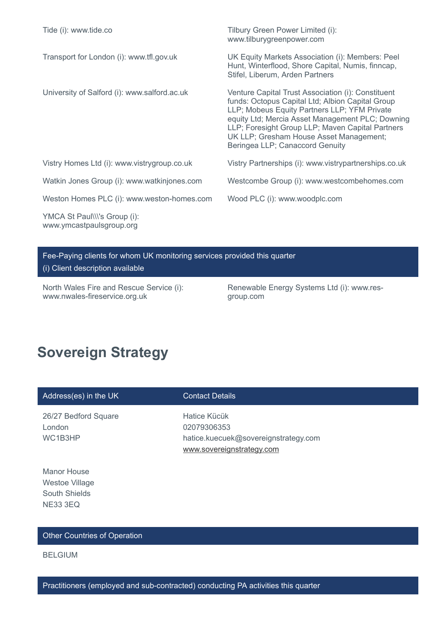| Tide (i): www.tide.co                                    | Tilbury Green Power Limited (i):<br>www.tilburygreenpower.com                                                                                                                                                                                                                                                                                |
|----------------------------------------------------------|----------------------------------------------------------------------------------------------------------------------------------------------------------------------------------------------------------------------------------------------------------------------------------------------------------------------------------------------|
| Transport for London (i): www.tfl.gov.uk                 | UK Equity Markets Association (i): Members: Peel<br>Hunt, Winterflood, Shore Capital, Numis, finncap,<br>Stifel, Liberum, Arden Partners                                                                                                                                                                                                     |
| University of Salford (i): www.salford.ac.uk             | Venture Capital Trust Association (i): Constituent<br>funds: Octopus Capital Ltd; Albion Capital Group<br>LLP; Mobeus Equity Partners LLP; YFM Private<br>equity Ltd; Mercia Asset Management PLC; Downing<br>LLP; Foresight Group LLP; Maven Capital Partners<br>UK LLP; Gresham House Asset Management;<br>Beringea LLP; Canaccord Genuity |
| Vistry Homes Ltd (i): www.vistrygroup.co.uk              | Vistry Partnerships (i): www.vistrypartnerships.co.uk                                                                                                                                                                                                                                                                                        |
| Watkin Jones Group (i): www.watkinjones.com              | Westcombe Group (i): www.westcombehomes.com                                                                                                                                                                                                                                                                                                  |
| Weston Homes PLC (i): www.weston-homes.com               | Wood PLC (i): www.woodplc.com                                                                                                                                                                                                                                                                                                                |
| YMCA St Paul\\\'s Group (i):<br>www.ymcastpaulsgroup.org |                                                                                                                                                                                                                                                                                                                                              |

Fee-Paying clients for whom UK monitoring services provided this quarter (i) Client description available

North Wales Fire and Rescue Service (i): www.nwales-fireservice.org.uk

Renewable Energy Systems Ltd (i): www.resgroup.com

# **Sovereign Strategy**

| Address(es) in the UK                                                                  | <b>Contact Details</b>                                                                           |
|----------------------------------------------------------------------------------------|--------------------------------------------------------------------------------------------------|
| 26/27 Bedford Square<br>London<br>WC1B3HP                                              | Hatice Kücük<br>02079306353<br>hatice.kuecuek@sovereignstrategy.com<br>www.sovereignstrategy.com |
| <b>Manor House</b><br><b>Westoe Village</b><br><b>South Shields</b><br><b>NE33 3EQ</b> |                                                                                                  |

## Other Countries of Operation

BELGIUM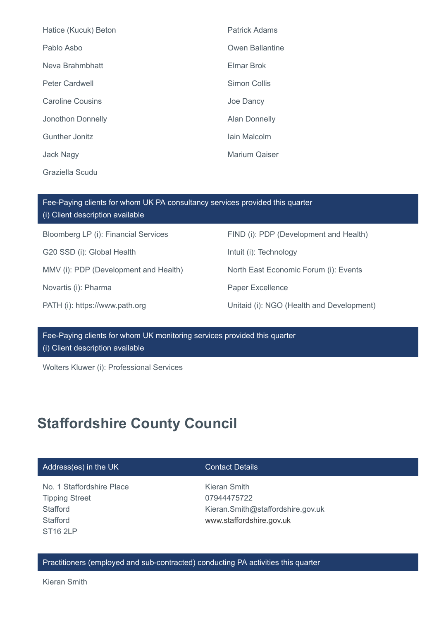| Hatice (Kucuk) Beton    | <b>Patrick Adams</b> |
|-------------------------|----------------------|
| Pablo Asbo              | Owen Ballantine      |
| Neva Brahmbhatt         | Elmar Brok           |
| <b>Peter Cardwell</b>   | <b>Simon Collis</b>  |
| <b>Caroline Cousins</b> | Joe Dancy            |
| Jonothon Donnelly       | <b>Alan Donnelly</b> |
| Gunther Jonitz          | lain Malcolm         |
| <b>Jack Nagy</b>        | <b>Marium Qaiser</b> |
| Graziella Scudu         |                      |

| Fee-Paying clients for whom UK PA consultancy services provided this quarter<br>(i) Client description available |                                           |  |
|------------------------------------------------------------------------------------------------------------------|-------------------------------------------|--|
| Bloomberg LP (i): Financial Services                                                                             | FIND (i): PDP (Development and Health)    |  |
| G20 SSD (i): Global Health                                                                                       | Intuit (i): Technology                    |  |
| MMV (i): PDP (Development and Health)                                                                            | North East Economic Forum (i): Events     |  |
| Novartis (i): Pharma                                                                                             | Paper Excellence                          |  |
| PATH (i): https://www.path.org                                                                                   | Unitaid (i): NGO (Health and Development) |  |

Fee-Paying clients for whom UK monitoring services provided this quarter (i) Client description available

Wolters Kluwer (i): Professional Services

# **Staffordshire County Council**

## Address(es) in the UK Contact Details

No. 1 Staffordshire Place Tipping Street **Stafford Stafford** ST16 2LP

Kieran Smith 07944475722 Kieran.Smith@staffordshire.gov.uk [www.staffordshire.gov.uk](http://www.staffordshire.gov.uk/)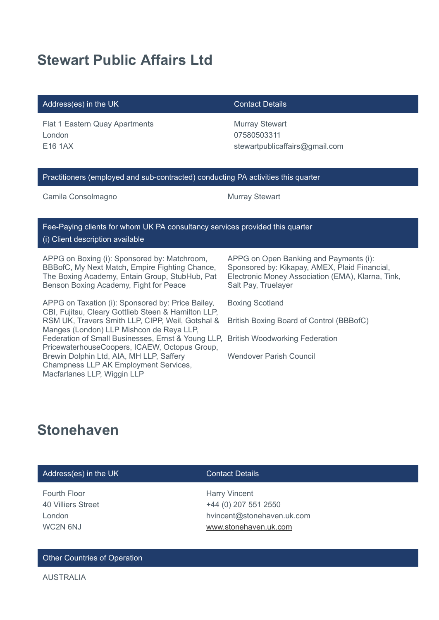# **Stewart Public Affairs Ltd**

## Address(es) in the UK Contact Details

Flat 1 Eastern Quay Apartments London E16 1AX

Murray Stewart 07580503311 stewartpublicaffairs@gmail.com

### Practitioners (employed and sub-contracted) conducting PA activities this quarter

Camila Consolmagno **Murray Stewart** 

Fee-Paying clients for whom UK PA consultancy services provided this quarter (i) Client description available

APPG on Boxing (i): Sponsored by: Matchroom, BBBofC, My Next Match, Empire Fighting Chance, The Boxing Academy, Entain Group, StubHub, Pat Benson Boxing Academy, Fight for Peace

APPG on Taxation (i): Sponsored by: Price Bailey, CBI, Fujitsu, Cleary Gottlieb Steen & Hamilton LLP, RSM UK, Travers Smith LLP, CIPP, Weil, Gotshal & Manges (London) LLP Mishcon de Reya LLP, Federation of Small Businesses, Ernst & Young LLP, PricewaterhouseCoopers, ICAEW, Octopus Group, Brewin Dolphin Ltd, AIA, MH LLP, Saffery Champness LLP AK Employment Services, Macfarlanes LLP, Wiggin LLP

APPG on Open Banking and Payments (i): Sponsored by: Kikapay, AMEX, Plaid Financial, Electronic Money Association (EMA), Klarna, Tink, Salt Pay, Truelayer

Boxing Scotland

British Boxing Board of Control (BBBofC)

British Woodworking Federation

Wendover Parish Council

# **Stonehaven**

## Address(es) in the UK Contact Details

Fourth Floor 40 Villiers Street London WC2N 6NJ

Harry Vincent +44 (0) 207 551 2550 hvincent@stonehaven.uk.com [www.stonehaven.uk.com](http://www.stonehaven.uk.com/)

### Other Countries of Operation

AUSTRALIA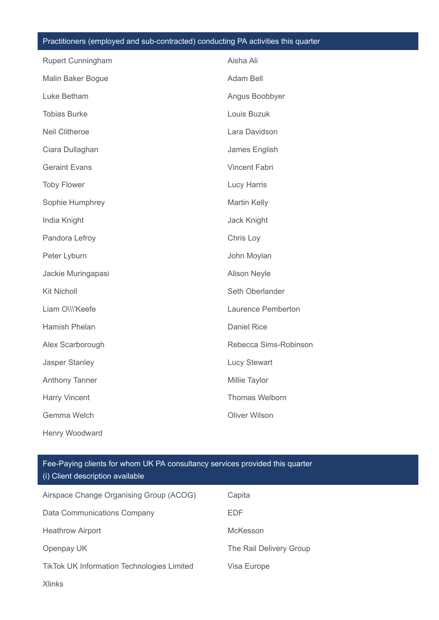# Practitioners (employed and sub-contracted) conducting PA activities this quarter

| <b>Rupert Cunningham</b> | Aisha Ali             |
|--------------------------|-----------------------|
| Malin Baker Bogue        | Adam Bell             |
| Luke Betham              | Angus Boobbyer        |
| <b>Tobias Burke</b>      | Louis Buzuk           |
| <b>Neil Clitheroe</b>    | Lara Davidson         |
| Ciara Dullaghan          | James English         |
| <b>Geraint Evans</b>     | <b>Vincent Fabri</b>  |
| <b>Toby Flower</b>       | <b>Lucy Harris</b>    |
| Sophie Humphrey          | <b>Martin Kelly</b>   |
| India Knight             | <b>Jack Knight</b>    |
| Pandora Lefroy           | Chris Loy             |
| Peter Lyburn             | John Moylan           |
| Jackie Muringapasi       | <b>Alison Neyle</b>   |
| <b>Kit Nicholl</b>       | Seth Oberlander       |
| Liam O\\\'Keefe          | Laurence Pemberton    |
| Hamish Phelan            | <b>Daniel Rice</b>    |
| Alex Scarborough         | Rebecca Sims-Robinson |
| Jasper Stanley           | <b>Lucy Stewart</b>   |
| Anthony Tanner           | Millie Taylor         |
| Harry Vincent            | Thomas Welborn        |
| Gemma Welch              | <b>Oliver Wilson</b>  |
| Henry Woodward           |                       |

| Airspace Change Organising Group (ACOG)           | Capita                  |
|---------------------------------------------------|-------------------------|
| Data Communications Company                       | <b>EDF</b>              |
| <b>Heathrow Airport</b>                           | <b>McKesson</b>         |
| Openpay UK                                        | The Rail Delivery Group |
| <b>TikTok UK Information Technologies Limited</b> | Visa Europe             |
| <b>Xlinks</b>                                     |                         |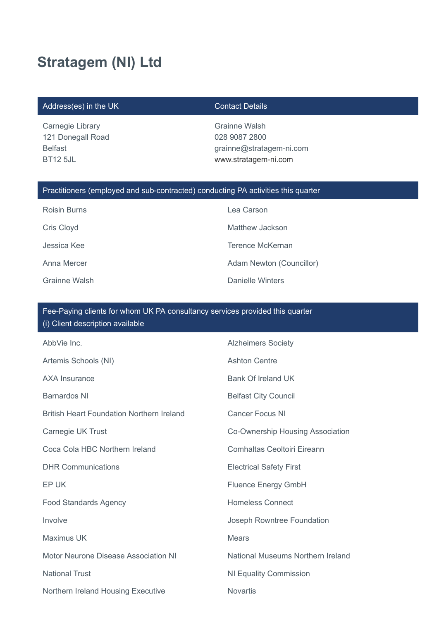# **Stratagem (NI) Ltd**

## Address(es) in the UK Contact Details

Carnegie Library 121 Donegall Road Belfast BT12 5JL

Grainne Walsh 028 9087 2800 grainne@stratagem-ni.com [www.stratagem-ni.com](http://www.stratagem-ni.com/)

## Practitioners (employed and sub-contracted) conducting PA activities this quarter

| <b>Roisin Burns</b> | Lea Carson               |
|---------------------|--------------------------|
| Cris Cloyd          | Matthew Jackson          |
| Jessica Kee         | Terence McKernan         |
| Anna Mercer         | Adam Newton (Councillor) |
| Grainne Walsh       | Danielle Winters         |

| AbbVie Inc.                                      | <b>Alzheimers Society</b>          |
|--------------------------------------------------|------------------------------------|
| Artemis Schools (NI)                             | <b>Ashton Centre</b>               |
| <b>AXA Insurance</b>                             | Bank Of Ireland UK                 |
| <b>Barnardos NI</b>                              | <b>Belfast City Council</b>        |
| <b>British Heart Foundation Northern Ireland</b> | <b>Cancer Focus NI</b>             |
| Carnegie UK Trust                                | Co-Ownership Housing Association   |
| Coca Cola HBC Northern Ireland                   | <b>Comhaltas Ceoltoiri Eireann</b> |
| <b>DHR Communications</b>                        | <b>Electrical Safety First</b>     |
| EP UK                                            | <b>Fluence Energy GmbH</b>         |
| <b>Food Standards Agency</b>                     | <b>Homeless Connect</b>            |
| Involve                                          | Joseph Rowntree Foundation         |
| Maximus UK                                       | <b>Mears</b>                       |
| Motor Neurone Disease Association NI             | National Museums Northern Ireland  |
| <b>National Trust</b>                            | <b>NI Equality Commission</b>      |
| Northern Ireland Housing Executive               | <b>Novartis</b>                    |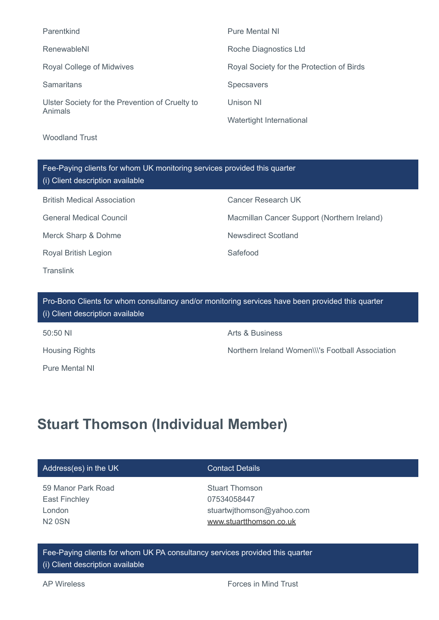| Parentkind                                                 | <b>Pure Mental NI</b>                     |
|------------------------------------------------------------|-------------------------------------------|
| RenewableNI                                                | Roche Diagnostics Ltd                     |
| Royal College of Midwives                                  | Royal Society for the Protection of Birds |
| <b>Samaritans</b>                                          | <b>Specsavers</b>                         |
| Ulster Society for the Prevention of Cruelty to<br>Animals | Unison NI                                 |
|                                                            | Watertight International                  |

Woodland Trust

| Fee-Paying clients for whom UK monitoring services provided this quarter<br>(i) Client description available |                                             |  |
|--------------------------------------------------------------------------------------------------------------|---------------------------------------------|--|
| <b>British Medical Association</b>                                                                           | <b>Cancer Research UK</b>                   |  |
| <b>General Medical Council</b>                                                                               | Macmillan Cancer Support (Northern Ireland) |  |
| Merck Sharp & Dohme                                                                                          | Newsdirect Scotland                         |  |
| <b>Royal British Legion</b>                                                                                  | Safefood                                    |  |
| Translink                                                                                                    |                                             |  |

Pro-Bono Clients for whom consultancy and/or monitoring services have been provided this quarter (i) Client description available

Pure Mental NI

50:50 NI Arts & Business

Housing Rights Northern Ireland Women\\\'s Football Association

# **Stuart Thomson (Individual Member)**

**Contact Details** 

59 Manor Park Road East Finchley London N2 0SN

Stuart Thomson 07534058447 stuartwjthomson@yahoo.com [www.stuartthomson.co.uk](http://www.stuartthomson.co.uk/)

Fee-Paying clients for whom UK PA consultancy services provided this quarter (i) Client description available

AP Wireless **Forces** in Mind Trust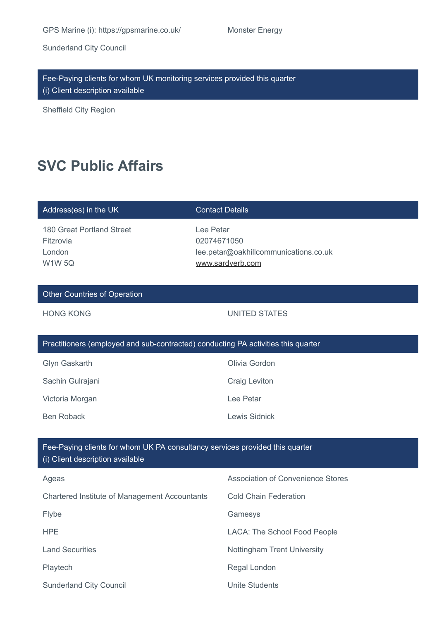GPS Marine (i): https://gpsmarine.co.uk/ Monster Energy

Sunderland City Council

Fee-Paying clients for whom UK monitoring services provided this quarter (i) Client description available

Sheffield City Region

## **SVC Public Affairs**

### Address(es) in the UK Contact Details

180 Great Portland Street Fitzrovia London W1W 5Q

Lee Petar 02074671050 lee.petar@oakhillcommunications.co.uk [www.sardverb.com](http://www.sardverb.com/)

## Other Countries of Operation

### HONG KONG UNITED STATES

| Practitioners (employed and sub-contracted) conducting PA activities this quarter |               |  |
|-----------------------------------------------------------------------------------|---------------|--|
| Glyn Gaskarth                                                                     | Olivia Gordon |  |
| Sachin Gulrajani                                                                  | Craig Leviton |  |
| Victoria Morgan                                                                   | Lee Petar     |  |
| Ben Roback                                                                        | Lewis Sidnick |  |
|                                                                                   |               |  |

| Ageas                                         | <b>Association of Convenience Stores</b> |
|-----------------------------------------------|------------------------------------------|
| Chartered Institute of Management Accountants | <b>Cold Chain Federation</b>             |
| Flybe                                         | Gamesys                                  |
| HPE                                           | LACA: The School Food People             |
| <b>Land Securities</b>                        | Nottingham Trent University              |
| Playtech                                      | Regal London                             |
| <b>Sunderland City Council</b>                | <b>Unite Students</b>                    |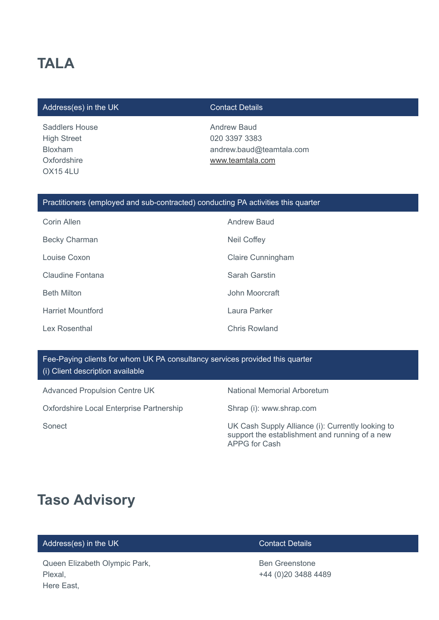# **TALA**

### Address(es) in the UK Contact Details

Saddlers House High Street Bloxham **Oxfordshire** OX15 4LU

Andrew Baud 020 3397 3383 andrew.baud@teamtala.com [www.teamtala.com](http://www.teamtala.com/)

### Practitioners (employed and sub-contracted) conducting PA activities this quarter

| Corin Allen              | <b>Andrew Baud</b>       |
|--------------------------|--------------------------|
| <b>Becky Charman</b>     | Neil Coffey              |
| Louise Coxon             | <b>Claire Cunningham</b> |
| Claudine Fontana         | Sarah Garstin            |
| <b>Beth Milton</b>       | John Moorcraft           |
| <b>Harriet Mountford</b> | Laura Parker             |
| Lex Rosenthal            | Chris Rowland            |

## Fee-Paying clients for whom UK PA consultancy services provided this quarter (i) Client description available

Advanced Propulsion Centre UK National Memorial Arboretum

Oxfordshire Local Enterprise Partnership Shrap (i): www.shrap.com

Sonect Sonect Sonect Controller Controller Cash Supply Alliance (i): Currently looking to support the establishment and running of a new APPG for Cash

## **Taso Advisory**

## Address(es) in the UK Contact Details

Queen Elizabeth Olympic Park, Plexal, Here East,

Ben Greenstone +44 (0)20 3488 4489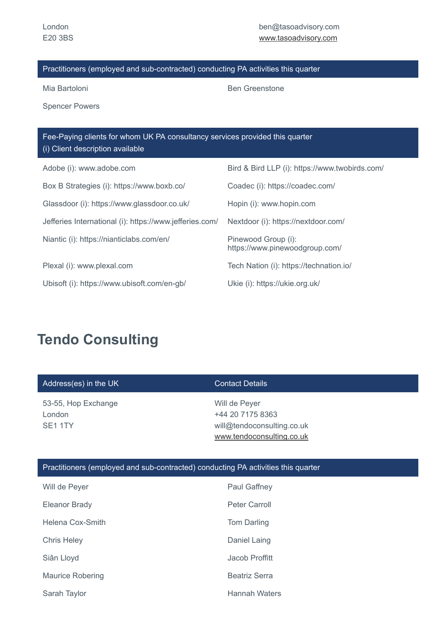Mia Bartoloni **Ben Greenstone** 

Spencer Powers

| Fee-Paying clients for whom UK PA consultancy services provided this quarter<br>(i) Client description available |                                                       |
|------------------------------------------------------------------------------------------------------------------|-------------------------------------------------------|
| Adobe (i): www.adobe.com                                                                                         | Bird & Bird LLP (i): https://www.twobirds.com/        |
| Box B Strategies (i): https://www.boxb.co/                                                                       | Coadec (i): https://coadec.com/                       |
| Glassdoor (i): https://www.glassdoor.co.uk/                                                                      | Hopin (i): www.hopin.com                              |
| Jefferies International (i): https://www.jefferies.com/                                                          | Nextdoor (i): https://nextdoor.com/                   |
| Niantic (i): https://nianticlabs.com/en/                                                                         | Pinewood Group (i):<br>https://www.pinewoodgroup.com/ |
| Plexal (i): www.plexal.com                                                                                       | Tech Nation (i): https://technation.io/               |
| Ubisoft (i): https://www.ubisoft.com/en-gb/                                                                      | Ukie (i): https://ukie.org.uk/                        |

# **Tendo Consulting**

| Address(es) in the UK                                | <b>Contact Details</b>                                                                       |
|------------------------------------------------------|----------------------------------------------------------------------------------------------|
| 53-55, Hop Exchange<br>London<br>SE <sub>1</sub> 1TY | Will de Peyer<br>+44 20 7175 8363<br>will@tendoconsulting.co.uk<br>www.tendoconsulting.co.uk |

| Will de Peyer           | Paul Gaffney         |
|-------------------------|----------------------|
| Eleanor Brady           | Peter Carroll        |
| Helena Cox-Smith        | Tom Darling          |
| <b>Chris Heley</b>      | Daniel Laing         |
| Siân Lloyd              | Jacob Proffitt       |
| <b>Maurice Robering</b> | <b>Beatriz Serra</b> |
| Sarah Taylor            | Hannah Waters        |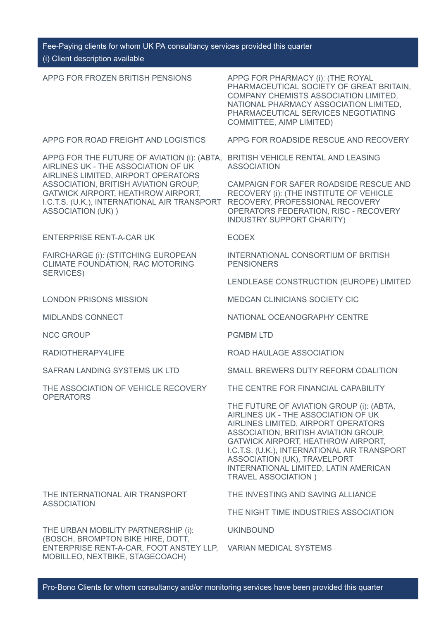| APPG FOR FROZEN BRITISH PENSIONS                                                                                                                                                                                                                                             | APPG FOR PHARMACY (i): (THE ROYAL<br>PHARMACEUTICAL SOCIETY OF GREAT BRITAIN,<br>COMPANY CHEMISTS ASSOCIATION LIMITED,<br>NATIONAL PHARMACY ASSOCIATION LIMITED.<br>PHARMACEUTICAL SERVICES NEGOTIATING<br>COMMITTEE, AIMP LIMITED)                                                                                                                          |
|------------------------------------------------------------------------------------------------------------------------------------------------------------------------------------------------------------------------------------------------------------------------------|--------------------------------------------------------------------------------------------------------------------------------------------------------------------------------------------------------------------------------------------------------------------------------------------------------------------------------------------------------------|
| APPG FOR ROAD FREIGHT AND LOGISTICS                                                                                                                                                                                                                                          | APPG FOR ROADSIDE RESCUE AND RECOVERY                                                                                                                                                                                                                                                                                                                        |
| APPG FOR THE FUTURE OF AVIATION (i): (ABTA,<br>AIRLINES UK - THE ASSOCIATION OF UK<br>AIRLINES LIMITED, AIRPORT OPERATORS<br>ASSOCIATION, BRITISH AVIATION GROUP,<br>GATWICK AIRPORT, HEATHROW AIRPORT,<br>I.C.T.S. (U.K.), INTERNATIONAL AIR TRANSPORT<br>ASSOCIATION (UK)) | BRITISH VEHICLE RENTAL AND LEASING<br><b>ASSOCIATION</b>                                                                                                                                                                                                                                                                                                     |
|                                                                                                                                                                                                                                                                              | CAMPAIGN FOR SAFER ROADSIDE RESCUE AND<br>RECOVERY (i): (THE INSTITUTE OF VEHICLE<br>RECOVERY, PROFESSIONAL RECOVERY<br>OPERATORS FEDERATION, RISC - RECOVERY<br>INDUSTRY SUPPORT CHARITY)                                                                                                                                                                   |
| <b>ENTERPRISE RENT-A-CAR UK</b>                                                                                                                                                                                                                                              | <b>EODEX</b>                                                                                                                                                                                                                                                                                                                                                 |
| FAIRCHARGE (i): (STITCHING EUROPEAN<br>CLIMATE FOUNDATION, RAC MOTORING<br>SERVICES)                                                                                                                                                                                         | INTERNATIONAL CONSORTIUM OF BRITISH<br><b>PENSIONERS</b>                                                                                                                                                                                                                                                                                                     |
|                                                                                                                                                                                                                                                                              | LENDLEASE CONSTRUCTION (EUROPE) LIMITED                                                                                                                                                                                                                                                                                                                      |
| <b>LONDON PRISONS MISSION</b>                                                                                                                                                                                                                                                | <b>MEDCAN CLINICIANS SOCIETY CIC</b>                                                                                                                                                                                                                                                                                                                         |
| <b>MIDLANDS CONNECT</b>                                                                                                                                                                                                                                                      | NATIONAL OCEANOGRAPHY CENTRE                                                                                                                                                                                                                                                                                                                                 |
| <b>NCC GROUP</b>                                                                                                                                                                                                                                                             | <b>PGMBM LTD</b>                                                                                                                                                                                                                                                                                                                                             |
| RADIOTHERAPY4LIFE                                                                                                                                                                                                                                                            | ROAD HAULAGE ASSOCIATION                                                                                                                                                                                                                                                                                                                                     |
| SAFRAN LANDING SYSTEMS UK LTD                                                                                                                                                                                                                                                | SMALL BREWERS DUTY REFORM COALITION                                                                                                                                                                                                                                                                                                                          |
| THE ASSOCIATION OF VEHICLE RECOVERY<br><b>OPERATORS</b>                                                                                                                                                                                                                      | THE CENTRE FOR FINANCIAL CAPABILITY                                                                                                                                                                                                                                                                                                                          |
|                                                                                                                                                                                                                                                                              | THE FUTURE OF AVIATION GROUP (i): (ABTA,<br>AIRLINES UK - THE ASSOCIATION OF UK<br>AIRLINES LIMITED, AIRPORT OPERATORS<br>ASSOCIATION, BRITISH AVIATION GROUP,<br>GATWICK AIRPORT, HEATHROW AIRPORT,<br>I.C.T.S. (U.K.), INTERNATIONAL AIR TRANSPORT<br>ASSOCIATION (UK), TRAVELPORT<br>INTERNATIONAL LIMITED, LATIN AMERICAN<br><b>TRAVEL ASSOCIATION</b> ) |
| THE INTERNATIONAL AIR TRANSPORT                                                                                                                                                                                                                                              | THE INVESTING AND SAVING ALLIANCE                                                                                                                                                                                                                                                                                                                            |
| <b>ASSOCIATION</b>                                                                                                                                                                                                                                                           | THE NIGHT TIME INDUSTRIES ASSOCIATION                                                                                                                                                                                                                                                                                                                        |
| THE URBAN MOBILITY PARTNERSHIP (i):<br>(BOSCH, BROMPTON BIKE HIRE, DOTT,                                                                                                                                                                                                     | <b>UKINBOUND</b>                                                                                                                                                                                                                                                                                                                                             |
| ENTERPRISE RENT-A-CAR, FOOT ANSTEY LLP,<br>MOBILLEO, NEXTBIKE, STAGECOACH)                                                                                                                                                                                                   | <b>VARIAN MEDICAL SYSTEMS</b>                                                                                                                                                                                                                                                                                                                                |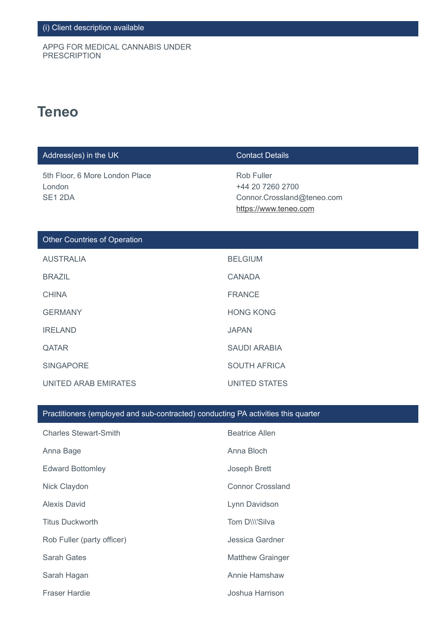APPG FOR MEDICAL CANNABIS UNDER PRESCRIPTION

## **Teneo**

| Address(es) in the UK                               | <b>Contact Details</b>                                                                |
|-----------------------------------------------------|---------------------------------------------------------------------------------------|
| 5th Floor, 6 More London Place<br>London<br>SE1 2DA | Rob Fuller<br>+44 20 7260 2700<br>Connor.Crossland@teneo.com<br>https://www.teneo.com |
| <b>Other Countries of Operation</b>                 |                                                                                       |
| <b>AUSTRALIA</b>                                    | <b>BELGIUM</b>                                                                        |
| <b>BRAZIL</b>                                       | <b>CANADA</b>                                                                         |
| <b>CHINA</b>                                        | <b>FRANCE</b>                                                                         |
| <b>GERMANY</b>                                      | <b>HONG KONG</b>                                                                      |
| <b>IRELAND</b>                                      | <b>JAPAN</b>                                                                          |
| $\bigcap$ ATAD                                      | CALINI ADADIA                                                                         |

| QATAR                | <b>SAUDI ARABIA</b> |
|----------------------|---------------------|
| SINGAPORE            | SOUTH AFRICA        |
| UNITED ARAB EMIRATES | UNITED STATES       |

| <b>Charles Stewart-Smith</b> | <b>Beatrice Allen</b>   |
|------------------------------|-------------------------|
| Anna Bage                    | Anna Bloch              |
| <b>Edward Bottomley</b>      | Joseph Brett            |
| Nick Claydon                 | <b>Connor Crossland</b> |
| <b>Alexis David</b>          | Lynn Davidson           |
| <b>Titus Duckworth</b>       | Tom DIII'Silva          |
| Rob Fuller (party officer)   | Jessica Gardner         |
| Sarah Gates                  | <b>Matthew Grainger</b> |
| Sarah Hagan                  | Annie Hamshaw           |
| <b>Fraser Hardie</b>         | Joshua Harrison         |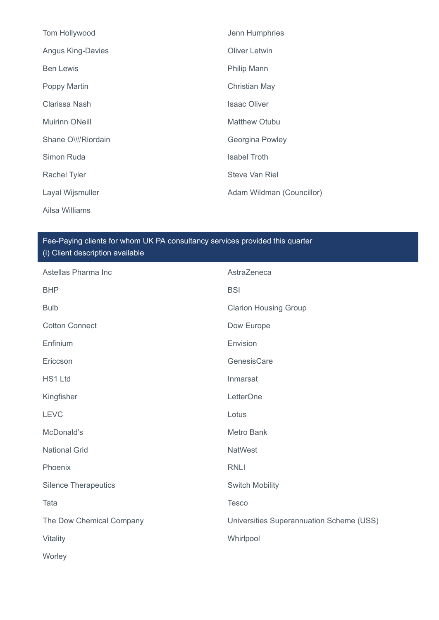| Tom Hollywood            | Jenn Humphries            |
|--------------------------|---------------------------|
| <b>Angus King-Davies</b> | <b>Oliver Letwin</b>      |
| <b>Ben Lewis</b>         | Philip Mann               |
| Poppy Martin             | <b>Christian May</b>      |
| Clarissa Nash            | <b>Isaac Oliver</b>       |
| <b>Muirinn ONeill</b>    | <b>Matthew Otubu</b>      |
| Shane O\\\'Riordain      | Georgina Powley           |
| Simon Ruda               | <b>Isabel Troth</b>       |
| <b>Rachel Tyler</b>      | <b>Steve Van Riel</b>     |
| Layal Wijsmuller         | Adam Wildman (Councillor) |
| Ailsa Williams           |                           |

| Astellas Pharma Inc         | AstraZeneca                              |
|-----------------------------|------------------------------------------|
| <b>BHP</b>                  | <b>BSI</b>                               |
| <b>Bulb</b>                 | <b>Clarion Housing Group</b>             |
| <b>Cotton Connect</b>       | Dow Europe                               |
| Enfinium                    | Envision                                 |
| Ericcson                    | GenesisCare                              |
| HS1 Ltd                     | Inmarsat                                 |
| Kingfisher                  | LetterOne                                |
| <b>LEVC</b>                 | Lotus                                    |
| McDonald's                  | <b>Metro Bank</b>                        |
| <b>National Grid</b>        | <b>NatWest</b>                           |
| Phoenix                     | <b>RNLI</b>                              |
| <b>Silence Therapeutics</b> | <b>Switch Mobility</b>                   |
| Tata                        | <b>Tesco</b>                             |
| The Dow Chemical Company    | Universities Superannuation Scheme (USS) |
| Vitality                    | Whirlpool                                |
| Worley                      |                                          |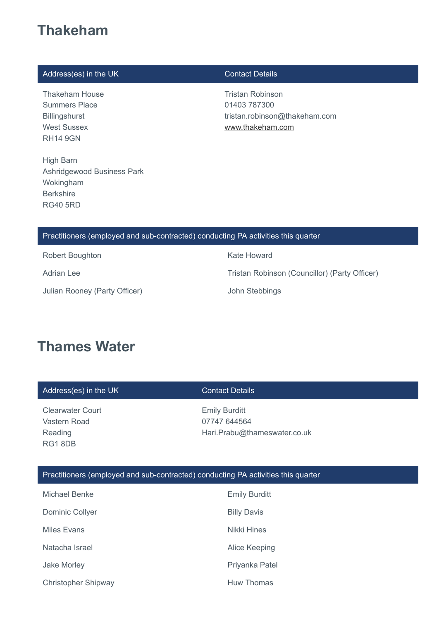## **Thakeham**

## Address(es) in the UK Contact Details

Thakeham House Summers Place Billingshurst West Sussex RH14 9GN

High Barn Ashridgewood Business Park Wokingham Berkshire RG40 5RD

Tristan Robinson 01403 787300 tristan.robinson@thakeham.com [www.thakeham.com](http://www.thakeham.com/)

### Practitioners (employed and sub-contracted) conducting PA activities this quarter

Robert Boughton **Kate Howard** 

Julian Rooney (Party Officer) John Stebbings

Adrian Lee **Tristan Robinson (Councillor)** (Party Officer)

## **Thames Water**

| Address(es) in the UK                                                             | <b>Contact Details</b>                                               |
|-----------------------------------------------------------------------------------|----------------------------------------------------------------------|
| <b>Clearwater Court</b><br>Vastern Road<br>Reading<br>RG18DB                      | <b>Emily Burditt</b><br>07747 644564<br>Hari.Prabu@thameswater.co.uk |
| Practitioners (employed and sub-contracted) conducting PA activities this quarter |                                                                      |
| Michael Renke                                                                     | $E_{\text{mily}}$ $D_{\text{urdit}}$                                 |

| Michael Benke              | <b>Emily Burditt</b> |
|----------------------------|----------------------|
| Dominic Collyer            | <b>Billy Davis</b>   |
| Miles Evans                | Nikki Hines          |
| Natacha Israel             | Alice Keeping        |
| Jake Morley                | Priyanka Patel       |
| <b>Christopher Shipway</b> | Huw Thomas           |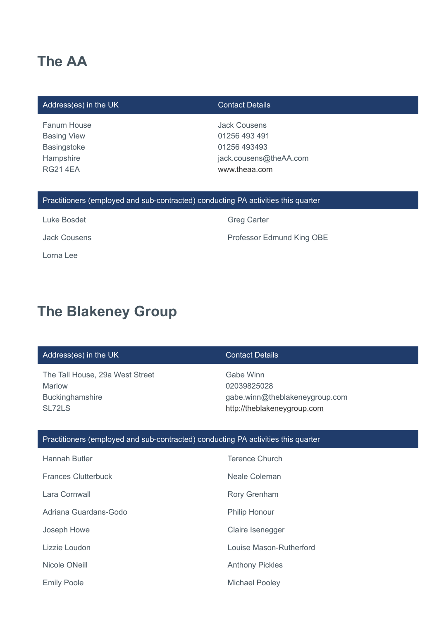## **The AA**

### Address(es) in the UK Contact Details

Fanum House Basing View Basingstoke **Hampshire** RG21 4EA

Jack Cousens 01256 493 491 01256 493493 jack.cousens@theAA.com [www.theaa.com](http://www.theaa.com/)

### Practitioners (employed and sub-contracted) conducting PA activities this quarter

Luke Bosdet **Greg Carter** Greg Carter Lorna Lee

Jack Cousens **Professor Edmund King OBE** 

## **The Blakeney Group**

### Address(es) in the UK Contact Details

The Tall House, 29a West Street Marlow Buckinghamshire SL72LS

Gabe Winn 02039825028 gabe.winn@theblakeneygroup.com [http://theblakeneygroup.com](http://theblakeneygroup.com/)

| <b>Hannah Butler</b>       | <b>Terence Church</b>   |
|----------------------------|-------------------------|
| <b>Frances Clutterbuck</b> | Neale Coleman           |
| Lara Cornwall              | Rory Grenham            |
| Adriana Guardans-Godo      | <b>Philip Honour</b>    |
| Joseph Howe                | Claire Isenegger        |
| Lizzie Loudon              | Louise Mason-Rutherford |
| Nicole ONeill              | <b>Anthony Pickles</b>  |
| <b>Emily Poole</b>         | <b>Michael Pooley</b>   |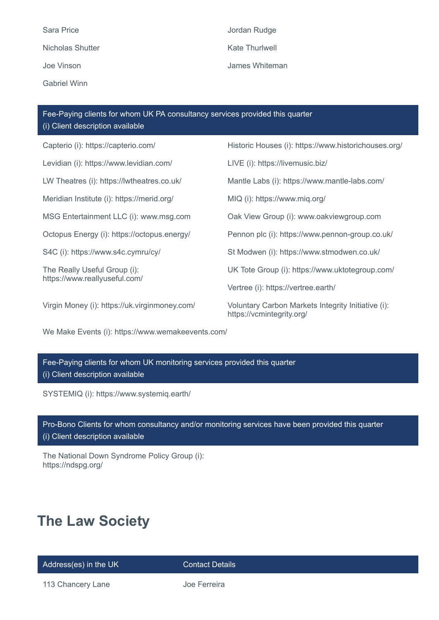Sara Price **Sara Price According to the United States** Jordan Rudge Nicholas Shutter **Kate Thurlwell** Gabriel Winn

Joe Vinson James Whiteman

Capterio (i): https://capterio.com/ Historic Houses (i): https://www.historichouses.org/ Levidian (i): https://www.levidian.com/ LIVE (i): https://livemusic.biz/ Fee-Paying clients for whom UK PA consultancy services provided this quarter (i) Client description available

Meridian Institute (i): https://merid.org/ MIQ (i): https://www.miq.org/

The Really Useful Group (i): https://www.reallyuseful.com/

LW Theatres (i): https://lwtheatres.co.uk/ Mantle Labs (i): https://www.mantle-labs.com/ MSG Entertainment LLC (i): www.msg.com Oak View Group (i): www.oakviewgroup.com Octopus Energy (i): https://octopus.energy/ Pennon plc (i): https://www.pennon-group.co.uk/ S4C (i): https://www.s4c.cymru/cy/ St Modwen (i): https://www.stmodwen.co.uk/ UK Tote Group (i): https://www.uktotegroup.com/ Vertree (i): https://vertree.earth/ Virgin Money (i): https://uk.virginmoney.com/ Voluntary Carbon Markets Integrity Initiative (i):

https://vcmintegrity.org/

We Make Events (i): https://www.wemakeevents.com/

Fee-Paying clients for whom UK monitoring services provided this quarter (i) Client description available

SYSTEMIQ (i): https://www.systemiq.earth/

Pro-Bono Clients for whom consultancy and/or monitoring services have been provided this quarter (i) Client description available

The National Down Syndrome Policy Group (i): https://ndspg.org/

# **The Law Society**

Address(es) in the UK Contact Details

113 Chancery Lane **Joe Ferreira**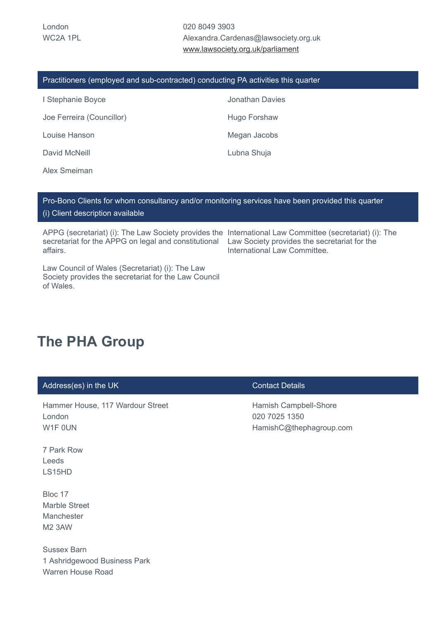020 8049 3903 Alexandra.Cardenas@lawsociety.org.uk [www.lawsociety.org.uk/parliament](http://www.lawsociety.org.uk/parliament)

| Practitioners (employed and sub-contracted) conducting PA activities this quarter |                 |
|-----------------------------------------------------------------------------------|-----------------|
| I Stephanie Boyce                                                                 | Jonathan Davies |
| Joe Ferreira (Councillor)                                                         | Hugo Forshaw    |
| Louise Hanson                                                                     | Megan Jacobs    |
| David McNeill                                                                     | Lubna Shuja     |
|                                                                                   |                 |

Alex Smeiman

## Pro-Bono Clients for whom consultancy and/or monitoring services have been provided this quarter (i) Client description available

APPG (secretariat) (i): The Law Society provides the International Law Committee (secretariat) (i): The secretariat for the APPG on legal and constitutional Law Society provides the secretariat for the affairs.

International Law Committee.

Law Council of Wales (Secretariat) (i): The Law Society provides the secretariat for the Law Council of Wales.

## **The PHA Group**

| Address(es) in the UK                                                          | <b>Contact Details</b>                                            |
|--------------------------------------------------------------------------------|-------------------------------------------------------------------|
| Hammer House, 117 Wardour Street<br>London<br>W1F OUN                          | Hamish Campbell-Shore<br>020 7025 1350<br>HamishC@thephagroup.com |
| 7 Park Row<br>Leeds<br>LS15HD                                                  |                                                                   |
| Bloc 17<br><b>Marble Street</b><br>Manchester<br><b>M2 3AW</b>                 |                                                                   |
| <b>Sussex Barn</b><br>1 Ashridgewood Business Park<br><b>Warren House Road</b> |                                                                   |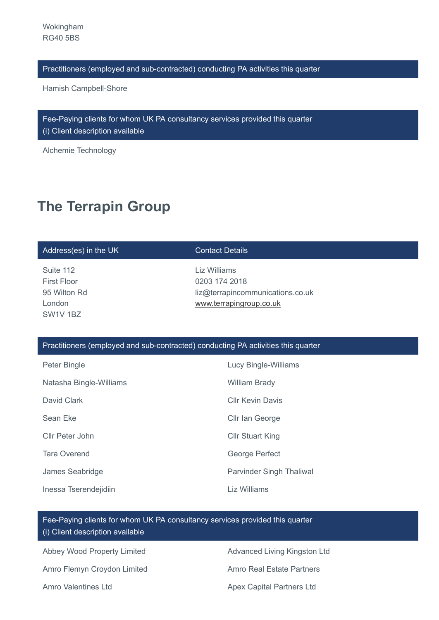Hamish Campbell-Shore

Fee-Paying clients for whom UK PA consultancy services provided this quarter (i) Client description available

Alchemie Technology

# **The Terrapin Group**

### Address(es) in the UK Contact Details

Suite 112 First Floor 95 Wilton Rd London SW1V 1BZ

Liz Williams 0203 174 2018 liz@terrapincommunications.co.uk [www.terrapingroup.co.uk](http://www.terrapingroup.co.uk/)

### Practitioners (employed and sub-contracted) conducting PA activities this quarter

| Peter Bingle            | <b>Lucy Bingle-Williams</b>     |
|-------------------------|---------------------------------|
| Natasha Bingle-Williams | <b>William Brady</b>            |
| David Clark             | <b>Cllr Kevin Davis</b>         |
| Sean Eke                | Cllr Ian George                 |
| Cllr Peter John         | <b>Cllr Stuart King</b>         |
| <b>Tara Overend</b>     | George Perfect                  |
| James Seabridge         | <b>Parvinder Singh Thaliwal</b> |
| Inessa Tserendejidiin   | Liz Williams                    |

Fee-Paying clients for whom UK PA consultancy services provided this quarter (i) Client description available

Abbey Wood Property Limited **Advanced Living Kingston Ltd** Amro Flemyn Croydon Limited **Amro Real Estate Partners** 

Amro Valentines Ltd **Amro Valentines Ltd** Apex Capital Partners Ltd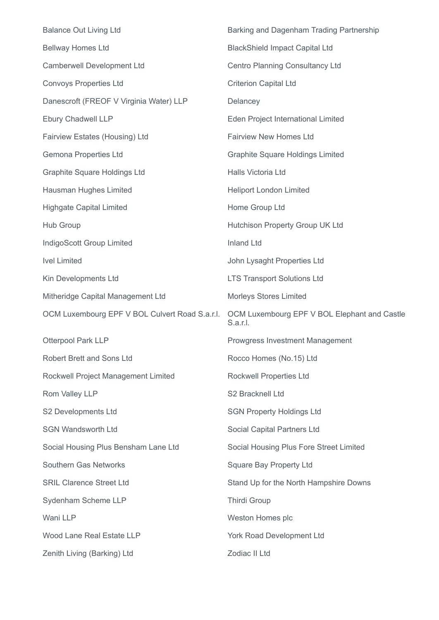| <b>Balance Out Living Ltd</b>                  | Barking and Dagenham Trading Partnership                 |
|------------------------------------------------|----------------------------------------------------------|
| <b>Bellway Homes Ltd</b>                       | <b>BlackShield Impact Capital Ltd</b>                    |
| <b>Camberwell Development Ltd</b>              | <b>Centro Planning Consultancy Ltd</b>                   |
| <b>Convoys Properties Ltd</b>                  | <b>Criterion Capital Ltd</b>                             |
| Danescroft (FREOF V Virginia Water) LLP        | Delancey                                                 |
| <b>Ebury Chadwell LLP</b>                      | Eden Project International Limited                       |
| Fairview Estates (Housing) Ltd                 | <b>Fairview New Homes Ltd</b>                            |
| <b>Gemona Properties Ltd</b>                   | <b>Graphite Square Holdings Limited</b>                  |
| Graphite Square Holdings Ltd                   | Halls Victoria Ltd                                       |
| Hausman Hughes Limited                         | <b>Heliport London Limited</b>                           |
| <b>Highgate Capital Limited</b>                | Home Group Ltd                                           |
| Hub Group                                      | Hutchison Property Group UK Ltd                          |
| IndigoScott Group Limited                      | <b>Inland Ltd</b>                                        |
| <b>Ivel Limited</b>                            | John Lysaght Properties Ltd                              |
| Kin Developments Ltd                           | <b>LTS Transport Solutions Ltd</b>                       |
| Mitheridge Capital Management Ltd              | <b>Morleys Stores Limited</b>                            |
| OCM Luxembourg EPF V BOL Culvert Road S.a.r.l. | OCM Luxembourg EPF V BOL Elephant and Castle<br>S.a.r.l. |
| <b>Otterpool Park LLP</b>                      | <b>Prowgress Investment Management</b>                   |
| Robert Brett and Sons Ltd                      | Rocco Homes (No.15) Ltd                                  |
| Rockwell Project Management Limited            | Rockwell Properties Ltd                                  |
| Rom Valley LLP                                 | S2 Bracknell Ltd                                         |
| S2 Developments Ltd                            | <b>SGN Property Holdings Ltd</b>                         |
| <b>SGN Wandsworth Ltd</b>                      | Social Capital Partners Ltd                              |
| Social Housing Plus Bensham Lane Ltd           | Social Housing Plus Fore Street Limited                  |
| <b>Southern Gas Networks</b>                   | <b>Square Bay Property Ltd</b>                           |
| <b>SRIL Clarence Street Ltd</b>                | Stand Up for the North Hampshire Downs                   |
| Sydenham Scheme LLP                            | <b>Thirdi Group</b>                                      |
| Wani LLP                                       | Weston Homes plc                                         |
| Wood Lane Real Estate LLP                      | York Road Development Ltd                                |
| Zenith Living (Barking) Ltd                    | Zodiac II Ltd                                            |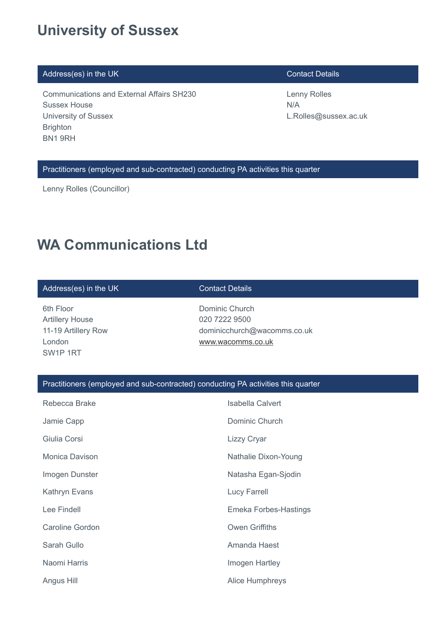## **University of Sussex**

## Address(es) in the UK Contact Details

Communications and External Affairs SH230 Sussex House University of Sussex **Brighton** BN1 9RH

Lenny Rolles N/A L.Rolles@sussex.ac.uk

Practitioners (employed and sub-contracted) conducting PA activities this quarter

Lenny Rolles (Councillor)

## **WA Communications Ltd**

### Address(es) in the UK Contact Details

6th Floor Artillery House 11-19 Artillery Row London SW1P 1RT

Dominic Church 020 7222 9500 dominicchurch@wacomms.co.uk [www.wacomms.co.uk](http://www.wacomms.co.uk/)

| Rebecca Brake          | <b>Isabella Calvert</b>      |
|------------------------|------------------------------|
| Jamie Capp             | Dominic Church               |
| Giulia Corsi           | Lizzy Cryar                  |
| Monica Davison         | Nathalie Dixon-Young         |
| Imogen Dunster         | Natasha Egan-Sjodin          |
| Kathryn Evans          | Lucy Farrell                 |
| Lee Findell            | <b>Emeka Forbes-Hastings</b> |
| <b>Caroline Gordon</b> | <b>Owen Griffiths</b>        |
| Sarah Gullo            | Amanda Haest                 |
| Naomi Harris           | Imogen Hartley               |
| Angus Hill             | <b>Alice Humphreys</b>       |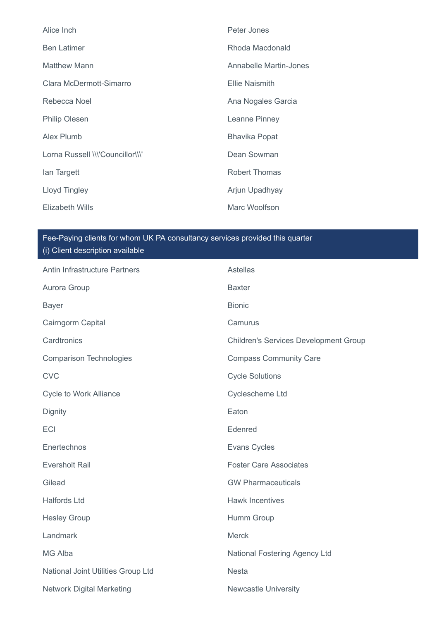| Alice Inch                       | Peter Jones            |
|----------------------------------|------------------------|
| <b>Ben Latimer</b>               | Rhoda Macdonald        |
| Matthew Mann                     | Annabelle Martin-Jones |
| Clara McDermott-Simarro          | <b>Ellie Naismith</b>  |
| Rebecca Noel                     | Ana Nogales Garcia     |
| <b>Philip Olesen</b>             | Leanne Pinney          |
| Alex Plumb                       | <b>Bhavika Popat</b>   |
| Lorna Russell \\\'Councillor\\\' | Dean Sowman            |
| lan Targett                      | <b>Robert Thomas</b>   |
| Lloyd Tingley                    | Arjun Upadhyay         |
| Elizabeth Wills                  | Marc Woolfson          |

| Antin Infrastructure Partners      | Astellas                                     |
|------------------------------------|----------------------------------------------|
| Aurora Group                       | <b>Baxter</b>                                |
| <b>Bayer</b>                       | <b>Bionic</b>                                |
| Cairngorm Capital                  | Camurus                                      |
| Cardtronics                        | <b>Children's Services Development Group</b> |
| <b>Comparison Technologies</b>     | <b>Compass Community Care</b>                |
| <b>CVC</b>                         | <b>Cycle Solutions</b>                       |
| <b>Cycle to Work Alliance</b>      | Cyclescheme Ltd                              |
| Dignity                            | Eaton                                        |
| <b>ECI</b>                         | Edenred                                      |
| Enertechnos                        | <b>Evans Cycles</b>                          |
| <b>Eversholt Rail</b>              | <b>Foster Care Associates</b>                |
| Gilead                             | <b>GW Pharmaceuticals</b>                    |
| <b>Halfords Ltd</b>                | <b>Hawk Incentives</b>                       |
| <b>Hesley Group</b>                | Humm Group                                   |
| Landmark                           | <b>Merck</b>                                 |
| <b>MG Alba</b>                     | National Fostering Agency Ltd                |
| National Joint Utilities Group Ltd | <b>Nesta</b>                                 |
| <b>Network Digital Marketing</b>   | <b>Newcastle University</b>                  |
|                                    |                                              |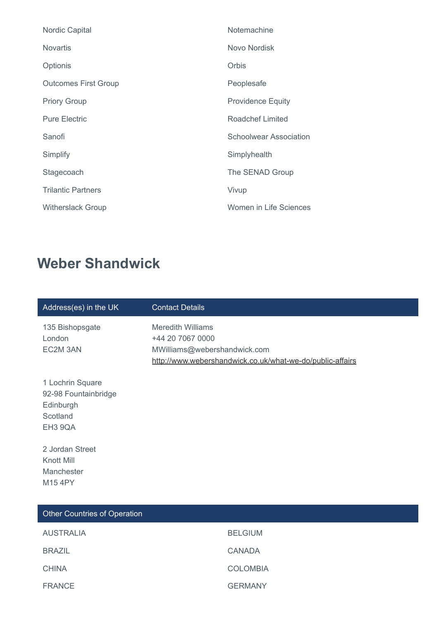| <b>Nordic Capital</b>       | Notemachine              |
|-----------------------------|--------------------------|
| <b>Novartis</b>             | Novo Nordisk             |
| Optionis                    | Orbis                    |
| <b>Outcomes First Group</b> | Peoplesafe               |
| <b>Priory Group</b>         | <b>Providence Equity</b> |
| <b>Pure Electric</b>        | <b>Roadchef Limited</b>  |
| Sanofi                      | Schoolwear Association   |
| Simplify                    | Simplyhealth             |
| Stagecoach                  | The SENAD Group          |
| <b>Trilantic Partners</b>   | Vivup                    |
| <b>Witherslack Group</b>    | Women in Life Sciences   |
|                             |                          |

# **Weber Shandwick**

| Address(es) in the UK                                                        | <b>Contact Details</b>                                                                                                                    |  |
|------------------------------------------------------------------------------|-------------------------------------------------------------------------------------------------------------------------------------------|--|
| 135 Bishopsgate<br>London<br>EC2M 3AN                                        | <b>Meredith Williams</b><br>+44 20 7067 0000<br>MWilliams@webershandwick.com<br>http://www.webershandwick.co.uk/what-we-do/public-affairs |  |
| 1 Lochrin Square<br>92-98 Fountainbridge<br>Edinburgh<br>Scotland<br>EH3 9QA |                                                                                                                                           |  |
| 2 Jordan Street<br>Knott Mill<br>Manchester<br>M15 4PY                       |                                                                                                                                           |  |
| <b>Other Countries of Operation</b>                                          |                                                                                                                                           |  |
| <b>AUSTRALIA</b>                                                             | <b>BELGIUM</b>                                                                                                                            |  |
| <b>BRAZIL</b>                                                                | <b>CANADA</b>                                                                                                                             |  |
| <b>CHINA</b>                                                                 | <b>COLOMBIA</b>                                                                                                                           |  |
| <b>FRANCE</b>                                                                | <b>GERMANY</b>                                                                                                                            |  |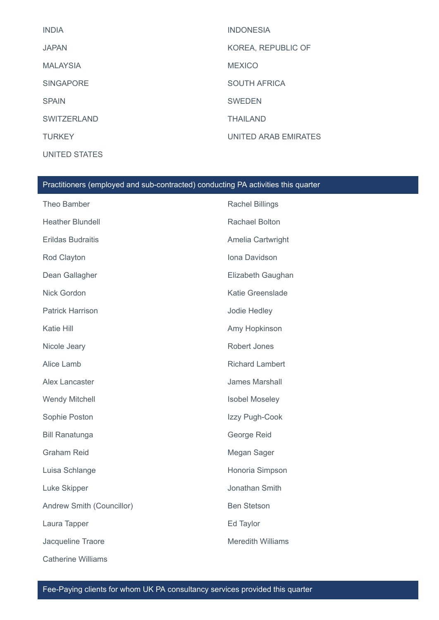| <b>INDIA</b>       | <b>INDONESIA</b>     |
|--------------------|----------------------|
| <b>JAPAN</b>       | KOREA, REPUBLIC OF   |
| <b>MALAYSIA</b>    | <b>MEXICO</b>        |
| <b>SINGAPORE</b>   | <b>SOUTH AFRICA</b>  |
| <b>SPAIN</b>       | <b>SWEDEN</b>        |
| <b>SWITZERLAND</b> | <b>THAILAND</b>      |
| <b>TURKEY</b>      | UNITED ARAB EMIRATES |
| UNITED STATES      |                      |

| Theo Bamber               | <b>Rachel Billings</b>   |
|---------------------------|--------------------------|
| <b>Heather Blundell</b>   | <b>Rachael Bolton</b>    |
| <b>Erildas Budraitis</b>  | Amelia Cartwright        |
| Rod Clayton               | Iona Davidson            |
| Dean Gallagher            | Elizabeth Gaughan        |
| Nick Gordon               | Katie Greenslade         |
| <b>Patrick Harrison</b>   | Jodie Hedley             |
| Katie Hill                | Amy Hopkinson            |
| Nicole Jeary              | <b>Robert Jones</b>      |
| Alice Lamb                | <b>Richard Lambert</b>   |
| Alex Lancaster            | <b>James Marshall</b>    |
| <b>Wendy Mitchell</b>     | <b>Isobel Moseley</b>    |
| Sophie Poston             | Izzy Pugh-Cook           |
| <b>Bill Ranatunga</b>     | George Reid              |
| <b>Graham Reid</b>        | Megan Sager              |
| Luisa Schlange            | Honoria Simpson          |
| Luke Skipper              | Jonathan Smith           |
| Andrew Smith (Councillor) | <b>Ben Stetson</b>       |
| Laura Tapper              | Ed Taylor                |
| Jacqueline Traore         | <b>Meredith Williams</b> |
| <b>Catherine Williams</b> |                          |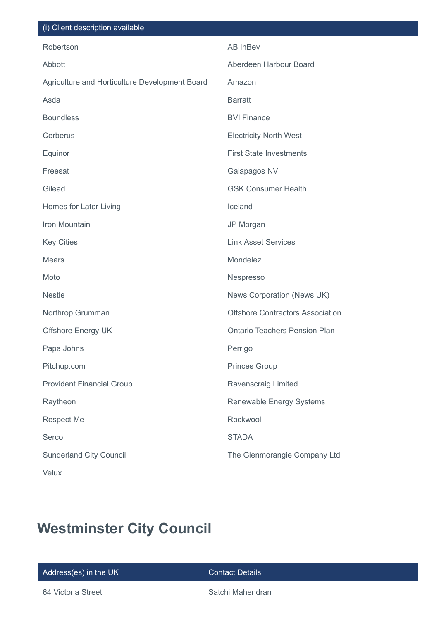| (i) Client description available               |                                         |
|------------------------------------------------|-----------------------------------------|
| Robertson                                      | AB InBev                                |
| Abbott                                         | Aberdeen Harbour Board                  |
| Agriculture and Horticulture Development Board | Amazon                                  |
| Asda                                           | <b>Barratt</b>                          |
| <b>Boundless</b>                               | <b>BVI Finance</b>                      |
| Cerberus                                       | <b>Electricity North West</b>           |
| Equinor                                        | <b>First State Investments</b>          |
| Freesat                                        | Galapagos NV                            |
| Gilead                                         | <b>GSK Consumer Health</b>              |
| Homes for Later Living                         | Iceland                                 |
| Iron Mountain                                  | JP Morgan                               |
| <b>Key Cities</b>                              | <b>Link Asset Services</b>              |
| <b>Mears</b>                                   | Mondelez                                |
| Moto                                           | Nespresso                               |
| <b>Nestle</b>                                  | News Corporation (News UK)              |
| Northrop Grumman                               | <b>Offshore Contractors Association</b> |
| <b>Offshore Energy UK</b>                      | <b>Ontario Teachers Pension Plan</b>    |
| Papa Johns                                     | Perrigo                                 |
| Pitchup.com                                    | <b>Princes Group</b>                    |
| <b>Provident Financial Group</b>               | Ravenscraig Limited                     |
| Raytheon                                       | <b>Renewable Energy Systems</b>         |
| <b>Respect Me</b>                              | Rockwool                                |
| Serco                                          | <b>STADA</b>                            |
| <b>Sunderland City Council</b>                 | The Glenmorangie Company Ltd            |
| <b>Velux</b>                                   |                                         |

# **Westminster City Council**

Address(es) in the UK Contact Details

64 Victoria Street Satchi Mahendran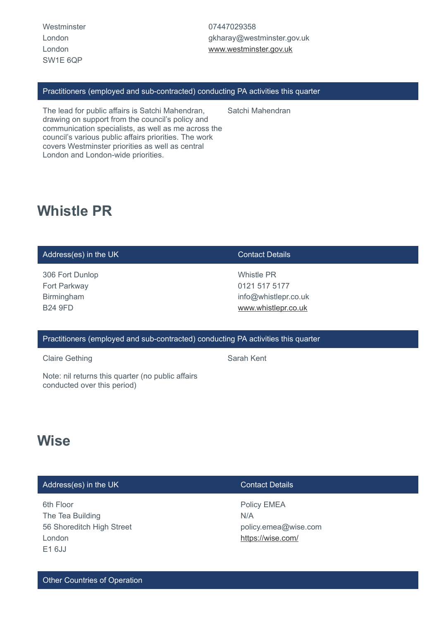**Westminster** London London SW1E 6QP

07447029358 gkharay@westminster.gov.uk [www.westminster.gov.uk](http://www.westminster.gov.uk/)

### Practitioners (employed and sub-contracted) conducting PA activities this quarter

Satchi Mahendran

The lead for public affairs is Satchi Mahendran, drawing on support from the council's policy and communication specialists, as well as me across the council's various public affairs priorities. The work covers Westminster priorities as well as central London and London-wide priorities.

## **Whistle PR**

## Address(es) in the UK Contact Details

306 Fort Dunlop Fort Parkway Birmingham B24 9FD

Whistle PR 0121 517 5177 info@whistlepr.co.uk [www.whistlepr.co.uk](http://www.whistlepr.co.uk/)

### Practitioners (employed and sub-contracted) conducting PA activities this quarter

Claire Gething **Sarah Kent** Sarah Kent

Note: nil returns this quarter (no public affairs conducted over this period)

## **Wise**

| Address(es) in the UK                                                          | Contact Details                                                 |  |
|--------------------------------------------------------------------------------|-----------------------------------------------------------------|--|
| 6th Floor<br>The Tea Building<br>56 Shoreditch High Street<br>London<br>E1 6JJ | Policy EMEA<br>N/A<br>policy.emea@wise.com<br>https://wise.com/ |  |
|                                                                                |                                                                 |  |

Other Countries of Operation